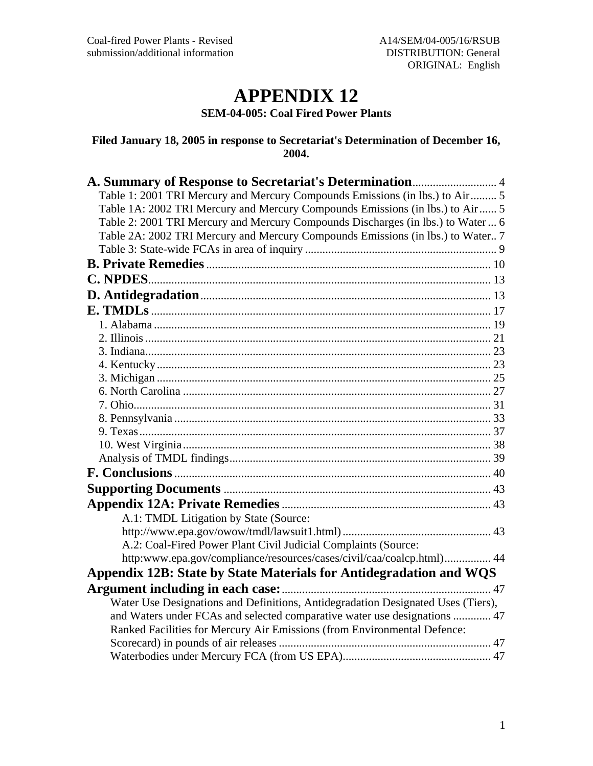# **APPENDIX 12**

#### **SEM-04-005: Coal Fired Power Plants**

#### **Filed January 18, 2005 in response to Secretariat's Determination of December 16, 2004.**

| Table 1: 2001 TRI Mercury and Mercury Compounds Emissions (in lbs.) to Air 5     |
|----------------------------------------------------------------------------------|
| Table 1A: 2002 TRI Mercury and Mercury Compounds Emissions (in lbs.) to Air 5    |
| Table 2: 2001 TRI Mercury and Mercury Compounds Discharges (in lbs.) to Water 6  |
| Table 2A: 2002 TRI Mercury and Mercury Compounds Emissions (in lbs.) to Water 7  |
|                                                                                  |
|                                                                                  |
|                                                                                  |
|                                                                                  |
|                                                                                  |
|                                                                                  |
|                                                                                  |
|                                                                                  |
|                                                                                  |
|                                                                                  |
|                                                                                  |
|                                                                                  |
|                                                                                  |
|                                                                                  |
|                                                                                  |
|                                                                                  |
|                                                                                  |
|                                                                                  |
|                                                                                  |
| A.1: TMDL Litigation by State (Source:                                           |
|                                                                                  |
| A.2: Coal-Fired Power Plant Civil Judicial Complaints (Source:                   |
| http:www.epa.gov/compliance/resources/cases/civil/caa/coalcp.html) 44            |
| Appendix 12B: State by State Materials for Antidegradation and WQS               |
|                                                                                  |
| Water Use Designations and Definitions, Antidegradation Designated Uses (Tiers), |
| and Waters under FCAs and selected comparative water use designations  47        |
| Ranked Facilities for Mercury Air Emissions (from Environmental Defence:         |
|                                                                                  |
|                                                                                  |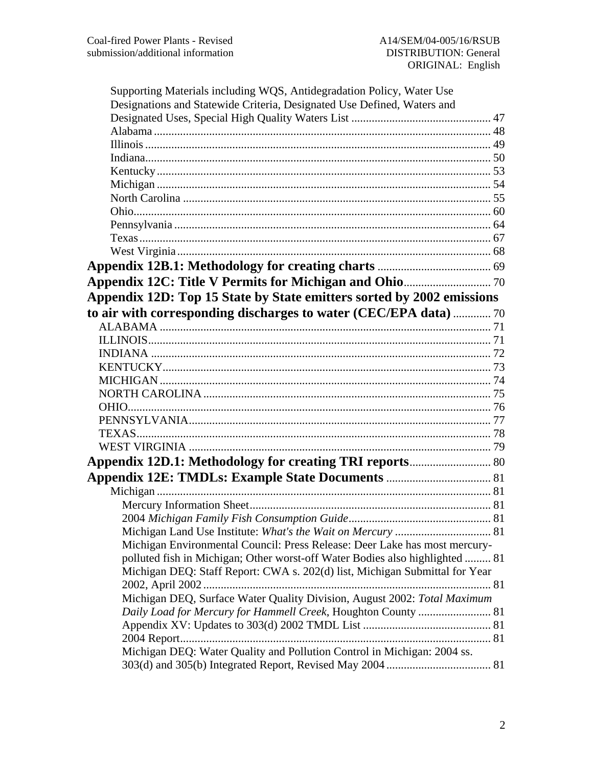| Supporting Materials including WQS, Antidegradation Policy, Water Use        |  |
|------------------------------------------------------------------------------|--|
| Designations and Statewide Criteria, Designated Use Defined, Waters and      |  |
|                                                                              |  |
|                                                                              |  |
|                                                                              |  |
|                                                                              |  |
|                                                                              |  |
|                                                                              |  |
|                                                                              |  |
|                                                                              |  |
|                                                                              |  |
|                                                                              |  |
|                                                                              |  |
|                                                                              |  |
|                                                                              |  |
| Appendix 12D: Top 15 State by State emitters sorted by 2002 emissions        |  |
|                                                                              |  |
| to air with corresponding discharges to water (CEC/EPA data)  70             |  |
|                                                                              |  |
|                                                                              |  |
|                                                                              |  |
|                                                                              |  |
|                                                                              |  |
|                                                                              |  |
|                                                                              |  |
|                                                                              |  |
|                                                                              |  |
|                                                                              |  |
|                                                                              |  |
|                                                                              |  |
|                                                                              |  |
|                                                                              |  |
|                                                                              |  |
|                                                                              |  |
| Michigan Environmental Council: Press Release: Deer Lake has most mercury-   |  |
| polluted fish in Michigan; Other worst-off Water Bodies also highlighted  81 |  |
| Michigan DEQ: Staff Report: CWA s. 202(d) list, Michigan Submittal for Year  |  |
|                                                                              |  |
| Michigan DEQ, Surface Water Quality Division, August 2002: Total Maximum     |  |
| Daily Load for Mercury for Hammell Creek, Houghton County  81                |  |
|                                                                              |  |
|                                                                              |  |
| Michigan DEQ: Water Quality and Pollution Control in Michigan: 2004 ss.      |  |
|                                                                              |  |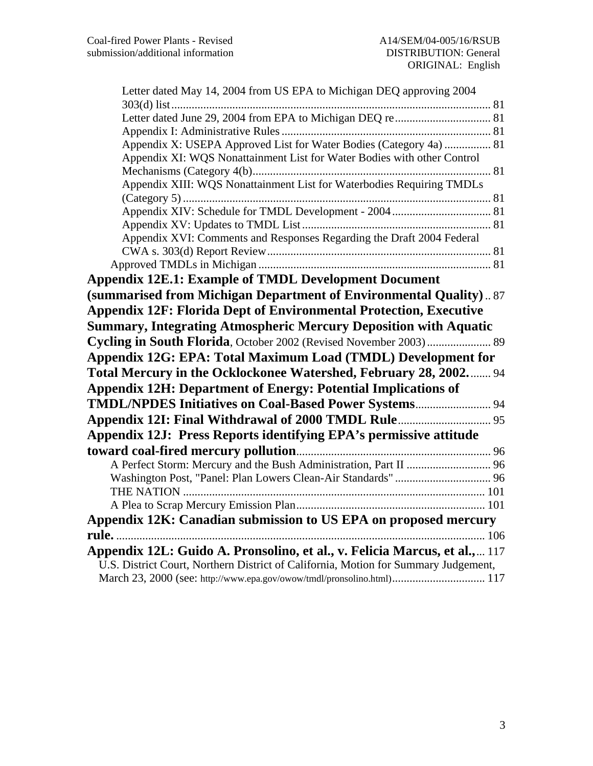| Letter dated May 14, 2004 from US EPA to Michigan DEQ approving 2004                |  |
|-------------------------------------------------------------------------------------|--|
|                                                                                     |  |
|                                                                                     |  |
|                                                                                     |  |
| Appendix X: USEPA Approved List for Water Bodies (Category 4a)  81                  |  |
| Appendix XI: WQS Nonattainment List for Water Bodies with other Control             |  |
|                                                                                     |  |
| Appendix XIII: WQS Nonattainment List for Waterbodies Requiring TMDLs               |  |
|                                                                                     |  |
|                                                                                     |  |
|                                                                                     |  |
| Appendix XVI: Comments and Responses Regarding the Draft 2004 Federal               |  |
|                                                                                     |  |
|                                                                                     |  |
| <b>Appendix 12E.1: Example of TMDL Development Document</b>                         |  |
| (summarised from Michigan Department of Environmental Quality) 87                   |  |
| <b>Appendix 12F: Florida Dept of Environmental Protection, Executive</b>            |  |
|                                                                                     |  |
| <b>Summary, Integrating Atmospheric Mercury Deposition with Aquatic</b>             |  |
| Cycling in South Florida, October 2002 (Revised November 2003) 89                   |  |
| Appendix 12G: EPA: Total Maximum Load (TMDL) Development for                        |  |
| Total Mercury in the Ocklockonee Watershed, February 28, 2002 94                    |  |
| <b>Appendix 12H: Department of Energy: Potential Implications of</b>                |  |
| TMDL/NPDES Initiatives on Coal-Based Power Systems 94                               |  |
|                                                                                     |  |
|                                                                                     |  |
| Appendix 12J: Press Reports identifying EPA's permissive attitude                   |  |
|                                                                                     |  |
|                                                                                     |  |
|                                                                                     |  |
|                                                                                     |  |
|                                                                                     |  |
| Appendix 12K: Canadian submission to US EPA on proposed mercury                     |  |
|                                                                                     |  |
| Appendix 12L: Guido A. Pronsolino, et al., v. Felicia Marcus, et al., 117           |  |
| U.S. District Court, Northern District of California, Motion for Summary Judgement, |  |
|                                                                                     |  |
| March 23, 2000 (see: http://www.epa.gov/owow/tmdl/pronsolino.html) 117              |  |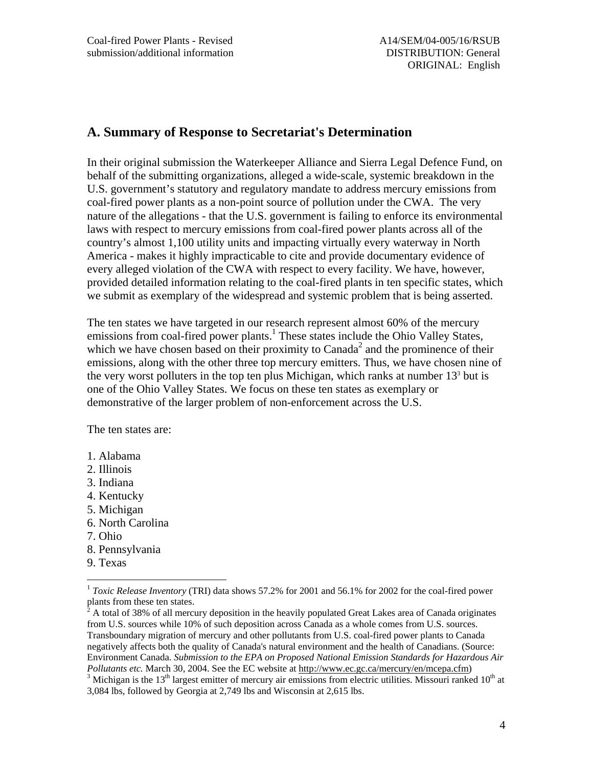## **A. Summary of Response to Secretariat's Determination**

In their original submission the Waterkeeper Alliance and Sierra Legal Defence Fund, on behalf of the submitting organizations, alleged a wide-scale, systemic breakdown in the U.S. government's statutory and regulatory mandate to address mercury emissions from coal-fired power plants as a non-point source of pollution under the CWA. The very nature of the allegations - that the U.S. government is failing to enforce its environmental laws with respect to mercury emissions from coal-fired power plants across all of the country's almost 1,100 utility units and impacting virtually every waterway in North America - makes it highly impracticable to cite and provide documentary evidence of every alleged violation of the CWA with respect to every facility. We have, however, provided detailed information relating to the coal-fired plants in ten specific states, which we submit as exemplary of the widespread and systemic problem that is being asserted.

The ten states we have targeted in our research represent almost 60% of the mercury emissions from coal-fired power plants.<sup>1</sup> These states include the Ohio Valley States, which we have chosen based on their proximity to  $Canada<sup>2</sup>$  and the prominence of their emissions, along with the other three top mercury emitters. Thus, we have chosen nine of the very worst polluters in the top ten plus Michigan, which ranks at number  $13<sup>3</sup>$  but is one of the Ohio Valley States. We focus on these ten states as exemplary or demonstrative of the larger problem of non-enforcement across the U.S.

The ten states are:

- 1. Alabama
- 2. Illinois
- 3. Indiana
- 4. Kentucky
- 5. Michigan
- 6. North Carolina
- 7. Ohio
- 8. Pennsylvania
- 9. Texas

<sup>1</sup> *Toxic Release Inventory* (TRI) data shows 57.2% for 2001 and 56.1% for 2002 for the coal-fired power plants from these ten states.

 $\bar{2}$  A total of 38% of all mercury deposition in the heavily populated Great Lakes area of Canada originates from U.S. sources while 10% of such deposition across Canada as a whole comes from U.S. sources. Transboundary migration of mercury and other pollutants from U.S. coal-fired power plants to Canada negatively affects both the quality of Canada's natural environment and the health of Canadians. (Source: Environment Canada. *Submission to the EPA on Proposed National Emission Standards for Hazardous Air Pollutants etc.* March 30, 2004. See the EC website at http://www.ec.gc.ca/mercury/en/mcepa.cfm)

 $3$  Michigan is the 13<sup>th</sup> largest emitter of mercury air emissions from electric utilities. Missouri ranked 10<sup>th</sup> at 3,084 lbs, followed by Georgia at 2,749 lbs and Wisconsin at 2,615 lbs.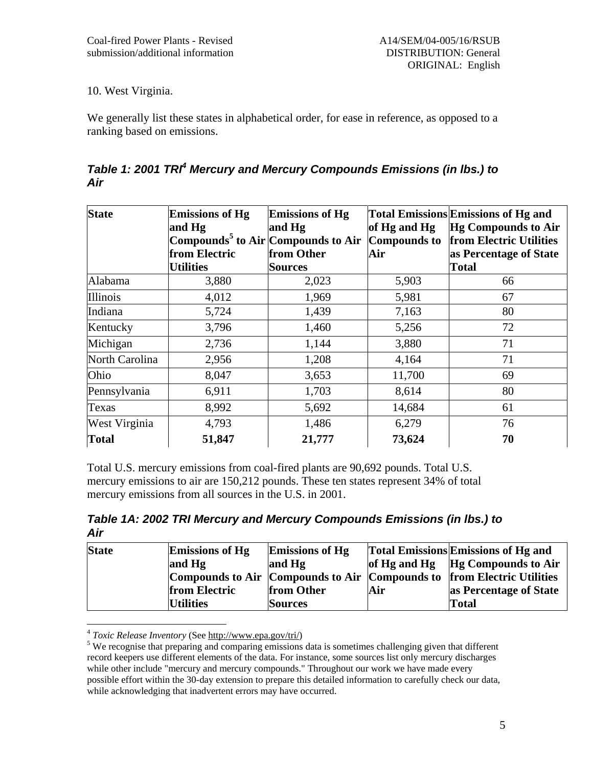10. West Virginia.

We generally list these states in alphabetical order, for ease in reference, as opposed to a ranking based on emissions.

*Table 1: 2001 TRI<sup>4</sup> Mercury and Mercury Compounds Emissions (in lbs.) to Air* 

| <b>State</b>   | <b>Emissions of Hg</b><br>and Hg<br>Compounds <sup>5</sup> to Air Compounds to Air | <b>Emissions of Hg</b><br>and Hg | of Hg and Hg<br><b>Compounds to</b> | <b>Total Emissions Emissions of Hg and</b><br>Hg Compounds to Air<br>from Electric Utilities |
|----------------|------------------------------------------------------------------------------------|----------------------------------|-------------------------------------|----------------------------------------------------------------------------------------------|
|                | from Electric<br><b>Utilities</b>                                                  | from Other<br><b>Sources</b>     | Air                                 | as Percentage of State<br><b>Total</b>                                                       |
| Alabama        | 3,880                                                                              | 2,023                            | 5,903                               | 66                                                                                           |
| Illinois       | 4,012                                                                              | 1,969                            | 5,981                               | 67                                                                                           |
| Indiana        | 5,724                                                                              | 1,439                            | 7,163                               | 80                                                                                           |
| Kentucky       | 3,796                                                                              | 1,460                            | 5,256                               | 72                                                                                           |
| Michigan       | 2,736                                                                              | 1,144                            | 3,880                               | 71                                                                                           |
| North Carolina | 2,956                                                                              | 1,208                            | 4,164                               | 71                                                                                           |
| Ohio           | 8,047                                                                              | 3,653                            | 11,700                              | 69                                                                                           |
| Pennsylvania   | 6,911                                                                              | 1,703                            | 8,614                               | 80                                                                                           |
| Texas          | 8,992                                                                              | 5,692                            | 14,684                              | 61                                                                                           |
| West Virginia  | 4,793                                                                              | 1,486                            | 6,279                               | 76                                                                                           |
| Total          | 51,847                                                                             | 21,777                           | 73,624                              | 70                                                                                           |

Total U.S. mercury emissions from coal-fired plants are 90,692 pounds. Total U.S. mercury emissions to air are 150,212 pounds. These ten states represent 34% of total mercury emissions from all sources in the U.S. in 2001.

*Table 1A: 2002 TRI Mercury and Mercury Compounds Emissions (in lbs.) to Air* 

| <b>State</b> | <b>Emissions of Hg</b> | <b>Emissions of Hg</b> |     | <b>Total Emissions Emissions of Hg and</b>                             |
|--------------|------------------------|------------------------|-----|------------------------------------------------------------------------|
|              | and Hg                 | and Hg                 |     | of Hg and Hg   Hg Compounds to Air                                     |
|              |                        |                        |     | Compounds to Air Compounds to Air Compounds to from Electric Utilities |
|              | from Electric          | from Other             | Air | as Percentage of State                                                 |
|              | <b>Utilities</b>       | <b>Sources</b>         |     | <b>Total</b>                                                           |

<sup>&</sup>lt;sup>4</sup> *Toxic Release Inventory* (See http://www.epa.gov/tri/)<sup>5</sup> We recognize that propering and comparing emissions

<sup>&</sup>lt;sup>5</sup> We recognise that preparing and comparing emissions data is sometimes challenging given that different record keepers use different elements of the data. For instance, some sources list only mercury discharges while other include "mercury and mercury compounds." Throughout our work we have made every possible effort within the 30-day extension to prepare this detailed information to carefully check our data, while acknowledging that inadvertent errors may have occurred.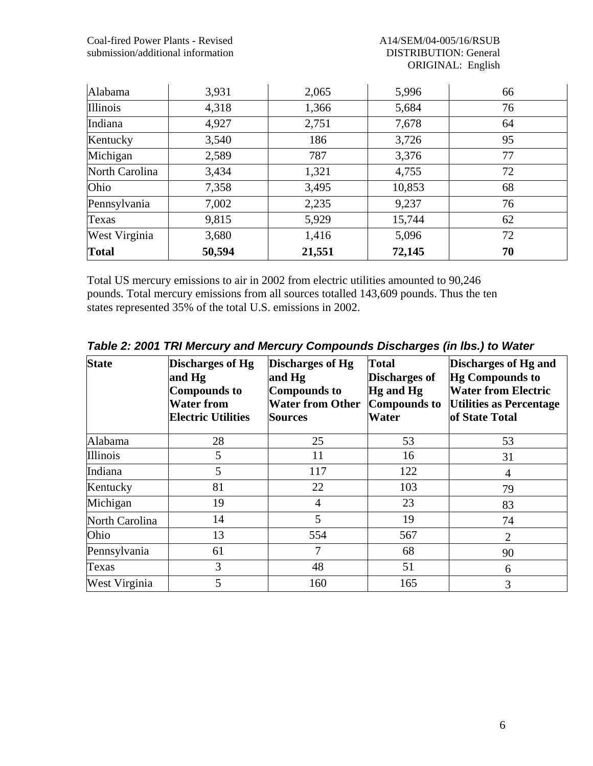#### A14/SEM/04-005/16/RSUB DISTRIBUTION: General ORIGINAL: English

| Alabama        | 3,931  | 2,065  | 5,996  | 66 |
|----------------|--------|--------|--------|----|
| Illinois       | 4,318  | 1,366  | 5,684  | 76 |
| Indiana        | 4,927  | 2,751  | 7,678  | 64 |
| Kentucky       | 3,540  | 186    | 3,726  | 95 |
| Michigan       | 2,589  | 787    | 3,376  | 77 |
| North Carolina | 3,434  | 1,321  | 4,755  | 72 |
| Ohio           | 7,358  | 3,495  | 10,853 | 68 |
| Pennsylvania   | 7,002  | 2,235  | 9,237  | 76 |
| Texas          | 9,815  | 5,929  | 15,744 | 62 |
| West Virginia  | 3,680  | 1,416  | 5,096  | 72 |
| Total          | 50,594 | 21,551 | 72,145 | 70 |

Total US mercury emissions to air in 2002 from electric utilities amounted to 90,246 pounds. Total mercury emissions from all sources totalled 143,609 pounds. Thus the ten states represented 35% of the total U.S. emissions in 2002.

| <b>State</b>   | <b>Discharges of Hg</b><br>and Hg<br><b>Compounds to</b><br><b>Water from</b><br><b>Electric Utilities</b> | <b>Discharges of Hg</b><br>and Hg<br>Compounds to<br><b>Water from Other</b><br><b>Sources</b> | <b>Total</b><br><b>Discharges of</b><br>Hg and Hg<br>Compounds to<br>Water | Discharges of Hg and<br><b>Hg Compounds to</b><br><b>Water from Electric</b><br><b>Utilities as Percentage</b><br>of State Total |
|----------------|------------------------------------------------------------------------------------------------------------|------------------------------------------------------------------------------------------------|----------------------------------------------------------------------------|----------------------------------------------------------------------------------------------------------------------------------|
| Alabama        | 28                                                                                                         | 25                                                                                             | 53                                                                         | 53                                                                                                                               |
| Illinois       | 5                                                                                                          | 11                                                                                             | 16                                                                         | 31                                                                                                                               |
| Indiana        | 5                                                                                                          | 117                                                                                            | 122                                                                        | $\overline{4}$                                                                                                                   |
| Kentucky       | 81                                                                                                         | 22                                                                                             | 103                                                                        | 79                                                                                                                               |
| Michigan       | 19                                                                                                         | 4                                                                                              | 23                                                                         | 83                                                                                                                               |
| North Carolina | 14                                                                                                         | 5                                                                                              | 19                                                                         | 74                                                                                                                               |
| Ohio           | 13                                                                                                         | 554                                                                                            | 567                                                                        | $\overline{2}$                                                                                                                   |
| Pennsylvania   | 61                                                                                                         | 7                                                                                              | 68                                                                         | 90                                                                                                                               |
| Texas          | 3                                                                                                          | 48                                                                                             | 51                                                                         | 6                                                                                                                                |
| West Virginia  | 5                                                                                                          | 160                                                                                            | 165                                                                        | 3                                                                                                                                |

| Table 2: 2001 TRI Mercury and Mercury Compounds Discharges (in Ibs.) to Water |  |
|-------------------------------------------------------------------------------|--|
|-------------------------------------------------------------------------------|--|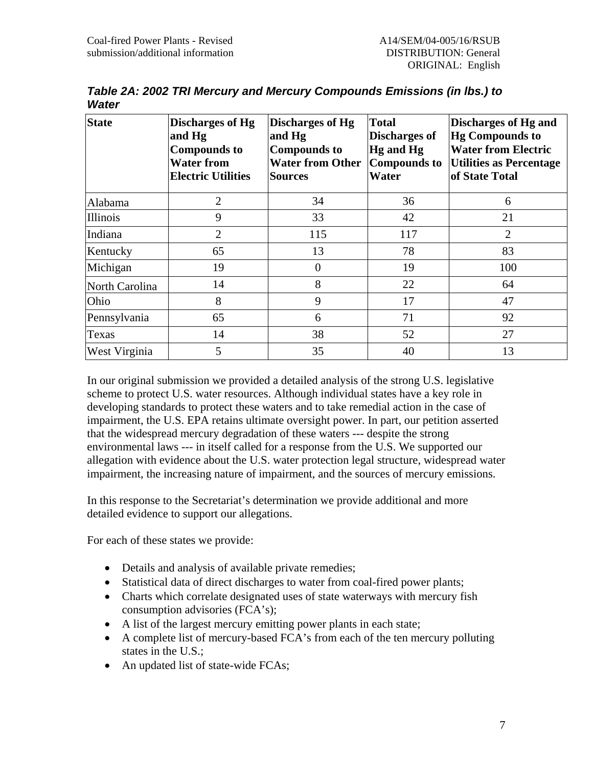| <b>State</b>    | Discharges of Hg<br>and Hg<br><b>Compounds to</b><br><b>Water from</b><br><b>Electric Utilities</b> | Discharges of Hg<br>and Hg<br><b>Compounds to</b><br><b>Water from Other</b><br><b>Sources</b> | Total<br>Discharges of<br>Hg and Hg<br>Compounds to<br>Water | Discharges of Hg and<br><b>Hg Compounds to</b><br><b>Water from Electric</b><br>Utilities as Percentage<br>of State Total |
|-----------------|-----------------------------------------------------------------------------------------------------|------------------------------------------------------------------------------------------------|--------------------------------------------------------------|---------------------------------------------------------------------------------------------------------------------------|
| Alabama         | $\overline{2}$                                                                                      | 34                                                                                             | 36                                                           | 6                                                                                                                         |
| <b>Illinois</b> | 9                                                                                                   | 33                                                                                             | 42                                                           | 21                                                                                                                        |
| Indiana         | $\overline{2}$                                                                                      | 115                                                                                            | 117                                                          | $\overline{2}$                                                                                                            |
| Kentucky        | 65                                                                                                  | 13                                                                                             | 78                                                           | 83                                                                                                                        |
| Michigan        | 19                                                                                                  | $\overline{0}$                                                                                 | 19                                                           | 100                                                                                                                       |
| North Carolina  | 14                                                                                                  | 8                                                                                              | 22                                                           | 64                                                                                                                        |
| Ohio            | 8                                                                                                   | 9                                                                                              | 17                                                           | 47                                                                                                                        |
| Pennsylvania    | 65                                                                                                  | 6                                                                                              | 71                                                           | 92                                                                                                                        |
| Texas           | 14                                                                                                  | 38                                                                                             | 52                                                           | 27                                                                                                                        |
| West Virginia   | 5                                                                                                   | 35                                                                                             | 40                                                           | 13                                                                                                                        |

*Table 2A: 2002 TRI Mercury and Mercury Compounds Emissions (in lbs.) to Water* 

In our original submission we provided a detailed analysis of the strong U.S. legislative scheme to protect U.S. water resources. Although individual states have a key role in developing standards to protect these waters and to take remedial action in the case of impairment, the U.S. EPA retains ultimate oversight power. In part, our petition asserted that the widespread mercury degradation of these waters --- despite the strong environmental laws --- in itself called for a response from the U.S. We supported our allegation with evidence about the U.S. water protection legal structure, widespread water impairment, the increasing nature of impairment, and the sources of mercury emissions.

In this response to the Secretariat's determination we provide additional and more detailed evidence to support our allegations.

For each of these states we provide:

- Details and analysis of available private remedies;
- Statistical data of direct discharges to water from coal-fired power plants;
- Charts which correlate designated uses of state waterways with mercury fish consumption advisories (FCA's);
- A list of the largest mercury emitting power plants in each state;
- A complete list of mercury-based FCA's from each of the ten mercury polluting states in the U.S.;
- An updated list of state-wide FCAs;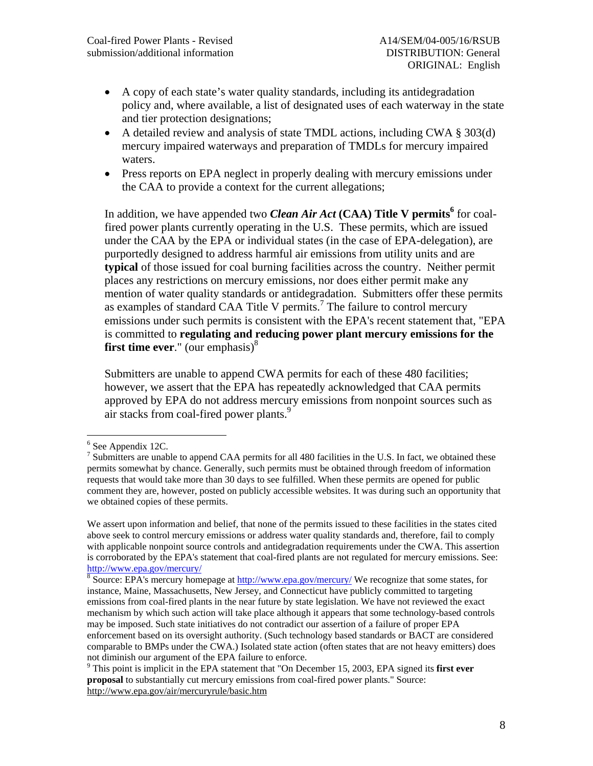- A copy of each state's water quality standards, including its antidegradation policy and, where available, a list of designated uses of each waterway in the state and tier protection designations;
- A detailed review and analysis of state TMDL actions, including CWA § 303(d) mercury impaired waterways and preparation of TMDLs for mercury impaired waters.
- Press reports on EPA neglect in properly dealing with mercury emissions under the CAA to provide a context for the current allegations;

In addition, we have appended two *Clean Air Act* (CAA) Title V permits<sup>6</sup> for coalfired power plants currently operating in the U.S. These permits, which are issued under the CAA by the EPA or individual states (in the case of EPA-delegation), are purportedly designed to address harmful air emissions from utility units and are **typical** of those issued for coal burning facilities across the country. Neither permit places any restrictions on mercury emissions, nor does either permit make any mention of water quality standards or antidegradation. Submitters offer these permits as examples of standard CAA Title V permits.<sup>7</sup> The failure to control mercury emissions under such permits is consistent with the EPA's recent statement that, "EPA is committed to **regulating and reducing power plant mercury emissions for the first time ever.**" (our emphasis)<sup>8</sup>

Submitters are unable to append CWA permits for each of these 480 facilities; however, we assert that the EPA has repeatedly acknowledged that CAA permits approved by EPA do not address mercury emissions from nonpoint sources such as air stacks from coal-fired power plants.<sup>9</sup>

<sup>6</sup> See Appendix 12C.

 $<sup>7</sup>$  Submitters are unable to append CAA permits for all 480 facilities in the U.S. In fact, we obtained these</sup> permits somewhat by chance. Generally, such permits must be obtained through freedom of information requests that would take more than 30 days to see fulfilled. When these permits are opened for public comment they are, however, posted on publicly accessible websites. It was during such an opportunity that we obtained copies of these permits.

We assert upon information and belief, that none of the permits issued to these facilities in the states cited above seek to control mercury emissions or address water quality standards and, therefore, fail to comply with applicable nonpoint source controls and antidegradation requirements under the CWA. This assertion is corroborated by the EPA's statement that coal-fired plants are not regulated for mercury emissions. See: http://www.epa.gov/mercury/

<sup>&</sup>lt;sup>8</sup> Source: EPA's mercury homepage at http://www.epa.gov/mercury/ We recognize that some states, for instance, Maine, Massachusetts, New Jersey, and Connecticut have publicly committed to targeting emissions from coal-fired plants in the near future by state legislation. We have not reviewed the exact mechanism by which such action will take place although it appears that some technology-based controls may be imposed. Such state initiatives do not contradict our assertion of a failure of proper EPA enforcement based on its oversight authority. (Such technology based standards or BACT are considered comparable to BMPs under the CWA.) Isolated state action (often states that are not heavy emitters) does not diminish our argument of the EPA failure to enforce.

<sup>9</sup> This point is implicit in the EPA statement that "On December 15, 2003, EPA signed its **first ever proposal** to substantially cut mercury emissions from coal-fired power plants." Source: http://www.epa.gov/air/mercuryrule/basic.htm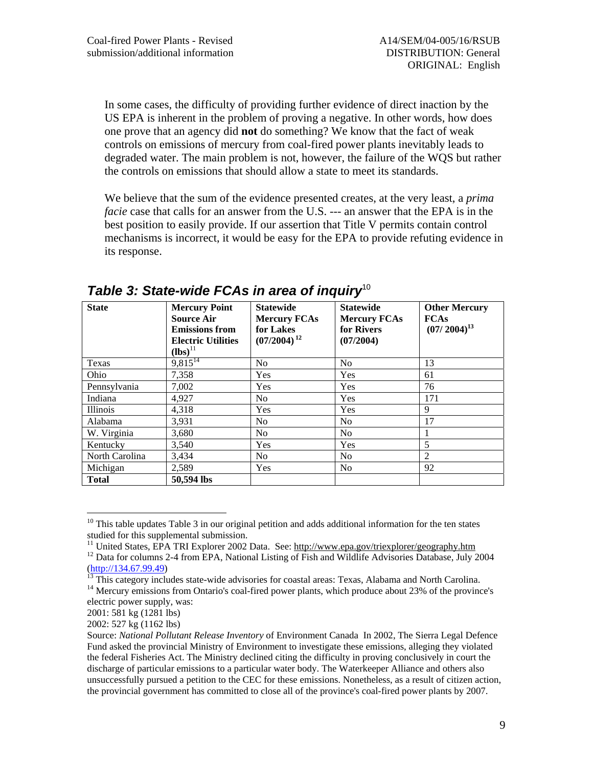In some cases, the difficulty of providing further evidence of direct inaction by the US EPA is inherent in the problem of proving a negative. In other words, how does one prove that an agency did **not** do something? We know that the fact of weak controls on emissions of mercury from coal-fired power plants inevitably leads to degraded water. The main problem is not, however, the failure of the WQS but rather the controls on emissions that should allow a state to meet its standards.

We believe that the sum of the evidence presented creates, at the very least, a *prima facie* case that calls for an answer from the U.S. --- an answer that the EPA is in the best position to easily provide. If our assertion that Title V permits contain control mechanisms is incorrect, it would be easy for the EPA to provide refuting evidence in its response.

| <b>State</b>    | <b>Mercury Point</b><br><b>Source Air</b><br><b>Emissions from</b><br><b>Electric Utilities</b><br>$(lbs)11$ | <b>Statewide</b><br><b>Mercury FCAs</b><br>for Lakes<br>$(07/2004)^{12}$ | <b>Statewide</b><br><b>Mercury FCAs</b><br>for Rivers<br>(07/2004) | <b>Other Mercury</b><br><b>FCAs</b><br>$(07/2004)^{13}$ |
|-----------------|--------------------------------------------------------------------------------------------------------------|--------------------------------------------------------------------------|--------------------------------------------------------------------|---------------------------------------------------------|
| Texas           | $9,815^{14}$                                                                                                 | N <sub>o</sub>                                                           | N <sub>o</sub>                                                     | 13                                                      |
| Ohio            | 7,358                                                                                                        | Yes                                                                      | Yes                                                                | 61                                                      |
| Pennsylvania    | 7,002                                                                                                        | Yes                                                                      | Yes                                                                | 76                                                      |
| Indiana         | 4,927                                                                                                        | No                                                                       | Yes                                                                | 171                                                     |
| <b>Illinois</b> | 4,318                                                                                                        | <b>Yes</b>                                                               | Yes                                                                | 9                                                       |
| Alabama         | 3,931                                                                                                        | N <sub>o</sub>                                                           | N <sub>o</sub>                                                     | 17                                                      |
| W. Virginia     | 3,680                                                                                                        | No                                                                       | N <sub>o</sub>                                                     |                                                         |
| Kentucky        | 3,540                                                                                                        | Yes                                                                      | Yes                                                                | 5                                                       |
| North Carolina  | 3,434                                                                                                        | N <sub>o</sub>                                                           | N <sub>o</sub>                                                     | 2                                                       |
| Michigan        | 2,589                                                                                                        | Yes                                                                      | N <sub>o</sub>                                                     | 92                                                      |
| <b>Total</b>    | 50,594 lbs                                                                                                   |                                                                          |                                                                    |                                                         |

**Table 3: State-wide FCAs in area of inquiry<sup>10</sup>** 

 $10$  This table updates Table 3 in our original petition and adds additional information for the ten states studied for this supplemental submission.<br><sup>11</sup> United States, EPA TRI Explorer 2002 Data. See: http://www.epa.gov/triexplorer/geography.htm

<sup>&</sup>lt;sup>12</sup> Data for columns 2-4 from EPA, National Listing of Fish and Wildlife Advisories Database, July 2004 (http://134.67.99.49)

 $13$  This category includes state-wide advisories for coastal areas: Texas, Alabama and North Carolina.<br><sup>14</sup> Mercury emissions from Ontario's coal-fired power plants, which produce about 23% of the province's

electric power supply, was:

<sup>2001: 581</sup> kg (1281 lbs)

<sup>2002: 527</sup> kg (1162 lbs)

Source: *National Pollutant Release Inventory* of Environment Canada In 2002, The Sierra Legal Defence Fund asked the provincial Ministry of Environment to investigate these emissions, alleging they violated the federal Fisheries Act. The Ministry declined citing the difficulty in proving conclusively in court the discharge of particular emissions to a particular water body. The Waterkeeper Alliance and others also unsuccessfully pursued a petition to the CEC for these emissions. Nonetheless, as a result of citizen action, the provincial government has committed to close all of the province's coal-fired power plants by 2007.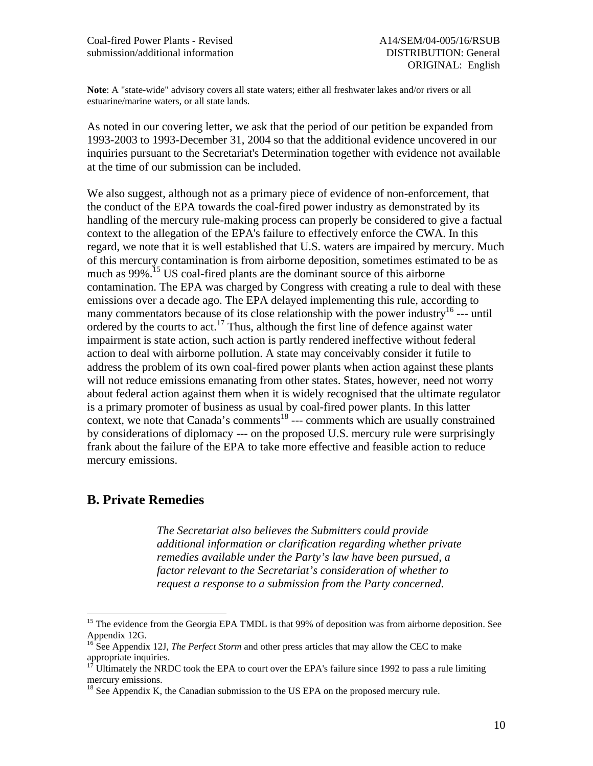**Note**: A "state-wide" advisory covers all state waters; either all freshwater lakes and/or rivers or all estuarine/marine waters, or all state lands.

As noted in our covering letter, we ask that the period of our petition be expanded from 1993-2003 to 1993-December 31, 2004 so that the additional evidence uncovered in our inquiries pursuant to the Secretariat's Determination together with evidence not available at the time of our submission can be included.

We also suggest, although not as a primary piece of evidence of non-enforcement, that the conduct of the EPA towards the coal-fired power industry as demonstrated by its handling of the mercury rule-making process can properly be considered to give a factual context to the allegation of the EPA's failure to effectively enforce the CWA. In this regard, we note that it is well established that U.S. waters are impaired by mercury. Much of this mercury contamination is from airborne deposition, sometimes estimated to be as much as 99%.<sup>15</sup> US coal-fired plants are the dominant source of this airborne contamination. The EPA was charged by Congress with creating a rule to deal with these emissions over a decade ago. The EPA delayed implementing this rule, according to many commentators because of its close relationship with the power industry<sup>16</sup> --- until ordered by the courts to act.<sup>17</sup> Thus, although the first line of defence against water impairment is state action, such action is partly rendered ineffective without federal action to deal with airborne pollution. A state may conceivably consider it futile to address the problem of its own coal-fired power plants when action against these plants will not reduce emissions emanating from other states. States, however, need not worry about federal action against them when it is widely recognised that the ultimate regulator is a primary promoter of business as usual by coal-fired power plants. In this latter context, we note that Canada's comments<sup>18</sup> --- comments which are usually constrained by considerations of diplomacy --- on the proposed U.S. mercury rule were surprisingly frank about the failure of the EPA to take more effective and feasible action to reduce mercury emissions.

#### **B. Private Remedies**

 $\overline{a}$ 

*The Secretariat also believes the Submitters could provide additional information or clarification regarding whether private remedies available under the Party's law have been pursued, a factor relevant to the Secretariat's consideration of whether to request a response to a submission from the Party concerned.* 

<sup>&</sup>lt;sup>15</sup> The evidence from the Georgia EPA TMDL is that 99% of deposition was from airborne deposition. See Appendix 12G.

<sup>&</sup>lt;sup>16</sup> See Appendix 12J, *The Perfect Storm* and other press articles that may allow the CEC to make appropriate inquiries.

<sup>&</sup>lt;sup>17</sup> Ultimately the NRDC took the EPA to court over the EPA's failure since 1992 to pass a rule limiting mercury emissions.

<sup>&</sup>lt;sup>18</sup> See Appendix K, the Canadian submission to the US EPA on the proposed mercury rule.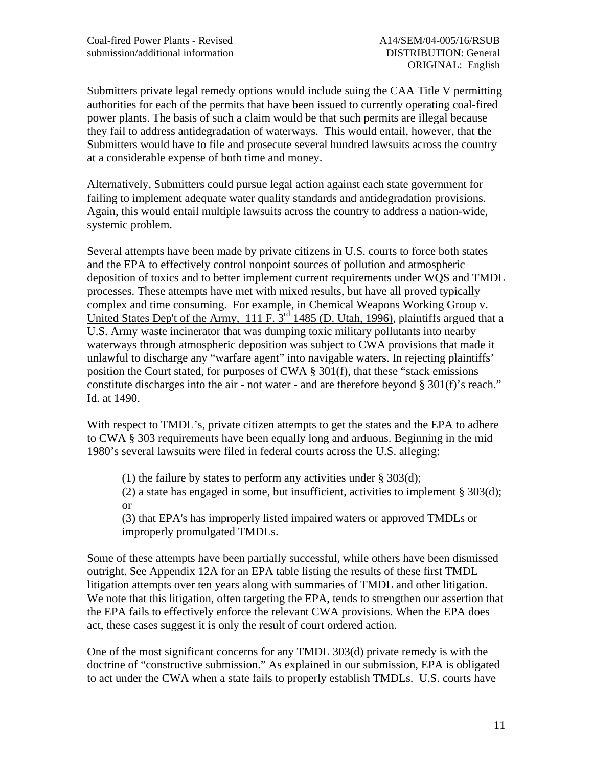Submitters private legal remedy options would include suing the CAA Title V permitting authorities for each of the permits that have been issued to currently operating coal-fired power plants. The basis of such a claim would be that such permits are illegal because they fail to address antidegradation of waterways. This would entail, however, that the Submitters would have to file and prosecute several hundred lawsuits across the country at a considerable expense of both time and money.

Alternatively, Submitters could pursue legal action against each state government for failing to implement adequate water quality standards and antidegradation provisions. Again, this would entail multiple lawsuits across the country to address a nation-wide, systemic problem.

Several attempts have been made by private citizens in U.S. courts to force both states and the EPA to effectively control nonpoint sources of pollution and atmospheric deposition of toxics and to better implement current requirements under WQS and TMDL processes. These attempts have met with mixed results, but have all proved typically complex and time consuming. For example, in Chemical Weapons Working Group v. United States Dep't of the Army, 111 F.  $3<sup>rd</sup>$  1485 (D. Utah, 1996), plaintiffs argued that a U.S. Army waste incinerator that was dumping toxic military pollutants into nearby waterways through atmospheric deposition was subject to CWA provisions that made it unlawful to discharge any "warfare agent" into navigable waters. In rejecting plaintiffs' position the Court stated, for purposes of CWA § 301(f), that these "stack emissions constitute discharges into the air - not water - and are therefore beyond § 301(f)'s reach." Id. at 1490.

With respect to TMDL's, private citizen attempts to get the states and the EPA to adhere to CWA § 303 requirements have been equally long and arduous. Beginning in the mid 1980's several lawsuits were filed in federal courts across the U.S. alleging:

(1) the failure by states to perform any activities under  $\S 303(d)$ ;

(2) a state has engaged in some, but insufficient, activities to implement § 303(d); or

(3) that EPA's has improperly listed impaired waters or approved TMDLs or improperly promulgated TMDLs.

Some of these attempts have been partially successful, while others have been dismissed outright. See Appendix 12A for an EPA table listing the results of these first TMDL litigation attempts over ten years along with summaries of TMDL and other litigation. We note that this litigation, often targeting the EPA, tends to strengthen our assertion that the EPA fails to effectively enforce the relevant CWA provisions. When the EPA does act, these cases suggest it is only the result of court ordered action.

One of the most significant concerns for any TMDL 303(d) private remedy is with the doctrine of "constructive submission." As explained in our submission, EPA is obligated to act under the CWA when a state fails to properly establish TMDLs. U.S. courts have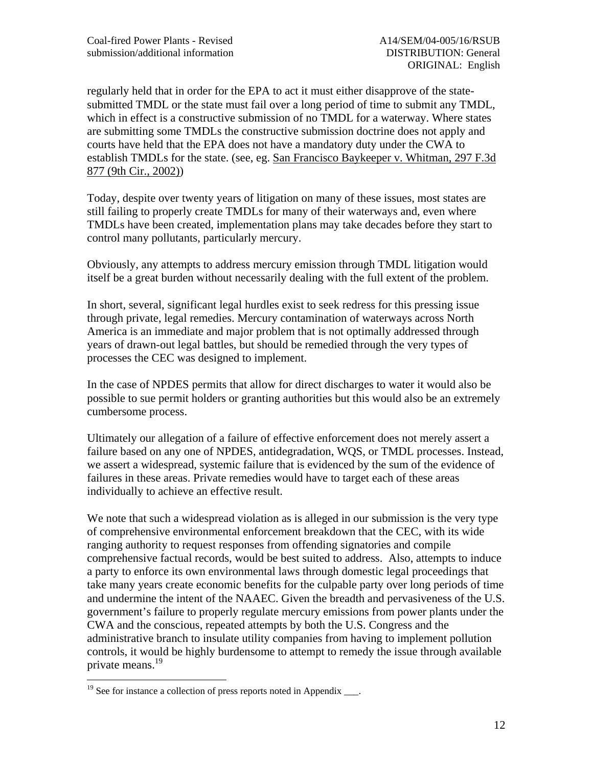regularly held that in order for the EPA to act it must either disapprove of the statesubmitted TMDL or the state must fail over a long period of time to submit any TMDL, which in effect is a constructive submission of no TMDL for a waterway. Where states are submitting some TMDLs the constructive submission doctrine does not apply and courts have held that the EPA does not have a mandatory duty under the CWA to establish TMDLs for the state. (see, eg. San Francisco Baykeeper v. Whitman, 297 F.3d 877 (9th Cir., 2002))

Today, despite over twenty years of litigation on many of these issues, most states are still failing to properly create TMDLs for many of their waterways and, even where TMDLs have been created, implementation plans may take decades before they start to control many pollutants, particularly mercury.

Obviously, any attempts to address mercury emission through TMDL litigation would itself be a great burden without necessarily dealing with the full extent of the problem.

In short, several, significant legal hurdles exist to seek redress for this pressing issue through private, legal remedies. Mercury contamination of waterways across North America is an immediate and major problem that is not optimally addressed through years of drawn-out legal battles, but should be remedied through the very types of processes the CEC was designed to implement.

In the case of NPDES permits that allow for direct discharges to water it would also be possible to sue permit holders or granting authorities but this would also be an extremely cumbersome process.

Ultimately our allegation of a failure of effective enforcement does not merely assert a failure based on any one of NPDES, antidegradation, WQS, or TMDL processes. Instead, we assert a widespread, systemic failure that is evidenced by the sum of the evidence of failures in these areas. Private remedies would have to target each of these areas individually to achieve an effective result.

We note that such a widespread violation as is alleged in our submission is the very type of comprehensive environmental enforcement breakdown that the CEC, with its wide ranging authority to request responses from offending signatories and compile comprehensive factual records, would be best suited to address. Also, attempts to induce a party to enforce its own environmental laws through domestic legal proceedings that take many years create economic benefits for the culpable party over long periods of time and undermine the intent of the NAAEC. Given the breadth and pervasiveness of the U.S. government's failure to properly regulate mercury emissions from power plants under the CWA and the conscious, repeated attempts by both the U.S. Congress and the administrative branch to insulate utility companies from having to implement pollution controls, it would be highly burdensome to attempt to remedy the issue through available private means.<sup>19</sup>

 $19$  See for instance a collection of press reports noted in Appendix  $\frac{1}{2}$ .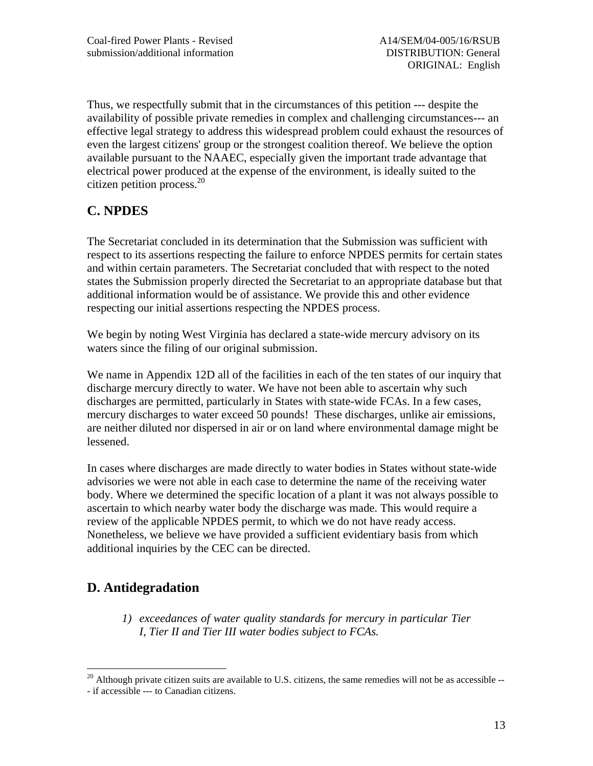Thus, we respectfully submit that in the circumstances of this petition --- despite the availability of possible private remedies in complex and challenging circumstances--- an effective legal strategy to address this widespread problem could exhaust the resources of even the largest citizens' group or the strongest coalition thereof. We believe the option available pursuant to the NAAEC, especially given the important trade advantage that electrical power produced at the expense of the environment, is ideally suited to the citizen petition process.20

# **C. NPDES**

The Secretariat concluded in its determination that the Submission was sufficient with respect to its assertions respecting the failure to enforce NPDES permits for certain states and within certain parameters. The Secretariat concluded that with respect to the noted states the Submission properly directed the Secretariat to an appropriate database but that additional information would be of assistance. We provide this and other evidence respecting our initial assertions respecting the NPDES process.

We begin by noting West Virginia has declared a state-wide mercury advisory on its waters since the filing of our original submission.

We name in Appendix 12D all of the facilities in each of the ten states of our inquiry that discharge mercury directly to water. We have not been able to ascertain why such discharges are permitted, particularly in States with state-wide FCAs. In a few cases, mercury discharges to water exceed 50 pounds! These discharges, unlike air emissions, are neither diluted nor dispersed in air or on land where environmental damage might be lessened.

In cases where discharges are made directly to water bodies in States without state-wide advisories we were not able in each case to determine the name of the receiving water body. Where we determined the specific location of a plant it was not always possible to ascertain to which nearby water body the discharge was made. This would require a review of the applicable NPDES permit, to which we do not have ready access. Nonetheless, we believe we have provided a sufficient evidentiary basis from which additional inquiries by the CEC can be directed.

# **D. Antidegradation**

 $\overline{a}$ 

*1) exceedances of water quality standards for mercury in particular Tier I, Tier II and Tier III water bodies subject to FCAs.* 

 $20$  Although private citizen suits are available to U.S. citizens, the same remedies will not be as accessible  $-$ 

<sup>-</sup> if accessible --- to Canadian citizens.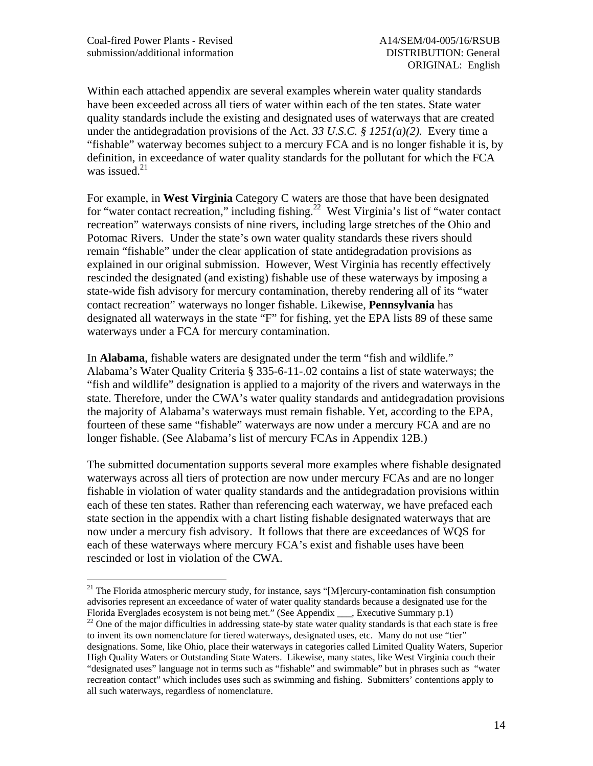$\overline{a}$ 

Within each attached appendix are several examples wherein water quality standards have been exceeded across all tiers of water within each of the ten states. State water quality standards include the existing and designated uses of waterways that are created under the antidegradation provisions of the Act. *33 U.S.C. § 1251(a)(2).* Every time a "fishable" waterway becomes subject to a mercury FCA and is no longer fishable it is, by definition, in exceedance of water quality standards for the pollutant for which the FCA was issued. $^{21}$ 

For example, in **West Virginia** Category C waters are those that have been designated for "water contact recreation," including fishing.<sup>22</sup> West Virginia's list of "water contact" recreation" waterways consists of nine rivers, including large stretches of the Ohio and Potomac Rivers. Under the state's own water quality standards these rivers should remain "fishable" under the clear application of state antidegradation provisions as explained in our original submission. However, West Virginia has recently effectively rescinded the designated (and existing) fishable use of these waterways by imposing a state-wide fish advisory for mercury contamination, thereby rendering all of its "water contact recreation" waterways no longer fishable. Likewise, **Pennsylvania** has designated all waterways in the state "F" for fishing, yet the EPA lists 89 of these same waterways under a FCA for mercury contamination.

In **Alabama**, fishable waters are designated under the term "fish and wildlife." Alabama's Water Quality Criteria § 335-6-11-.02 contains a list of state waterways; the "fish and wildlife" designation is applied to a majority of the rivers and waterways in the state. Therefore, under the CWA's water quality standards and antidegradation provisions the majority of Alabama's waterways must remain fishable. Yet, according to the EPA, fourteen of these same "fishable" waterways are now under a mercury FCA and are no longer fishable. (See Alabama's list of mercury FCAs in Appendix 12B.)

The submitted documentation supports several more examples where fishable designated waterways across all tiers of protection are now under mercury FCAs and are no longer fishable in violation of water quality standards and the antidegradation provisions within each of these ten states. Rather than referencing each waterway, we have prefaced each state section in the appendix with a chart listing fishable designated waterways that are now under a mercury fish advisory. It follows that there are exceedances of WQS for each of these waterways where mercury FCA's exist and fishable uses have been rescinded or lost in violation of the CWA.

<sup>&</sup>lt;sup>21</sup> The Florida atmospheric mercury study, for instance, says "[M]ercury-contamination fish consumption advisories represent an exceedance of water of water quality standards because a designated use for the Florida Everglades ecosystem is not being met." (See Appendix  $\_\_$ , Executive Summary p.1) <sup>22</sup> One of the major difficulties in addressing state-by state water quality standards is that each state is free

to invent its own nomenclature for tiered waterways, designated uses, etc. Many do not use "tier" designations. Some, like Ohio, place their waterways in categories called Limited Quality Waters, Superior High Quality Waters or Outstanding State Waters. Likewise, many states, like West Virginia couch their "designated uses" language not in terms such as "fishable" and swimmable" but in phrases such as "water recreation contact" which includes uses such as swimming and fishing. Submitters' contentions apply to all such waterways, regardless of nomenclature.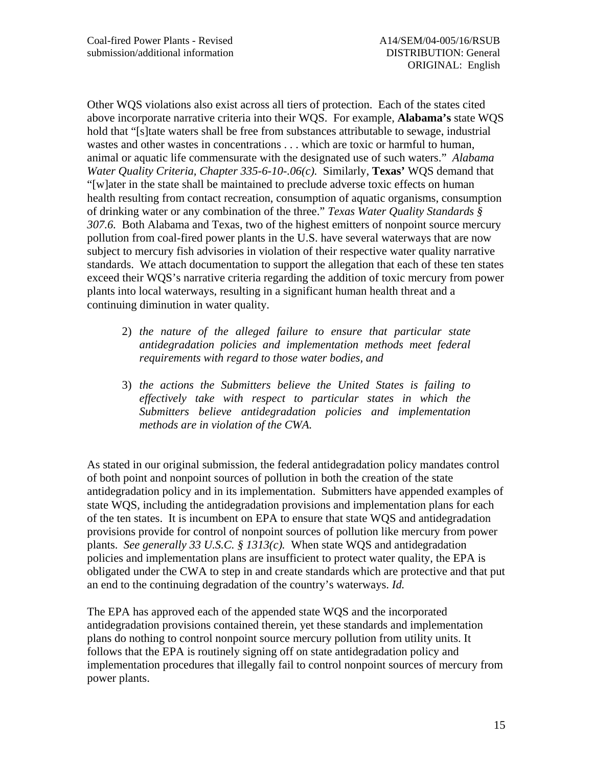Other WQS violations also exist across all tiers of protection. Each of the states cited above incorporate narrative criteria into their WQS. For example, **Alabama's** state WQS hold that "[s]tate waters shall be free from substances attributable to sewage, industrial wastes and other wastes in concentrations . . . which are toxic or harmful to human, animal or aquatic life commensurate with the designated use of such waters." *Alabama Water Quality Criteria, Chapter 335-6-10-.06(c).* Similarly, **Texas'** WQS demand that "[w]ater in the state shall be maintained to preclude adverse toxic effects on human health resulting from contact recreation, consumption of aquatic organisms, consumption of drinking water or any combination of the three." *Texas Water Quality Standards § 307.6.* Both Alabama and Texas, two of the highest emitters of nonpoint source mercury pollution from coal-fired power plants in the U.S. have several waterways that are now subject to mercury fish advisories in violation of their respective water quality narrative standards. We attach documentation to support the allegation that each of these ten states exceed their WQS's narrative criteria regarding the addition of toxic mercury from power plants into local waterways, resulting in a significant human health threat and a continuing diminution in water quality.

- 2) *the nature of the alleged failure to ensure that particular state antidegradation policies and implementation methods meet federal requirements with regard to those water bodies, and*
- 3) *the actions the Submitters believe the United States is failing to effectively take with respect to particular states in which the Submitters believe antidegradation policies and implementation methods are in violation of the CWA.*

As stated in our original submission, the federal antidegradation policy mandates control of both point and nonpoint sources of pollution in both the creation of the state antidegradation policy and in its implementation. Submitters have appended examples of state WQS, including the antidegradation provisions and implementation plans for each of the ten states. It is incumbent on EPA to ensure that state WQS and antidegradation provisions provide for control of nonpoint sources of pollution like mercury from power plants. *See generally 33 U.S.C. § 1313(c).* When state WQS and antidegradation policies and implementation plans are insufficient to protect water quality, the EPA is obligated under the CWA to step in and create standards which are protective and that put an end to the continuing degradation of the country's waterways. *Id.*

The EPA has approved each of the appended state WQS and the incorporated antidegradation provisions contained therein, yet these standards and implementation plans do nothing to control nonpoint source mercury pollution from utility units. It follows that the EPA is routinely signing off on state antidegradation policy and implementation procedures that illegally fail to control nonpoint sources of mercury from power plants.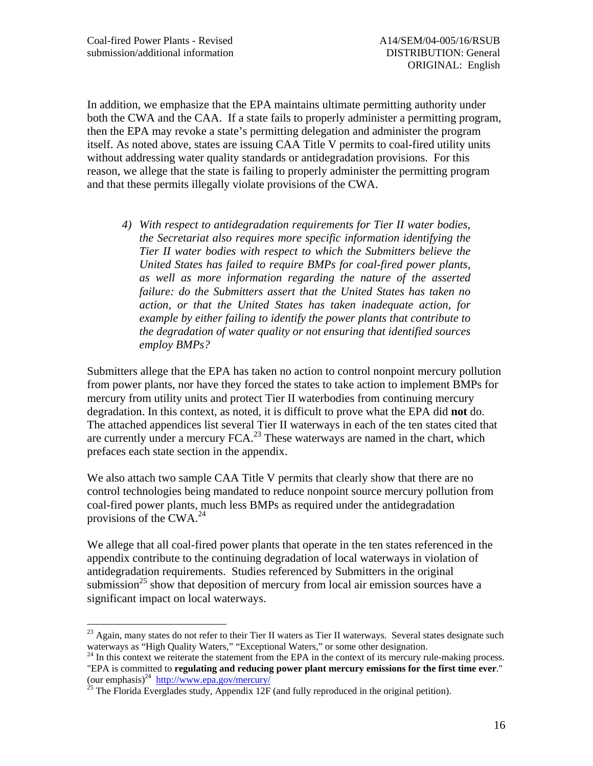In addition, we emphasize that the EPA maintains ultimate permitting authority under both the CWA and the CAA. If a state fails to properly administer a permitting program, then the EPA may revoke a state's permitting delegation and administer the program itself. As noted above, states are issuing CAA Title V permits to coal-fired utility units without addressing water quality standards or antidegradation provisions. For this reason, we allege that the state is failing to properly administer the permitting program and that these permits illegally violate provisions of the CWA.

*4) With respect to antidegradation requirements for Tier II water bodies, the Secretariat also requires more specific information identifying the Tier II water bodies with respect to which the Submitters believe the United States has failed to require BMPs for coal-fired power plants, as well as more information regarding the nature of the asserted failure: do the Submitters assert that the United States has taken no action, or that the United States has taken inadequate action, for example by either failing to identify the power plants that contribute to the degradation of water quality or not ensuring that identified sources employ BMPs?* 

Submitters allege that the EPA has taken no action to control nonpoint mercury pollution from power plants, nor have they forced the states to take action to implement BMPs for mercury from utility units and protect Tier II waterbodies from continuing mercury degradation. In this context, as noted, it is difficult to prove what the EPA did **not** do. The attached appendices list several Tier II waterways in each of the ten states cited that are currently under a mercury  $FCA<sup>23</sup>$  These waterways are named in the chart, which prefaces each state section in the appendix.

We also attach two sample CAA Title V permits that clearly show that there are no control technologies being mandated to reduce nonpoint source mercury pollution from coal-fired power plants, much less BMPs as required under the antidegradation provisions of the CWA.<sup>24</sup>

We allege that all coal-fired power plants that operate in the ten states referenced in the appendix contribute to the continuing degradation of local waterways in violation of antidegradation requirements. Studies referenced by Submitters in the original submission<sup>25</sup> show that deposition of mercury from local air emission sources have a significant impact on local waterways.

 $\overline{a}$  $^{23}$  Again, many states do not refer to their Tier II waters as Tier II waterways. Several states designate such waterways as "High Quality Waters," "Exceptional Waters," or some other designation.<br><sup>24</sup> In this context we reiterate the statement from the EPA in the context of its mercury rule-making process.

<sup>&</sup>quot;EPA is committed to **regulating and reducing power plant mercury emissions for the first time ever**." (our emphasis)<sup>24</sup> http://www.epa.gov/mercury/<br><sup>25</sup> The Florida Everglades study, Appendix 12F (and fully reproduced in the original petition).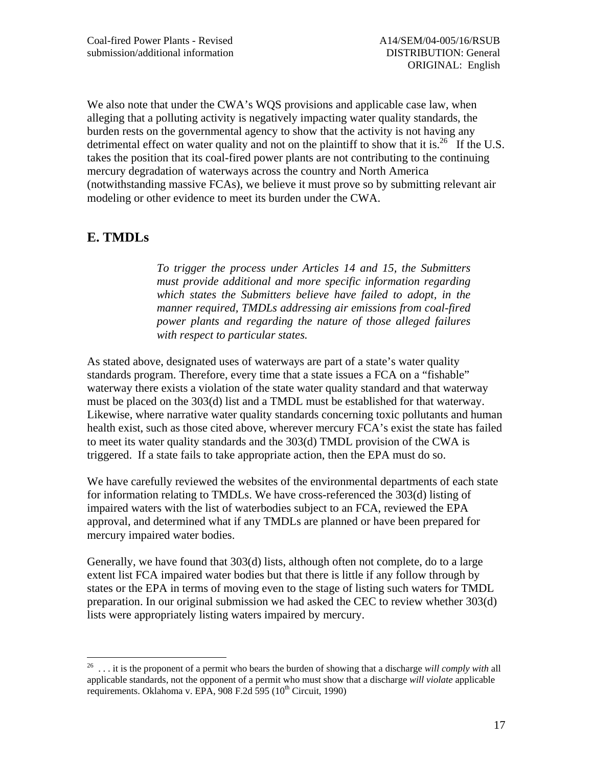We also note that under the CWA's WOS provisions and applicable case law, when alleging that a polluting activity is negatively impacting water quality standards, the burden rests on the governmental agency to show that the activity is not having any detrimental effect on water quality and not on the plaintiff to show that it is.<sup>26</sup> If the U.S. takes the position that its coal-fired power plants are not contributing to the continuing mercury degradation of waterways across the country and North America (notwithstanding massive FCAs), we believe it must prove so by submitting relevant air modeling or other evidence to meet its burden under the CWA.

## **E. TMDLs**

 $\overline{a}$ 

*To trigger the process under Articles 14 and 15, the Submitters must provide additional and more specific information regarding which states the Submitters believe have failed to adopt, in the manner required, TMDLs addressing air emissions from coal-fired power plants and regarding the nature of those alleged failures with respect to particular states.* 

As stated above, designated uses of waterways are part of a state's water quality standards program. Therefore, every time that a state issues a FCA on a "fishable" waterway there exists a violation of the state water quality standard and that waterway must be placed on the 303(d) list and a TMDL must be established for that waterway. Likewise, where narrative water quality standards concerning toxic pollutants and human health exist, such as those cited above, wherever mercury FCA's exist the state has failed to meet its water quality standards and the 303(d) TMDL provision of the CWA is triggered. If a state fails to take appropriate action, then the EPA must do so.

We have carefully reviewed the websites of the environmental departments of each state for information relating to TMDLs. We have cross-referenced the 303(d) listing of impaired waters with the list of waterbodies subject to an FCA, reviewed the EPA approval, and determined what if any TMDLs are planned or have been prepared for mercury impaired water bodies.

Generally, we have found that 303(d) lists, although often not complete, do to a large extent list FCA impaired water bodies but that there is little if any follow through by states or the EPA in terms of moving even to the stage of listing such waters for TMDL preparation. In our original submission we had asked the CEC to review whether 303(d) lists were appropriately listing waters impaired by mercury.

<sup>&</sup>lt;sup>26</sup> ... it is the proponent of a permit who bears the burden of showing that a discharge *will comply with* all applicable standards, not the opponent of a permit who must show that a discharge *will violate* applicable requirements. Oklahoma v. EPA, 908 F.2d 595 (10<sup>th</sup> Circuit, 1990)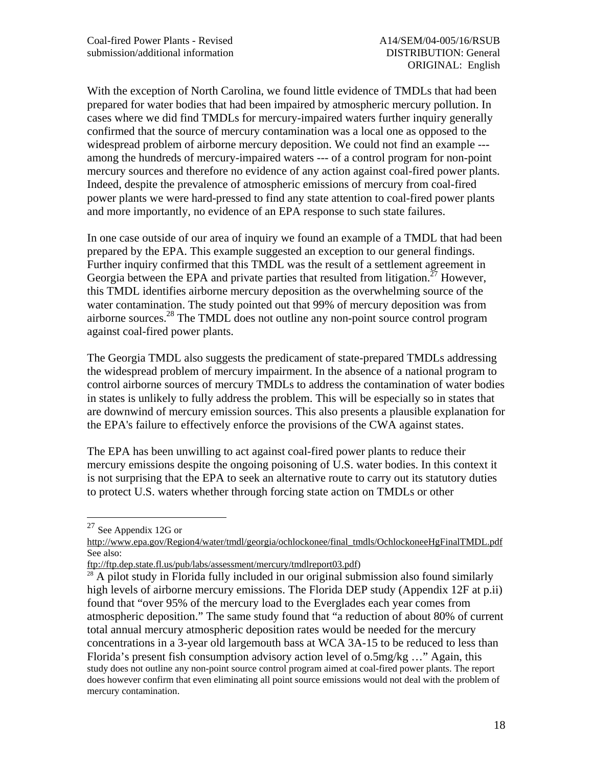With the exception of North Carolina, we found little evidence of TMDLs that had been prepared for water bodies that had been impaired by atmospheric mercury pollution. In cases where we did find TMDLs for mercury-impaired waters further inquiry generally confirmed that the source of mercury contamination was a local one as opposed to the widespread problem of airborne mercury deposition. We could not find an example -- among the hundreds of mercury-impaired waters --- of a control program for non-point mercury sources and therefore no evidence of any action against coal-fired power plants. Indeed, despite the prevalence of atmospheric emissions of mercury from coal-fired power plants we were hard-pressed to find any state attention to coal-fired power plants and more importantly, no evidence of an EPA response to such state failures.

In one case outside of our area of inquiry we found an example of a TMDL that had been prepared by the EPA. This example suggested an exception to our general findings. Further inquiry confirmed that this TMDL was the result of a settlement agreement in Georgia between the EPA and private parties that resulted from litigation.<sup>27</sup> However, this TMDL identifies airborne mercury deposition as the overwhelming source of the water contamination. The study pointed out that 99% of mercury deposition was from airborne sources.28 The TMDL does not outline any non-point source control program against coal-fired power plants.

The Georgia TMDL also suggests the predicament of state-prepared TMDLs addressing the widespread problem of mercury impairment. In the absence of a national program to control airborne sources of mercury TMDLs to address the contamination of water bodies in states is unlikely to fully address the problem. This will be especially so in states that are downwind of mercury emission sources. This also presents a plausible explanation for the EPA's failure to effectively enforce the provisions of the CWA against states.

The EPA has been unwilling to act against coal-fired power plants to reduce their mercury emissions despite the ongoing poisoning of U.S. water bodies. In this context it is not surprising that the EPA to seek an alternative route to carry out its statutory duties to protect U.S. waters whether through forcing state action on TMDLs or other

1

 $27$  See Appendix 12G or

http://www.epa.gov/Region4/water/tmdl/georgia/ochlockonee/final\_tmdls/OchlockoneeHgFinalTMDL.pdf See also:<br>ftp://ftp.dep.state.fl.us/pub/labs/assessment/mercury/tmdlreport03.pdf)

 $^{28}$  A pilot study in Florida fully included in our original submission also found similarly high levels of airborne mercury emissions. The Florida DEP study (Appendix 12F at p.ii) found that "over 95% of the mercury load to the Everglades each year comes from atmospheric deposition." The same study found that "a reduction of about 80% of current total annual mercury atmospheric deposition rates would be needed for the mercury concentrations in a 3-year old largemouth bass at WCA 3A-15 to be reduced to less than Florida's present fish consumption advisory action level of o.5mg/kg …" Again, this study does not outline any non-point source control program aimed at coal-fired power plants. The report does however confirm that even eliminating all point source emissions would not deal with the problem of mercury contamination.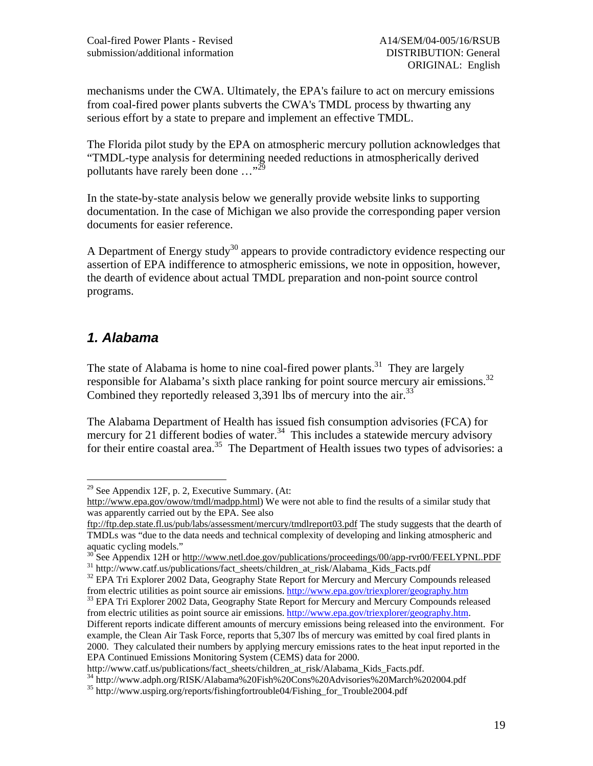mechanisms under the CWA. Ultimately, the EPA's failure to act on mercury emissions from coal-fired power plants subverts the CWA's TMDL process by thwarting any serious effort by a state to prepare and implement an effective TMDL.

The Florida pilot study by the EPA on atmospheric mercury pollution acknowledges that "TMDL-type analysis for determining needed reductions in atmospherically derived pollutants have rarely been done  $\ldots$ <sup>29</sup>

In the state-by-state analysis below we generally provide website links to supporting documentation. In the case of Michigan we also provide the corresponding paper version documents for easier reference.

A Department of Energy study<sup>30</sup> appears to provide contradictory evidence respecting our assertion of EPA indifference to atmospheric emissions, we note in opposition, however, the dearth of evidence about actual TMDL preparation and non-point source control programs.

## *1. Alabama*

 $\overline{a}$ 

The state of Alabama is home to nine coal-fired power plants.<sup>31</sup> They are largely responsible for Alabama's sixth place ranking for point source mercury air emissions.<sup>32</sup> Combined they reportedly released 3,391 lbs of mercury into the air.<sup>33</sup>

The Alabama Department of Health has issued fish consumption advisories (FCA) for mercury for 21 different bodies of water.<sup>34</sup> This includes a statewide mercury advisory for their entire coastal area.<sup>35</sup> The Department of Health issues two types of advisories: a

 $29$  See Appendix 12F, p. 2, Executive Summary. (At:

http://www.epa.gov/owow/tmdl/madpp.html) We were not able to find the results of a similar study that was apparently carried out by the EPA. See also

ftp://ftp.dep.state.fl.us/pub/labs/assessment/mercury/tmdlreport03.pdf The study suggests that the dearth of TMDLs was "due to the data needs and technical complexity of developing and linking atmospheric and aquatic cycling models."

 $^{30}$  See Appendix 12H or http://www.netl.doe.gov/publications/proceedings/00/app-rvr00/FEELYPNL.PDF<br>  $^{31}$  http://www.catf.us/publications/fact\_sheets/children\_at\_risk/Alabama\_Kids\_Facts.pdf<br>  $^{32}$  EPA Tri Explorer 20

from electric utilities as point source air emissions. http://www.epa.gov/triexplorer/geography.htm <sup>33</sup> EPA Tri Explorer 2002 Data, Geography State Report for Mercury and Mercury Compounds released from electric utilities as point source air emissions. http://www.epa.gov/triexplorer/geography.htm.

Different reports indicate different amounts of mercury emissions being released into the environment. For example, the Clean Air Task Force, reports that 5,307 lbs of mercury was emitted by coal fired plants in 2000. They calculated their numbers by applying mercury emissions rates to the heat input reported in the EPA Continued Emissions Monitoring System (CEMS) data for 2000.

http://www.catf.us/publications/fact\_sheets/children\_at\_risk/Alabama\_Kids\_Facts.pdf.<br><sup>34</sup> http://www.adph.org/RISK/Alabama%20Fish%20Cons%20Advisories%20March%202004.pdf<br><sup>35</sup> http://www.uspirg.org/reports/fishingfortrouble0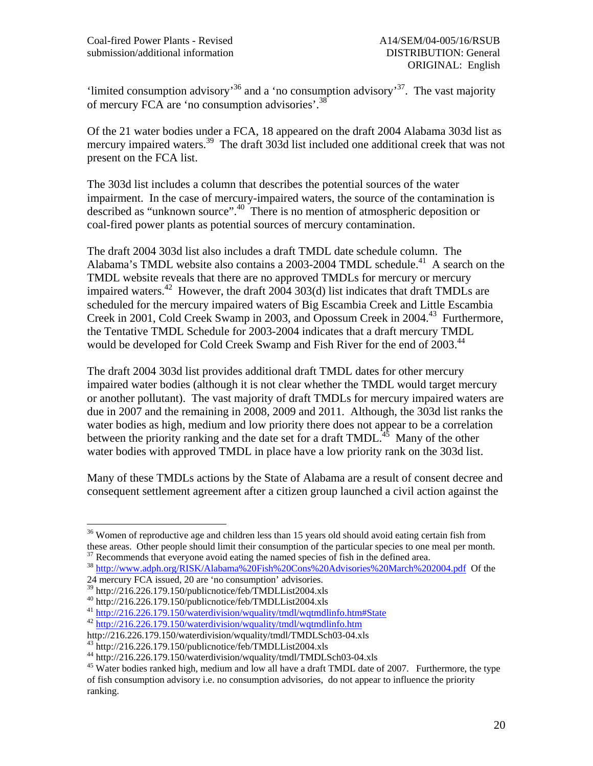'limited consumption advisory<sup>36</sup> and a 'no consumption advisory<sup>37</sup>. The vast majority of mercury FCA are 'no consumption advisories'.38

Of the 21 water bodies under a FCA, 18 appeared on the draft 2004 Alabama 303d list as mercury impaired waters.<sup>39</sup> The draft 303d list included one additional creek that was not present on the FCA list.

The 303d list includes a column that describes the potential sources of the water impairment. In the case of mercury-impaired waters, the source of the contamination is described as "unknown source".40 There is no mention of atmospheric deposition or coal-fired power plants as potential sources of mercury contamination.

The draft 2004 303d list also includes a draft TMDL date schedule column. The Alabama's TMDL website also contains a 2003-2004 TMDL schedule.<sup>41</sup> A search on the TMDL website reveals that there are no approved TMDLs for mercury or mercury impaired waters.<sup>42</sup> However, the draft 2004 303(d) list indicates that draft TMDLs are scheduled for the mercury impaired waters of Big Escambia Creek and Little Escambia Creek in 2001, Cold Creek Swamp in 2003, and Opossum Creek in 2004.<sup>43</sup> Furthermore, the Tentative TMDL Schedule for 2003-2004 indicates that a draft mercury TMDL would be developed for Cold Creek Swamp and Fish River for the end of 2003.<sup>44</sup>

The draft 2004 303d list provides additional draft TMDL dates for other mercury impaired water bodies (although it is not clear whether the TMDL would target mercury or another pollutant). The vast majority of draft TMDLs for mercury impaired waters are due in 2007 and the remaining in 2008, 2009 and 2011. Although, the 303d list ranks the water bodies as high, medium and low priority there does not appear to be a correlation between the priority ranking and the date set for a draft TMDL.<sup>45</sup> Many of the other water bodies with approved TMDL in place have a low priority rank on the 303d list.

Many of these TMDLs actions by the State of Alabama are a result of consent decree and consequent settlement agreement after a citizen group launched a civil action against the

<sup>&</sup>lt;sup>36</sup> Women of reproductive age and children less than 15 years old should avoid eating certain fish from these areas. Other people should limit their consumption of the particular species to one meal per month.

<sup>&</sup>lt;sup>37</sup> Recommends that everyone avoid eating the named species of fish in the defined area.<br><sup>38</sup> http://www<u>.adph.org/RISK/Alabama%20Fish%20Cons%20Advisories%20March%202004.pdf</u> Of the 24 mercury FCA issued, 20 are 'no consumption' advisories.

<sup>39</sup> http://216.226.179.150/publicnotice/feb/TMDLList2004.xls

<sup>&</sup>lt;sup>40</sup> http://216.226.179.150/publicnotice/feb/TMDLList2004.xls<br> $^{41}$  http://216.226.179.150/waterdivision/wquality/tmdl/wqtmdlinfo.htm#State

<sup>&</sup>lt;sup>42</sup> http://216.226.179.150/waterdivision/wquality/tmdl/wqtmdlinfo.htm<br>http://216.226.179.150/waterdivision/wquality/tmdl/TMDLSch03-04.xls

<sup>&</sup>lt;sup>43</sup> http://216.226.179.150/publicnotice/feb/TMDLList2004.xls  $^{44}$  http://216.226.179.150/waterdivision/wquality/tmdl/TMDLSch03-04.xls

<sup>&</sup>lt;sup>45</sup> Water bodies ranked high, medium and low all have a draft TMDL date of 2007. Furthermore, the type of fish consumption advisory i.e. no consumption advisories, do not appear to influence the priority ranking.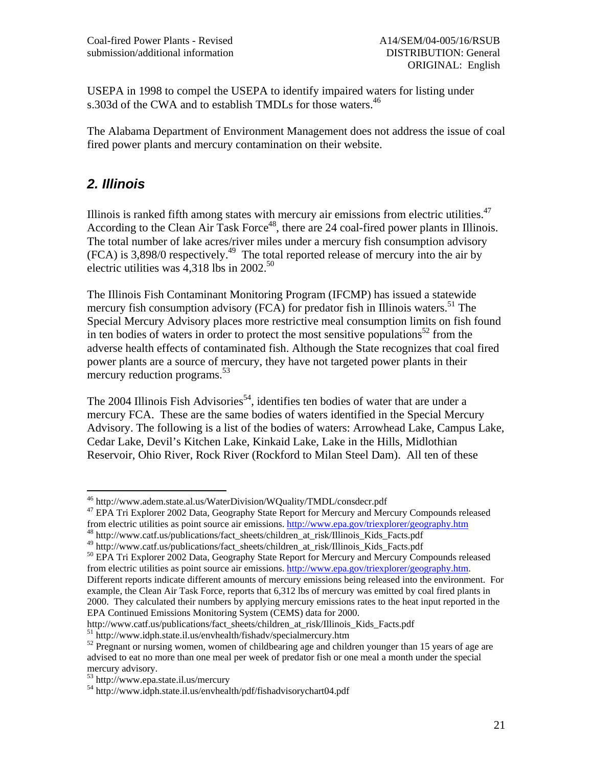USEPA in 1998 to compel the USEPA to identify impaired waters for listing under s.303d of the CWA and to establish TMDLs for those waters.<sup>46</sup>

The Alabama Department of Environment Management does not address the issue of coal fired power plants and mercury contamination on their website.

## *2. Illinois*

Illinois is ranked fifth among states with mercury air emissions from electric utilities.<sup>47</sup> According to the Clean Air Task Force<sup>48</sup>, there are 24 coal-fired power plants in Illinois. The total number of lake acres/river miles under a mercury fish consumption advisory  $(FCA)$  is 3,898/0 respectively.<sup>49</sup> The total reported release of mercury into the air by electric utilities was  $4.318$  lbs in 2002.<sup>50</sup>

The Illinois Fish Contaminant Monitoring Program (IFCMP) has issued a statewide mercury fish consumption advisory (FCA) for predator fish in Illinois waters.<sup>51</sup> The Special Mercury Advisory places more restrictive meal consumption limits on fish found in ten bodies of waters in order to protect the most sensitive populations<sup>52</sup> from the adverse health effects of contaminated fish. Although the State recognizes that coal fired power plants are a source of mercury, they have not targeted power plants in their mercury reduction programs.<sup>53</sup>

The 2004 Illinois Fish Advisories<sup>54</sup>, identifies ten bodies of water that are under a mercury FCA. These are the same bodies of waters identified in the Special Mercury Advisory. The following is a list of the bodies of waters: Arrowhead Lake, Campus Lake, Cedar Lake, Devil's Kitchen Lake, Kinkaid Lake, Lake in the Hills, Midlothian Reservoir, Ohio River, Rock River (Rockford to Milan Steel Dam). All ten of these

<sup>50</sup> EPA Tri Explorer 2002 Data, Geography State Report for Mercury and Mercury Compounds released from electric utilities as point source air emissions. http://www.epa.gov/triexplorer/geography.htm.

<sup>&</sup>lt;sup>46</sup> http://www.adem.state.al.us/WaterDivision/WQuality/TMDL/consdecr.pdf

<sup>&</sup>lt;sup>47</sup> EPA Tri Explorer 2002 Data, Geography State Report for Mercury and Mercury Compounds released from electric utilities as point source air emissions.  $\frac{http://www.epa.gov/triexplore/geography.htm}{http://www.epa.gov/triexplore/geography.htm}$ 

<sup>&</sup>lt;sup>48</sup> http://www.catf.us/publications/fact\_sheets/children\_at\_risk/Illinois\_Kids\_Facts.pdf  $^{49}$  http://www.catf.us/publications/fact\_sheets/children\_at\_risk/Illinois\_Kids\_Facts.pdf

Different reports indicate different amounts of mercury emissions being released into the environment. For example, the Clean Air Task Force, reports that 6,312 lbs of mercury was emitted by coal fired plants in 2000. They calculated their numbers by applying mercury emissions rates to the heat input reported in the EPA Continued Emissions Monitoring System (CEMS) data for 2000.

http://www.catf.us/publications/fact\_sheets/children\_at\_risk/Illinois\_Kids\_Facts.pdf<br><sup>51</sup> http://www.idph.state.il.us/envhealth/fishadv/specialmercury.htm<br><sup>52</sup> Pregnant or nursing women, women of childbearing age and child

advised to eat no more than one meal per week of predator fish or one meal a month under the special mercury advisory.

<sup>53</sup> http://www.epa.state.il.us/mercury

<sup>54</sup> http://www.idph.state.il.us/envhealth/pdf/fishadvisorychart04.pdf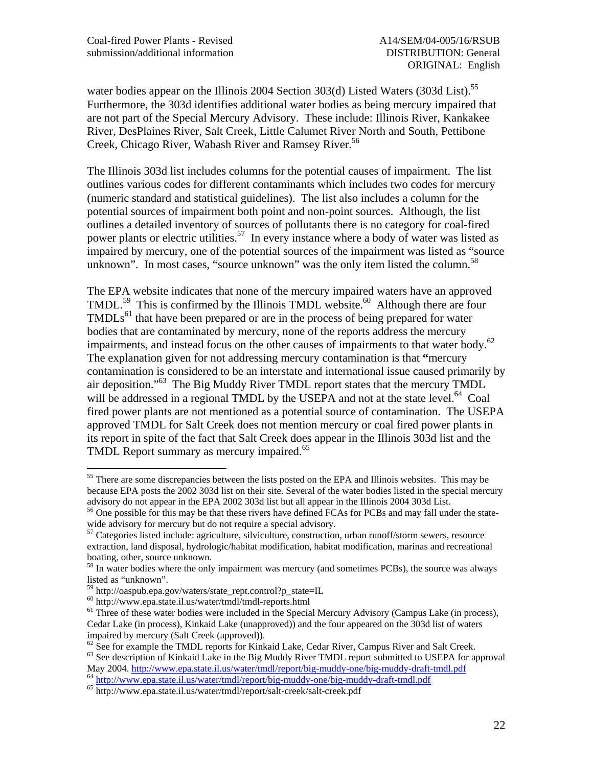water bodies appear on the Illinois 2004 Section 303(d) Listed Waters (303d List).<sup>55</sup> Furthermore, the 303d identifies additional water bodies as being mercury impaired that are not part of the Special Mercury Advisory. These include: Illinois River, Kankakee River, DesPlaines River, Salt Creek, Little Calumet River North and South, Pettibone Creek, Chicago River, Wabash River and Ramsey River.<sup>56</sup>

The Illinois 303d list includes columns for the potential causes of impairment. The list outlines various codes for different contaminants which includes two codes for mercury (numeric standard and statistical guidelines). The list also includes a column for the potential sources of impairment both point and non-point sources. Although, the list outlines a detailed inventory of sources of pollutants there is no category for coal-fired power plants or electric utilities.<sup>57</sup> In every instance where a body of water was listed as impaired by mercury, one of the potential sources of the impairment was listed as "source unknown". In most cases, "source unknown" was the only item listed the column.<sup>58</sup>

The EPA website indicates that none of the mercury impaired waters have an approved  $TMDL<sup>59</sup>$  This is confirmed by the Illinois TMDL website.<sup>60</sup> Although there are four  $TMD<sub>0</sub><sup>61</sup>$  that have been prepared or are in the process of being prepared for water bodies that are contaminated by mercury, none of the reports address the mercury impairments, and instead focus on the other causes of impairments to that water body.62 The explanation given for not addressing mercury contamination is that **"**mercury contamination is considered to be an interstate and international issue caused primarily by air deposition."<sup>63</sup> The Big Muddy River TMDL report states that the mercury TMDL will be addressed in a regional TMDL by the USEPA and not at the state level.<sup>64</sup> Coal fired power plants are not mentioned as a potential source of contamination. The USEPA approved TMDL for Salt Creek does not mention mercury or coal fired power plants in its report in spite of the fact that Salt Creek does appear in the Illinois 303d list and the TMDL Report summary as mercury impaired.<sup>65</sup>

<sup>&</sup>lt;sup>55</sup> There are some discrepancies between the lists posted on the EPA and Illinois websites. This may be because EPA posts the 2002 303d list on their site. Several of the water bodies listed in the special mercury advisory do not appear in the EPA 2002 303d list but all appear in the Illinois 2004 303d List.

<sup>&</sup>lt;sup>56</sup> One possible for this may be that these rivers have defined FCAs for PCBs and may fall under the statewide advisory for mercury but do not require a special advisory.

<sup>&</sup>lt;sup>57</sup> Categories listed include: agriculture, silviculture, construction, urban runoff/storm sewers, resource extraction, land disposal, hydrologic/habitat modification, habitat modification, marinas and recreational boating, other, source unknown.

<sup>&</sup>lt;sup>58</sup> In water bodies where the only impairment was mercury (and sometimes PCBs), the source was always listed as "unknown".<br><sup>59</sup> http://oaspub.epa.gov/waters/state\_rept.control?p\_state=IL

<sup>&</sup>lt;sup>60</sup> http://www.epa.state.il.us/water/tmdl/tmdl-reports.html<br><sup>61</sup> Three of these water bodies were included in the Special Mercury Advisory (Campus Lake (in process), Cedar Lake (in process), Kinkaid Lake (unapproved)) and the four appeared on the 303d list of waters impaired by mercury (Salt Creek (approved)).

<sup>&</sup>lt;sup>62</sup> See for example the TMDL reports for Kinkaid Lake, Cedar River, Campus River and Salt Creek.

 $63$  See description of Kinkaid Lake in the Big Muddy River TMDL report submitted to USEPA for approval May 2004. http://www.epa.state.il.us/water/tmdl/report/big-muddy-one/big-muddy-draft-tmdl.pdf

<sup>&</sup>lt;sup>64</sup> http://www.epa.state.il.us/water/tmdl/report/big-muddy-one/big-muddy-draft-tmdl.pdf<br><sup>65</sup> http://www.epa.state.il.us/water/tmdl/report/big-muddy-one/big-muddy-draft-tmdl.pdf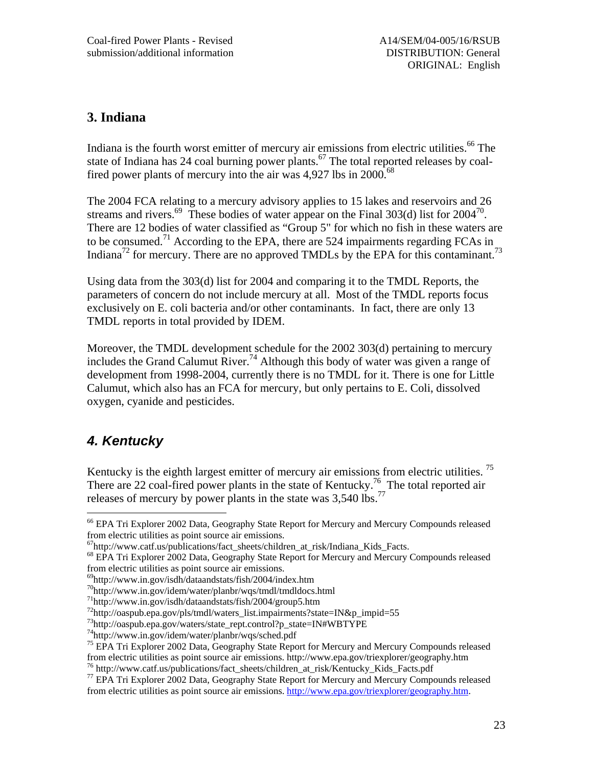## **3. Indiana**

Indiana is the fourth worst emitter of mercury air emissions from electric utilities.<sup>66</sup> The state of Indiana has 24 coal burning power plants.<sup>67</sup> The total reported releases by coalfired power plants of mercury into the air was  $4,927$  lbs in  $2000$ .<sup>68</sup>

The 2004 FCA relating to a mercury advisory applies to 15 lakes and reservoirs and 26 streams and rivers.<sup>69</sup> These bodies of water appear on the Final 303(d) list for  $2004^{70}$ . There are 12 bodies of water classified as "Group 5" for which no fish in these waters are to be consumed.<sup>71</sup> According to the EPA, there are 524 impairments regarding FCAs in Indiana<sup>72</sup> for mercury. There are no approved TMDLs by the EPA for this contaminant.<sup>73</sup>

Using data from the 303(d) list for 2004 and comparing it to the TMDL Reports, the parameters of concern do not include mercury at all. Most of the TMDL reports focus exclusively on E. coli bacteria and/or other contaminants. In fact, there are only 13 TMDL reports in total provided by IDEM.

Moreover, the TMDL development schedule for the 2002 303(d) pertaining to mercury includes the Grand Calumut River.<sup>74</sup> Although this body of water was given a range of development from 1998-2004, currently there is no TMDL for it. There is one for Little Calumut, which also has an FCA for mercury, but only pertains to E. Coli, dissolved oxygen, cyanide and pesticides.

# *4. Kentucky*

 $\overline{a}$ 

Kentucky is the eighth largest emitter of mercury air emissions from electric utilities.<sup>75</sup> There are 22 coal-fired power plants in the state of Kentucky.<sup>76</sup> The total reported air releases of mercury by power plants in the state was  $3.540$  lbs.<sup>77</sup>

 $^{67}$ http://www.catf.us/publications/fact\_sheets/children\_at\_risk/Indiana\_Kids\_Facts.  $^{68}$  EPA Tri Explorer 2002 Data, Geography State Report for Mercury and Mercury Compounds released from electric utilities as point source air emissions.

<sup>&</sup>lt;sup>66</sup> EPA Tri Explorer 2002 Data, Geography State Report for Mercury and Mercury Compounds released from electric utilities as point source air emissions.

<sup>69</sup>http://www.in.gov/isdh/dataandstats/fish/2004/index.htm

 $\frac{70}{1}$ http://www.in.gov/idem/water/planbr/wqs/tmdl/tmdldocs.html<br> $\frac{71}{1}$ http://www.in.gov/isdh/dataandstats/fish/2004/group5.htm

<sup>&</sup>lt;sup>72</sup>http://oaspub.epa.gov/pls/tmdl/waters\_list.impairments?state=IN&p\_impid=55<br><sup>73</sup>http://oaspub.epa.gov/waters/state\_rept.control?p\_state=IN#WBTYPE<br><sup>74</sup>http://www.in.gov/idem/water/planbr/wqs/sched.pdf<br><sup>75</sup>EPA Tri Explor from electric utilities as point source air emissions. http://www.epa.gov/triexplorer/geography.htm 76 http://www.catf.us/publications/fact\_sheets/children\_at\_risk/Kentucky\_Kids\_Facts.pdf

<sup>&</sup>lt;sup>77</sup> EPA Tri Explorer 2002 Data, Geography State Report for Mercury and Mercury Compounds released from electric utilities as point source air emissions. http://www.epa.gov/triexplorer/geography.htm.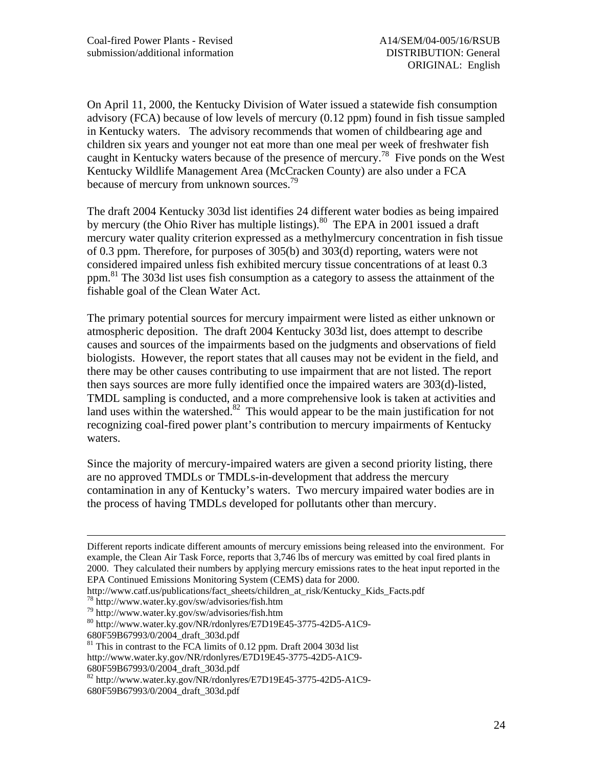On April 11, 2000, the Kentucky Division of Water issued a statewide fish consumption advisory (FCA) because of low levels of mercury (0.12 ppm) found in fish tissue sampled in Kentucky waters. The advisory recommends that women of childbearing age and children six years and younger not eat more than one meal per week of freshwater fish caught in Kentucky waters because of the presence of mercury.78Five ponds on the West Kentucky Wildlife Management Area (McCracken County) are also under a FCA because of mercury from unknown sources.<sup>79</sup>

The draft 2004 Kentucky 303d list identifies 24 different water bodies as being impaired by mercury (the Ohio River has multiple listings).<sup>80</sup> The EPA in 2001 issued a draft mercury water quality criterion expressed as a methylmercury concentration in fish tissue of 0.3 ppm. Therefore, for purposes of 305(b) and 303(d) reporting, waters were not considered impaired unless fish exhibited mercury tissue concentrations of at least 0.3 ppm.<sup>81</sup> The 303d list uses fish consumption as a category to assess the attainment of the fishable goal of the Clean Water Act.

The primary potential sources for mercury impairment were listed as either unknown or atmospheric deposition. The draft 2004 Kentucky 303d list, does attempt to describe causes and sources of the impairments based on the judgments and observations of field biologists. However, the report states that all causes may not be evident in the field, and there may be other causes contributing to use impairment that are not listed. The report then says sources are more fully identified once the impaired waters are 303(d)-listed, TMDL sampling is conducted, and a more comprehensive look is taken at activities and land uses within the watershed.<sup>82</sup> This would appear to be the main justification for not recognizing coal-fired power plant's contribution to mercury impairments of Kentucky waters.

Since the majority of mercury-impaired waters are given a second priority listing, there are no approved TMDLs or TMDLs-in-development that address the mercury contamination in any of Kentucky's waters. Two mercury impaired water bodies are in the process of having TMDLs developed for pollutants other than mercury.

680F59B67993/0/2004\_draft\_303d.pdf

<sup>81</sup> This in contrast to the FCA limits of 0.12 ppm. Draft 2004 303d list http://www.water.ky.gov/NR/rdonlyres/E7D19E45-3775-42D5-A1C9-

680F59B67993/0/2004\_draft\_303d.pdf

82 http://www.water.ky.gov/NR/rdonlyres/E7D19E45-3775-42D5-A1C9- 680F59B67993/0/2004\_draft\_303d.pdf

Different reports indicate different amounts of mercury emissions being released into the environment. For example, the Clean Air Task Force, reports that 3,746 lbs of mercury was emitted by coal fired plants in 2000. They calculated their numbers by applying mercury emissions rates to the heat input reported in the EPA Continued Emissions Monitoring System (CEMS) data for 2000.

http://www.catf.us/publications/fact\_sheets/children\_at\_risk/Kentucky\_Kids\_Facts.pdf<sup>78</sup> http://www.water.ky.gov/sw/advisories/fish.htm<br><sup>79</sup> http://www.water.ky.gov/sw/advisories/fish.htm<br><sup>79</sup> http://www.water.ky.gov/sw/ad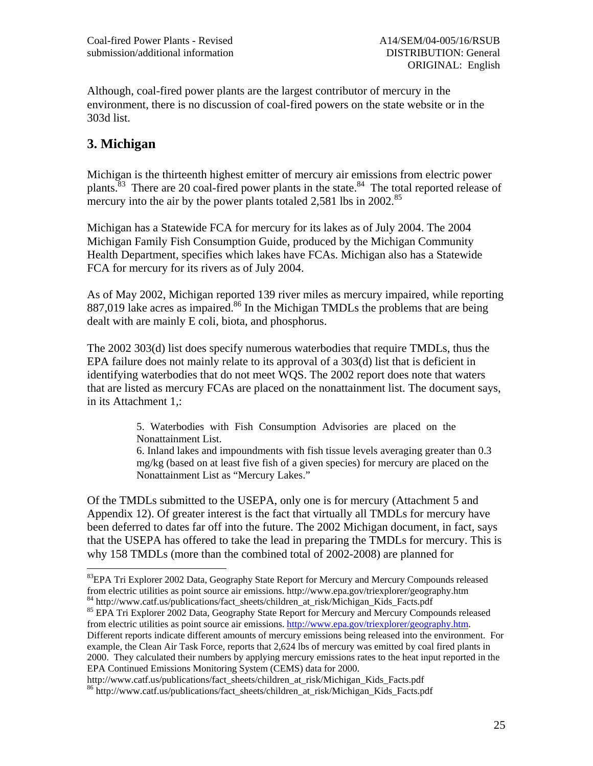Although, coal-fired power plants are the largest contributor of mercury in the environment, there is no discussion of coal-fired powers on the state website or in the 303d list.

#### **3. Michigan**

 $\overline{a}$ 

Michigan is the thirteenth highest emitter of mercury air emissions from electric power plants.<sup>83</sup> There are 20 coal-fired power plants in the state.<sup>84</sup> The total reported release of mercury into the air by the power plants totaled 2,581 lbs in 2002.<sup>85</sup>

Michigan has a Statewide FCA for mercury for its lakes as of July 2004. The 2004 Michigan Family Fish Consumption Guide, produced by the Michigan Community Health Department, specifies which lakes have FCAs. Michigan also has a Statewide FCA for mercury for its rivers as of July 2004.

As of May 2002, Michigan reported 139 river miles as mercury impaired, while reporting 887,019 lake acres as impaired.<sup>86</sup> In the Michigan TMDLs the problems that are being dealt with are mainly E coli, biota, and phosphorus.

The 2002 303(d) list does specify numerous waterbodies that require TMDLs, thus the EPA failure does not mainly relate to its approval of a 303(d) list that is deficient in identifying waterbodies that do not meet WQS. The 2002 report does note that waters that are listed as mercury FCAs are placed on the nonattainment list. The document says, in its Attachment 1,:

> 5. Waterbodies with Fish Consumption Advisories are placed on the Nonattainment List. 6. Inland lakes and impoundments with fish tissue levels averaging greater than 0.3

> mg/kg (based on at least five fish of a given species) for mercury are placed on the Nonattainment List as "Mercury Lakes."

Of the TMDLs submitted to the USEPA, only one is for mercury (Attachment 5 and Appendix 12). Of greater interest is the fact that virtually all TMDLs for mercury have been deferred to dates far off into the future. The 2002 Michigan document, in fact, says that the USEPA has offered to take the lead in preparing the TMDLs for mercury. This is why 158 TMDLs (more than the combined total of 2002-2008) are planned for

<sup>85</sup> EPA Tri Explorer 2002 Data, Geography State Report for Mercury and Mercury Compounds released from electric utilities as point source air emissions. http://www.epa.gov/triexplorer/geography.htm. Different reports indicate different amounts of mercury emissions being released into the environment. For example, the Clean Air Task Force, reports that 2,624 lbs of mercury was emitted by coal fired plants in 2000. They calculated their numbers by applying mercury emissions rates to the heat input reported in the EPA Continued Emissions Monitoring System (CEMS) data for 2000.

http://www.catf.us/publications/fact\_sheets/children\_at\_risk/Michigan\_Kids\_Facts.pdf 86 http://www.catf.us/publications/fact\_sheets/children\_at\_risk/Michigan\_Kids\_Facts.pdf

<sup>&</sup>lt;sup>83</sup>EPA Tri Explorer 2002 Data, Geography State Report for Mercury and Mercury Compounds released from electric utilities as point source air emissions. http://www.epa.gov/triexplorer/geography.htm <br><sup>84</sup> http://www.catf.us/publications/fact\_sheets/children\_at\_risk/Michigan\_Kids\_Facts.pdf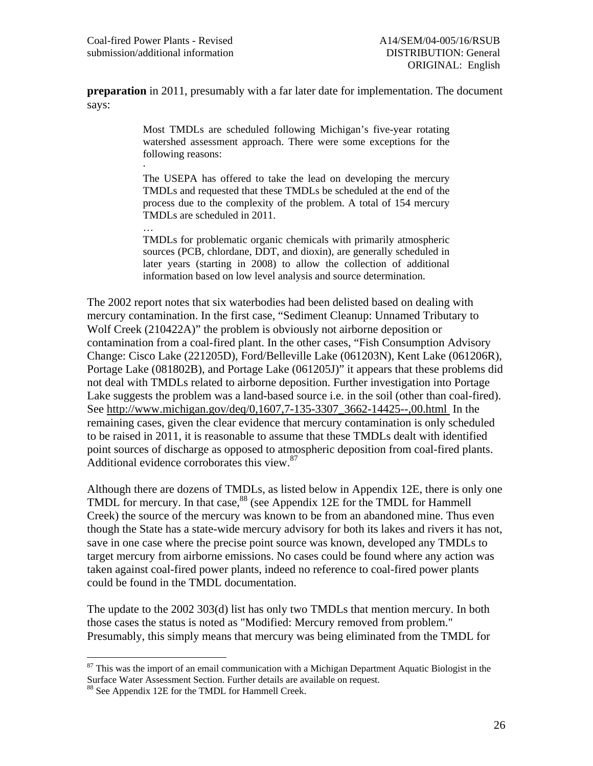·

**preparation** in 2011, presumably with a far later date for implementation. The document says:

> Most TMDLs are scheduled following Michigan's five-year rotating watershed assessment approach. There were some exceptions for the following reasons:

> The USEPA has offered to take the lead on developing the mercury TMDLs and requested that these TMDLs be scheduled at the end of the process due to the complexity of the problem. A total of 154 mercury TMDLs are scheduled in 2011.

> … TMDLs for problematic organic chemicals with primarily atmospheric sources (PCB, chlordane, DDT, and dioxin), are generally scheduled in later years (starting in 2008) to allow the collection of additional information based on low level analysis and source determination.

The 2002 report notes that six waterbodies had been delisted based on dealing with mercury contamination. In the first case, "Sediment Cleanup: Unnamed Tributary to Wolf Creek (210422A)" the problem is obviously not airborne deposition or contamination from a coal-fired plant. In the other cases, "Fish Consumption Advisory Change: Cisco Lake (221205D), Ford/Belleville Lake (061203N), Kent Lake (061206R), Portage Lake (081802B), and Portage Lake (061205J)" it appears that these problems did not deal with TMDLs related to airborne deposition. Further investigation into Portage Lake suggests the problem was a land-based source i.e. in the soil (other than coal-fired). See http://www.michigan.gov/deq/0,1607,7-135-3307\_3662-14425--,00.html In the remaining cases, given the clear evidence that mercury contamination is only scheduled to be raised in 2011, it is reasonable to assume that these TMDLs dealt with identified point sources of discharge as opposed to atmospheric deposition from coal-fired plants. Additional evidence corroborates this view.<sup>87</sup>

Although there are dozens of TMDLs, as listed below in Appendix 12E, there is only one TMDL for mercury. In that case,<sup>88</sup> (see Appendix 12E for the TMDL for Hammell Creek) the source of the mercury was known to be from an abandoned mine. Thus even though the State has a state-wide mercury advisory for both its lakes and rivers it has not, save in one case where the precise point source was known, developed any TMDLs to target mercury from airborne emissions. No cases could be found where any action was taken against coal-fired power plants, indeed no reference to coal-fired power plants could be found in the TMDL documentation.

The update to the 2002 303(d) list has only two TMDLs that mention mercury. In both those cases the status is noted as "Modified: Mercury removed from problem." Presumably, this simply means that mercury was being eliminated from the TMDL for

 $\overline{a}$  $87$  This was the import of an email communication with a Michigan Department Aquatic Biologist in the Surface Water Assessment Section. Further details are available on request. 88 See Appendix 12E for the TMDL for Hammell Creek.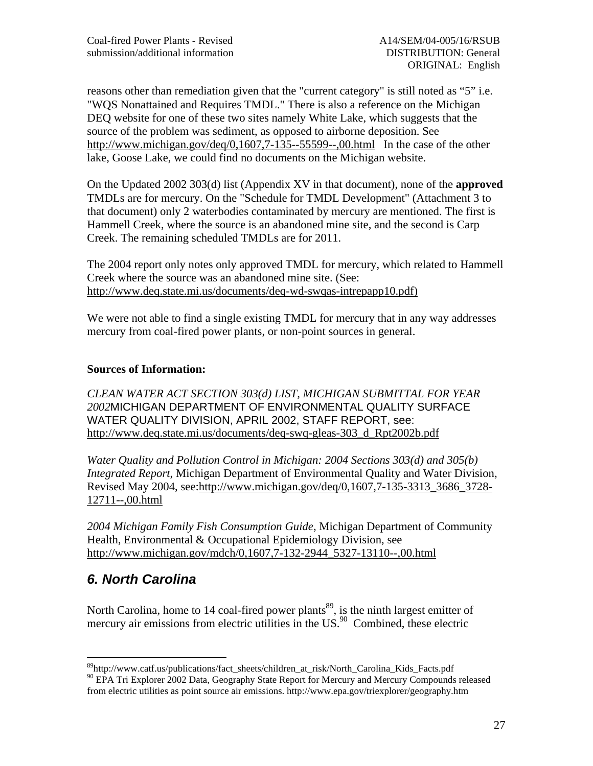reasons other than remediation given that the "current category" is still noted as "5" i.e. "WQS Nonattained and Requires TMDL." There is also a reference on the Michigan DEQ website for one of these two sites namely White Lake, which suggests that the source of the problem was sediment, as opposed to airborne deposition. See http://www.michigan.gov/deq/0,1607,7-135--55599--,00.html In the case of the other lake, Goose Lake, we could find no documents on the Michigan website.

On the Updated 2002 303(d) list (Appendix XV in that document), none of the **approved** TMDLs are for mercury. On the "Schedule for TMDL Development" (Attachment 3 to that document) only 2 waterbodies contaminated by mercury are mentioned. The first is Hammell Creek, where the source is an abandoned mine site, and the second is Carp Creek. The remaining scheduled TMDLs are for 2011.

The 2004 report only notes only approved TMDL for mercury, which related to Hammell Creek where the source was an abandoned mine site. (See: http://www.deq.state.mi.us/documents/deq-wd-swqas-intrepapp10.pdf)

We were not able to find a single existing TMDL for mercury that in any way addresses mercury from coal-fired power plants, or non-point sources in general.

#### **Sources of Information:**

*CLEAN WATER ACT SECTION 303(d) LIST, MICHIGAN SUBMITTAL FOR YEAR 2002*MICHIGAN DEPARTMENT OF ENVIRONMENTAL QUALITY SURFACE WATER QUALITY DIVISION, APRIL 2002, STAFF REPORT, see: http://www.deq.state.mi.us/documents/deq-swq-gleas-303\_d\_Rpt2002b.pdf

*Water Quality and Pollution Control in Michigan: 2004 Sections 303(d) and 305(b) Integrated Report*, Michigan Department of Environmental Quality and Water Division, Revised May 2004, see:http://www.michigan.gov/deq/0,1607,7-135-3313\_3686\_3728- 12711--,00.html

*2004 Michigan Family Fish Consumption Guide*, Michigan Department of Community Health, Environmental & Occupational Epidemiology Division, see http://www.michigan.gov/mdch/0,1607,7-132-2944\_5327-13110--,00.html

## *6. North Carolina*

 $\overline{a}$ 

North Carolina, home to 14 coal-fired power plants<sup>89</sup>, is the ninth largest emitter of mercury air emissions from electric utilities in the US.<sup>90</sup> Combined, these electric

<sup>89</sup>http://www.catf.us/publications/fact\_sheets/children\_at\_risk/North\_Carolina\_Kids\_Facts.pdf <sup>90</sup> EPA Tri Explorer 2002 Data, Geography State Report for Mercury and Mercury Compounds released from electric utilities as point source air emissions. http://www.epa.gov/triexplorer/geography.htm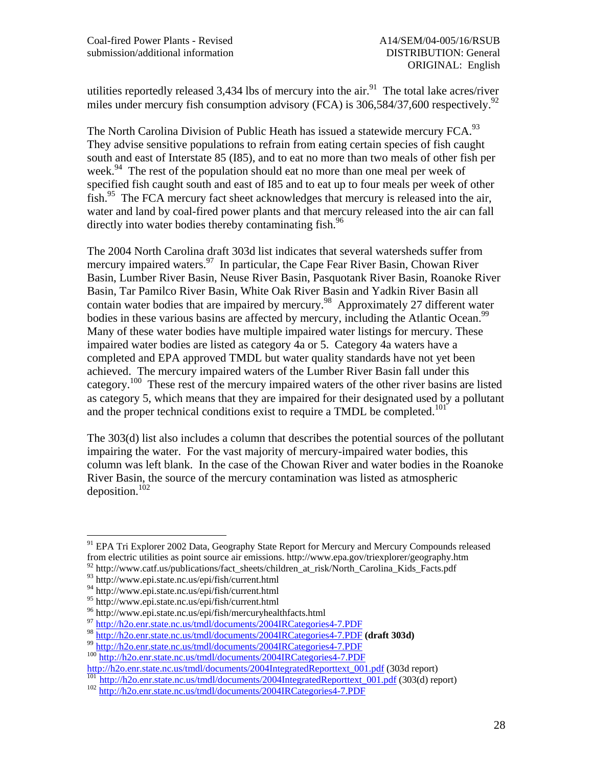utilities reportedly released 3,434 lbs of mercury into the air.<sup>91</sup> The total lake acres/river miles under mercury fish consumption advisory (FCA) is  $306,584/37,600$  respectively.<sup>92</sup>

The North Carolina Division of Public Heath has issued a statewide mercury FCA.<sup>93</sup> They advise sensitive populations to refrain from eating certain species of fish caught south and east of Interstate 85 (I85), and to eat no more than two meals of other fish per week.<sup>94</sup> The rest of the population should eat no more than one meal per week of specified fish caught south and east of I85 and to eat up to four meals per week of other fish.<sup>95</sup> The FCA mercury fact sheet acknowledges that mercury is released into the air, water and land by coal-fired power plants and that mercury released into the air can fall directly into water bodies thereby contaminating fish.  $96$ 

The 2004 North Carolina draft 303d list indicates that several watersheds suffer from mercury impaired waters.  $97$  In particular, the Cape Fear River Basin, Chowan River Basin, Lumber River Basin, Neuse River Basin, Pasquotank River Basin, Roanoke River Basin, Tar Pamilco River Basin, White Oak River Basin and Yadkin River Basin all contain water bodies that are impaired by mercury.<sup>98</sup> Approximately 27 different water bodies in these various basins are affected by mercury, including the Atlantic Ocean.<sup>99</sup> Many of these water bodies have multiple impaired water listings for mercury. These impaired water bodies are listed as category 4a or 5. Category 4a waters have a completed and EPA approved TMDL but water quality standards have not yet been achieved. The mercury impaired waters of the Lumber River Basin fall under this category.<sup>100</sup> These rest of the mercury impaired waters of the other river basins are listed as category 5, which means that they are impaired for their designated used by a pollutant and the proper technical conditions exist to require a TMDL be completed.<sup>101</sup>

The 303(d) list also includes a column that describes the potential sources of the pollutant impairing the water. For the vast majority of mercury-impaired water bodies, this column was left blank. In the case of the Chowan River and water bodies in the Roanoke River Basin, the source of the mercury contamination was listed as atmospheric deposition.<sup>102</sup>

1

<sup>&</sup>lt;sup>91</sup> EPA Tri Explorer 2002 Data, Geography State Report for Mercury and Mercury Compounds released from electric utilities as point source air emissions. http://www.epa.gov/triexplorer/geography.htm

<sup>&</sup>lt;sup>92</sup> http://www.catf.us/publications/fact\_sheets/children\_at\_risk/North\_Carolina\_Kids\_Facts.pdf

<sup>93</sup> http://www.epi.state.nc.us/epi/fish/current.html

<sup>94</sup> http://www.epi.state.nc.us/epi/fish/current.html

 $^{95}$  http://www.epi.state.nc.us/epi/fish/current.html<br> $^{96}$  http://www.epi.state.nc.us/epi/fish/mercuryhealthfacts.html

<sup>97</sup> http://h2o.enr.state.nc.us/tmdl/documents/2004IRCategories4-7.PDF

<sup>98</sup> http://h2o.enr.state.nc.us/tmdl/documents/2004IRCategories4-7.PDF (draft 303d)<br>99 http://h2o.enr.state.nc.us/tmdl/documents/2004IRCategories4-7.PDF<br>100 http://h2o.enr.state.nc.us/tmdl/documents/2004IRCategories4-7.PDF<br>h

<sup>101</sup> http://h2o.enr.state.nc.us/tmdl/documents/2004IntegratedReporttext\_001.pdf (303(d) report)<br>102 http://h2o.enr.state.nc.us/tmdl/documents/2004IRCategories4-7.PDF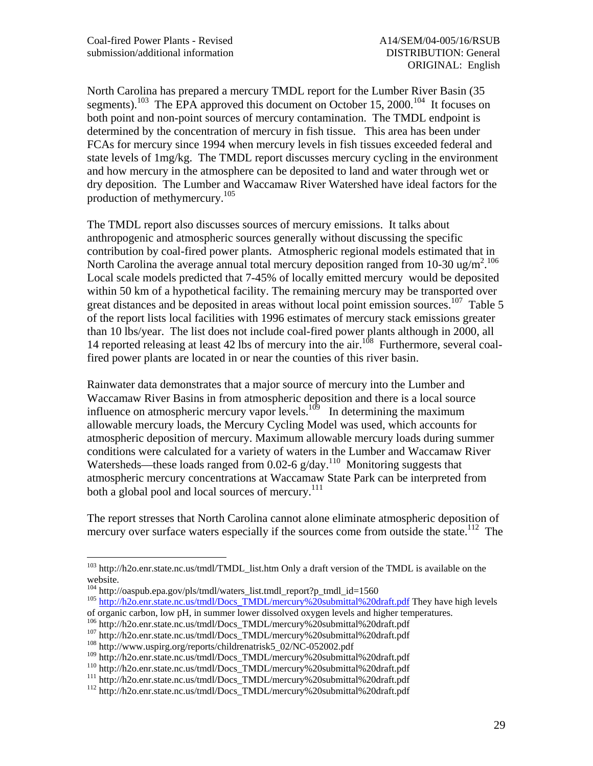North Carolina has prepared a mercury TMDL report for the Lumber River Basin (35 segments).<sup>103</sup> The EPA approved this document on October 15, 2000.<sup>104</sup> It focuses on both point and non-point sources of mercury contamination. The TMDL endpoint is determined by the concentration of mercury in fish tissue. This area has been under FCAs for mercury since 1994 when mercury levels in fish tissues exceeded federal and state levels of 1mg/kg. The TMDL report discusses mercury cycling in the environment and how mercury in the atmosphere can be deposited to land and water through wet or dry deposition. The Lumber and Waccamaw River Watershed have ideal factors for the production of methymercury.<sup>105</sup>

The TMDL report also discusses sources of mercury emissions. It talks about anthropogenic and atmospheric sources generally without discussing the specific contribution by coal-fired power plants. Atmospheric regional models estimated that in North Carolina the average annual total mercury deposition ranged from 10-30 ug/m<sup>2</sup>.<sup>106</sup> Local scale models predicted that 7-45% of locally emitted mercury would be deposited within 50 km of a hypothetical facility. The remaining mercury may be transported over great distances and be deposited in areas without local point emission sources.<sup>107</sup> Table 5 of the report lists local facilities with 1996 estimates of mercury stack emissions greater than 10 lbs/year. The list does not include coal-fired power plants although in 2000, all 14 reported releasing at least 42 lbs of mercury into the  $air$ <sup>108</sup>. Furthermore, several coalfired power plants are located in or near the counties of this river basin.

Rainwater data demonstrates that a major source of mercury into the Lumber and Waccamaw River Basins in from atmospheric deposition and there is a local source influence on atmospheric mercury vapor levels.<sup>109</sup> In determining the maximum allowable mercury loads, the Mercury Cycling Model was used, which accounts for atmospheric deposition of mercury. Maximum allowable mercury loads during summer conditions were calculated for a variety of waters in the Lumber and Waccamaw River Watersheds—these loads ranged from 0.02-6  $g/day$ <sup>110</sup> Monitoring suggests that atmospheric mercury concentrations at Waccamaw State Park can be interpreted from both a global pool and local sources of mercury.<sup>111</sup>

The report stresses that North Carolina cannot alone eliminate atmospheric deposition of mercury over surface waters especially if the sources come from outside the state.<sup>112</sup> The

1

<sup>&</sup>lt;sup>103</sup> http://h2o.enr.state.nc.us/tmdl/TMDL\_list.htm Only a draft version of the TMDL is available on the website.<br>
<sup>104</sup> http://oaspub.epa.gov/pls/tmdl/waters\_list.tmdl\_report?p\_tmdl\_id=1560

<sup>&</sup>lt;sup>105</sup> http://h2o.enr.state.nc.us/tmdl/Docs\_TMDL/mercury%20submittal%20draft.pdf They have high levels of organic carbon, low pH, in summer lower dissolved oxygen levels and higher temperatures.<br><sup>106</sup> http://h2o.enr.state.nc.us/tmdl/Docs\_TMDL/mercury%20submittal%20draft.pdf

<sup>106</sup> http://h2o.enr.state.nc.us/tmdl/Docs\_TMDL/mercury%20submittal%20draft.pdf 107 http://h2o.enr.state.nc.us/tmdl/Docs\_TMDL/mercury%20submittal%20draft.pdf 108 http://www.uspirg.org/reports/childrenatrisk5\_02/NC-052002.pdf

<sup>&</sup>lt;sup>109</sup> http://h2o.enr.state.nc.us/tmdl/Docs\_TMDL/mercury%20submittal%20draft.pdf<br><sup>110</sup> http://h2o.enr.state.nc.us/tmdl/Docs\_TMDL/mercury%20submittal%20draft.pdf<br><sup>111</sup> http://h2o.enr.state.nc.us/tmdl/Docs\_TMDL/mercury%20sub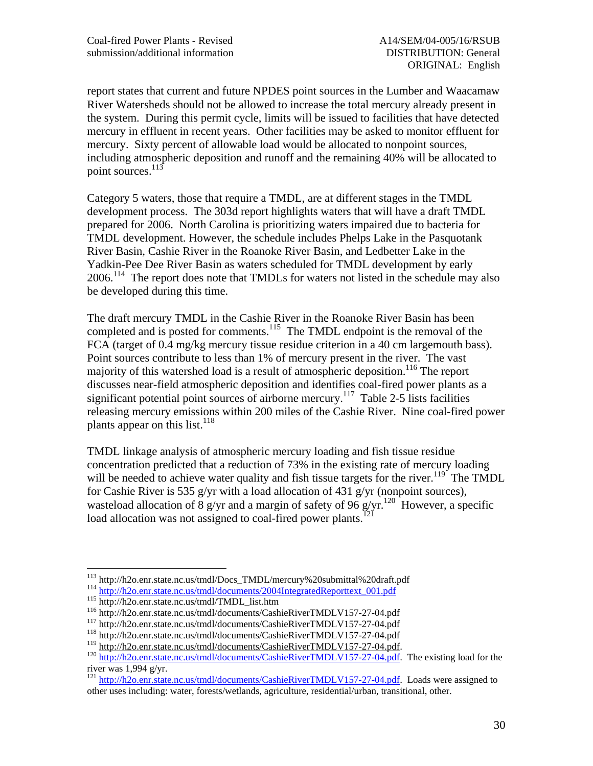report states that current and future NPDES point sources in the Lumber and Waacamaw River Watersheds should not be allowed to increase the total mercury already present in the system. During this permit cycle, limits will be issued to facilities that have detected mercury in effluent in recent years. Other facilities may be asked to monitor effluent for mercury. Sixty percent of allowable load would be allocated to nonpoint sources, including atmospheric deposition and runoff and the remaining 40% will be allocated to point sources. $113$ 

Category 5 waters, those that require a TMDL, are at different stages in the TMDL development process. The 303d report highlights waters that will have a draft TMDL prepared for 2006. North Carolina is prioritizing waters impaired due to bacteria for TMDL development. However, the schedule includes Phelps Lake in the Pasquotank River Basin, Cashie River in the Roanoke River Basin, and Ledbetter Lake in the Yadkin-Pee Dee River Basin as waters scheduled for TMDL development by early 2006.<sup>114</sup> The report does note that TMDLs for waters not listed in the schedule may also be developed during this time.

The draft mercury TMDL in the Cashie River in the Roanoke River Basin has been completed and is posted for comments.<sup>115</sup> The TMDL endpoint is the removal of the FCA (target of 0.4 mg/kg mercury tissue residue criterion in a 40 cm largemouth bass). Point sources contribute to less than 1% of mercury present in the river. The vast majority of this watershed load is a result of atmospheric deposition.<sup>116</sup> The report discusses near-field atmospheric deposition and identifies coal-fired power plants as a significant potential point sources of airborne mercury.<sup>117</sup> Table 2-5 lists facilities releasing mercury emissions within 200 miles of the Cashie River. Nine coal-fired power plants appear on this list.<sup>118</sup>

TMDL linkage analysis of atmospheric mercury loading and fish tissue residue concentration predicted that a reduction of 73% in the existing rate of mercury loading will be needed to achieve water quality and fish tissue targets for the river.<sup>119</sup> The TMDL for Cashie River is 535 g/yr with a load allocation of 431 g/yr (nonpoint sources), wasteload allocation of 8 g/yr and a margin of safety of 96 g/yr.<sup>120</sup> However, a specific load allocation was not assigned to coal-fired power plants.<sup>121</sup>

<sup>&</sup>lt;sup>113</sup> http://h2o.enr.state.nc.us/tmdl/Docs\_TMDL/mercury%20submittal%20draft.pdf<br><sup>114</sup> http://h2o.enr.state.nc.us/tmdl/documents/2004IntegratedReporttext\_001.pdf<br><sup>115</sup> http://h2o.enr.state.nc.us/tmdl/TMDL\_list.htm<br><sup>116</sup> ht

<sup>120</sup> http://h2o.enr.state.nc.us/tmdl/documents/CashieRiverTMDLV157-27-04.pdf. The existing load for the river was 1,994 g/yr.

<sup>&</sup>lt;sup>121</sup> http://h2o.enr.state.nc.us/tmdl/documents/CashieRiverTMDLV157-27-04.pdf. Loads were assigned to other uses including: water, forests/wetlands, agriculture, residential/urban, transitional, other.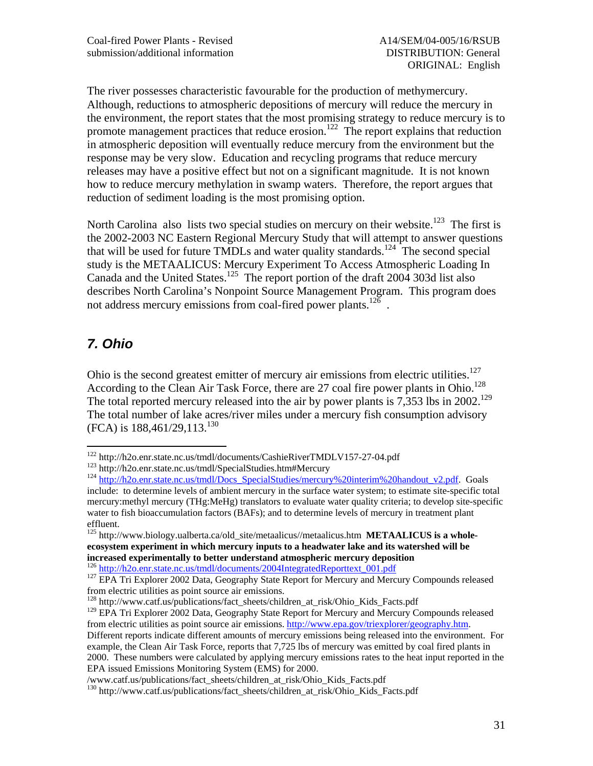The river possesses characteristic favourable for the production of methymercury. Although, reductions to atmospheric depositions of mercury will reduce the mercury in the environment, the report states that the most promising strategy to reduce mercury is to promote management practices that reduce erosion.<sup>122</sup> The report explains that reduction in atmospheric deposition will eventually reduce mercury from the environment but the response may be very slow. Education and recycling programs that reduce mercury releases may have a positive effect but not on a significant magnitude. It is not known how to reduce mercury methylation in swamp waters. Therefore, the report argues that reduction of sediment loading is the most promising option.

North Carolina also lists two special studies on mercury on their website.<sup>123</sup> The first is the 2002-2003 NC Eastern Regional Mercury Study that will attempt to answer questions that will be used for future TMDLs and water quality standards.124 The second special study is the METAALICUS: Mercury Experiment To Access Atmospheric Loading In Canada and the United States.<sup>125</sup> The report portion of the draft 2004 303d list also describes North Carolina's Nonpoint Source Management Program. This program does not address mercury emissions from coal-fired power plants.<sup>126</sup>.

# *7. Ohio*

 $\overline{a}$ 

Ohio is the second greatest emitter of mercury air emissions from electric utilities.<sup>127</sup> According to the Clean Air Task Force, there are 27 coal fire power plants in Ohio.<sup>128</sup> The total reported mercury released into the air by power plants is 7,353 lbs in  $2002$ <sup>129</sup> The total number of lake acres/river miles under a mercury fish consumption advisory  $(FCA)$  is 188,461/29,113.<sup>130</sup>

<sup>&</sup>lt;sup>122</sup> http://h2o.enr.state.nc.us/tmdl/documents/CashieRiverTMDLV157-27-04.pdf<br><sup>123</sup> http://h2o.enr.state.nc.us/tmdl/SpecialStudies.htm#Mercury<br><sup>124</sup> http://h2o.enr.state.nc.us/tmdl/Docs\_SpecialStudies/mercury%20interim%20 include: to determine levels of ambient mercury in the surface water system; to estimate site-specific total mercury:methyl mercury (THg:MeHg) translators to evaluate water quality criteria; to develop site-specific water to fish bioaccumulation factors (BAFs); and to determine levels of mercury in treatment plant effluent.

<sup>&</sup>lt;sup>125</sup> http://www.biology.ualberta.ca/old\_site/metaalicus//metaalicus.htm **METAALICUS is a wholeecosystem experiment in which mercury inputs to a headwater lake and its watershed will be**  increased experimentally to better understand atmospheric mercury deposition<br>
<sup>126</sup> http://h2o.enr.state.nc.us/tmdl/documents/2004IntegratedReporttext\_001.pdf<br>
<sup>127</sup> EPA Tri Explorer 2002 Data, Geography State Report for M

from electric utilities as point source air emissions.

<sup>128</sup> http://www.catf.us/publications/fact\_sheets/children\_at\_risk/Ohio\_Kids\_Facts.pdf

<sup>&</sup>lt;sup>129</sup> EPA Tri Explorer 2002 Data, Geography State Report for Mercury and Mercury Compounds released from electric utilities as point source air emissions. http://www.epa.gov/triexplorer/geography.htm.

Different reports indicate different amounts of mercury emissions being released into the environment. For example, the Clean Air Task Force, reports that 7,725 lbs of mercury was emitted by coal fired plants in 2000. These numbers were calculated by applying mercury emissions rates to the heat input reported in the EPA issued Emissions Monitoring System (EMS) for 2000.

<sup>/</sup>www.catf.us/publications/fact\_sheets/children\_at\_risk/Ohio\_Kids\_Facts.pdf

<sup>130</sup> http://www.catf.us/publications/fact\_sheets/children\_at\_risk/Ohio\_Kids\_Facts.pdf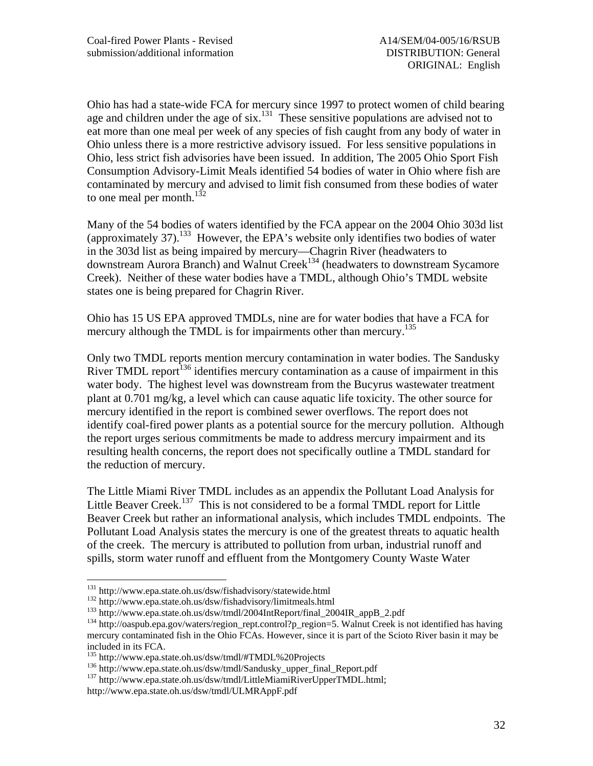Ohio has had a state-wide FCA for mercury since 1997 to protect women of child bearing age and children under the age of  $six$ <sup>131</sup>. These sensitive populations are advised not to eat more than one meal per week of any species of fish caught from any body of water in Ohio unless there is a more restrictive advisory issued. For less sensitive populations in Ohio, less strict fish advisories have been issued. In addition, The 2005 Ohio Sport Fish Consumption Advisory-Limit Meals identified 54 bodies of water in Ohio where fish are contaminated by mercury and advised to limit fish consumed from these bodies of water to one meal per month. $^{132}$ 

Many of the 54 bodies of waters identified by the FCA appear on the 2004 Ohio 303d list (approximately 37).<sup>133</sup> However, the EPA's website only identifies two bodies of water in the 303d list as being impaired by mercury—Chagrin River (headwaters to downstream Aurora Branch) and Walnut Creek<sup>134</sup> (headwaters to downstream Sycamore Creek). Neither of these water bodies have a TMDL, although Ohio's TMDL website states one is being prepared for Chagrin River.

Ohio has 15 US EPA approved TMDLs, nine are for water bodies that have a FCA for mercury although the TMDL is for impairments other than mercury.<sup>135</sup>

Only two TMDL reports mention mercury contamination in water bodies. The Sandusky River TMDL report<sup>136</sup> identifies mercury contamination as a cause of impairment in this water body. The highest level was downstream from the Bucyrus wastewater treatment plant at 0.701 mg/kg, a level which can cause aquatic life toxicity. The other source for mercury identified in the report is combined sewer overflows. The report does not identify coal-fired power plants as a potential source for the mercury pollution. Although the report urges serious commitments be made to address mercury impairment and its resulting health concerns, the report does not specifically outline a TMDL standard for the reduction of mercury.

The Little Miami River TMDL includes as an appendix the Pollutant Load Analysis for Little Beaver Creek.<sup>137</sup> This is not considered to be a formal TMDL report for Little Beaver Creek but rather an informational analysis, which includes TMDL endpoints. The Pollutant Load Analysis states the mercury is one of the greatest threats to aquatic health of the creek. The mercury is attributed to pollution from urban, industrial runoff and spills, storm water runoff and effluent from the Montgomery County Waste Water

<sup>1</sup> 

<sup>&</sup>lt;sup>131</sup> http://www.epa.state.oh.us/dsw/fishadvisory/statewide.html<br><sup>132</sup> http://www.epa.state.oh.us/dsw/fishadvisory/limitmeals.html<br><sup>132</sup> http://www.epa.state.oh.us/dsw/tmdl/2004IntReport/final\_2004IR\_appB\_2.pdf<br><sup>134</sup> http mercury contaminated fish in the Ohio FCAs. However, since it is part of the Scioto River basin it may be included in its FCA.<br><sup>135</sup> http://www.epa.state.oh.us/dsw/tmdl/#TMDL%20Projects

<sup>&</sup>lt;sup>136</sup> http://www.epa.state.oh.us/dsw/tmdl/Sandusky\_upper\_final\_Report.pdf 137 http://www.epa.state.oh.us/dsw/tmdl/LittleMiamiRiverUpperTMDL.html;

http://www.epa.state.oh.us/dsw/tmdl/ULMRAppF.pdf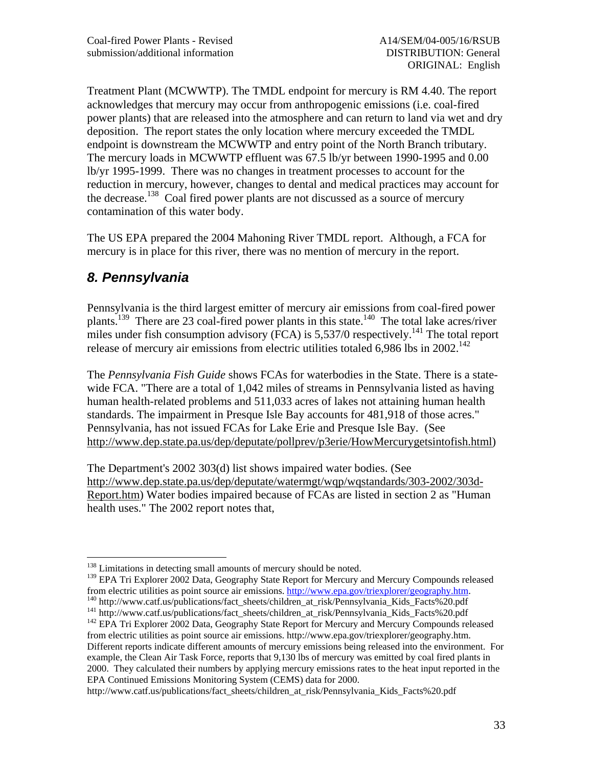Treatment Plant (MCWWTP). The TMDL endpoint for mercury is RM 4.40. The report acknowledges that mercury may occur from anthropogenic emissions (i.e. coal-fired power plants) that are released into the atmosphere and can return to land via wet and dry deposition. The report states the only location where mercury exceeded the TMDL endpoint is downstream the MCWWTP and entry point of the North Branch tributary. The mercury loads in MCWWTP effluent was 67.5 lb/yr between 1990-1995 and 0.00 lb/yr 1995-1999. There was no changes in treatment processes to account for the reduction in mercury, however, changes to dental and medical practices may account for the decrease.<sup>138</sup> Coal fired power plants are not discussed as a source of mercury contamination of this water body.

The US EPA prepared the 2004 Mahoning River TMDL report. Although, a FCA for mercury is in place for this river, there was no mention of mercury in the report.

# *8. Pennsylvania*

Pennsylvania is the third largest emitter of mercury air emissions from coal-fired power plants.<sup>139</sup> There are 23 coal-fired power plants in this state.<sup>140</sup> The total lake acres/river miles under fish consumption advisory  $\overline{(FCA)}$  is 5,537/0 respectively.<sup>141</sup> The total report release of mercury air emissions from electric utilities totaled 6,986 lbs in  $2002$ <sup>142</sup>

The *Pennsylvania Fish Guide* shows FCAs for waterbodies in the State. There is a statewide FCA. "There are a total of 1,042 miles of streams in Pennsylvania listed as having human health-related problems and 511,033 acres of lakes not attaining human health standards. The impairment in Presque Isle Bay accounts for 481,918 of those acres." Pennsylvania, has not issued FCAs for Lake Erie and Presque Isle Bay. (See http://www.dep.state.pa.us/dep/deputate/pollprev/p3erie/HowMercurygetsintofish.html)

The Department's 2002 303(d) list shows impaired water bodies. (See http://www.dep.state.pa.us/dep/deputate/watermgt/wqp/wqstandards/303-2002/303d-Report.htm) Water bodies impaired because of FCAs are listed in section 2 as "Human health uses." The 2002 report notes that,

 $\overline{a}$ <sup>138</sup> Limitations in detecting small amounts of mercury should be noted.

<sup>&</sup>lt;sup>139</sup> EPA Tri Explorer 2002 Data, Geography State Report for Mercury and Mercury Compounds released from electric utilities as point source air emissions.  $\frac{http://www.epa.gov/triexplore/geography.htm}{http://www.epa.gov/triexplore/geography.htm}$ .

<sup>&</sup>lt;sup>140</sup> http://www.catf.us/publications/fact\_sheets/children\_at\_risk/Pennsylvania\_Kids\_Facts%20.pdf<br><sup>141</sup> http://www.catf.us/publications/fact\_sheets/children\_at\_risk/Pennsylvania\_Kids\_Facts%20.pdf<br><sup>142</sup> EPA Tri Explorer 200

from electric utilities as point source air emissions. http://www.epa.gov/triexplorer/geography.htm. Different reports indicate different amounts of mercury emissions being released into the environment. For example, the Clean Air Task Force, reports that 9,130 lbs of mercury was emitted by coal fired plants in 2000. They calculated their numbers by applying mercury emissions rates to the heat input reported in the EPA Continued Emissions Monitoring System (CEMS) data for 2000.

http://www.catf.us/publications/fact\_sheets/children\_at\_risk/Pennsylvania\_Kids\_Facts%20.pdf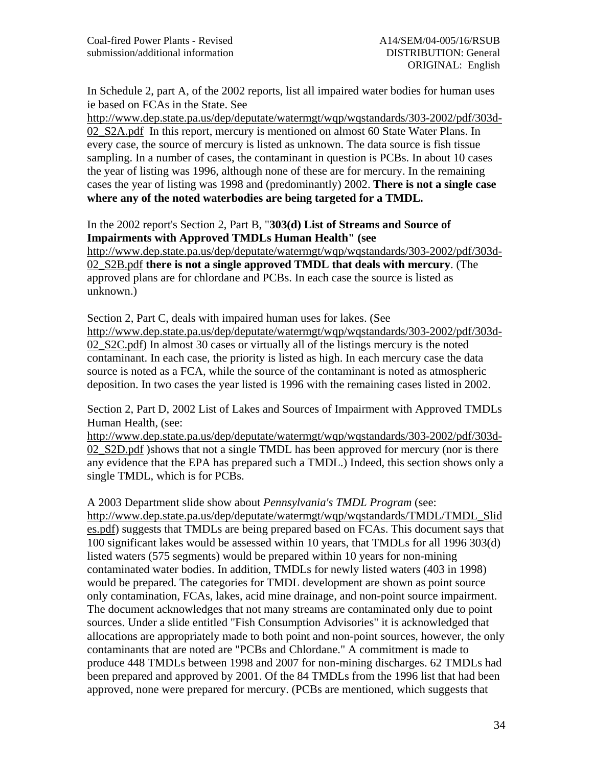In Schedule 2, part A, of the 2002 reports, list all impaired water bodies for human uses ie based on FCAs in the State. See

http://www.dep.state.pa.us/dep/deputate/watermgt/wqp/wqstandards/303-2002/pdf/303d-02\_S2A.pdf In this report, mercury is mentioned on almost 60 State Water Plans. In every case, the source of mercury is listed as unknown. The data source is fish tissue sampling. In a number of cases, the contaminant in question is PCBs. In about 10 cases the year of listing was 1996, although none of these are for mercury. In the remaining cases the year of listing was 1998 and (predominantly) 2002. **There is not a single case where any of the noted waterbodies are being targeted for a TMDL.**

#### In the 2002 report's Section 2, Part B, "**303(d) List of Streams and Source of Impairments with Approved TMDLs Human Health" (see**

http://www.dep.state.pa.us/dep/deputate/watermgt/wqp/wqstandards/303-2002/pdf/303d-02\_S2B.pdf **there is not a single approved TMDL that deals with mercury**. (The approved plans are for chlordane and PCBs. In each case the source is listed as unknown.)

Section 2, Part C, deals with impaired human uses for lakes. (See http://www.dep.state.pa.us/dep/deputate/watermgt/wqp/wqstandards/303-2002/pdf/303d-02\_S2C.pdf) In almost 30 cases or virtually all of the listings mercury is the noted contaminant. In each case, the priority is listed as high. In each mercury case the data source is noted as a FCA, while the source of the contaminant is noted as atmospheric deposition. In two cases the year listed is 1996 with the remaining cases listed in 2002.

Section 2, Part D, 2002 List of Lakes and Sources of Impairment with Approved TMDLs Human Health, (see:

http://www.dep.state.pa.us/dep/deputate/watermgt/wqp/wqstandards/303-2002/pdf/303d-02 S2D.pdf )shows that not a single TMDL has been approved for mercury (nor is there any evidence that the EPA has prepared such a TMDL.) Indeed, this section shows only a single TMDL, which is for PCBs.

A 2003 Department slide show about *Pennsylvania's TMDL Program* (see: http://www.dep.state.pa.us/dep/deputate/watermgt/wqp/wqstandards/TMDL/TMDL\_Slid es.pdf) suggests that TMDLs are being prepared based on FCAs. This document says that 100 significant lakes would be assessed within 10 years, that TMDLs for all 1996 303(d) listed waters (575 segments) would be prepared within 10 years for non-mining contaminated water bodies. In addition, TMDLs for newly listed waters (403 in 1998) would be prepared. The categories for TMDL development are shown as point source only contamination, FCAs, lakes, acid mine drainage, and non-point source impairment. The document acknowledges that not many streams are contaminated only due to point sources. Under a slide entitled "Fish Consumption Advisories" it is acknowledged that allocations are appropriately made to both point and non-point sources, however, the only contaminants that are noted are "PCBs and Chlordane." A commitment is made to produce 448 TMDLs between 1998 and 2007 for non-mining discharges. 62 TMDLs had been prepared and approved by 2001. Of the 84 TMDLs from the 1996 list that had been approved, none were prepared for mercury. (PCBs are mentioned, which suggests that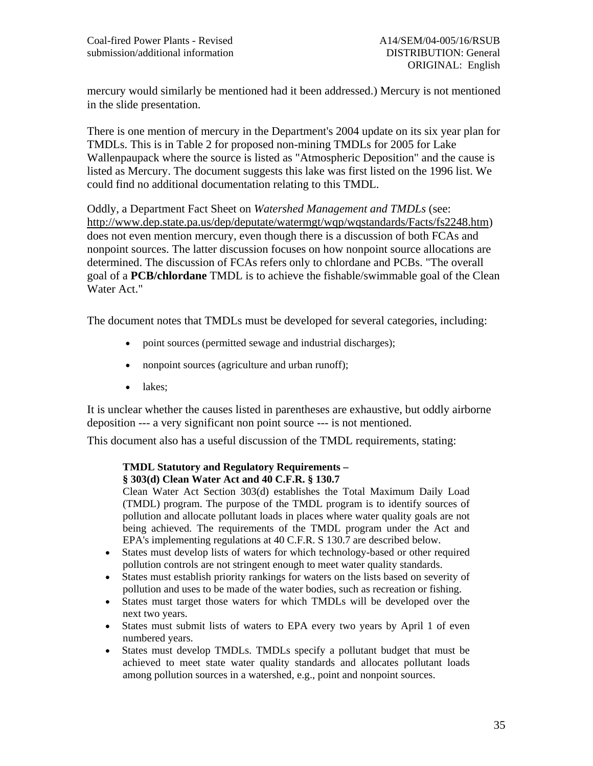mercury would similarly be mentioned had it been addressed.) Mercury is not mentioned in the slide presentation.

There is one mention of mercury in the Department's 2004 update on its six year plan for TMDLs. This is in Table 2 for proposed non-mining TMDLs for 2005 for Lake Wallenpaupack where the source is listed as "Atmospheric Deposition" and the cause is listed as Mercury. The document suggests this lake was first listed on the 1996 list. We could find no additional documentation relating to this TMDL.

Oddly, a Department Fact Sheet on *Watershed Management and TMDLs* (see: http://www.dep.state.pa.us/dep/deputate/watermgt/wqp/wqstandards/Facts/fs2248.htm) does not even mention mercury, even though there is a discussion of both FCAs and nonpoint sources. The latter discussion focuses on how nonpoint source allocations are determined. The discussion of FCAs refers only to chlordane and PCBs. "The overall goal of a **PCB/chlordane** TMDL is to achieve the fishable/swimmable goal of the Clean Water Act."

The document notes that TMDLs must be developed for several categories, including:

- point sources (permitted sewage and industrial discharges);
- nonpoint sources (agriculture and urban runoff);
- lakes;

It is unclear whether the causes listed in parentheses are exhaustive, but oddly airborne deposition --- a very significant non point source --- is not mentioned.

This document also has a useful discussion of the TMDL requirements, stating:

## **TMDL Statutory and Regulatory Requirements –**

**§ 303(d) Clean Water Act and 40 C.F.R. § 130.7** 

Clean Water Act Section 303(d) establishes the Total Maximum Daily Load (TMDL) program. The purpose of the TMDL program is to identify sources of pollution and allocate pollutant loads in places where water quality goals are not being achieved. The requirements of the TMDL program under the Act and EPA's implementing regulations at 40 C.F.R. S 130.7 are described below.

- States must develop lists of waters for which technology-based or other required pollution controls are not stringent enough to meet water quality standards.
- States must establish priority rankings for waters on the lists based on severity of pollution and uses to be made of the water bodies, such as recreation or fishing.
- States must target those waters for which TMDLs will be developed over the next two years.
- States must submit lists of waters to EPA every two years by April 1 of even numbered years.
- States must develop TMDLs. TMDLs specify a pollutant budget that must be achieved to meet state water quality standards and allocates pollutant loads among pollution sources in a watershed, e.g., point and nonpoint sources.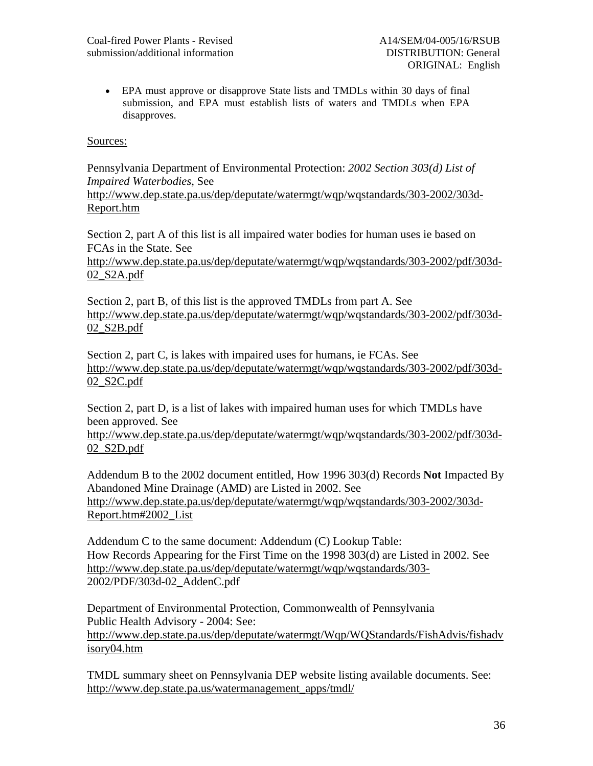• EPA must approve or disapprove State lists and TMDLs within 30 days of final submission, and EPA must establish lists of waters and TMDLs when EPA disapproves.

#### Sources:

Pennsylvania Department of Environmental Protection: *2002 Section 303(d) List of Impaired Waterbodies*, See

http://www.dep.state.pa.us/dep/deputate/watermgt/wqp/wqstandards/303-2002/303d-Report.htm

Section 2, part A of this list is all impaired water bodies for human uses ie based on FCAs in the State. See

http://www.dep.state.pa.us/dep/deputate/watermgt/wqp/wqstandards/303-2002/pdf/303d-02\_S2A.pdf

Section 2, part B, of this list is the approved TMDLs from part A. See http://www.dep.state.pa.us/dep/deputate/watermgt/wqp/wqstandards/303-2002/pdf/303d-02\_S2B.pdf

Section 2, part C, is lakes with impaired uses for humans, ie FCAs. See http://www.dep.state.pa.us/dep/deputate/watermgt/wqp/wqstandards/303-2002/pdf/303d-02\_S2C.pdf

Section 2, part D, is a list of lakes with impaired human uses for which TMDLs have been approved. See

http://www.dep.state.pa.us/dep/deputate/watermgt/wqp/wqstandards/303-2002/pdf/303d-02\_S2D.pdf

Addendum B to the 2002 document entitled, How 1996 303(d) Records **Not** Impacted By Abandoned Mine Drainage (AMD) are Listed in 2002. See http://www.dep.state.pa.us/dep/deputate/watermgt/wqp/wqstandards/303-2002/303d-Report.htm#2002\_List

Addendum C to the same document: Addendum (C) Lookup Table: How Records Appearing for the First Time on the 1998 303(d) are Listed in 2002. See http://www.dep.state.pa.us/dep/deputate/watermgt/wqp/wqstandards/303- 2002/PDF/303d-02\_AddenC.pdf

Department of Environmental Protection, Commonwealth of Pennsylvania Public Health Advisory - 2004: See: http://www.dep.state.pa.us/dep/deputate/watermgt/Wqp/WQStandards/FishAdvis/fishadv isory04.htm

TMDL summary sheet on Pennsylvania DEP website listing available documents. See: http://www.dep.state.pa.us/watermanagement\_apps/tmdl/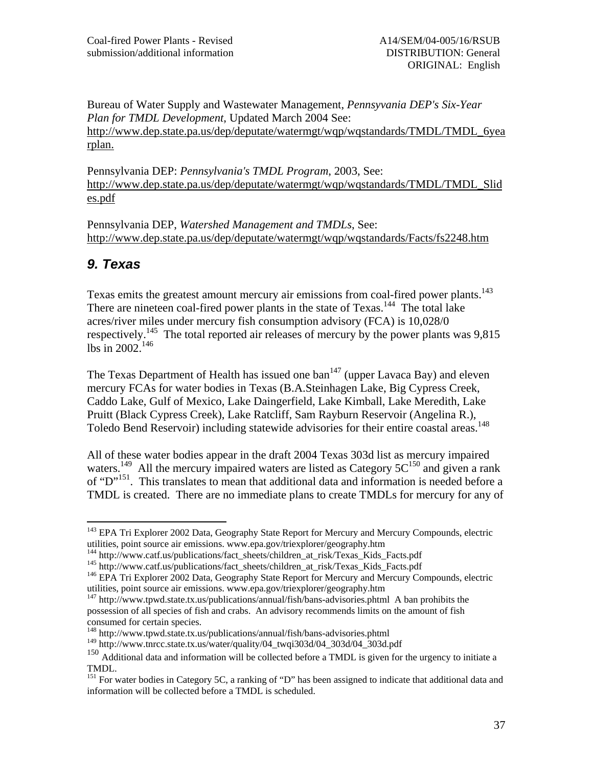Bureau of Water Supply and Wastewater Management, *Pennsyvania DEP's Six-Year Plan for TMDL Development*, Updated March 2004 See: http://www.dep.state.pa.us/dep/deputate/watermgt/wqp/wqstandards/TMDL/TMDL\_6yea rplan.

Pennsylvania DEP: *Pennsylvania's TMDL Program*, 2003, See: http://www.dep.state.pa.us/dep/deputate/watermgt/wqp/wqstandards/TMDL/TMDL\_Slid es.pdf

Pennsylvania DEP, *Watershed Management and TMDLs*, See: http://www.dep.state.pa.us/dep/deputate/watermgt/wqp/wqstandards/Facts/fs2248.htm

### *9. Texas*

 $\overline{a}$ 

Texas emits the greatest amount mercury air emissions from coal-fired power plants.<sup>143</sup> There are nineteen coal-fired power plants in the state of Texas.<sup>144</sup> The total lake acres/river miles under mercury fish consumption advisory (FCA) is 10,028/0 respectively.145 The total reported air releases of mercury by the power plants was 9,815 lbs in 2002.146

The Texas Department of Health has issued one  $ban<sup>147</sup>$  (upper Lavaca Bay) and eleven mercury FCAs for water bodies in Texas (B.A.Steinhagen Lake, Big Cypress Creek, Caddo Lake, Gulf of Mexico, Lake Daingerfield, Lake Kimball, Lake Meredith, Lake Pruitt (Black Cypress Creek), Lake Ratcliff, Sam Rayburn Reservoir (Angelina R.), Toledo Bend Reservoir) including statewide advisories for their entire coastal areas.<sup>148</sup>

All of these water bodies appear in the draft 2004 Texas 303d list as mercury impaired waters.<sup>149</sup> All the mercury impaired waters are listed as Category  $5C^{150}$  and given a rank of "D"151. This translates to mean that additional data and information is needed before a TMDL is created. There are no immediate plans to create TMDLs for mercury for any of

<sup>&</sup>lt;sup>143</sup> EPA Tri Explorer 2002 Data, Geography State Report for Mercury and Mercury Compounds, electric utilities, point source air emissions. www.epa.gov/triexplorer/geography.htm<br>
<sup>144</sup> http://www.catf.us/publications/fact\_sheets/children\_at\_risk/Texas\_Kids\_Facts.pdf<br>
<sup>145</sup> http://www.catf.us/publications/fact\_sheets/child

utilities, point source air emissions. www.epa.gov/triexplorer/geography.htm 147 http://www.tpwd.state.tx.us/publications/annual/fish/bans-advisories.phtml A ban prohibits the

possession of all species of fish and crabs. An advisory recommends limits on the amount of fish consumed for certain species.

<sup>148</sup> http://www.tpwd.state.tx.us/publications/annual/fish/bans-advisories.phtml

<sup>&</sup>lt;sup>149</sup> http://www.tnrcc.state.tx.us/water/quality/04\_twqi303d/04\_303d/04\_303d.pdf

<sup>&</sup>lt;sup>150</sup> Additional data and information will be collected before a TMDL is given for the urgency to initiate a TMDL.

<sup>&</sup>lt;sup>151</sup> For water bodies in Category 5C, a ranking of "D" has been assigned to indicate that additional data and information will be collected before a TMDL is scheduled.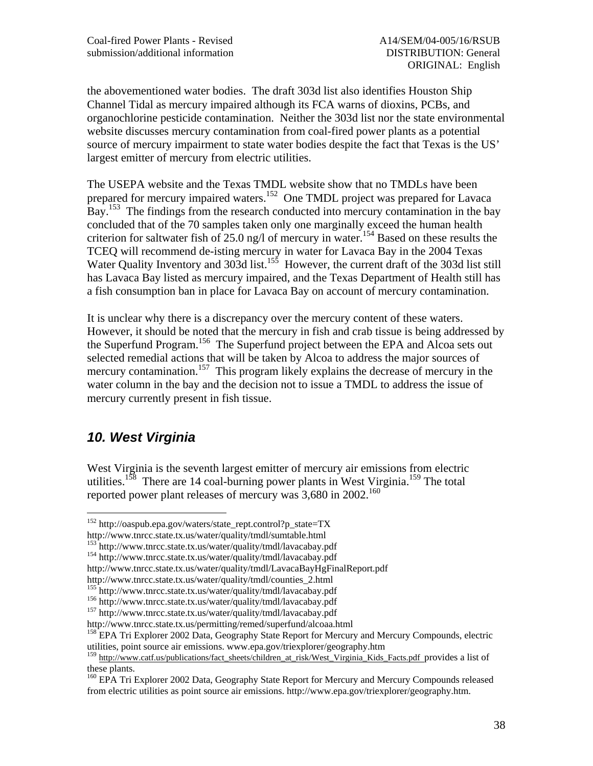the abovementioned water bodies. The draft 303d list also identifies Houston Ship Channel Tidal as mercury impaired although its FCA warns of dioxins, PCBs, and organochlorine pesticide contamination. Neither the 303d list nor the state environmental website discusses mercury contamination from coal-fired power plants as a potential source of mercury impairment to state water bodies despite the fact that Texas is the US' largest emitter of mercury from electric utilities.

The USEPA website and the Texas TMDL website show that no TMDLs have been prepared for mercury impaired waters.<sup>152</sup> One TMDL project was prepared for Lavaca Bay.<sup>153</sup> The findings from the research conducted into mercury contamination in the bay concluded that of the 70 samples taken only one marginally exceed the human health criterion for saltwater fish of 25.0 ng/l of mercury in water.<sup>154</sup> Based on these results the TCEQ will recommend de-isting mercury in water for Lavaca Bay in the 2004 Texas Water Quality Inventory and 303d list.<sup>155</sup> However, the current draft of the 303d list still has Lavaca Bay listed as mercury impaired, and the Texas Department of Health still has a fish consumption ban in place for Lavaca Bay on account of mercury contamination.

It is unclear why there is a discrepancy over the mercury content of these waters. However, it should be noted that the mercury in fish and crab tissue is being addressed by the Superfund Program.156 The Superfund project between the EPA and Alcoa sets out selected remedial actions that will be taken by Alcoa to address the major sources of mercury contamination.<sup>157</sup> This program likely explains the decrease of mercury in the water column in the bay and the decision not to issue a TMDL to address the issue of mercury currently present in fish tissue.

## *10. West Virginia*

 $\overline{a}$ 

West Virginia is the seventh largest emitter of mercury air emissions from electric utilities.<sup>158</sup> There are 14 coal-burning power plants in West Virginia.<sup>159</sup> The total reported power plant releases of mercury was  $3{,}680$  in  $2002$ <sup>160</sup>

http://www.tnrcc.state.tx.us/water/quality/tmdl/LavacaBayHgFinalReport.pdf

<sup>152</sup> http://oaspub.epa.gov/waters/state\_rept.control?p\_state=TX

http://www.tnrcc.state.tx.us/water/quality/tmdl/sumtable.html<br>
<sup>153</sup> http://www.tnrcc.state.tx.us/water/quality/tmdl/lavacabay.pdf<br>
<sup>154</sup> http://www.tnrcc.state.tx.us/water/quality/tmdl/lavacabay.pdf

http://www.tnrcc.state.tx.us/water/quality/tmdl/counties\_2.html

<sup>155</sup> http://www.tnrcc.state.tx.us/water/quality/tmdl/lavacabay.pdf 156 http://www.tnrcc.state.tx.us/water/quality/tmdl/lavacabay.pdf 157 http://www.tnrcc.state.tx.us/water/quality/tmdl/lavacabay.pdf

http://www.tnrcc.state.tx.us/permitting/remed/superfund/alcoaa.html

<sup>&</sup>lt;sup>158</sup> EPA Tri Explorer 2002 Data, Geography State Report for Mercury and Mercury Compounds, electric utilities, point source air emissions. www.epa.gov/triexplorer/geography.htm

<sup>&</sup>lt;sup>159</sup> http://www.catf.us/publications/fact\_sheets/children\_at\_risk/West\_Virginia\_Kids\_Facts.pdf provides a list of these plants.

<sup>&</sup>lt;sup>160</sup> EPA Tri Explorer 2002 Data, Geography State Report for Mercury and Mercury Compounds released from electric utilities as point source air emissions. http://www.epa.gov/triexplorer/geography.htm.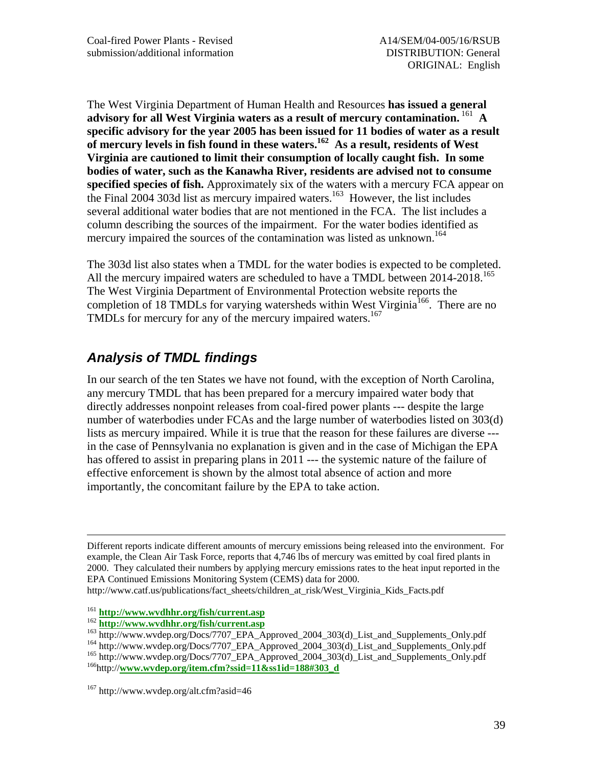The West Virginia Department of Human Health and Resources **has issued a general advisory for all West Virginia waters as a result of mercury contamination.**<sup>161</sup> **A specific advisory for the year 2005 has been issued for 11 bodies of water as a result of mercury levels in fish found in these waters.162 As a result, residents of West Virginia are cautioned to limit their consumption of locally caught fish. In some bodies of water, such as the Kanawha River, residents are advised not to consume specified species of fish.** Approximately six of the waters with a mercury FCA appear on the Final 2004 303d list as mercury impaired waters.<sup>163</sup> However, the list includes several additional water bodies that are not mentioned in the FCA. The list includes a column describing the sources of the impairment. For the water bodies identified as mercury impaired the sources of the contamination was listed as unknown.<sup>164</sup>

The 303d list also states when a TMDL for the water bodies is expected to be completed. All the mercury impaired waters are scheduled to have a TMDL between  $2014$ - $2018$ <sup> $165$ </sup> The West Virginia Department of Environmental Protection website reports the completion of 18 TMDLs for varying watersheds within West Virginia<sup>166</sup>. There are no TMDLs for mercury for any of the mercury impaired waters.<sup>167</sup>

## *Analysis of TMDL findings*

In our search of the ten States we have not found, with the exception of North Carolina, any mercury TMDL that has been prepared for a mercury impaired water body that directly addresses nonpoint releases from coal-fired power plants --- despite the large number of waterbodies under FCAs and the large number of waterbodies listed on 303(d) lists as mercury impaired. While it is true that the reason for these failures are diverse -- in the case of Pennsylvania no explanation is given and in the case of Michigan the EPA has offered to assist in preparing plans in 2011 --- the systemic nature of the failure of effective enforcement is shown by the almost total absence of action and more importantly, the concomitant failure by the EPA to take action.

 Different reports indicate different amounts of mercury emissions being released into the environment. For example, the Clean Air Task Force, reports that 4,746 lbs of mercury was emitted by coal fired plants in 2000. They calculated their numbers by applying mercury emissions rates to the heat input reported in the EPA Continued Emissions Monitoring System (CEMS) data for 2000.

http://www.catf.us/publications/fact\_sheets/children\_at\_risk/West\_Virginia\_Kids\_Facts.pdf

<sup>&</sup>lt;sup>161</sup><br>
162 **http://www.wvdhhr.org/fish/current.asp**<br>
162 **http://www.wvdhhr.org/fish/current.asp**<br>
163 http://www.wvdep.org/Docs/7707\_EPA\_Approved\_2004\_303(d)\_List\_and\_Supplements\_Only.pdf<br>
<sup>164</sup> http://www.wvdep.org/Docs/

<sup>167</sup> http://www.wvdep.org/alt.cfm?asid=46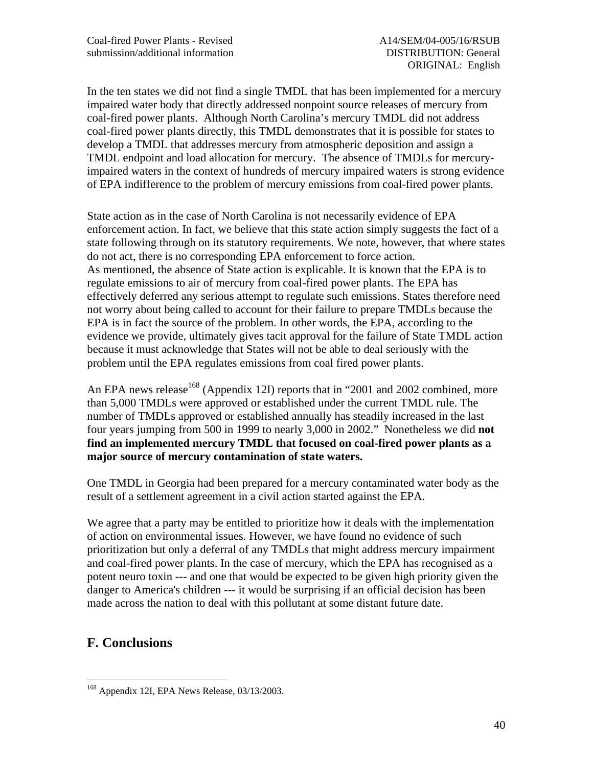In the ten states we did not find a single TMDL that has been implemented for a mercury impaired water body that directly addressed nonpoint source releases of mercury from coal-fired power plants. Although North Carolina's mercury TMDL did not address coal-fired power plants directly, this TMDL demonstrates that it is possible for states to develop a TMDL that addresses mercury from atmospheric deposition and assign a TMDL endpoint and load allocation for mercury. The absence of TMDLs for mercuryimpaired waters in the context of hundreds of mercury impaired waters is strong evidence of EPA indifference to the problem of mercury emissions from coal-fired power plants.

State action as in the case of North Carolina is not necessarily evidence of EPA enforcement action. In fact, we believe that this state action simply suggests the fact of a state following through on its statutory requirements. We note, however, that where states do not act, there is no corresponding EPA enforcement to force action. As mentioned, the absence of State action is explicable. It is known that the EPA is to regulate emissions to air of mercury from coal-fired power plants. The EPA has effectively deferred any serious attempt to regulate such emissions. States therefore need not worry about being called to account for their failure to prepare TMDLs because the EPA is in fact the source of the problem. In other words, the EPA, according to the evidence we provide, ultimately gives tacit approval for the failure of State TMDL action because it must acknowledge that States will not be able to deal seriously with the problem until the EPA regulates emissions from coal fired power plants.

An EPA news release<sup>168</sup> (Appendix 12I) reports that in "2001 and 2002 combined, more than 5,000 TMDLs were approved or established under the current TMDL rule. The number of TMDLs approved or established annually has steadily increased in the last four years jumping from 500 in 1999 to nearly 3,000 in 2002." Nonetheless we did **not find an implemented mercury TMDL that focused on coal-fired power plants as a major source of mercury contamination of state waters.** 

One TMDL in Georgia had been prepared for a mercury contaminated water body as the result of a settlement agreement in a civil action started against the EPA.

We agree that a party may be entitled to prioritize how it deals with the implementation of action on environmental issues. However, we have found no evidence of such prioritization but only a deferral of any TMDLs that might address mercury impairment and coal-fired power plants. In the case of mercury, which the EPA has recognised as a potent neuro toxin --- and one that would be expected to be given high priority given the danger to America's children --- it would be surprising if an official decision has been made across the nation to deal with this pollutant at some distant future date.

## **F. Conclusions**

 $\overline{a}$ 

<sup>&</sup>lt;sup>168</sup> Appendix 12I, EPA News Release, 03/13/2003.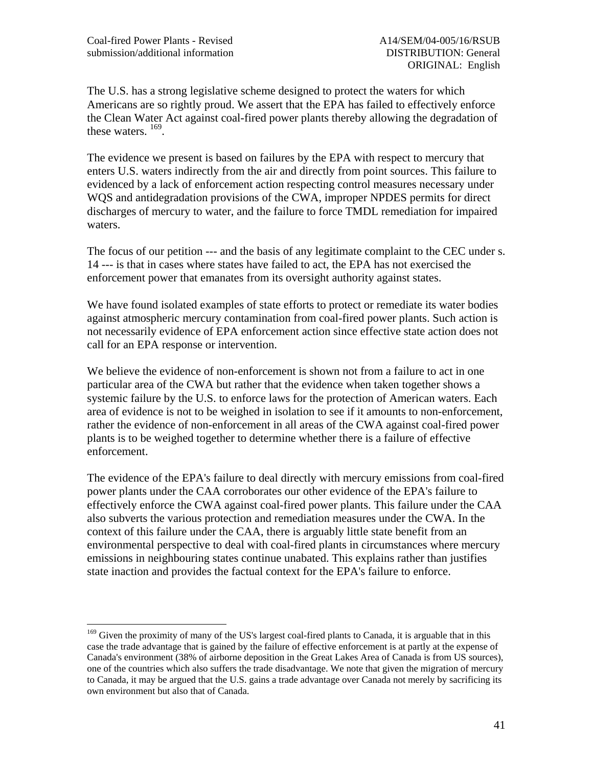$\overline{a}$ 

The U.S. has a strong legislative scheme designed to protect the waters for which Americans are so rightly proud. We assert that the EPA has failed to effectively enforce the Clean Water Act against coal-fired power plants thereby allowing the degradation of these waters.  $^{169}$ .

The evidence we present is based on failures by the EPA with respect to mercury that enters U.S. waters indirectly from the air and directly from point sources. This failure to evidenced by a lack of enforcement action respecting control measures necessary under WQS and antidegradation provisions of the CWA, improper NPDES permits for direct discharges of mercury to water, and the failure to force TMDL remediation for impaired waters.

The focus of our petition --- and the basis of any legitimate complaint to the CEC under s. 14 --- is that in cases where states have failed to act, the EPA has not exercised the enforcement power that emanates from its oversight authority against states.

We have found isolated examples of state efforts to protect or remediate its water bodies against atmospheric mercury contamination from coal-fired power plants. Such action is not necessarily evidence of EPA enforcement action since effective state action does not call for an EPA response or intervention.

We believe the evidence of non-enforcement is shown not from a failure to act in one particular area of the CWA but rather that the evidence when taken together shows a systemic failure by the U.S. to enforce laws for the protection of American waters. Each area of evidence is not to be weighed in isolation to see if it amounts to non-enforcement, rather the evidence of non-enforcement in all areas of the CWA against coal-fired power plants is to be weighed together to determine whether there is a failure of effective enforcement.

The evidence of the EPA's failure to deal directly with mercury emissions from coal-fired power plants under the CAA corroborates our other evidence of the EPA's failure to effectively enforce the CWA against coal-fired power plants. This failure under the CAA also subverts the various protection and remediation measures under the CWA. In the context of this failure under the CAA, there is arguably little state benefit from an environmental perspective to deal with coal-fired plants in circumstances where mercury emissions in neighbouring states continue unabated. This explains rather than justifies state inaction and provides the factual context for the EPA's failure to enforce.

<sup>&</sup>lt;sup>169</sup> Given the proximity of many of the US's largest coal-fired plants to Canada, it is arguable that in this case the trade advantage that is gained by the failure of effective enforcement is at partly at the expense of Canada's environment (38% of airborne deposition in the Great Lakes Area of Canada is from US sources), one of the countries which also suffers the trade disadvantage. We note that given the migration of mercury to Canada, it may be argued that the U.S. gains a trade advantage over Canada not merely by sacrificing its own environment but also that of Canada.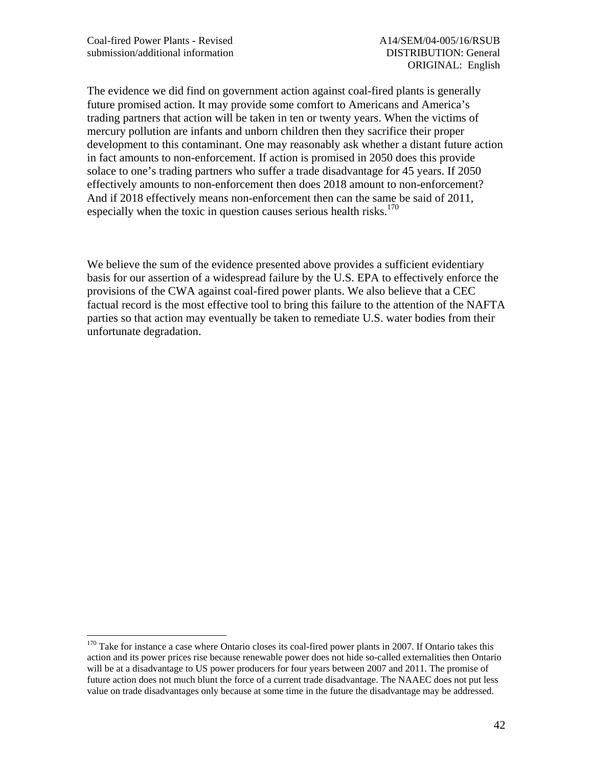$\overline{a}$ 

The evidence we did find on government action against coal-fired plants is generally future promised action. It may provide some comfort to Americans and America's trading partners that action will be taken in ten or twenty years. When the victims of mercury pollution are infants and unborn children then they sacrifice their proper development to this contaminant. One may reasonably ask whether a distant future action in fact amounts to non-enforcement. If action is promised in 2050 does this provide solace to one's trading partners who suffer a trade disadvantage for 45 years. If 2050 effectively amounts to non-enforcement then does 2018 amount to non-enforcement? And if 2018 effectively means non-enforcement then can the same be said of 2011, especially when the toxic in question causes serious health risks. $170$ 

We believe the sum of the evidence presented above provides a sufficient evidentiary basis for our assertion of a widespread failure by the U.S. EPA to effectively enforce the provisions of the CWA against coal-fired power plants. We also believe that a CEC factual record is the most effective tool to bring this failure to the attention of the NAFTA parties so that action may eventually be taken to remediate U.S. water bodies from their unfortunate degradation.

 $170$  Take for instance a case where Ontario closes its coal-fired power plants in 2007. If Ontario takes this action and its power prices rise because renewable power does not hide so-called externalities then Ontario will be at a disadvantage to US power producers for four years between 2007 and 2011. The promise of future action does not much blunt the force of a current trade disadvantage. The NAAEC does not put less value on trade disadvantages only because at some time in the future the disadvantage may be addressed.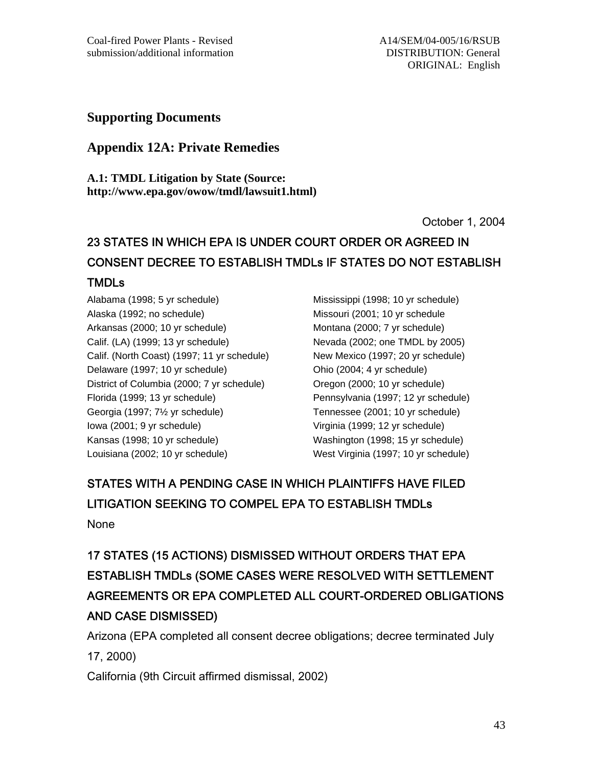### **Supporting Documents**

### **Appendix 12A: Private Remedies**

**A.1: TMDL Litigation by State (Source: http://www.epa.gov/owow/tmdl/lawsuit1.html)** 

October 1, 2004

## 23 STATES IN WHICH EPA IS UNDER COURT ORDER OR AGREED IN CONSENT DECREE TO ESTABLISH TMDLs IF STATES DO NOT ESTABLISH TMDLs

Alabama (1998; 5 yr schedule) Mississippi (1998; 10 yr schedule) Alaska (1992; no schedule) Missouri (2001; 10 yr schedule Arkansas (2000; 10 yr schedule) Montana (2000; 7 yr schedule) Calif. (LA) (1999; 13 yr schedule) Nevada (2002; one TMDL by 2005) Calif. (North Coast) (1997; 11 yr schedule) New Mexico (1997; 20 yr schedule) Delaware (1997; 10 yr schedule) Ohio (2004; 4 yr schedule) District of Columbia (2000; 7 yr schedule) Oregon (2000; 10 yr schedule) Florida (1999; 13 yr schedule) Pennsylvania (1997; 12 yr schedule) Georgia (1997; 7½ yr schedule) Tennessee (2001; 10 yr schedule) Iowa (2001; 9 yr schedule) Virginia (1999; 12 yr schedule) Kansas (1998; 10 yr schedule) Washington (1998; 15 yr schedule) Louisiana (2002; 10 yr schedule) West Virginia (1997; 10 yr schedule)

# STATES WITH A PENDING CASE IN WHICH PLAINTIFFS HAVE FILED LITIGATION SEEKING TO COMPEL EPA TO ESTABLISH TMDLs

None

# 17 STATES (15 ACTIONS) DISMISSED WITHOUT ORDERS THAT EPA ESTABLISH TMDLs (SOME CASES WERE RESOLVED WITH SETTLEMENT AGREEMENTS OR EPA COMPLETED ALL COURT-ORDERED OBLIGATIONS AND CASE DISMISSED)

Arizona (EPA completed all consent decree obligations; decree terminated July 17, 2000)

California (9th Circuit affirmed dismissal, 2002)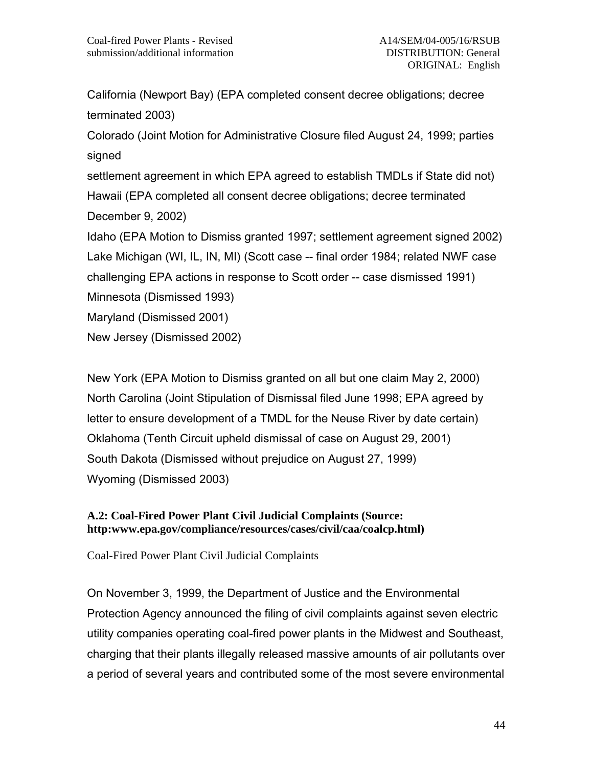California (Newport Bay) (EPA completed consent decree obligations; decree terminated 2003)

Colorado (Joint Motion for Administrative Closure filed August 24, 1999; parties signed

settlement agreement in which EPA agreed to establish TMDLs if State did not) Hawaii (EPA completed all consent decree obligations; decree terminated December 9, 2002)

Idaho (EPA Motion to Dismiss granted 1997; settlement agreement signed 2002) Lake Michigan (WI, IL, IN, MI) (Scott case -- final order 1984; related NWF case challenging EPA actions in response to Scott order -- case dismissed 1991) Minnesota (Dismissed 1993)

Maryland (Dismissed 2001)

New Jersey (Dismissed 2002)

New York (EPA Motion to Dismiss granted on all but one claim May 2, 2000) North Carolina (Joint Stipulation of Dismissal filed June 1998; EPA agreed by letter to ensure development of a TMDL for the Neuse River by date certain) Oklahoma (Tenth Circuit upheld dismissal of case on August 29, 2001) South Dakota (Dismissed without prejudice on August 27, 1999) Wyoming (Dismissed 2003)

### **A.2: Coal-Fired Power Plant Civil Judicial Complaints (Source: http:www.epa.gov/compliance/resources/cases/civil/caa/coalcp.html)**

Coal-Fired Power Plant Civil Judicial Complaints

On November 3, 1999, the Department of Justice and the Environmental Protection Agency announced the filing of civil complaints against seven electric utility companies operating coal-fired power plants in the Midwest and Southeast, charging that their plants illegally released massive amounts of air pollutants over a period of several years and contributed some of the most severe environmental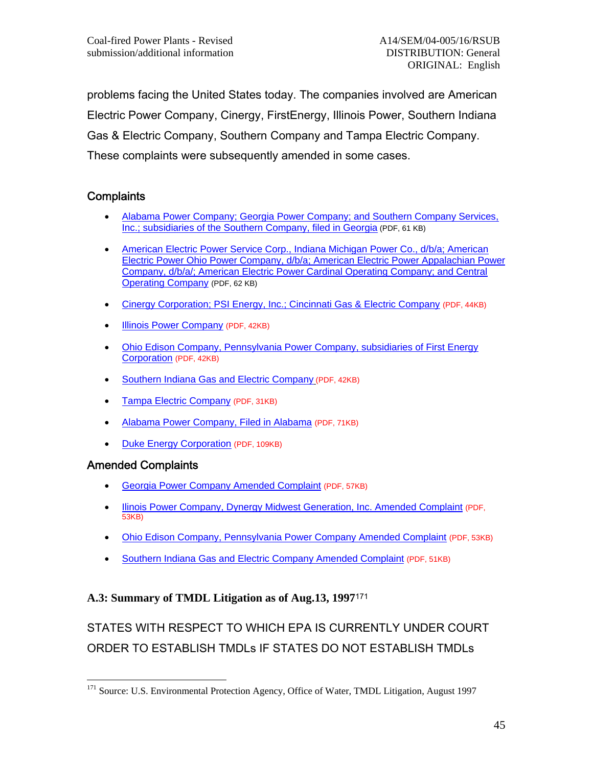problems facing the United States today. The companies involved are American Electric Power Company, Cinergy, FirstEnergy, Illinois Power, Southern Indiana Gas & Electric Company, Southern Company and Tampa Electric Company. These complaints were subsequently amended in some cases.

### **Complaints**

- Alabama Power Company; Georgia Power Company; and Southern Company Services, Inc.; subsidiaries of the Southern Company, filed in Georgia (PDF, 61 KB)
- American Electric Power Service Corp., Indiana Michigan Power Co., d/b/a; American Electric Power Ohio Power Company, d/b/a; American Electric Power Appalachian Power Company, d/b/a/; American Electric Power Cardinal Operating Company; and Central Operating Company (PDF, 62 KB)
- Cinergy Corporation; PSI Energy, Inc.; Cincinnati Gas & Electric Company (PDF, 44KB)
- **Illinois Power Company (PDF, 42KB)**
- Ohio Edison Company, Pennsylvania Power Company, subsidiaries of First Energy Corporation (PDF, 42KB)
- Southern Indiana Gas and Electric Company (PDF, 42KB)
- Tampa Electric Company (PDF, 31KB)
- Alabama Power Company, Filed in Alabama (PDF, 71KB)
- Duke Energy Corporation (PDF, 109KB)

#### Amended Complaints

 $\overline{a}$ 

- Georgia Power Company Amended Complaint (PDF, 57KB)
- Ilinois Power Company, Dynergy Midwest Generation, Inc. Amended Complaint (PDF, 53KB)
- Ohio Edison Company, Pennsylvania Power Company Amended Complaint (PDF, 53KB)
- Southern Indiana Gas and Electric Company Amended Complaint (PDF, 51KB)

#### **A.3: Summary of TMDL Litigation as of Aug.13, 1997**<sup>171</sup>

STATES WITH RESPECT TO WHICH EPA IS CURRENTLY UNDER COURT ORDER TO ESTABLISH TMDLs IF STATES DO NOT ESTABLISH TMDLs

<sup>&</sup>lt;sup>171</sup> Source: U.S. Environmental Protection Agency, Office of Water, TMDL Litigation, August 1997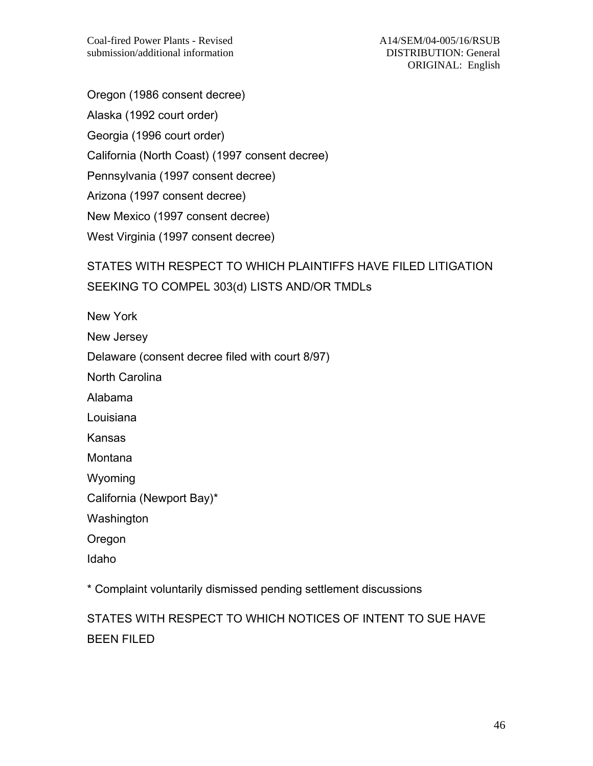Oregon (1986 consent decree) Alaska (1992 court order) Georgia (1996 court order) California (North Coast) (1997 consent decree) Pennsylvania (1997 consent decree) Arizona (1997 consent decree) New Mexico (1997 consent decree) West Virginia (1997 consent decree)

## STATES WITH RESPECT TO WHICH PLAINTIFFS HAVE FILED LITIGATION SEEKING TO COMPEL 303(d) LISTS AND/OR TMDLs

New York

New Jersey

Delaware (consent decree filed with court 8/97)

North Carolina

Alabama

Louisiana

Kansas

Montana

Wyoming

California (Newport Bay)\*

Washington

**Oregon** 

Idaho

\* Complaint voluntarily dismissed pending settlement discussions

STATES WITH RESPECT TO WHICH NOTICES OF INTENT TO SUE HAVE BEEN FILED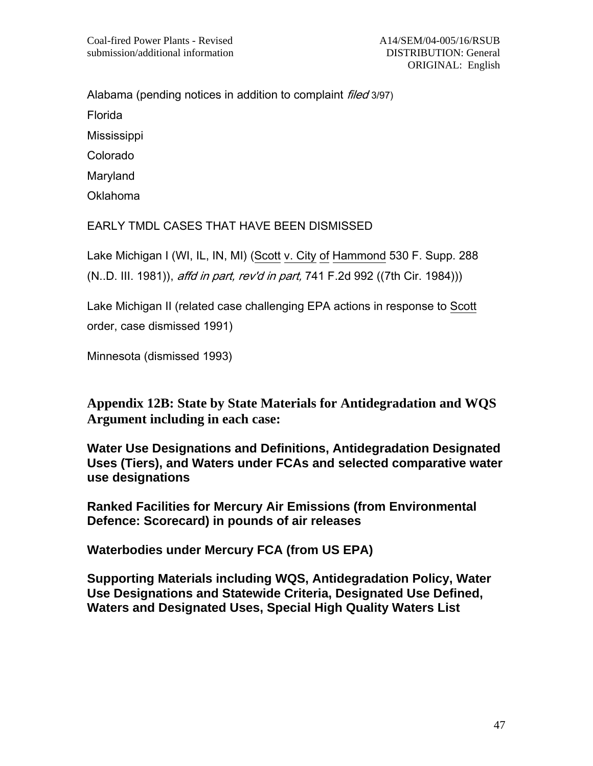Alabama (pending notices in addition to complaint *filed* 3/97)

Florida

**Mississippi** 

Colorado

Maryland

Oklahoma

EARLY TMDL CASES THAT HAVE BEEN DISMISSED

Lake Michigan I (WI, IL, IN, MI) (Scott v. City of Hammond 530 F. Supp. 288 (N..D. III. 1981)), affd in part, rev'd in part, 741 F.2d 992 ((7th Cir. 1984)))

Lake Michigan II (related case challenging EPA actions in response to Scott order, case dismissed 1991)

Minnesota (dismissed 1993)

**Appendix 12B: State by State Materials for Antidegradation and WQS Argument including in each case:** 

**Water Use Designations and Definitions, Antidegradation Designated Uses (Tiers), and Waters under FCAs and selected comparative water use designations** 

**Ranked Facilities for Mercury Air Emissions (from Environmental Defence: Scorecard) in pounds of air releases** 

**Waterbodies under Mercury FCA (from US EPA)** 

**Supporting Materials including WQS, Antidegradation Policy, Water Use Designations and Statewide Criteria, Designated Use Defined, Waters and Designated Uses, Special High Quality Waters List**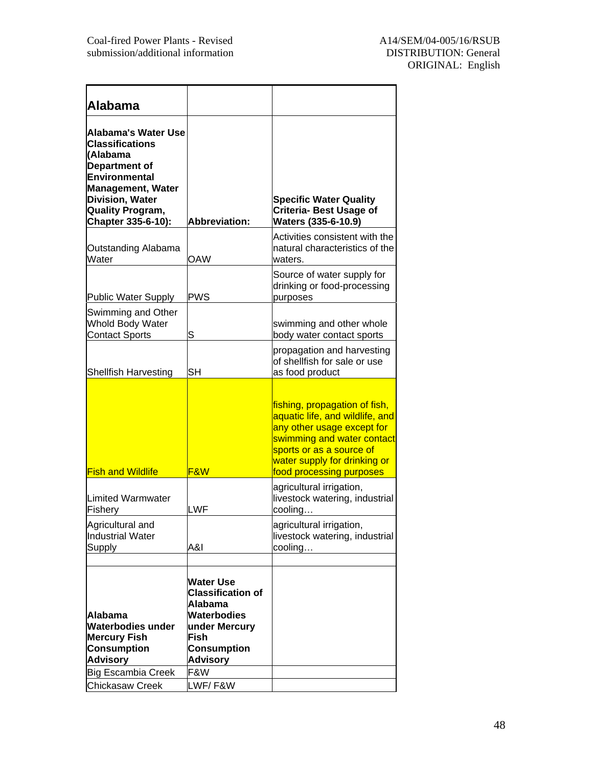L,

| <b>Alabama</b>                                                                                                                                                                                                          |                                                                                                                                                                      |                                                                                                                                                                                                                      |
|-------------------------------------------------------------------------------------------------------------------------------------------------------------------------------------------------------------------------|----------------------------------------------------------------------------------------------------------------------------------------------------------------------|----------------------------------------------------------------------------------------------------------------------------------------------------------------------------------------------------------------------|
| <b>Alabama's Water Use</b><br><b>Classifications</b><br>(Alabama<br><b>Department of</b><br>Environmental<br><b>Management, Water</b><br><b>Division, Water</b><br><b>Quality Program,</b><br><b>Chapter 335-6-10):</b> | <b>Abbreviation:</b>                                                                                                                                                 | <b>Specific Water Quality</b><br>Criteria- Best Usage of<br>Waters (335-6-10.9)                                                                                                                                      |
| Outstanding Alabama<br>Water                                                                                                                                                                                            | OAW                                                                                                                                                                  | Activities consistent with the<br>natural characteristics of the<br>waters.                                                                                                                                          |
| <b>Public Water Supply</b>                                                                                                                                                                                              | <b>PWS</b>                                                                                                                                                           | Source of water supply for<br>drinking or food-processing<br>purposes                                                                                                                                                |
| Swimming and Other<br><b>Whold Body Water</b><br><b>Contact Sports</b>                                                                                                                                                  | S                                                                                                                                                                    | swimming and other whole<br>body water contact sports                                                                                                                                                                |
| <b>Shellfish Harvesting</b>                                                                                                                                                                                             | SH                                                                                                                                                                   | propagation and harvesting<br>of shellfish for sale or use<br>as food product                                                                                                                                        |
| <b>Fish and Wildlife</b>                                                                                                                                                                                                | F&W                                                                                                                                                                  | fishing, propagation of fish,<br>aquatic life, and wildlife, and<br>any other usage except for<br>swimming and water contact<br>sports or as a source of<br>water supply for drinking or<br>food processing purposes |
| <b>Limited Warmwater</b><br><b>Fishery</b>                                                                                                                                                                              | <b>LWF</b>                                                                                                                                                           | agricultural irrigation,<br>livestock watering, industrial<br>cooling                                                                                                                                                |
| Agricultural and<br><b>Industrial Water</b><br>Supply                                                                                                                                                                   | 1&A                                                                                                                                                                  | agricultural irrigation,<br>livestock watering, industrial<br>cooling                                                                                                                                                |
| <b>IAlabama</b><br>Waterbodies under<br><b>Mercury Fish</b><br><b>Consumption</b><br><b>Advisory</b><br><b>Big Escambia Creek</b>                                                                                       | <b>Water Use</b><br><b>Classification of</b><br><b>Alabama</b><br><b>Waterbodies</b><br>under Mercury<br><b>Fish</b><br><b>Consumption</b><br><b>Advisory</b><br>F&W |                                                                                                                                                                                                                      |
| <b>Chickasaw Creek</b>                                                                                                                                                                                                  | LWF/F&W                                                                                                                                                              |                                                                                                                                                                                                                      |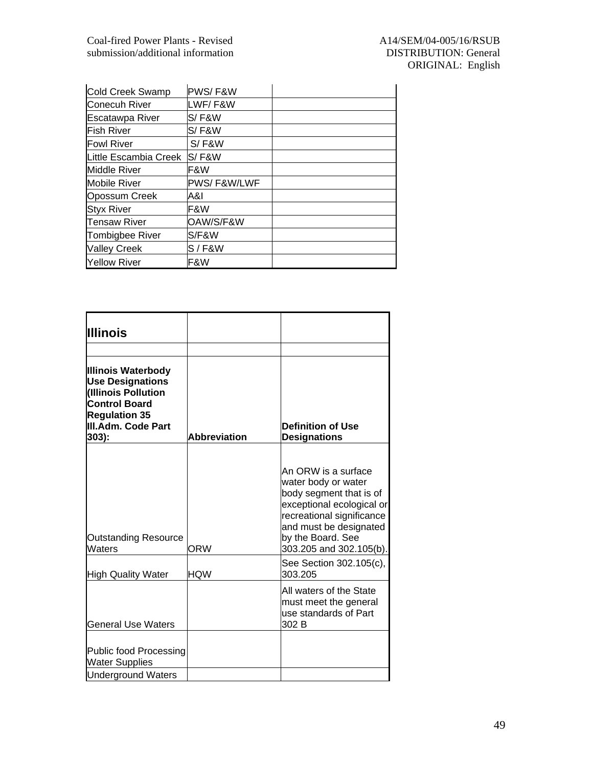| <b>Cold Creek Swamp</b> | PWS/F&W          |  |
|-------------------------|------------------|--|
| <b>Conecuh River</b>    | LWF/F&W          |  |
| <b>Escatawpa River</b>  | <b>S/F&amp;W</b> |  |
| <b>Fish River</b>       | <b>S/F&amp;W</b> |  |
| <b>Fowl River</b>       | <b>S/F&amp;W</b> |  |
| Little Escambia Creek   | <b>S/F&amp;W</b> |  |
| <b>Middle River</b>     | F&W              |  |
| <b>Mobile River</b>     | PWS/F&W/LWF      |  |
| <b>Opossum Creek</b>    | A&I              |  |
| <b>Styx River</b>       | F&W              |  |
| <b>Tensaw River</b>     | OAW/S/F&W        |  |
| <b>Tombigbee River</b>  | S/F&W            |  |
| <b>Valley Creek</b>     | <b>S/F&amp;W</b> |  |
| <b>Yellow River</b>     | F&W              |  |

| <b>Illinois</b>                                                                                                                                              |                     |                                                                                                                                                                                                           |
|--------------------------------------------------------------------------------------------------------------------------------------------------------------|---------------------|-----------------------------------------------------------------------------------------------------------------------------------------------------------------------------------------------------------|
| <b>Illinois Waterbody</b><br><b>Use Designations</b><br>(Illinois Pollution<br><b>Control Board</b><br><b>Regulation 35</b><br>III.Adm. Code Part<br>$303$ : | <b>Abbreviation</b> | <b>Definition of Use</b><br><b>Designations</b>                                                                                                                                                           |
| <b>Outstanding Resource</b><br>Waters                                                                                                                        | <b>ORW</b>          | An ORW is a surface<br>water body or water<br>body segment that is of<br>exceptional ecological or<br>recreational significance<br>and must be designated<br>by the Board. See<br>303.205 and 302.105(b). |
| <b>High Quality Water</b>                                                                                                                                    | <b>HQW</b>          | See Section 302.105(c),<br>303.205                                                                                                                                                                        |
| <b>General Use Waters</b>                                                                                                                                    |                     | All waters of the State<br>must meet the general<br>use standards of Part<br>302 B                                                                                                                        |
| <b>Public food Processing</b><br><b>Water Supplies</b>                                                                                                       |                     |                                                                                                                                                                                                           |
| <b>Underground Waters</b>                                                                                                                                    |                     |                                                                                                                                                                                                           |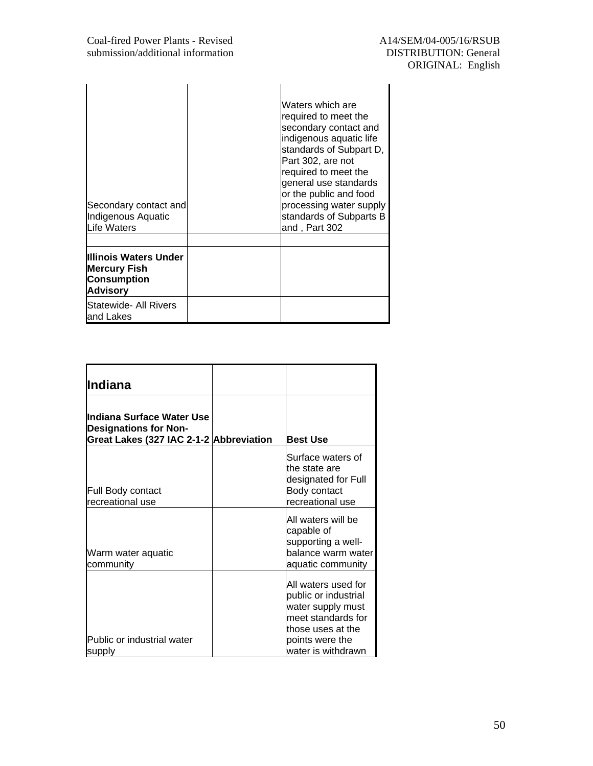| Secondary contact and<br>Indigenous Aquatic<br>Life Waters                     | Waters which are<br>required to meet the<br>secondary contact and<br>indigenous aquatic life<br>standards of Subpart D,<br>Part 302, are not<br>required to meet the<br>general use standards<br>or the public and food<br>processing water supply<br>standards of Subparts B<br>and, Part 302 |
|--------------------------------------------------------------------------------|------------------------------------------------------------------------------------------------------------------------------------------------------------------------------------------------------------------------------------------------------------------------------------------------|
|                                                                                |                                                                                                                                                                                                                                                                                                |
| Illinois Waters Under<br>Mercury Fish<br><b>Consumption</b><br><b>Advisory</b> |                                                                                                                                                                                                                                                                                                |
| Statewide- All Rivers<br>and Lakes                                             |                                                                                                                                                                                                                                                                                                |

| IIndiana                                                                                             |                                                                                                                                                      |
|------------------------------------------------------------------------------------------------------|------------------------------------------------------------------------------------------------------------------------------------------------------|
| Indiana Surface Water Use<br><b>Designations for Non-</b><br>Great Lakes (327 IAC 2-1-2 Abbreviation | <b>Best Use</b>                                                                                                                                      |
| Full Body contact<br>recreational use                                                                | Surface waters of<br>the state are<br>designated for Full<br>Body contact<br>recreational use                                                        |
| Warm water aquatic<br>community                                                                      | All waters will be<br>capable of<br>supporting a well-<br>balance warm water<br>aquatic community                                                    |
| Public or industrial water<br>supply                                                                 | All waters used for<br>public or industrial<br>water supply must<br>meet standards for<br>those uses at the<br>points were the<br>water is withdrawn |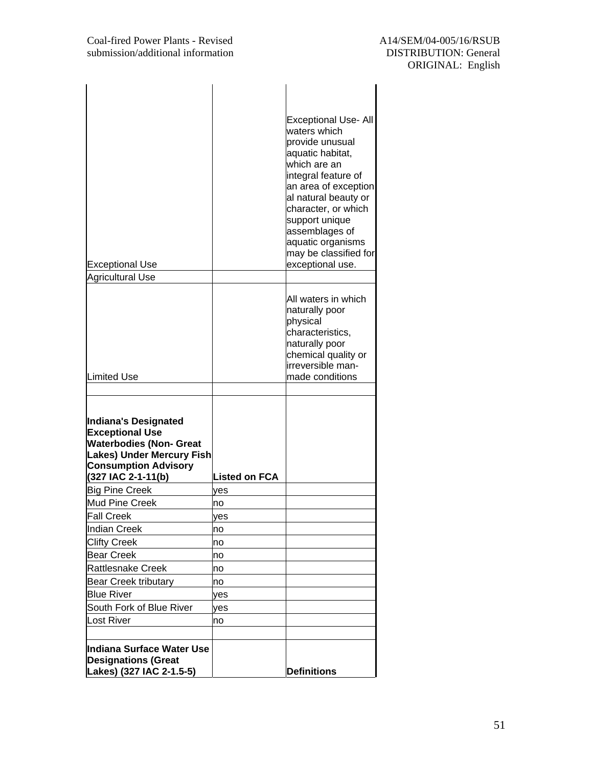| Indiana Surface Water Use<br><b>Designations (Great</b><br>Lakes) (327 IAC 2-1.5-5)                                                                 |                             | <b>Definitions</b>                                                                                                                                                                                                                                                                                     |
|-----------------------------------------------------------------------------------------------------------------------------------------------------|-----------------------------|--------------------------------------------------------------------------------------------------------------------------------------------------------------------------------------------------------------------------------------------------------------------------------------------------------|
|                                                                                                                                                     |                             |                                                                                                                                                                                                                                                                                                        |
| Lost River                                                                                                                                          | no                          |                                                                                                                                                                                                                                                                                                        |
| South Fork of Blue River                                                                                                                            | yes                         |                                                                                                                                                                                                                                                                                                        |
| <b>Blue River</b>                                                                                                                                   | yes                         |                                                                                                                                                                                                                                                                                                        |
| <b>Bear Creek tributary</b>                                                                                                                         | no                          |                                                                                                                                                                                                                                                                                                        |
| <b>Rattlesnake Creek</b>                                                                                                                            | no                          |                                                                                                                                                                                                                                                                                                        |
| <b>Bear Creek</b>                                                                                                                                   | no                          |                                                                                                                                                                                                                                                                                                        |
| <b>Clifty Creek</b>                                                                                                                                 | no<br>no                    |                                                                                                                                                                                                                                                                                                        |
| <b>Indian Creek</b>                                                                                                                                 | yes                         |                                                                                                                                                                                                                                                                                                        |
| <b>Fall Creek</b>                                                                                                                                   | no                          |                                                                                                                                                                                                                                                                                                        |
| <b>Mud Pine Creek</b>                                                                                                                               |                             |                                                                                                                                                                                                                                                                                                        |
| (327 IAC 2-1-11(b)<br><b>Big Pine Creek</b>                                                                                                         | <b>Listed on FCA</b><br>yes |                                                                                                                                                                                                                                                                                                        |
| Indiana's Designated<br><b>Exceptional Use</b><br><b>Waterbodies (Non- Great</b><br><b>Lakes) Under Mercury Fish</b><br><b>Consumption Advisory</b> |                             |                                                                                                                                                                                                                                                                                                        |
| <b>Limited Use</b>                                                                                                                                  |                             | All waters in which<br>naturally poor<br>physical<br>characteristics,<br>naturally poor<br>chemical quality or<br>irreversible man-<br>made conditions                                                                                                                                                 |
| <b>Exceptional Use</b><br><b>Agricultural Use</b>                                                                                                   |                             | <b>Exceptional Use- All</b><br>waters which<br>provide unusual<br>aquatic habitat,<br>which are an<br>integral feature of<br>an area of exception<br>al natural beauty or<br>character, or which<br>support unique<br>assemblages of<br>aquatic organisms<br>may be classified for<br>exceptional use. |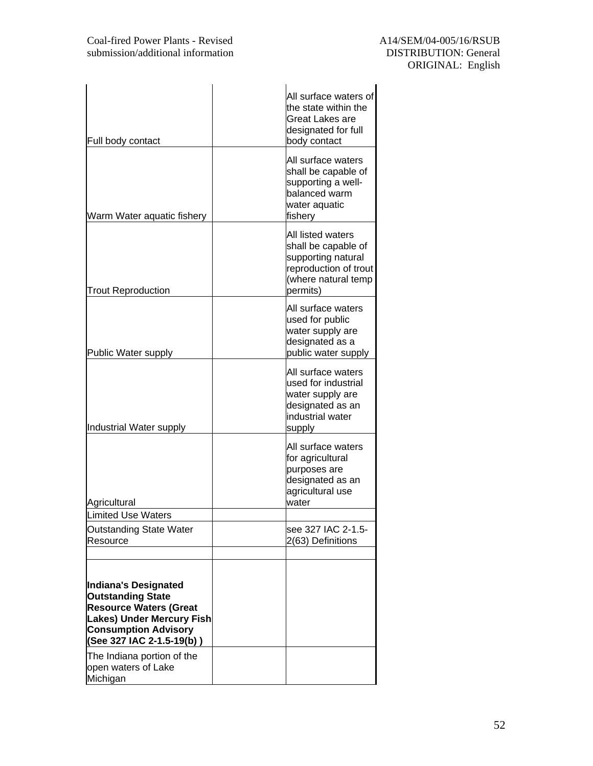| Full body contact                                                                                                                                                                        | All surface waters of<br>the state within the<br>Great Lakes are<br>designated for full<br>body contact                    |
|------------------------------------------------------------------------------------------------------------------------------------------------------------------------------------------|----------------------------------------------------------------------------------------------------------------------------|
| Warm Water aquatic fishery                                                                                                                                                               | All surface waters<br>shall be capable of<br>supporting a well-<br>balanced warm<br>water aquatic<br>fishery               |
| <b>Trout Reproduction</b>                                                                                                                                                                | All listed waters<br>shall be capable of<br>supporting natural<br>reproduction of trout<br>(where natural temp<br>permits) |
| Public Water supply                                                                                                                                                                      | All surface waters<br>used for public<br>water supply are<br>designated as a<br>public water supply                        |
| Industrial Water supply                                                                                                                                                                  | All surface waters<br>used for industrial<br>water supply are<br>designated as an<br>industrial water<br>supply            |
| Agricultural                                                                                                                                                                             | All surface waters<br>for agricultural<br>purposes are<br>designated as an<br>agricultural use<br>water                    |
| <b>Limited Use Waters</b>                                                                                                                                                                |                                                                                                                            |
| Outstanding State Water<br>Resource                                                                                                                                                      | see 327 IAC 2-1.5-<br>2(63) Definitions                                                                                    |
| <b>Indiana's Designated</b><br><b>Outstanding State</b><br><b>Resource Waters (Great</b><br><b>Lakes) Under Mercury Fish</b><br><b>Consumption Advisory</b><br>(See 327 IAC 2-1.5-19(b)) |                                                                                                                            |
| The Indiana portion of the<br>open waters of Lake<br>Michigan                                                                                                                            |                                                                                                                            |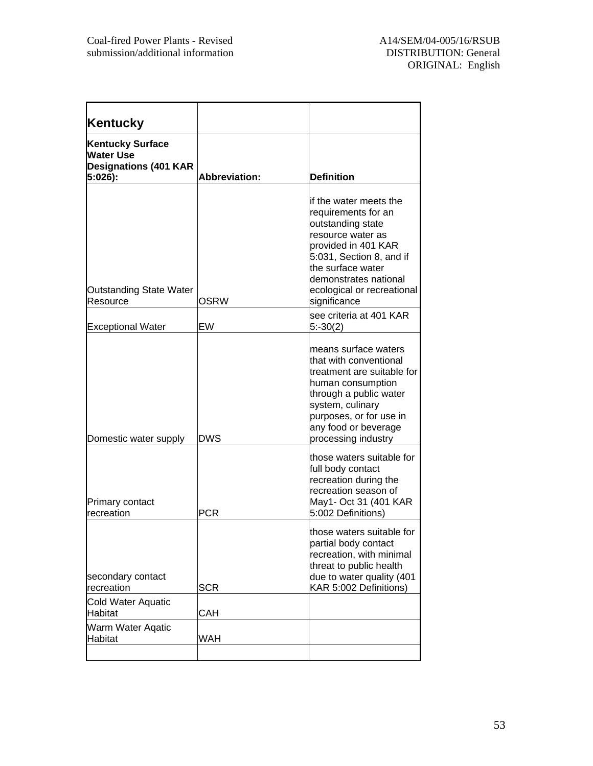J.

| Kentucky                                                                               |                      |                                                                                                                                                                                                                                         |
|----------------------------------------------------------------------------------------|----------------------|-----------------------------------------------------------------------------------------------------------------------------------------------------------------------------------------------------------------------------------------|
| <b>Kentucky Surface</b><br><b>Water Use</b><br><b>Designations (401 KAR</b><br>5:026): | <b>Abbreviation:</b> | <b>Definition</b>                                                                                                                                                                                                                       |
| <b>Outstanding State Water</b><br>Resource                                             | <b>OSRW</b>          | lif the water meets the<br>requirements for an<br>outstanding state<br>resource water as<br>provided in 401 KAR<br>5:031, Section 8, and if<br>the surface water<br>demonstrates national<br>ecological or recreational<br>significance |
| <b>Exceptional Water</b>                                                               | EW                   | see criteria at 401 KAR<br>5:30(2)                                                                                                                                                                                                      |
| Domestic water supply                                                                  | <b>DWS</b>           | means surface waters<br>that with conventional<br>treatment are suitable for<br>human consumption<br>through a public water<br>system, culinary<br>purposes, or for use in<br>any food or beverage<br>processing industry               |
| Primary contact<br>recreation                                                          | PCR                  | those waters suitable for<br>full body contact<br>recreation during the<br>recreation season of<br>May1- Oct 31 (401 KAR<br>5:002 Definitions)                                                                                          |
| secondary contact<br>recreation                                                        | <b>SCR</b>           | lthose waters suitable for<br>partial body contact<br>recreation, with minimal<br>threat to public health<br>due to water quality (401<br>KAR 5:002 Definitions)                                                                        |
| Cold Water Aquatic<br>Habitat                                                          | CAH                  |                                                                                                                                                                                                                                         |
| Warm Water Aqatic<br>Habitat                                                           | WAH                  |                                                                                                                                                                                                                                         |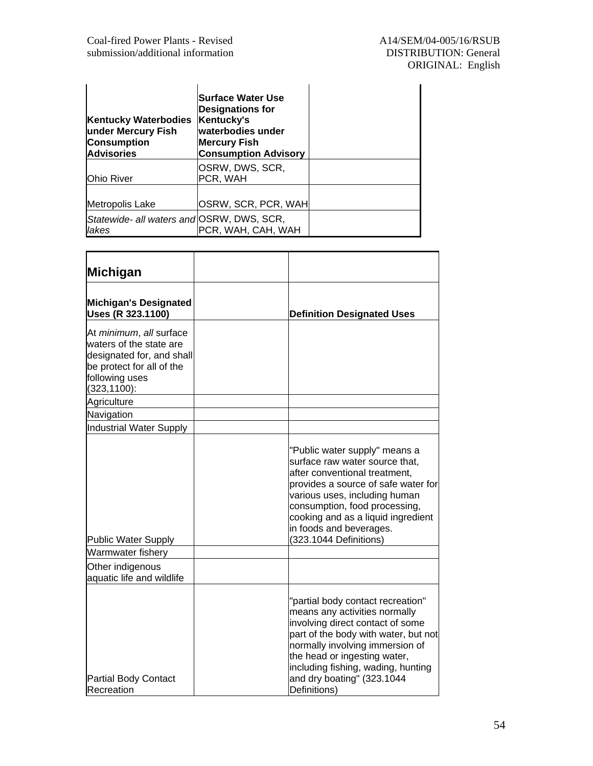| <b>Kentucky Waterbodies</b><br>under Mercury Fish<br><b>Consumption</b><br><b>Advisories</b> | <b>Surface Water Use</b><br><b>Designations for</b><br><b>Kentucky's</b><br>waterbodies under<br><b>Mercury Fish</b><br><b>Consumption Advisory</b> |  |
|----------------------------------------------------------------------------------------------|-----------------------------------------------------------------------------------------------------------------------------------------------------|--|
| <b>Ohio River</b>                                                                            | OSRW, DWS, SCR,<br>PCR, WAH                                                                                                                         |  |
| Metropolis Lake                                                                              | OSRW, SCR, PCR, WAH                                                                                                                                 |  |
| Statewide- all waters and OSRW, DWS, SCR,<br>lakes                                           | PCR, WAH, CAH, WAH                                                                                                                                  |  |

| Michigan                                                                                                                                          |                                                                                                                                                                                                                                                                                                       |
|---------------------------------------------------------------------------------------------------------------------------------------------------|-------------------------------------------------------------------------------------------------------------------------------------------------------------------------------------------------------------------------------------------------------------------------------------------------------|
| <b>Michigan's Designated</b><br>Uses (R 323.1100)                                                                                                 | <b>Definition Designated Uses</b>                                                                                                                                                                                                                                                                     |
| At minimum, all surface<br>waters of the state are<br>designated for, and shall<br>be protect for all of the<br>following uses<br>$(323, 1100)$ : |                                                                                                                                                                                                                                                                                                       |
| Agriculture                                                                                                                                       |                                                                                                                                                                                                                                                                                                       |
| Navigation                                                                                                                                        |                                                                                                                                                                                                                                                                                                       |
| <b>Industrial Water Supply</b>                                                                                                                    |                                                                                                                                                                                                                                                                                                       |
| <b>Public Water Supply</b>                                                                                                                        | "Public water supply" means a<br>surface raw water source that,<br>after conventional treatment,<br>provides a source of safe water for<br>various uses, including human<br>consumption, food processing,<br>cooking and as a liquid ingredient<br>in foods and beverages.<br>(323.1044 Definitions)  |
| Warmwater fishery                                                                                                                                 |                                                                                                                                                                                                                                                                                                       |
| Other indigenous<br>aquatic life and wildlife                                                                                                     |                                                                                                                                                                                                                                                                                                       |
| Partial Body Contact<br>Recreation                                                                                                                | "partial body contact recreation"<br>means any activities normally<br>involving direct contact of some<br>part of the body with water, but not<br>normally involving immersion of<br>the head or ingesting water,<br>including fishing, wading, hunting<br>and dry boating" (323.1044<br>Definitions) |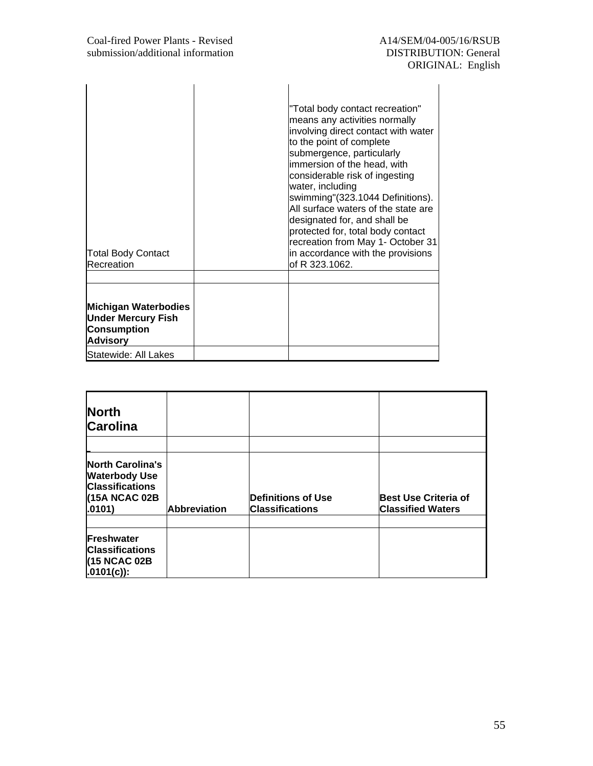| <b>Total Body Contact</b><br>Recreation                                                                                   | "Total body contact recreation"<br>means any activities normally<br>involving direct contact with water<br>to the point of complete<br>submergence, particularly<br>immersion of the head, with<br>considerable risk of ingesting<br>water, including<br>swimming"(323.1044 Definitions).<br>All surface waters of the state are<br>designated for, and shall be<br>protected for, total body contact<br>recreation from May 1- October 31<br>in accordance with the provisions<br>of R 323.1062. |
|---------------------------------------------------------------------------------------------------------------------------|---------------------------------------------------------------------------------------------------------------------------------------------------------------------------------------------------------------------------------------------------------------------------------------------------------------------------------------------------------------------------------------------------------------------------------------------------------------------------------------------------|
| <b>Michigan Waterbodies</b><br><b>Under Mercury Fish</b><br><b>Consumption</b><br><b>Advisory</b><br>Statewide: All Lakes |                                                                                                                                                                                                                                                                                                                                                                                                                                                                                                   |

| <b>North</b><br><b>Carolina</b>                                              |                     |                                                     |                                                         |
|------------------------------------------------------------------------------|---------------------|-----------------------------------------------------|---------------------------------------------------------|
|                                                                              |                     |                                                     |                                                         |
| <b>North Carolina's</b><br><b>Waterbody Use</b><br><b>Classifications</b>    |                     |                                                     |                                                         |
| (15A NCAC 02B<br>.0101)                                                      | <b>Abbreviation</b> | <b>Definitions of Use</b><br><b>Classifications</b> | <b>Best Use Criteria of</b><br><b>Classified Waters</b> |
| <b>IFreshwater</b><br><b>Classifications</b><br>(15 NCAC 02B<br>$.0101(c)$ : |                     |                                                     |                                                         |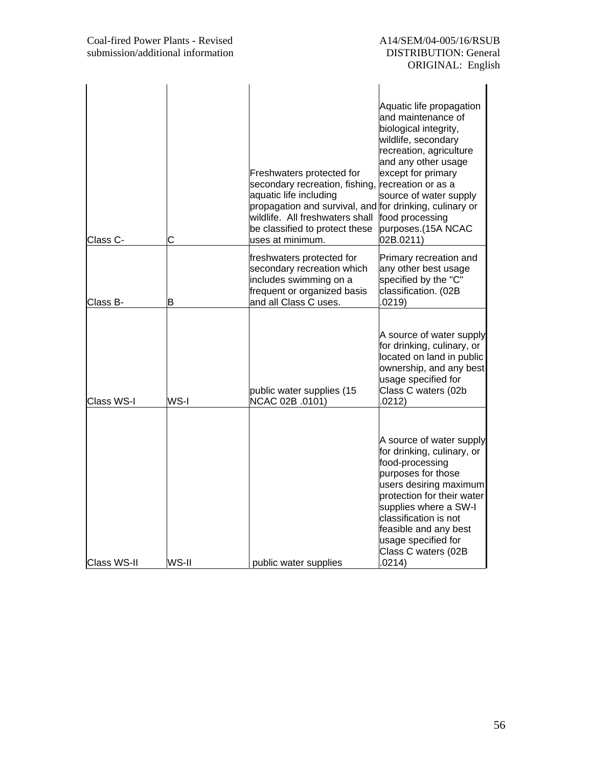| Class C-           | C     | Freshwaters protected for<br>secondary recreation, fishing,<br>aquatic life including<br>propagation and survival, and for drinking, culinary or<br>wildlife. All freshwaters shall<br>be classified to protect these<br>uses at minimum. | Aquatic life propagation<br>and maintenance of<br>biological integrity,<br>wildlife, secondary<br>recreation, agriculture<br>and any other usage<br>except for primary<br>recreation or as a<br>source of water supply<br>food processing<br>purposes.(15A NCAC<br>02B.0211)               |
|--------------------|-------|-------------------------------------------------------------------------------------------------------------------------------------------------------------------------------------------------------------------------------------------|--------------------------------------------------------------------------------------------------------------------------------------------------------------------------------------------------------------------------------------------------------------------------------------------|
| Class B-           | B     | freshwaters protected for<br>secondary recreation which<br>includes swimming on a<br>frequent or organized basis<br>and all Class C uses.                                                                                                 | Primary recreation and<br>any other best usage<br>specified by the "C"<br>classification. (02B<br>.0219)                                                                                                                                                                                   |
| <b>Class WS-I</b>  | WS-I  | public water supplies (15<br>NCAC 02B .0101)                                                                                                                                                                                              | A source of water supply<br>for drinking, culinary, or<br>located on land in public<br>ownership, and any best<br>usage specified for<br>Class C waters (02b<br>.0212)                                                                                                                     |
| <b>Class WS-II</b> | WS-II | public water supplies                                                                                                                                                                                                                     | A source of water supply<br>for drinking, culinary, or<br>food-processing<br>purposes for those<br>users desiring maximum<br>protection for their water<br>supplies where a SW-I<br>classification is not<br>feasible and any best<br>usage specified for<br>Class C waters (02B<br>.0214) |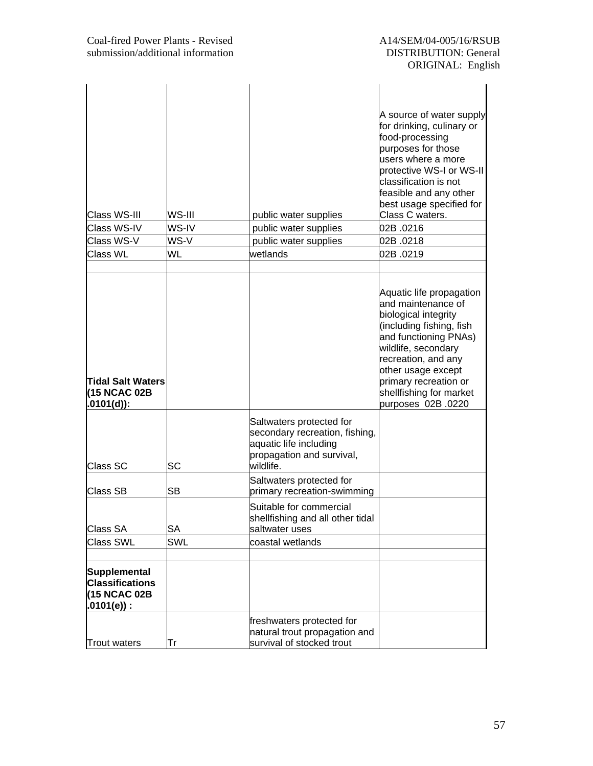| Class WS-III<br>Class WS-IV<br>Class WS-V<br>Class WL                       | WS-III<br>WS-IV<br>WS-V<br><b>WL</b> | public water supplies<br>public water supplies<br>public water supplies<br>wetlands                                            | A source of water supply<br>for drinking, culinary or<br>food-processing<br>purposes for those<br>users where a more<br>protective WS-I or WS-II<br>classification is not<br>feasible and any other<br>best usage specified for<br>Class C waters.<br>02B.0216<br>02B .0218<br>02B .0219 |
|-----------------------------------------------------------------------------|--------------------------------------|--------------------------------------------------------------------------------------------------------------------------------|------------------------------------------------------------------------------------------------------------------------------------------------------------------------------------------------------------------------------------------------------------------------------------------|
|                                                                             |                                      |                                                                                                                                |                                                                                                                                                                                                                                                                                          |
| <b>Tidal Salt Waters</b><br>(15 NCAC 02B<br>.0101(d)):                      |                                      |                                                                                                                                | Aquatic life propagation<br>and maintenance of<br>biological integrity<br>(including fishing, fish<br>and functioning PNAs)<br>wildlife, secondary<br>recreation, and any<br>other usage except<br>primary recreation or<br>shellfishing for market<br>purposes 02B .0220                |
| Class SC                                                                    | <b>SC</b>                            | Saltwaters protected for<br>secondary recreation, fishing,<br>aquatic life including<br>propagation and survival,<br>wildlife. |                                                                                                                                                                                                                                                                                          |
|                                                                             |                                      | Saltwaters protected for                                                                                                       |                                                                                                                                                                                                                                                                                          |
| Class SB                                                                    | <b>SB</b>                            | primary recreation-swimming                                                                                                    |                                                                                                                                                                                                                                                                                          |
| Class SA<br>Class SWL                                                       | SA<br><b>SWL</b>                     | Suitable for commercial<br>shellfishing and all other tidal<br>saltwater uses<br>coastal wetlands                              |                                                                                                                                                                                                                                                                                          |
|                                                                             |                                      |                                                                                                                                |                                                                                                                                                                                                                                                                                          |
| <b>Supplemental</b><br><b>Classifications</b><br>(15 NCAC 02B<br>.0101(e)): |                                      |                                                                                                                                |                                                                                                                                                                                                                                                                                          |
| Trout waters                                                                | Πr                                   | freshwaters protected for<br>natural trout propagation and<br>survival of stocked trout                                        |                                                                                                                                                                                                                                                                                          |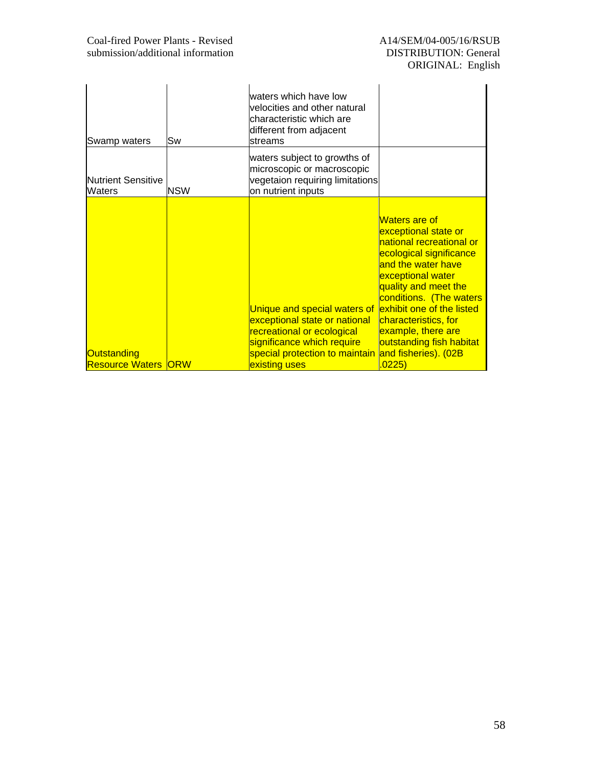| Swamp waters                                     | Sw         | lwaters which have low<br>velocities and other natural<br>characteristic which are<br>different from adjacent<br>streams                                                     |                                                                                                                                                                                                                                                                                                                                    |
|--------------------------------------------------|------------|------------------------------------------------------------------------------------------------------------------------------------------------------------------------------|------------------------------------------------------------------------------------------------------------------------------------------------------------------------------------------------------------------------------------------------------------------------------------------------------------------------------------|
| <b>Nutrient Sensitive</b><br><b>Waters</b>       | <b>NSW</b> | waters subject to growths of<br>microscopic or macroscopic<br>vegetaion requiring limitations<br>on nutrient inputs                                                          |                                                                                                                                                                                                                                                                                                                                    |
| <b>Outstanding</b><br><b>Resource Waters ORW</b> |            | Unique and special waters of<br>exceptional state or national<br>recreational or ecological<br>significance which require<br>special protection to maintain<br>existing uses | Waters are of<br>exceptional state or<br>national recreational or<br>ecological significance<br>and the water have<br>exceptional water<br>quality and meet the<br>conditions. (The waters<br>exhibit one of the listed<br>characteristics, for<br>example, there are<br>outstanding fish habitat<br>and fisheries). (02B<br>0225) |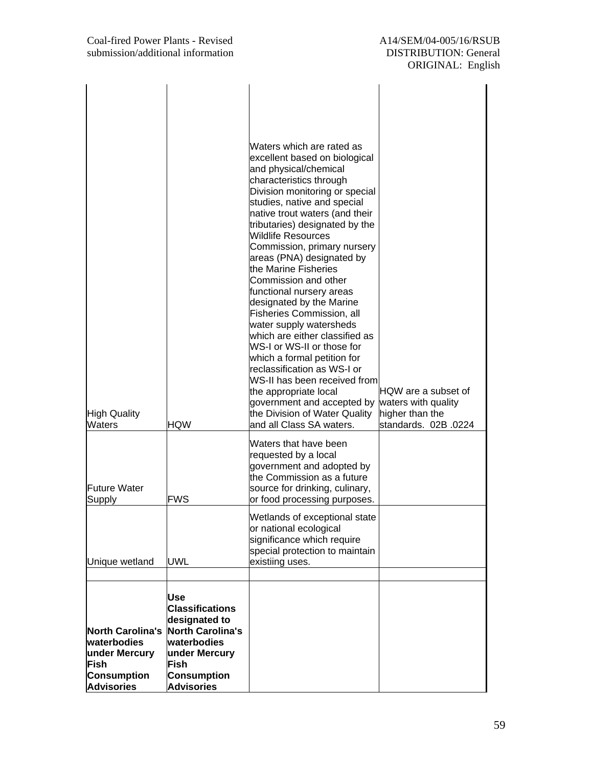| <b>North Carolina's</b><br>waterbodies<br>under Mercury<br><b>IFish</b><br><b>Consumption</b><br><b>Advisories</b> | <b>Use</b><br><b>Classifications</b><br>designated to<br><b>North Carolina's</b><br>waterbodies<br>under Mercury<br>Fish<br><b>Consumption</b><br><b>Advisories</b> |                                                                                                                                                                                                                                                                                                                                                                                                                                                                                                                                                                                                                                                                                                                                                                                                |                                                                                        |
|--------------------------------------------------------------------------------------------------------------------|---------------------------------------------------------------------------------------------------------------------------------------------------------------------|------------------------------------------------------------------------------------------------------------------------------------------------------------------------------------------------------------------------------------------------------------------------------------------------------------------------------------------------------------------------------------------------------------------------------------------------------------------------------------------------------------------------------------------------------------------------------------------------------------------------------------------------------------------------------------------------------------------------------------------------------------------------------------------------|----------------------------------------------------------------------------------------|
| Unique wetland                                                                                                     | UWL                                                                                                                                                                 | Wetlands of exceptional state<br>or national ecological<br>significance which require<br>special protection to maintain<br>existiing uses.                                                                                                                                                                                                                                                                                                                                                                                                                                                                                                                                                                                                                                                     |                                                                                        |
| <b>Future Water</b><br>Supply                                                                                      | <b>FWS</b>                                                                                                                                                          | Waters that have been<br>requested by a local<br>government and adopted by<br>the Commission as a future<br>source for drinking, culinary,<br>or food processing purposes.                                                                                                                                                                                                                                                                                                                                                                                                                                                                                                                                                                                                                     |                                                                                        |
| <b>High Quality</b><br><b>Waters</b>                                                                               | <b>HQW</b>                                                                                                                                                          | Waters which are rated as<br>excellent based on biological<br>and physical/chemical<br>characteristics through<br>Division monitoring or special<br>studies, native and special<br>native trout waters (and their<br>tributaries) designated by the<br><b>Wildlife Resources</b><br>Commission, primary nursery<br>areas (PNA) designated by<br>the Marine Fisheries<br>Commission and other<br>functional nursery areas<br>designated by the Marine<br>Fisheries Commission, all<br>water supply watersheds<br>which are either classified as<br>WS-I or WS-II or those for<br>which a formal petition for<br>reclassification as WS-I or<br>WS-II has been received from<br>the appropriate local<br>government and accepted by<br>the Division of Water Quality<br>and all Class SA waters. | IHQW are a subset of<br>waters with quality<br>higher than the<br>standards. 02B .0224 |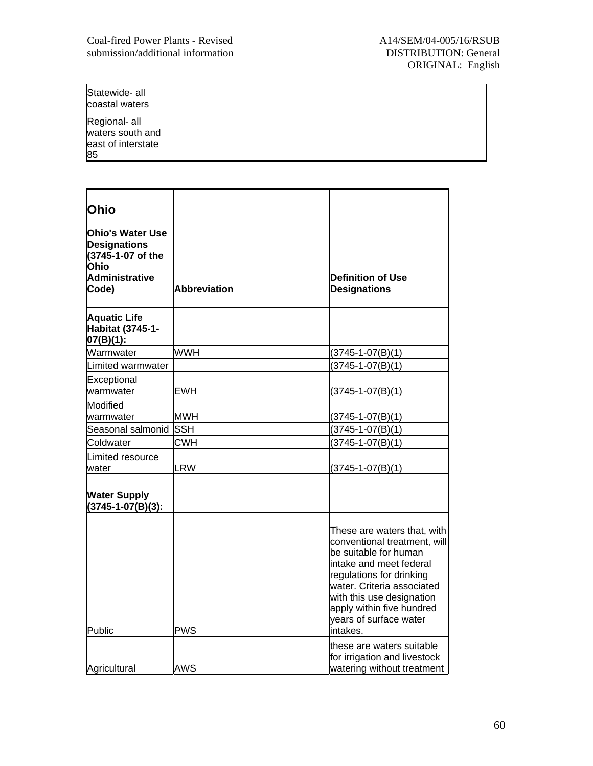| Statewide- all<br>coastal waters                               |  |  |
|----------------------------------------------------------------|--|--|
| Regional- all<br>waters south and<br>east of interstate<br>185 |  |  |

| <b>Ohio</b>                                                                                                   |                     |                                                                                                                                                                                                                                                                           |
|---------------------------------------------------------------------------------------------------------------|---------------------|---------------------------------------------------------------------------------------------------------------------------------------------------------------------------------------------------------------------------------------------------------------------------|
| <b>Ohio's Water Use</b><br><b>Designations</b><br>(3745-1-07 of the<br>Ohio<br><b>Administrative</b><br>Code) | <b>Abbreviation</b> | <b>Definition of Use</b><br><b>Designations</b>                                                                                                                                                                                                                           |
| <b>Aquatic Life</b><br>Habitat (3745-1-<br>$07(B)(1)$ :                                                       |                     |                                                                                                                                                                                                                                                                           |
| Warmwater                                                                                                     | <b>WWH</b>          | (3745-1-07(B)(1)                                                                                                                                                                                                                                                          |
| Limited warmwater                                                                                             |                     | (3745-1-07(B)(1)                                                                                                                                                                                                                                                          |
| Exceptional<br>warmwater                                                                                      | EWH                 | (3745-1-07(B)(1)                                                                                                                                                                                                                                                          |
| Modified<br>warmwater                                                                                         | <b>MWH</b>          | (3745-1-07(B)(1)                                                                                                                                                                                                                                                          |
| Seasonal salmonid                                                                                             | <b>SSH</b>          | (3745-1-07(B)(1)                                                                                                                                                                                                                                                          |
| Coldwater                                                                                                     | <b>CWH</b>          | $(3745-1-07(B)(1))$                                                                                                                                                                                                                                                       |
| Limited resource<br>water                                                                                     | LRW                 | (3745-1-07(B)(1)                                                                                                                                                                                                                                                          |
| <b>Water Supply</b><br>$(3745-1-07(B)(3)$ :                                                                   |                     |                                                                                                                                                                                                                                                                           |
| Public                                                                                                        | <b>PWS</b>          | These are waters that, with<br>conventional treatment, will<br>be suitable for human<br>intake and meet federal<br>regulations for drinking<br>water. Criteria associated<br>with this use designation<br>apply within five hundred<br>years of surface water<br>intakes. |
|                                                                                                               |                     | these are waters suitable<br>for irrigation and livestock                                                                                                                                                                                                                 |
| Agricultural                                                                                                  | <b>AWS</b>          | watering without treatment                                                                                                                                                                                                                                                |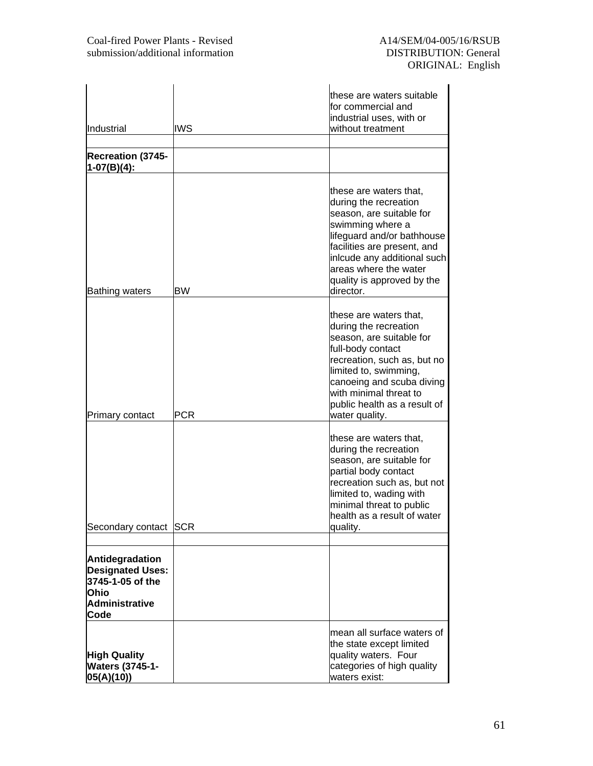| Industrial                                                                                                     | <b>IWS</b> | these are waters suitable<br>for commercial and<br>industrial uses, with or<br>without treatment                                                                                                                                                                  |
|----------------------------------------------------------------------------------------------------------------|------------|-------------------------------------------------------------------------------------------------------------------------------------------------------------------------------------------------------------------------------------------------------------------|
| <b>Recreation (3745-</b><br>$1-07(B)(4)$ :                                                                     |            |                                                                                                                                                                                                                                                                   |
| <b>Bathing waters</b>                                                                                          | <b>BW</b>  | these are waters that,<br>during the recreation<br>season, are suitable for<br>swimming where a<br>lifeguard and/or bathhouse<br>facilities are present, and<br>inlcude any additional such<br>areas where the water<br>quality is approved by the<br>director.   |
| Primary contact                                                                                                | <b>PCR</b> | these are waters that,<br>during the recreation<br>season, are suitable for<br>full-body contact<br>recreation, such as, but no<br>limited to, swimming,<br>canoeing and scuba diving<br>with minimal threat to<br>public health as a result of<br>water quality. |
| Secondary contact SCR                                                                                          |            | these are waters that,<br>during the recreation<br>season, are suitable for<br>partial body contact<br>recreation such as, but not<br>limited to, wading with<br>minimal threat to public<br>health as a result of water<br>quality.                              |
| Antidegradation<br><b>Designated Uses:</b><br>3745-1-05 of the<br><b>Ohio</b><br><b>Administrative</b><br>Code |            |                                                                                                                                                                                                                                                                   |
| <b>High Quality</b><br><b>Waters (3745-1-</b><br>05(A)(10)                                                     |            | mean all surface waters of<br>the state except limited<br>quality waters. Four<br>categories of high quality<br>waters exist:                                                                                                                                     |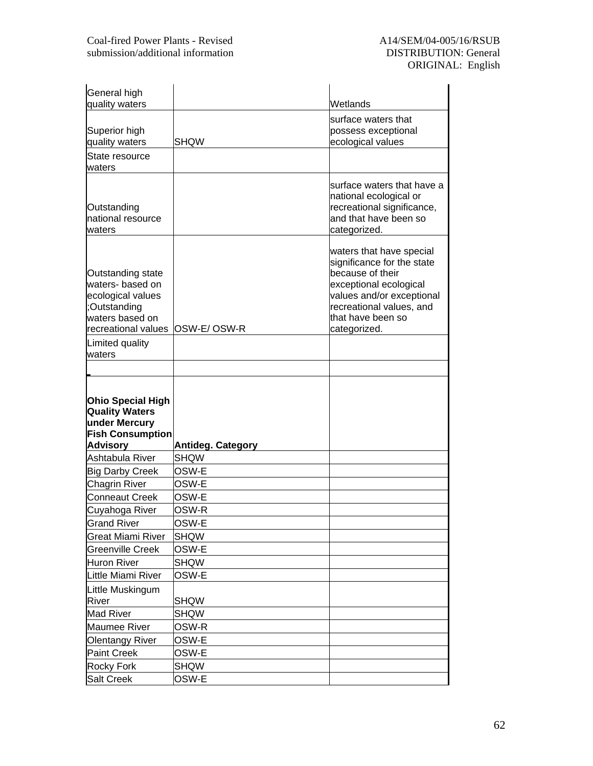| General high                                                                                  |                                  |                                                                                                                                                               |
|-----------------------------------------------------------------------------------------------|----------------------------------|---------------------------------------------------------------------------------------------------------------------------------------------------------------|
| quality waters                                                                                |                                  | Wetlands                                                                                                                                                      |
|                                                                                               |                                  | surface waters that                                                                                                                                           |
| Superior high                                                                                 |                                  | possess exceptional                                                                                                                                           |
| quality waters                                                                                | <b>SHQW</b>                      | ecological values                                                                                                                                             |
| State resource                                                                                |                                  |                                                                                                                                                               |
| waters                                                                                        |                                  |                                                                                                                                                               |
| Outstanding<br>national resource<br>waters                                                    |                                  | surface waters that have a<br>national ecological or<br>recreational significance,<br>and that have been so<br>categorized.                                   |
| Outstanding state<br>waters- based on<br>ecological values<br>;Outstanding                    |                                  | waters that have special<br>significance for the state<br>because of their<br>exceptional ecological<br>values and/or exceptional<br>recreational values, and |
| waters based on                                                                               |                                  | that have been so                                                                                                                                             |
| recreational values   OSW-E / OSW-R                                                           |                                  | categorized.                                                                                                                                                  |
| Limited quality<br>waters                                                                     |                                  |                                                                                                                                                               |
|                                                                                               |                                  |                                                                                                                                                               |
| <b>Ohio Special High</b><br><b>Quality Waters</b><br>under Mercury<br><b>Fish Consumption</b> |                                  |                                                                                                                                                               |
| <b>Advisory</b><br>Ashtabula River                                                            | Antideg. Category<br><b>SHQW</b> |                                                                                                                                                               |
|                                                                                               |                                  |                                                                                                                                                               |
| <b>Big Darby Creek</b><br>Chagrin River                                                       | OSW-E<br>OSW-E                   |                                                                                                                                                               |
|                                                                                               |                                  |                                                                                                                                                               |
| Conneaut Creek                                                                                | OSW-E                            |                                                                                                                                                               |
| Cuyahoga River<br><b>Grand River</b>                                                          | OSW-R<br>OSW-E                   |                                                                                                                                                               |
| Great Miami River                                                                             | <b>SHQW</b>                      |                                                                                                                                                               |
| Greenville Creek                                                                              | OSW-E                            |                                                                                                                                                               |
| <b>Huron River</b>                                                                            | <b>SHQW</b>                      |                                                                                                                                                               |
| Little Miami River                                                                            | OSW-E                            |                                                                                                                                                               |
| Little Muskingum                                                                              |                                  |                                                                                                                                                               |
| River                                                                                         | <b>SHQW</b>                      |                                                                                                                                                               |
| <b>Mad River</b>                                                                              | <b>SHQW</b>                      |                                                                                                                                                               |
| <b>Maumee River</b>                                                                           | OSW-R                            |                                                                                                                                                               |
| <b>Olentangy River</b>                                                                        | OSW-E                            |                                                                                                                                                               |
| <b>Paint Creek</b>                                                                            | OSW-E                            |                                                                                                                                                               |
| <b>Rocky Fork</b>                                                                             | <b>SHQW</b>                      |                                                                                                                                                               |
|                                                                                               |                                  |                                                                                                                                                               |
| Salt Creek                                                                                    | OSW-E                            |                                                                                                                                                               |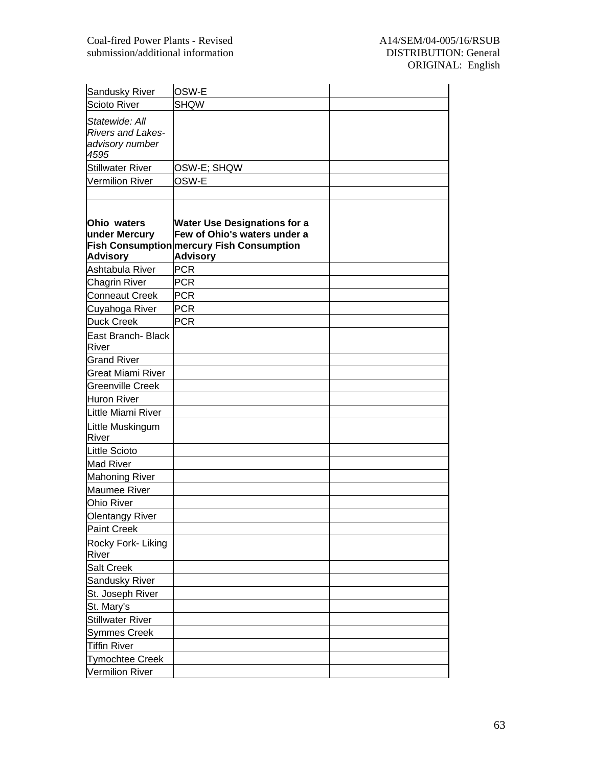| Sandusky River                                                        | OSW-E                                                                                                                                      |  |
|-----------------------------------------------------------------------|--------------------------------------------------------------------------------------------------------------------------------------------|--|
| <b>Scioto River</b>                                                   | <b>SHQW</b>                                                                                                                                |  |
| Statewide: All<br><b>Rivers and Lakes-</b><br>advisory number<br>4595 |                                                                                                                                            |  |
| <b>Stillwater River</b>                                               | OSW-E; SHQW                                                                                                                                |  |
| <b>Vermilion River</b>                                                | OSW-E                                                                                                                                      |  |
|                                                                       |                                                                                                                                            |  |
| <b>Ohio waters</b><br>under Mercury<br><b>Advisory</b>                | <b>Water Use Designations for a</b><br>Few of Ohio's waters under a<br><b>Fish Consumption mercury Fish Consumption</b><br><b>Advisory</b> |  |
| Ashtabula River                                                       | <b>PCR</b>                                                                                                                                 |  |
| <b>Chagrin River</b>                                                  | <b>PCR</b>                                                                                                                                 |  |
| <b>Conneaut Creek</b>                                                 | <b>PCR</b>                                                                                                                                 |  |
| Cuyahoga River                                                        | <b>PCR</b>                                                                                                                                 |  |
| Duck Creek                                                            | <b>PCR</b>                                                                                                                                 |  |
| <b>East Branch- Black</b><br>River                                    |                                                                                                                                            |  |
| <b>Grand River</b>                                                    |                                                                                                                                            |  |
| <b>Great Miami River</b>                                              |                                                                                                                                            |  |
| <b>Greenville Creek</b>                                               |                                                                                                                                            |  |
| <b>Huron River</b>                                                    |                                                                                                                                            |  |
| Little Miami River                                                    |                                                                                                                                            |  |
| Little Muskingum<br><b>River</b>                                      |                                                                                                                                            |  |
| <b>Little Scioto</b>                                                  |                                                                                                                                            |  |
| <b>Mad River</b>                                                      |                                                                                                                                            |  |
| <b>Mahoning River</b>                                                 |                                                                                                                                            |  |
| Maumee River                                                          |                                                                                                                                            |  |
| <b>Ohio River</b>                                                     |                                                                                                                                            |  |
| Olentangy River                                                       |                                                                                                                                            |  |
| <b>Paint Creek</b>                                                    |                                                                                                                                            |  |
| Rocky Fork- Liking<br><b>River</b>                                    |                                                                                                                                            |  |
| <b>Salt Creek</b>                                                     |                                                                                                                                            |  |
| Sandusky River                                                        |                                                                                                                                            |  |
| St. Joseph River                                                      |                                                                                                                                            |  |
| St. Mary's                                                            |                                                                                                                                            |  |
| <b>Stillwater River</b>                                               |                                                                                                                                            |  |
| <b>Symmes Creek</b>                                                   |                                                                                                                                            |  |
| <b>Tiffin River</b>                                                   |                                                                                                                                            |  |
| <b>Tymochtee Creek</b>                                                |                                                                                                                                            |  |
| <b>Vermilion River</b>                                                |                                                                                                                                            |  |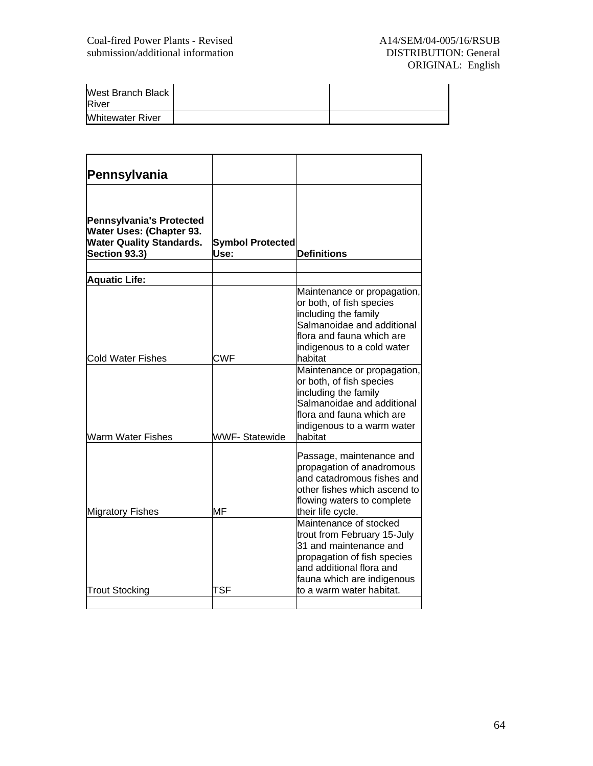| West Branch Black  <br><b>River</b> |  |
|-------------------------------------|--|
| <b>Whitewater River</b>             |  |

| Pennsylvania                                                                                                    |                                 |                                                                                                                                                                                                      |
|-----------------------------------------------------------------------------------------------------------------|---------------------------------|------------------------------------------------------------------------------------------------------------------------------------------------------------------------------------------------------|
| <b>Pennsylvania's Protected</b><br>Water Uses: (Chapter 93.<br><b>Water Quality Standards.</b><br>Section 93.3) | <b>Symbol Protected</b><br>Use: | <b>Definitions</b>                                                                                                                                                                                   |
| <b>Aquatic Life:</b>                                                                                            |                                 |                                                                                                                                                                                                      |
| <b>Cold Water Fishes</b>                                                                                        | <b>CWF</b>                      | Maintenance or propagation,<br>or both, of fish species<br>including the family<br>Salmanoidae and additional<br>flora and fauna which are<br>indigenous to a cold water<br>habitat                  |
| <b>Warm Water Fishes</b>                                                                                        | <b>WWF-Statewide</b>            | Maintenance or propagation,<br>or both, of fish species<br>including the family<br>Salmanoidae and additional<br>flora and fauna which are<br>indigenous to a warm water<br>habitat                  |
| <b>Migratory Fishes</b>                                                                                         | <b>MF</b>                       | Passage, maintenance and<br>propagation of anadromous<br>and catadromous fishes and<br>other fishes which ascend to<br>flowing waters to complete<br>their life cycle.                               |
| <b>Trout Stocking</b>                                                                                           | <b>TSF</b>                      | Maintenance of stocked<br>trout from February 15-July<br>31 and maintenance and<br>propagation of fish species<br>and additional flora and<br>fauna which are indigenous<br>to a warm water habitat. |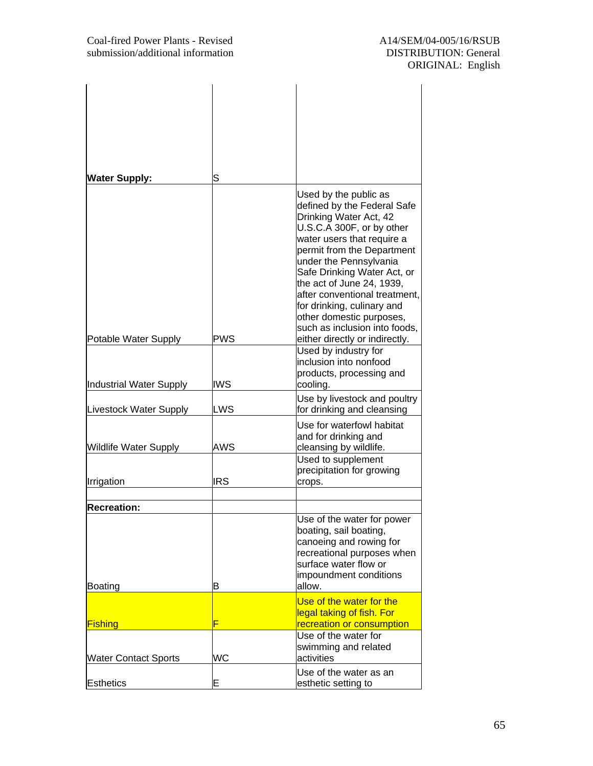| <b>Water Supply:</b>          | S          |                                                                                                                                                                                                                                                               |
|-------------------------------|------------|---------------------------------------------------------------------------------------------------------------------------------------------------------------------------------------------------------------------------------------------------------------|
|                               |            | Used by the public as<br>defined by the Federal Safe<br>Drinking Water Act, 42<br>U.S.C.A 300F, or by other<br>water users that require a<br>permit from the Department<br>under the Pennsylvania<br>Safe Drinking Water Act, or<br>the act of June 24, 1939, |
|                               |            | after conventional treatment,                                                                                                                                                                                                                                 |
|                               |            | for drinking, culinary and                                                                                                                                                                                                                                    |
|                               |            | other domestic purposes,                                                                                                                                                                                                                                      |
|                               |            | such as inclusion into foods,                                                                                                                                                                                                                                 |
| Potable Water Supply          | <b>PWS</b> | either directly or indirectly.<br>Used by industry for                                                                                                                                                                                                        |
|                               |            | inclusion into nonfood                                                                                                                                                                                                                                        |
|                               |            | products, processing and                                                                                                                                                                                                                                      |
| Industrial Water Supply       | <b>IWS</b> | cooling.                                                                                                                                                                                                                                                      |
|                               |            | Use by livestock and poultry                                                                                                                                                                                                                                  |
| <b>Livestock Water Supply</b> | <b>LWS</b> | for drinking and cleansing                                                                                                                                                                                                                                    |
|                               |            | Use for waterfowl habitat                                                                                                                                                                                                                                     |
|                               |            | and for drinking and                                                                                                                                                                                                                                          |
| Wildlife Water Supply         | AWS        | cleansing by wildlife.                                                                                                                                                                                                                                        |
|                               |            | Used to supplement                                                                                                                                                                                                                                            |
|                               |            | precipitation for growing                                                                                                                                                                                                                                     |
| Irrigation                    | <b>IRS</b> | crops.                                                                                                                                                                                                                                                        |
|                               |            |                                                                                                                                                                                                                                                               |
| <b>Recreation:</b>            |            |                                                                                                                                                                                                                                                               |
| Boating                       | В          | Use of the water for power<br>boating, sail boating,<br>canoeing and rowing for<br>recreational purposes when<br>surface water flow or<br>impoundment conditions<br>allow.                                                                                    |
|                               |            |                                                                                                                                                                                                                                                               |
|                               |            | Use of the water for the<br>legal taking of fish. For                                                                                                                                                                                                         |
| <b>Fishing</b>                | F          | recreation or consumption                                                                                                                                                                                                                                     |
|                               |            | Use of the water for                                                                                                                                                                                                                                          |
|                               |            | swimming and related                                                                                                                                                                                                                                          |
| <b>Water Contact Sports</b>   | <b>WC</b>  | activities                                                                                                                                                                                                                                                    |
|                               |            | Use of the water as an                                                                                                                                                                                                                                        |
| <b>Esthetics</b>              | E          | esthetic setting to                                                                                                                                                                                                                                           |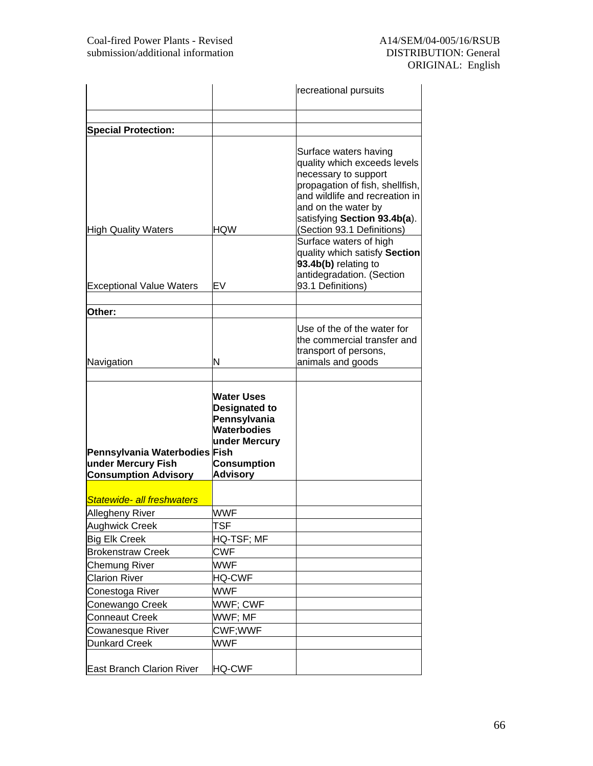|                                                                                    |                                                                                                                                           | recreational pursuits                                                                                                                                                                                     |
|------------------------------------------------------------------------------------|-------------------------------------------------------------------------------------------------------------------------------------------|-----------------------------------------------------------------------------------------------------------------------------------------------------------------------------------------------------------|
|                                                                                    |                                                                                                                                           |                                                                                                                                                                                                           |
| <b>Special Protection:</b>                                                         |                                                                                                                                           |                                                                                                                                                                                                           |
|                                                                                    |                                                                                                                                           | Surface waters having<br>quality which exceeds levels<br>necessary to support<br>propagation of fish, shellfish,<br>and wildlife and recreation in<br>and on the water by<br>satisfying Section 93.4b(a). |
| <b>High Quality Waters</b>                                                         | <b>HQW</b>                                                                                                                                | (Section 93.1 Definitions)<br>Surface waters of high                                                                                                                                                      |
| <b>Exceptional Value Waters</b>                                                    | EV                                                                                                                                        | quality which satisfy Section<br>93.4b(b) relating to<br>antidegradation. (Section<br>93.1 Definitions)                                                                                                   |
| Other:                                                                             |                                                                                                                                           |                                                                                                                                                                                                           |
| Navigation                                                                         | N                                                                                                                                         | Use of the of the water for<br>the commercial transfer and<br>transport of persons,<br>animals and goods                                                                                                  |
| Pennsylvania Waterbodies Fish<br>under Mercury Fish<br><b>Consumption Advisory</b> | <b>Water Uses</b><br><b>Designated to</b><br>Pennsylvania<br><b>Waterbodies</b><br>under Mercury<br><b>Consumption</b><br><b>Advisory</b> |                                                                                                                                                                                                           |
| <b>Statewide- all freshwaters</b>                                                  |                                                                                                                                           |                                                                                                                                                                                                           |
| <b>Allegheny River</b>                                                             | <b>WWF</b>                                                                                                                                |                                                                                                                                                                                                           |
| <b>Aughwick Creek</b>                                                              | TSF                                                                                                                                       |                                                                                                                                                                                                           |
| <b>Big Elk Creek</b>                                                               | HQ-TSF; MF                                                                                                                                |                                                                                                                                                                                                           |
| <b>Brokenstraw Creek</b>                                                           | <b>CWF</b>                                                                                                                                |                                                                                                                                                                                                           |
| Chemung River                                                                      | <b>WWF</b>                                                                                                                                |                                                                                                                                                                                                           |
| <b>Clarion River</b>                                                               | <b>HQ-CWF</b>                                                                                                                             |                                                                                                                                                                                                           |
| Conestoga River                                                                    | <b>WWF</b>                                                                                                                                |                                                                                                                                                                                                           |
| Conewango Creek                                                                    | WWF; CWF                                                                                                                                  |                                                                                                                                                                                                           |
| Conneaut Creek                                                                     | WWF; MF                                                                                                                                   |                                                                                                                                                                                                           |
| Cowanesque River                                                                   | CWF;WWF                                                                                                                                   |                                                                                                                                                                                                           |
| <b>Dunkard Creek</b>                                                               | <b>WWF</b>                                                                                                                                |                                                                                                                                                                                                           |
| <b>East Branch Clarion River</b>                                                   | <b>HQ-CWF</b>                                                                                                                             |                                                                                                                                                                                                           |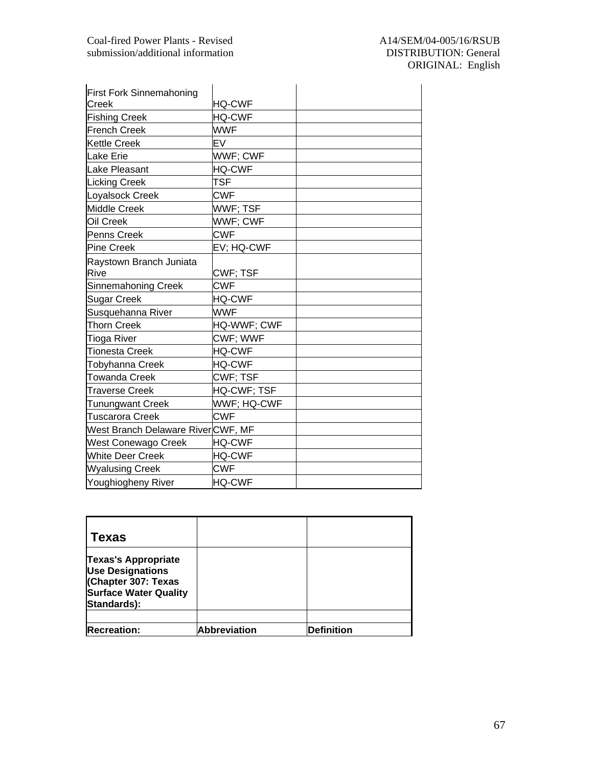| First Fork Sinnemahoning               |               |  |
|----------------------------------------|---------------|--|
| Creek                                  | <b>HQ-CWF</b> |  |
| <b>Fishing Creek</b>                   | <b>HQ-CWF</b> |  |
| <b>French Creek</b>                    | <b>WWF</b>    |  |
| <b>Kettle Creek</b>                    | EV            |  |
| <b>Lake Erie</b>                       | WWF; CWF      |  |
| <b>Lake Pleasant</b>                   | <b>HQ-CWF</b> |  |
| <b>Licking Creek</b>                   | <b>TSF</b>    |  |
| Loyalsock Creek                        | <b>CWF</b>    |  |
| Middle Creek                           | WWF; TSF      |  |
| <b>Oil Creek</b>                       | WWF: CWF      |  |
| Penns Creek                            | <b>CWF</b>    |  |
| <b>Pine Creek</b>                      | EV; HQ-CWF    |  |
| Raystown Branch Juniata<br><b>Rive</b> | CWF; TSF      |  |
| Sinnemahoning Creek                    | <b>CWF</b>    |  |
| <b>Sugar Creek</b>                     | <b>HQ-CWF</b> |  |
| Susquehanna River                      | <b>WWF</b>    |  |
| <b>Thorn Creek</b>                     | HQ-WWF; CWF   |  |
| Tioga River                            | CWF; WWF      |  |
| <b>Tionesta Creek</b>                  | <b>HQ-CWF</b> |  |
| Tobyhanna Creek                        | <b>HQ-CWF</b> |  |
| <b>Towanda Creek</b>                   | CWF; TSF      |  |
| <b>Traverse Creek</b>                  | HQ-CWF; TSF   |  |
| <b>Tunungwant Creek</b>                | WWF; HQ-CWF   |  |
| <b>Tuscarora Creek</b>                 | <b>CWF</b>    |  |
| West Branch Delaware River CWF, MF     |               |  |
| <b>West Conewago Creek</b>             | <b>HQ-CWF</b> |  |
| <b>White Deer Creek</b>                | <b>HQ-CWF</b> |  |
| <b>Wyalusing Creek</b>                 | <b>CWF</b>    |  |
| Youghiogheny River                     | <b>HQ-CWF</b> |  |

| <b>Texas</b>                                                                                                                |                     |                   |
|-----------------------------------------------------------------------------------------------------------------------------|---------------------|-------------------|
| <b>Texas's Appropriate</b><br><b>Use Designations</b><br>(Chapter 307: Texas<br><b>Surface Water Quality</b><br>Standards): |                     |                   |
| <b>Recreation:</b>                                                                                                          | <b>Abbreviation</b> | <b>Definition</b> |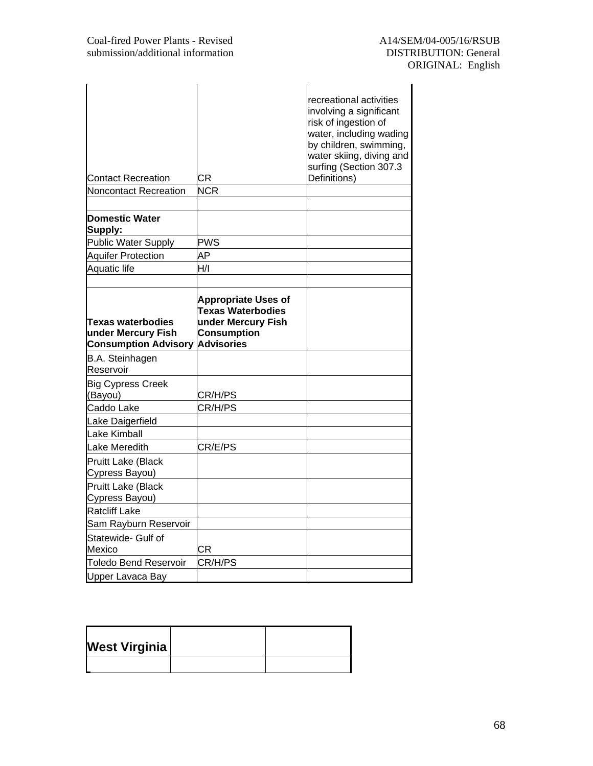| <b>Contact Recreation</b>                                              | CR                                                                                                                      | recreational activities<br>involving a significant<br>risk of ingestion of<br>water, including wading<br>by children, swimming,<br>water skiing, diving and<br>surfing (Section 307.3<br>Definitions) |
|------------------------------------------------------------------------|-------------------------------------------------------------------------------------------------------------------------|-------------------------------------------------------------------------------------------------------------------------------------------------------------------------------------------------------|
| Noncontact Recreation                                                  | <b>NCR</b>                                                                                                              |                                                                                                                                                                                                       |
|                                                                        |                                                                                                                         |                                                                                                                                                                                                       |
| <b>Domestic Water</b><br>Supply:                                       |                                                                                                                         |                                                                                                                                                                                                       |
| <b>Public Water Supply</b>                                             | PWS                                                                                                                     |                                                                                                                                                                                                       |
| <b>Aquifer Protection</b>                                              | AP                                                                                                                      |                                                                                                                                                                                                       |
| Aquatic life                                                           | H/I                                                                                                                     |                                                                                                                                                                                                       |
|                                                                        |                                                                                                                         |                                                                                                                                                                                                       |
| Texas waterbodies<br>under Mercury Fish<br><b>Consumption Advisory</b> | <b>Appropriate Uses of</b><br><b>Texas Waterbodies</b><br>under Mercury Fish<br><b>Consumption</b><br><b>Advisories</b> |                                                                                                                                                                                                       |
| <b>B.A.</b> Steinhagen<br>Reservoir                                    |                                                                                                                         |                                                                                                                                                                                                       |
| <b>Big Cypress Creek</b><br>(Bayou)                                    | CR/H/PS                                                                                                                 |                                                                                                                                                                                                       |
| Caddo Lake                                                             | CR/H/PS                                                                                                                 |                                                                                                                                                                                                       |
| Lake Daigerfield                                                       |                                                                                                                         |                                                                                                                                                                                                       |
| Lake Kimball                                                           |                                                                                                                         |                                                                                                                                                                                                       |
| Lake Meredith                                                          | CR/E/PS                                                                                                                 |                                                                                                                                                                                                       |
| <b>Pruitt Lake (Black</b><br>Cypress Bayou)                            |                                                                                                                         |                                                                                                                                                                                                       |
| <b>Pruitt Lake (Black</b><br>Cypress Bayou)                            |                                                                                                                         |                                                                                                                                                                                                       |
| <b>Ratcliff Lake</b>                                                   |                                                                                                                         |                                                                                                                                                                                                       |
| Sam Rayburn Reservoir                                                  |                                                                                                                         |                                                                                                                                                                                                       |
| Statewide- Gulf of<br>Mexico                                           | CR                                                                                                                      |                                                                                                                                                                                                       |
| Toledo Bend Reservoir                                                  | CR/H/PS                                                                                                                 |                                                                                                                                                                                                       |
| Upper Lavaca Bay                                                       |                                                                                                                         |                                                                                                                                                                                                       |

| <b>West Virginia</b> |  |
|----------------------|--|
|                      |  |
|                      |  |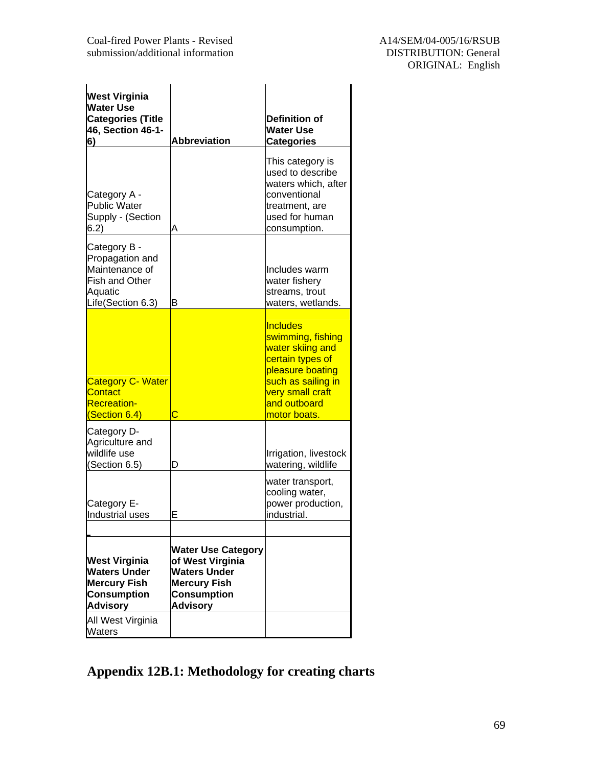| <b>West Virginia</b><br><b>Water Use</b><br><b>Categories (Title</b><br>46, Section 46-1-<br>6)             | <b>Abbreviation</b>                                                                                                                  | <b>Definition of</b><br><b>Water Use</b><br><b>Categories</b>                                                                                                       |
|-------------------------------------------------------------------------------------------------------------|--------------------------------------------------------------------------------------------------------------------------------------|---------------------------------------------------------------------------------------------------------------------------------------------------------------------|
| Category A -<br><b>Public Water</b><br>Supply - (Section<br>6.2)                                            | Α                                                                                                                                    | This category is<br>used to describe<br>waters which, after<br>conventional<br>treatment, are<br>used for human<br>consumption.                                     |
| Category B -<br>Propagation and<br>Maintenance of<br><b>Fish and Other</b><br>Aquatic<br>Life(Section 6.3)  | в                                                                                                                                    | Includes warm<br>water fishery<br>streams, trout<br>waters, wetlands.                                                                                               |
| <b>Category C- Water</b><br>Contact<br><b>Recreation-</b><br>(Section 6.4)                                  | С                                                                                                                                    | Includes<br>swimming, fishing<br>water skiing and<br>certain types of<br>pleasure boating<br>such as sailing in<br>very small craft<br>and outboard<br>motor boats. |
| Category D-<br>Agriculture and<br>wildlife use<br>(Section 6.5)                                             | D                                                                                                                                    | Irrigation, livestock<br>watering, wildlife                                                                                                                         |
| Category E-<br>Industrial uses                                                                              | E                                                                                                                                    | water transport,<br>cooling water,<br>power production,<br>industrial.                                                                                              |
| <b>West Virginia</b><br><b>Waters Under</b><br><b>Mercury Fish</b><br><b>Consumption</b><br><b>Advisory</b> | <b>Water Use Category</b><br>of West Virginia<br><b>Waters Under</b><br><b>Mercury Fish</b><br><b>Consumption</b><br><b>Advisory</b> |                                                                                                                                                                     |
| All West Virginia<br><b>Waters</b>                                                                          |                                                                                                                                      |                                                                                                                                                                     |

# **Appendix 12B.1: Methodology for creating charts**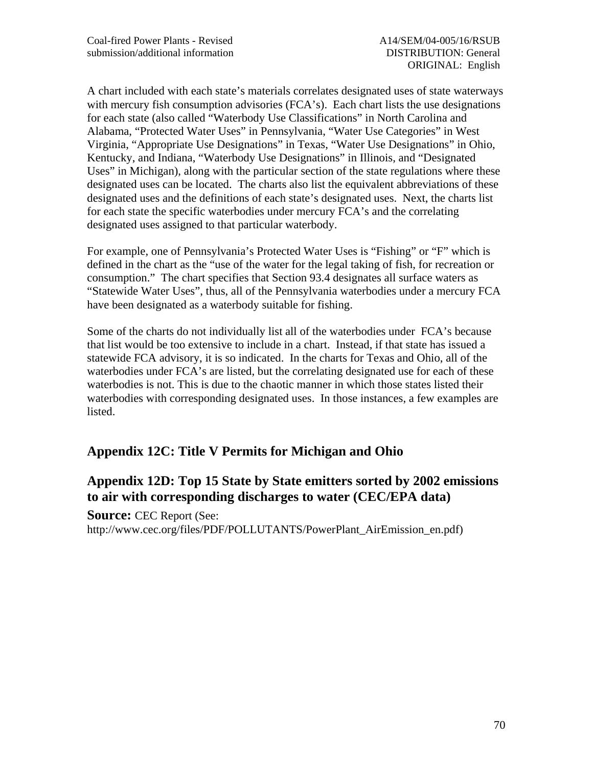A chart included with each state's materials correlates designated uses of state waterways with mercury fish consumption advisories (FCA's). Each chart lists the use designations for each state (also called "Waterbody Use Classifications" in North Carolina and Alabama, "Protected Water Uses" in Pennsylvania, "Water Use Categories" in West Virginia, "Appropriate Use Designations" in Texas, "Water Use Designations" in Ohio, Kentucky, and Indiana, "Waterbody Use Designations" in Illinois, and "Designated Uses" in Michigan), along with the particular section of the state regulations where these designated uses can be located. The charts also list the equivalent abbreviations of these designated uses and the definitions of each state's designated uses. Next, the charts list for each state the specific waterbodies under mercury FCA's and the correlating designated uses assigned to that particular waterbody.

For example, one of Pennsylvania's Protected Water Uses is "Fishing" or "F" which is defined in the chart as the "use of the water for the legal taking of fish, for recreation or consumption." The chart specifies that Section 93.4 designates all surface waters as "Statewide Water Uses", thus, all of the Pennsylvania waterbodies under a mercury FCA have been designated as a waterbody suitable for fishing.

Some of the charts do not individually list all of the waterbodies under FCA's because that list would be too extensive to include in a chart. Instead, if that state has issued a statewide FCA advisory, it is so indicated. In the charts for Texas and Ohio, all of the waterbodies under FCA's are listed, but the correlating designated use for each of these waterbodies is not. This is due to the chaotic manner in which those states listed their waterbodies with corresponding designated uses. In those instances, a few examples are listed.

## **Appendix 12C: Title V Permits for Michigan and Ohio**

## **Appendix 12D: Top 15 State by State emitters sorted by 2002 emissions to air with corresponding discharges to water (CEC/EPA data)**

**Source:** CEC Report (See: http://www.cec.org/files/PDF/POLLUTANTS/PowerPlant\_AirEmission\_en.pdf)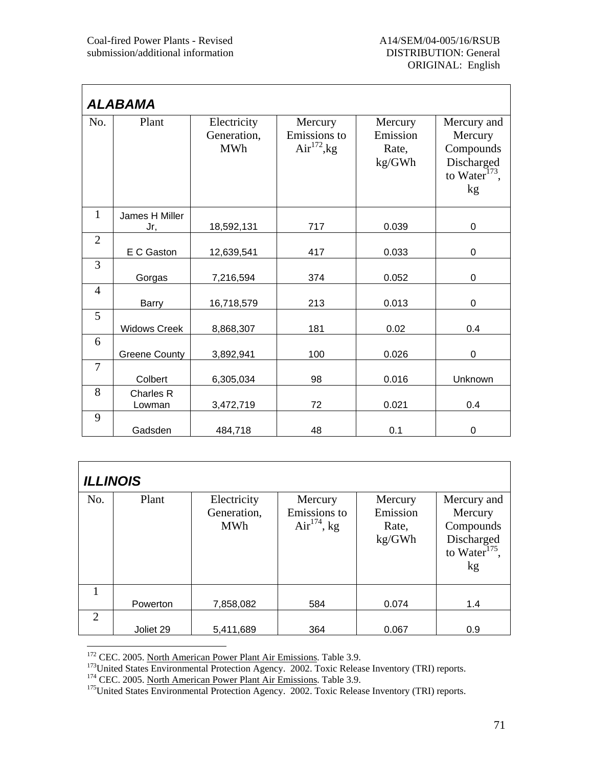┑

|                | <b>ALABAMA</b>        |                                          |                                                    |                                        |                                                                                |  |  |
|----------------|-----------------------|------------------------------------------|----------------------------------------------------|----------------------------------------|--------------------------------------------------------------------------------|--|--|
| No.            | Plant                 | Electricity<br>Generation,<br><b>MWh</b> | Mercury<br>Emissions to<br>Air <sup>172</sup> , kg | Mercury<br>Emission<br>Rate,<br>kg/GWh | Mercury and<br>Mercury<br>Compounds<br>Discharged<br>to Water $^{173}$ ,<br>kg |  |  |
| $\mathbf{1}$   | James H Miller<br>Jr, | 18,592,131                               | 717                                                | 0.039                                  | 0                                                                              |  |  |
| $\overline{2}$ | E C Gaston            | 12,639,541                               | 417                                                | 0.033                                  | 0                                                                              |  |  |
| 3              | Gorgas                | 7,216,594                                | 374                                                | 0.052                                  | $\mathbf 0$                                                                    |  |  |
| $\overline{4}$ | <b>Barry</b>          | 16,718,579                               | 213                                                | 0.013                                  | 0                                                                              |  |  |
| 5              | <b>Widows Creek</b>   | 8,868,307                                | 181                                                | 0.02                                   | 0.4                                                                            |  |  |
| 6              | <b>Greene County</b>  | 3,892,941                                | 100                                                | 0.026                                  | 0                                                                              |  |  |
| $\overline{7}$ | Colbert               | 6,305,034                                | 98                                                 | 0.016                                  | Unknown                                                                        |  |  |
| 8              | Charles R<br>Lowman   | 3,472,719                                | 72                                                 | 0.021                                  | 0.4                                                                            |  |  |
| 9              | Gadsden               | 484,718                                  | 48                                                 | 0.1                                    | 0                                                                              |  |  |

| <b>ILLINOIS</b> |           |                                          |                                          |                                        |                                                                                |  |  |
|-----------------|-----------|------------------------------------------|------------------------------------------|----------------------------------------|--------------------------------------------------------------------------------|--|--|
| No.             | Plant     | Electricity<br>Generation,<br><b>MWh</b> | Mercury<br>Emissions to<br>$Air174$ , kg | Mercury<br>Emission<br>Rate,<br>kg/GWh | Mercury and<br>Mercury<br>Compounds<br>Discharged<br>to Water $^{175}$ ,<br>kg |  |  |
|                 | Powerton  | 7,858,082                                | 584                                      | 0.074                                  | 1.4                                                                            |  |  |
| 2               | Joliet 29 | 5,411,689                                | 364                                      | 0.067                                  | 0.9                                                                            |  |  |

 $\overline{a}$ 

<sup>&</sup>lt;sup>172</sup> CEC. 2005. <u>North American Power Plant Air Emissions</u>. Table 3.9.<br><sup>173</sup>United States Environmental Protection Agency. 2002. Toxic Release Inventory (TRI) reports.<br><sup>174</sup> CEC. 2005. <u>North American Power Plant Air Emis</u>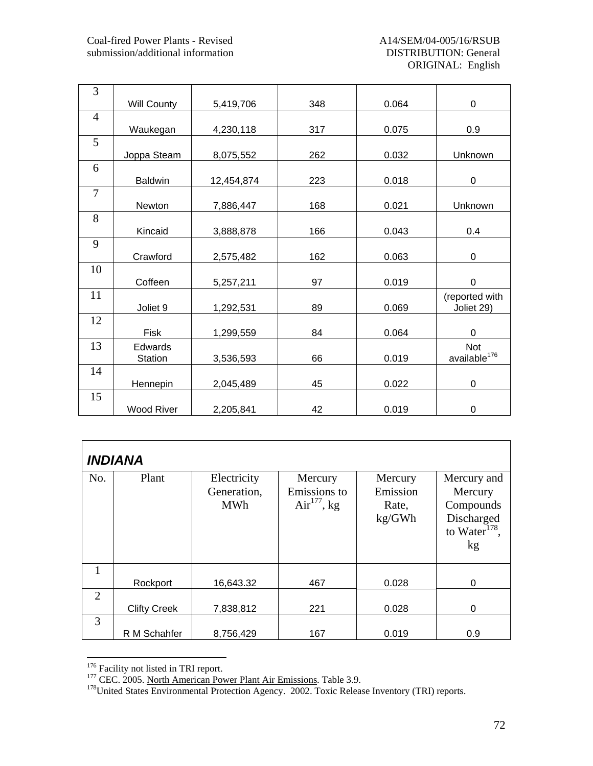#### Coal-fired Power Plants - Revised submission/additional information

#### A14/SEM/04-005/16/RSUB DISTRIBUTION: General ORIGINAL: English

| 3              |                    |            |     |       |                          |
|----------------|--------------------|------------|-----|-------|--------------------------|
|                | <b>Will County</b> | 5,419,706  | 348 | 0.064 | $\pmb{0}$                |
| $\overline{4}$ |                    |            |     |       |                          |
|                | Waukegan           | 4,230,118  | 317 | 0.075 | 0.9                      |
| 5              |                    |            |     |       |                          |
|                | Joppa Steam        | 8,075,552  | 262 | 0.032 | Unknown                  |
| 6              |                    |            |     |       |                          |
|                | <b>Baldwin</b>     | 12,454,874 | 223 | 0.018 | 0                        |
| 7              |                    |            |     |       |                          |
|                | Newton             | 7,886,447  | 168 | 0.021 | Unknown                  |
| 8              |                    |            |     |       |                          |
|                | Kincaid            | 3,888,878  | 166 | 0.043 | 0.4                      |
| 9              |                    |            |     |       |                          |
|                | Crawford           | 2,575,482  | 162 | 0.063 | 0                        |
| 10             |                    |            |     |       |                          |
|                | Coffeen            | 5,257,211  | 97  | 0.019 | 0                        |
| 11             |                    |            |     |       | (reported with           |
|                | Joliet 9           | 1,292,531  | 89  | 0.069 | Joliet 29)               |
| 12             |                    |            |     |       |                          |
|                | Fisk               | 1,299,559  | 84  | 0.064 | 0                        |
| 13             | Edwards            |            |     |       | Not                      |
|                | Station            | 3,536,593  | 66  | 0.019 | available <sup>176</sup> |
| 14             |                    |            |     |       |                          |
|                | Hennepin           | 2,045,489  | 45  | 0.022 | 0                        |
| 15             |                    |            |     |       |                          |
|                | <b>Wood River</b>  | 2,205,841  | 42  | 0.019 | 0                        |

| <b>INDIANA</b> |                     |                                          |                                          |                                        |                                                                                |  |
|----------------|---------------------|------------------------------------------|------------------------------------------|----------------------------------------|--------------------------------------------------------------------------------|--|
| No.            | Plant               | Electricity<br>Generation,<br><b>MWh</b> | Mercury<br>Emissions to<br>$Air177$ , kg | Mercury<br>Emission<br>Rate,<br>kg/GWh | Mercury and<br>Mercury<br>Compounds<br>Discharged<br>to Water $^{178}$ ,<br>kg |  |
| 1              | Rockport            | 16,643.32                                | 467                                      | 0.028                                  | 0                                                                              |  |
| 2              | <b>Clifty Creek</b> | 7,838,812                                | 221                                      | 0.028                                  | 0                                                                              |  |
| 3              | R M Schahfer        | 8,756,429                                | 167                                      | 0.019                                  | 0.9                                                                            |  |

 $\overline{a}$ 

<sup>&</sup>lt;sup>176</sup> Facility not listed in TRI report.<br><sup>177</sup> CEC. 2005. <u>North American Power Plant Air Emissions</u>. Table 3.9.<br><sup>178</sup>United States Environmental Protection Agency. 2002. Toxic Release Inventory (TRI) reports.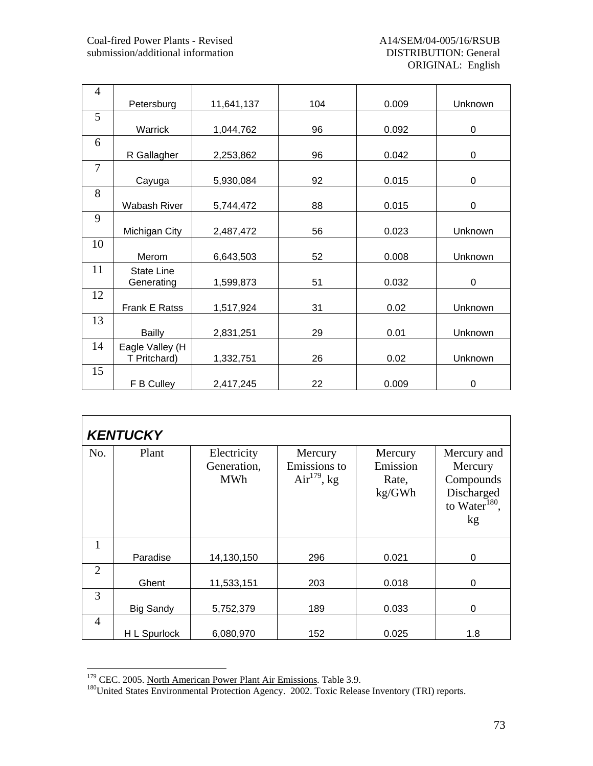#### A14/SEM/04-005/16/RSUB DISTRIBUTION: General ORIGINAL: English

| $\overline{4}$ |                   |            |     |       |             |
|----------------|-------------------|------------|-----|-------|-------------|
|                | Petersburg        | 11,641,137 | 104 | 0.009 | Unknown     |
| 5              |                   |            |     |       |             |
|                | Warrick           | 1,044,762  | 96  | 0.092 | $\mathbf 0$ |
| 6              |                   |            |     |       |             |
|                | R Gallagher       | 2,253,862  | 96  | 0.042 | 0           |
| $\overline{7}$ |                   |            |     |       |             |
|                | Cayuga            | 5,930,084  | 92  | 0.015 | 0           |
| 8              |                   |            |     |       |             |
|                | Wabash River      | 5,744,472  | 88  | 0.015 | 0           |
| 9              |                   |            |     |       |             |
|                | Michigan City     | 2,487,472  | 56  | 0.023 | Unknown     |
| 10             |                   |            |     |       |             |
|                | Merom             | 6,643,503  | 52  | 0.008 | Unknown     |
| 11             | <b>State Line</b> |            |     |       |             |
|                | Generating        | 1,599,873  | 51  | 0.032 | 0           |
| 12             |                   |            |     |       |             |
|                | Frank E Ratss     | 1,517,924  | 31  | 0.02  | Unknown     |
| 13             |                   |            |     |       |             |
|                | <b>Bailly</b>     | 2,831,251  | 29  | 0.01  | Unknown     |
| 14             | Eagle Valley (H   |            |     |       |             |
|                | T Pritchard)      | 1,332,751  | 26  | 0.02  | Unknown     |
| 15             |                   |            |     |       |             |
|                | F B Culley        | 2,417,245  | 22  | 0.009 | 0           |

|                | <b>KENTUCKY</b>  |                                          |                                          |                                        |                                                                                      |  |  |  |  |
|----------------|------------------|------------------------------------------|------------------------------------------|----------------------------------------|--------------------------------------------------------------------------------------|--|--|--|--|
| No.            | Plant            | Electricity<br>Generation,<br><b>MWh</b> | Mercury<br>Emissions to<br>$Air179$ , kg | Mercury<br>Emission<br>Rate,<br>kg/GWh | Mercury and<br>Mercury<br>Compounds<br>Discharged<br>to Water <sup>180</sup> .<br>kg |  |  |  |  |
| $\mathbf{1}$   | Paradise         | 14,130,150                               | 296                                      | 0.021                                  | 0                                                                                    |  |  |  |  |
| $\overline{2}$ | Ghent            | 11,533,151                               | 203                                      | 0.018                                  | 0                                                                                    |  |  |  |  |
| 3              | <b>Big Sandy</b> | 5,752,379                                | 189                                      | 0.033                                  | 0                                                                                    |  |  |  |  |
| $\overline{4}$ | H L Spurlock     | 6,080,970                                | 152                                      | 0.025                                  | 1.8                                                                                  |  |  |  |  |

<sup>&</sup>lt;sup>179</sup> CEC. 2005. <u>North American Power Plant Air Emissions</u>. Table 3.9.<br><sup>180</sup>United States Environmental Protection Agency. 2002. Toxic Release Inventory (TRI) reports.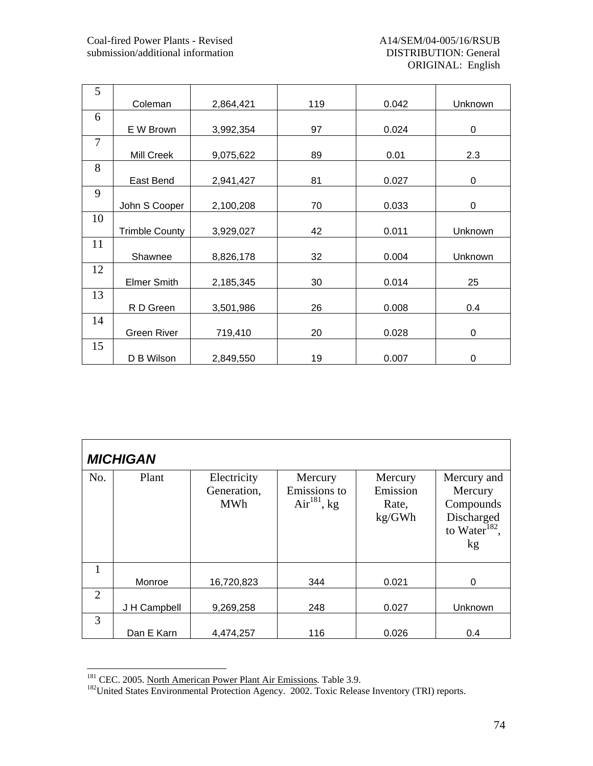#### A14/SEM/04-005/16/RSUB DISTRIBUTION: General ORIGINAL: English

| 5              |                       |           |     |       |             |
|----------------|-----------------------|-----------|-----|-------|-------------|
|                | Coleman               | 2,864,421 | 119 | 0.042 | Unknown     |
| 6              |                       |           |     |       |             |
|                | E W Brown             | 3,992,354 | 97  | 0.024 | $\mathbf 0$ |
| $\overline{7}$ |                       |           |     |       |             |
|                | Mill Creek            | 9,075,622 | 89  | 0.01  | 2.3         |
| 8              |                       |           |     |       |             |
|                | East Bend             | 2,941,427 | 81  | 0.027 | 0           |
| 9              |                       |           |     |       |             |
|                | John S Cooper         | 2,100,208 | 70  | 0.033 | 0           |
| 10             |                       |           |     |       |             |
|                | <b>Trimble County</b> | 3,929,027 | 42  | 0.011 | Unknown     |
| 11             |                       |           |     |       |             |
|                | Shawnee               | 8,826,178 | 32  | 0.004 | Unknown     |
| 12             |                       |           |     |       |             |
|                | <b>Elmer Smith</b>    | 2,185,345 | 30  | 0.014 | 25          |
| 13             |                       |           |     |       |             |
|                | R D Green             | 3,501,986 | 26  | 0.008 | 0.4         |
| 14             |                       |           |     |       |             |
|                | <b>Green River</b>    | 719,410   | 20  | 0.028 | 0           |
| 15             |                       |           |     |       |             |
|                | D B Wilson            | 2,849,550 | 19  | 0.007 | 0           |

|     | <b>MICHIGAN</b> |                                          |                                          |                                        |                                                                                      |  |  |  |  |
|-----|-----------------|------------------------------------------|------------------------------------------|----------------------------------------|--------------------------------------------------------------------------------------|--|--|--|--|
| No. | Plant           | Electricity<br>Generation,<br><b>MWh</b> | Mercury<br>Emissions to<br>$Air181$ , kg | Mercury<br>Emission<br>Rate,<br>kg/GWh | Mercury and<br>Mercury<br>Compounds<br>Discharged<br>to Water <sup>182</sup> ,<br>kg |  |  |  |  |
| 1   |                 |                                          |                                          |                                        |                                                                                      |  |  |  |  |
|     | Monroe          | 16,720,823                               | 344                                      | 0.021                                  | 0                                                                                    |  |  |  |  |
| 2   |                 |                                          |                                          |                                        |                                                                                      |  |  |  |  |
|     | J H Campbell    | 9,269,258                                | 248                                      | 0.027                                  | Unknown                                                                              |  |  |  |  |
| 3   |                 |                                          |                                          |                                        |                                                                                      |  |  |  |  |
|     | Dan E Karn      | 4,474,257                                | 116                                      | 0.026                                  | 0.4                                                                                  |  |  |  |  |

<sup>&</sup>lt;sup>181</sup> CEC. 2005. <u>North American Power Plant Air Emissions</u>. Table 3.9.<br><sup>182</sup>United States Environmental Protection Agency. 2002. Toxic Release Inventory (TRI) reports.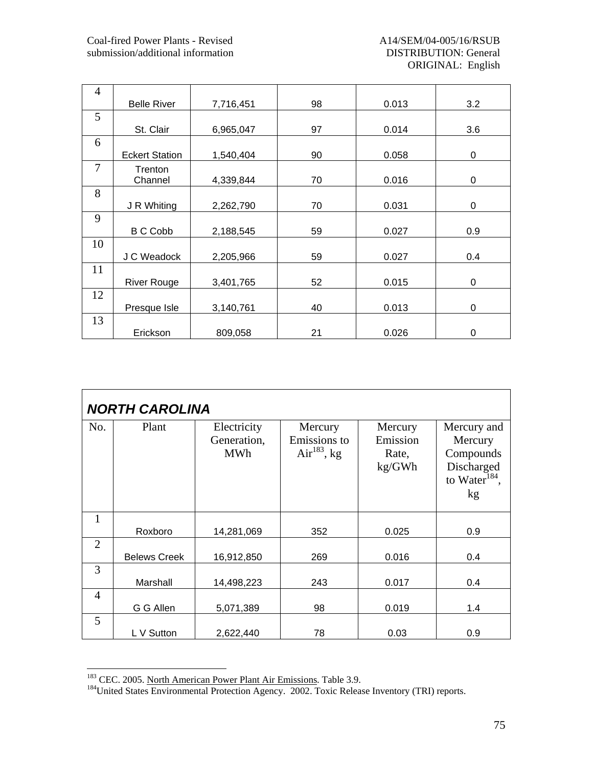#### A14/SEM/04-005/16/RSUB DISTRIBUTION: General ORIGINAL: English

| $\overline{4}$ |                       |           |    |       |     |
|----------------|-----------------------|-----------|----|-------|-----|
|                | <b>Belle River</b>    | 7,716,451 | 98 | 0.013 | 3.2 |
| 5              |                       |           |    |       |     |
|                | St. Clair             | 6,965,047 | 97 | 0.014 | 3.6 |
| 6              |                       |           |    |       |     |
|                | <b>Eckert Station</b> | 1,540,404 | 90 | 0.058 | 0   |
| $\overline{7}$ | Trenton               |           |    |       |     |
|                | Channel               | 4,339,844 | 70 | 0.016 | 0   |
| 8              |                       |           |    |       |     |
|                | J R Whiting           | 2,262,790 | 70 | 0.031 | 0   |
| 9              |                       |           |    |       |     |
|                | <b>B C Cobb</b>       | 2,188,545 | 59 | 0.027 | 0.9 |
| 10             |                       |           |    |       |     |
|                | J C Weadock           | 2,205,966 | 59 | 0.027 | 0.4 |
| 11             |                       |           |    |       |     |
|                | <b>River Rouge</b>    | 3,401,765 | 52 | 0.015 | 0   |
| 12             |                       |           |    |       |     |
|                | Presque Isle          | 3,140,761 | 40 | 0.013 | 0   |
| 13             |                       |           |    |       |     |
|                | Erickson              | 809,058   | 21 | 0.026 | 0   |

|                | <b>NORTH CAROLINA</b> |                                          |                                          |                                        |                                                                                      |  |  |  |
|----------------|-----------------------|------------------------------------------|------------------------------------------|----------------------------------------|--------------------------------------------------------------------------------------|--|--|--|
| No.            | Plant                 | Electricity<br>Generation,<br><b>MWh</b> | Mercury<br>Emissions to<br>$Air183$ , kg | Mercury<br>Emission<br>Rate,<br>kg/GWh | Mercury and<br>Mercury<br>Compounds<br>Discharged<br>to Water <sup>184</sup> ,<br>kg |  |  |  |
| 1              | Roxboro               | 14,281,069                               | 352                                      | 0.025                                  | 0.9                                                                                  |  |  |  |
| $\overline{2}$ | <b>Belews Creek</b>   | 16,912,850                               | 269                                      | 0.016                                  | 0.4                                                                                  |  |  |  |
| 3              | Marshall              | 14,498,223                               | 243                                      | 0.017                                  | 0.4                                                                                  |  |  |  |
| $\overline{4}$ | G G Allen             | 5,071,389                                | 98                                       | 0.019                                  | 1.4                                                                                  |  |  |  |
| 5              | L V Sutton            | 2,622,440                                | 78                                       | 0.03                                   | 0.9                                                                                  |  |  |  |

<sup>&</sup>lt;sup>183</sup> CEC. 2005. <u>North American Power Plant Air Emissions</u>. Table 3.9.<br><sup>184</sup>United States Environmental Protection Agency. 2002. Toxic Release Inventory (TRI) reports.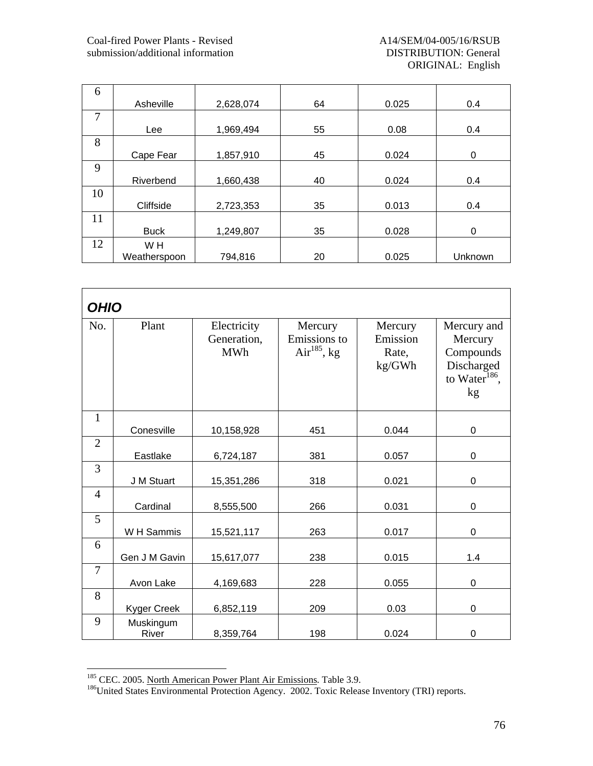#### A14/SEM/04-005/16/RSUB DISTRIBUTION: General ORIGINAL: English

| 6  |              |           |    |       |         |
|----|--------------|-----------|----|-------|---------|
|    | Asheville    | 2,628,074 | 64 | 0.025 | 0.4     |
| 7  |              |           |    |       |         |
|    | Lee          | 1,969,494 | 55 | 0.08  | 0.4     |
| 8  |              |           |    |       |         |
|    | Cape Fear    | 1,857,910 | 45 | 0.024 | 0       |
| 9  |              |           |    |       |         |
|    | Riverbend    | 1,660,438 | 40 | 0.024 | 0.4     |
| 10 |              |           |    |       |         |
|    | Cliffside    | 2,723,353 | 35 | 0.013 | 0.4     |
| 11 |              |           |    |       |         |
|    | <b>Buck</b>  | 1,249,807 | 35 | 0.028 | 0       |
| 12 | W H          |           |    |       |         |
|    | Weatherspoon | 794,816   | 20 | 0.025 | Unknown |

| <b>OHIO</b>    |                    |                                          |                                          |                                        |                                                                                      |  |  |
|----------------|--------------------|------------------------------------------|------------------------------------------|----------------------------------------|--------------------------------------------------------------------------------------|--|--|
| No.            | Plant              | Electricity<br>Generation,<br><b>MWh</b> | Mercury<br>Emissions to<br>$Air185$ , kg | Mercury<br>Emission<br>Rate,<br>kg/GWh | Mercury and<br>Mercury<br>Compounds<br>Discharged<br>to Water <sup>186</sup> ,<br>kg |  |  |
| $\mathbf{1}$   | Conesville         | 10,158,928                               | 451                                      | 0.044                                  | $\pmb{0}$                                                                            |  |  |
| $\overline{2}$ | Eastlake           | 6,724,187                                | 381                                      | 0.057                                  | 0                                                                                    |  |  |
| 3              | J M Stuart         | 15,351,286                               | 318                                      | 0.021                                  | 0                                                                                    |  |  |
| $\overline{4}$ | Cardinal           | 8,555,500                                | 266                                      | 0.031                                  | 0                                                                                    |  |  |
| 5              | W H Sammis         | 15,521,117                               | 263                                      | 0.017                                  | 0                                                                                    |  |  |
| 6              | Gen J M Gavin      | 15,617,077                               | 238                                      | 0.015                                  | 1.4                                                                                  |  |  |
| $\overline{7}$ | Avon Lake          | 4,169,683                                | 228                                      | 0.055                                  | 0                                                                                    |  |  |
| 8              | Kyger Creek        | 6,852,119                                | 209                                      | 0.03                                   | 0                                                                                    |  |  |
| 9              | Muskingum<br>River | 8,359,764                                | 198                                      | 0.024                                  | $\mathbf 0$                                                                          |  |  |

<sup>&</sup>lt;sup>185</sup> CEC. 2005. <u>North American Power Plant Air Emissions</u>. Table 3.9.<br><sup>186</sup>United States Environmental Protection Agency. 2002. Toxic Release Inventory (TRI) reports.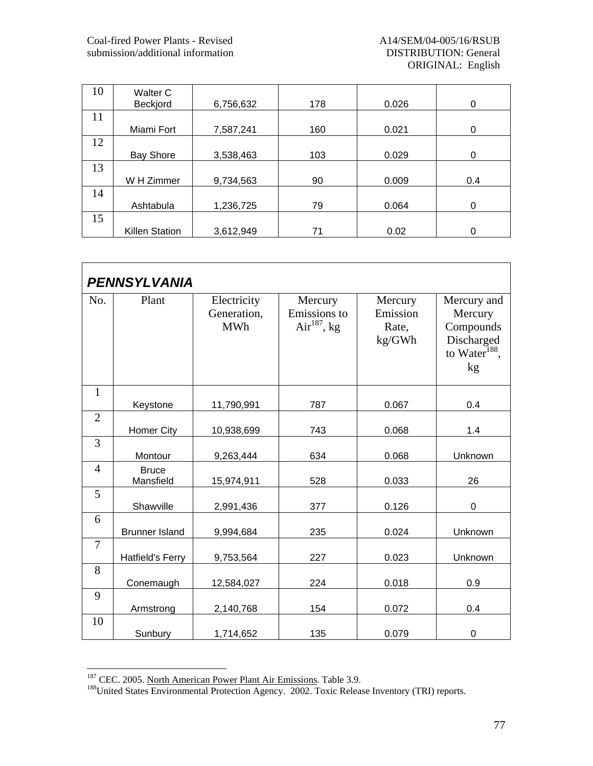#### A14/SEM/04-005/16/RSUB DISTRIBUTION: General ORIGINAL: English

| 10 | Walter C              |           |     |       |     |
|----|-----------------------|-----------|-----|-------|-----|
|    | Beckjord              | 6,756,632 | 178 | 0.026 | 0   |
| 11 |                       |           |     |       |     |
|    | Miami Fort            | 7,587,241 | 160 | 0.021 | 0   |
| 12 |                       |           |     |       |     |
|    | <b>Bay Shore</b>      | 3,538,463 | 103 | 0.029 | 0   |
| 13 |                       |           |     |       |     |
|    | W H Zimmer            | 9,734,563 | 90  | 0.009 | 0.4 |
| 14 |                       |           |     |       |     |
|    | Ashtabula             | 1,236,725 | 79  | 0.064 | 0   |
| 15 |                       |           |     |       |     |
|    | <b>Killen Station</b> | 3,612,949 | 71  | 0.02  | 0   |

|                | <b>PENNSYLVANIA</b>       |                                          |                                          |                                        |                                                                                |  |  |  |
|----------------|---------------------------|------------------------------------------|------------------------------------------|----------------------------------------|--------------------------------------------------------------------------------|--|--|--|
| No.            | Plant                     | Electricity<br>Generation,<br><b>MWh</b> | Mercury<br>Emissions to<br>$Air187$ , kg | Mercury<br>Emission<br>Rate,<br>kg/GWh | Mercury and<br>Mercury<br>Compounds<br>Discharged<br>to Water $^{188}$ ,<br>kg |  |  |  |
| $\mathbf{1}$   | Keystone                  | 11,790,991                               | 787                                      | 0.067                                  | 0.4                                                                            |  |  |  |
| $\overline{2}$ | <b>Homer City</b>         | 10,938,699                               | 743                                      | 0.068                                  | 1.4                                                                            |  |  |  |
| 3              | Montour                   | 9,263,444                                | 634                                      | 0.068                                  | Unknown                                                                        |  |  |  |
| $\overline{4}$ | <b>Bruce</b><br>Mansfield | 15,974,911                               | 528                                      | 0.033                                  | 26                                                                             |  |  |  |
| 5              | Shawville                 | 2,991,436                                | 377                                      | 0.126                                  | $\mathbf 0$                                                                    |  |  |  |
| 6              | <b>Brunner Island</b>     | 9,994,684                                | 235                                      | 0.024                                  | Unknown                                                                        |  |  |  |
| $\overline{7}$ | Hatfield's Ferry          | 9,753,564                                | 227                                      | 0.023                                  | Unknown                                                                        |  |  |  |
| 8              | Conemaugh                 | 12,584,027                               | 224                                      | 0.018                                  | 0.9                                                                            |  |  |  |
| 9              | Armstrong                 | 2,140,768                                | 154                                      | 0.072                                  | 0.4                                                                            |  |  |  |
| 10             | Sunbury                   | 1,714,652                                | 135                                      | 0.079                                  | 0                                                                              |  |  |  |

<sup>&</sup>lt;sup>187</sup> CEC. 2005. <u>North American Power Plant Air Emissions</u>. Table 3.9.<br><sup>188</sup>United States Environmental Protection Agency. 2002. Toxic Release Inventory (TRI) reports.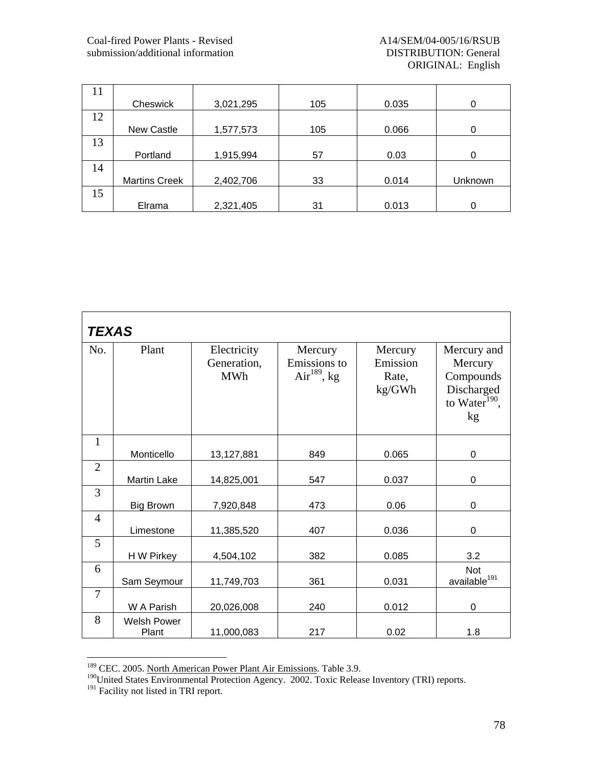#### A14/SEM/04-005/16/RSUB DISTRIBUTION: General ORIGINAL: English

| 11 |                      |           |     |       |         |
|----|----------------------|-----------|-----|-------|---------|
|    | Cheswick             | 3,021,295 | 105 | 0.035 | 0       |
| 12 |                      |           |     |       |         |
|    | New Castle           | 1,577,573 | 105 | 0.066 | 0       |
| 13 |                      |           |     |       |         |
|    | Portland             | 1,915,994 | 57  | 0.03  | 0       |
| 14 |                      |           |     |       |         |
|    | <b>Martins Creek</b> | 2,402,706 | 33  | 0.014 | Unknown |
| 15 |                      |           |     |       |         |
|    | Elrama               | 2,321,405 | 31  | 0.013 | 0       |

|                | <b>TEXAS</b>                |                                          |                                          |                                        |                                                                                      |  |  |  |  |
|----------------|-----------------------------|------------------------------------------|------------------------------------------|----------------------------------------|--------------------------------------------------------------------------------------|--|--|--|--|
| No.            | Plant                       | Electricity<br>Generation,<br><b>MWh</b> | Mercury<br>Emissions to<br>$Air189$ , kg | Mercury<br>Emission<br>Rate,<br>kg/GWh | Mercury and<br>Mercury<br>Compounds<br>Discharged<br>to Water <sup>190</sup> ,<br>kg |  |  |  |  |
| $\mathbf{1}$   | Monticello                  | 13,127,881                               | 849                                      | 0.065                                  | 0                                                                                    |  |  |  |  |
| $\overline{2}$ | <b>Martin Lake</b>          | 14,825,001                               | 547                                      | 0.037                                  | 0                                                                                    |  |  |  |  |
| 3              | <b>Big Brown</b>            | 7,920,848                                | 473                                      | 0.06                                   | 0                                                                                    |  |  |  |  |
| $\overline{4}$ | Limestone                   | 11,385,520                               | 407                                      | 0.036                                  | 0                                                                                    |  |  |  |  |
| 5              | H W Pirkey                  | 4,504,102                                | 382                                      | 0.085                                  | 3.2                                                                                  |  |  |  |  |
| 6              | Sam Seymour                 | 11,749,703                               | 361                                      | 0.031                                  | <b>Not</b><br>available <sup>191</sup>                                               |  |  |  |  |
| $\overline{7}$ | W A Parish                  | 20,026,008                               | 240                                      | 0.012                                  | 0                                                                                    |  |  |  |  |
| 8              | <b>Welsh Power</b><br>Plant | 11,000,083                               | 217                                      | 0.02                                   | 1.8                                                                                  |  |  |  |  |

<sup>&</sup>lt;sup>189</sup> CEC. 2005. North American Power Plant Air Emissions. Table 3.9.

<sup>&</sup>lt;sup>190</sup>United States Environmental Protection Agency. 2002. Toxic Release Inventory (TRI) reports.

<sup>&</sup>lt;sup>191</sup> Facility not listed in TRI report.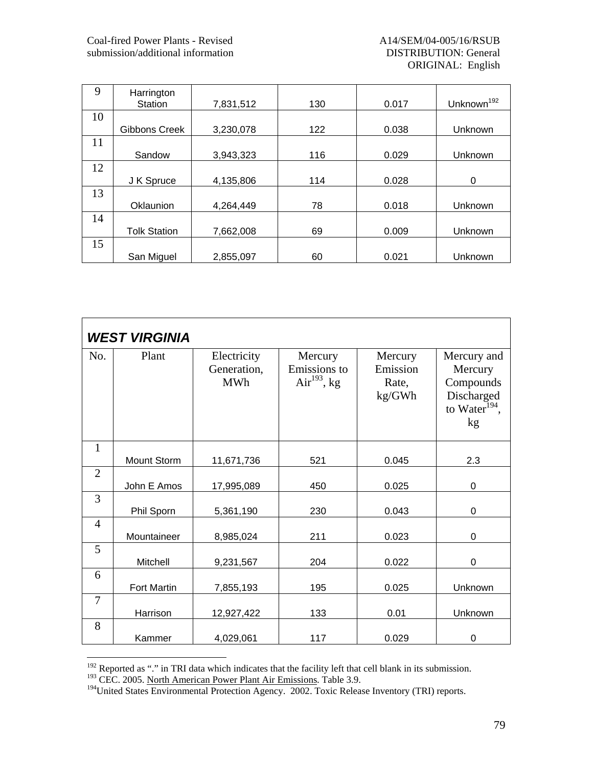#### A14/SEM/04-005/16/RSUB DISTRIBUTION: General ORIGINAL: English

| 9  | Harrington          |           |     |       |                        |
|----|---------------------|-----------|-----|-------|------------------------|
|    | Station             | 7,831,512 | 130 | 0.017 | Unknown <sup>192</sup> |
| 10 |                     |           |     |       |                        |
|    | Gibbons Creek       | 3,230,078 | 122 | 0.038 | Unknown                |
| 11 |                     |           |     |       |                        |
|    | Sandow              | 3,943,323 | 116 | 0.029 | Unknown                |
| 12 |                     |           |     |       |                        |
|    | J K Spruce          | 4,135,806 | 114 | 0.028 | 0                      |
| 13 |                     |           |     |       |                        |
|    | Oklaunion           | 4,264,449 | 78  | 0.018 | Unknown                |
| 14 |                     |           |     |       |                        |
|    | <b>Tolk Station</b> | 7,662,008 | 69  | 0.009 | Unknown                |
| 15 |                     |           |     |       |                        |
|    | San Miguel          | 2,855,097 | 60  | 0.021 | Unknown                |

| <b>WEST VIRGINIA</b> |                    |                                          |                                          |                                        |                                                                                      |  |  |
|----------------------|--------------------|------------------------------------------|------------------------------------------|----------------------------------------|--------------------------------------------------------------------------------------|--|--|
| No.                  | Plant              | Electricity<br>Generation,<br><b>MWh</b> | Mercury<br>Emissions to<br>$Air193$ , kg | Mercury<br>Emission<br>Rate,<br>kg/GWh | Mercury and<br>Mercury<br>Compounds<br>Discharged<br>to Water <sup>194</sup> .<br>kg |  |  |
| $\mathbf{1}$         | Mount Storm        | 11,671,736                               | 521                                      | 0.045                                  | 2.3                                                                                  |  |  |
| $\overline{2}$       | John E Amos        | 17,995,089                               | 450                                      | 0.025                                  | 0                                                                                    |  |  |
| 3                    | Phil Sporn         | 5,361,190                                | 230                                      | 0.043                                  | 0                                                                                    |  |  |
| $\overline{4}$       | Mountaineer        | 8,985,024                                | 211                                      | 0.023                                  | $\pmb{0}$                                                                            |  |  |
| 5                    | Mitchell           | 9,231,567                                | 204                                      | 0.022                                  | $\Omega$                                                                             |  |  |
| 6                    | <b>Fort Martin</b> | 7,855,193                                | 195                                      | 0.025                                  | Unknown                                                                              |  |  |
| $\overline{7}$       | Harrison           | 12,927,422                               | 133                                      | 0.01                                   | Unknown                                                                              |  |  |
| 8                    | Kammer             | 4,029,061                                | 117                                      | 0.029                                  | 0                                                                                    |  |  |

 $\overline{a}$  $192$  Reported as "." in TRI data which indicates that the facility left that cell blank in its submission. <sup>193</sup> CEC. 2005. North American Power Plant Air Emissions. Table 3.9.

<sup>&</sup>lt;sup>194</sup>United States Environmental Protection Agency. 2002. Toxic Release Inventory (TRI) reports.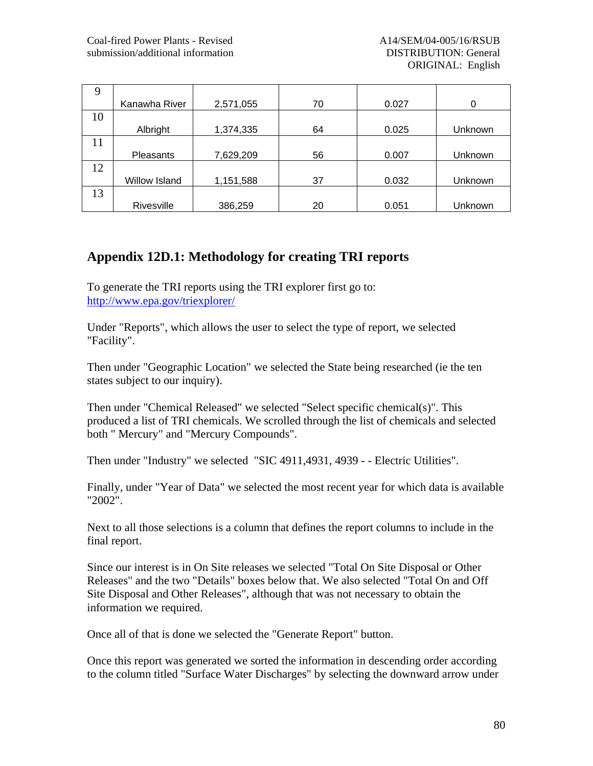| 9  |               |           |    |       |                |
|----|---------------|-----------|----|-------|----------------|
|    | Kanawha River | 2,571,055 | 70 | 0.027 | 0              |
| 10 |               |           |    |       |                |
|    | Albright      | 1,374,335 | 64 | 0.025 | <b>Unknown</b> |
| 11 |               |           |    |       |                |
|    | Pleasants     | 7,629,209 | 56 | 0.007 | Unknown        |
| 12 |               |           |    |       |                |
|    | Willow Island | 1,151,588 | 37 | 0.032 | <b>Unknown</b> |
| 13 |               |           |    |       |                |
|    | Rivesville    | 386,259   | 20 | 0.051 | <b>Unknown</b> |

## **Appendix 12D.1: Methodology for creating TRI reports**

To generate the TRI reports using the TRI explorer first go to: http://www.epa.gov/triexplorer/

Under "Reports", which allows the user to select the type of report, we selected "Facility".

Then under "Geographic Location" we selected the State being researched (ie the ten states subject to our inquiry).

Then under "Chemical Released" we selected "Select specific chemical(s)". This produced a list of TRI chemicals. We scrolled through the list of chemicals and selected both " Mercury" and "Mercury Compounds".

Then under "Industry" we selected "SIC 4911,4931, 4939 - - Electric Utilities".

Finally, under "Year of Data" we selected the most recent year for which data is available "2002".

Next to all those selections is a column that defines the report columns to include in the final report.

Since our interest is in On Site releases we selected "Total On Site Disposal or Other Releases" and the two "Details" boxes below that. We also selected "Total On and Off Site Disposal and Other Releases", although that was not necessary to obtain the information we required.

Once all of that is done we selected the "Generate Report" button.

Once this report was generated we sorted the information in descending order according to the column titled "Surface Water Discharges" by selecting the downward arrow under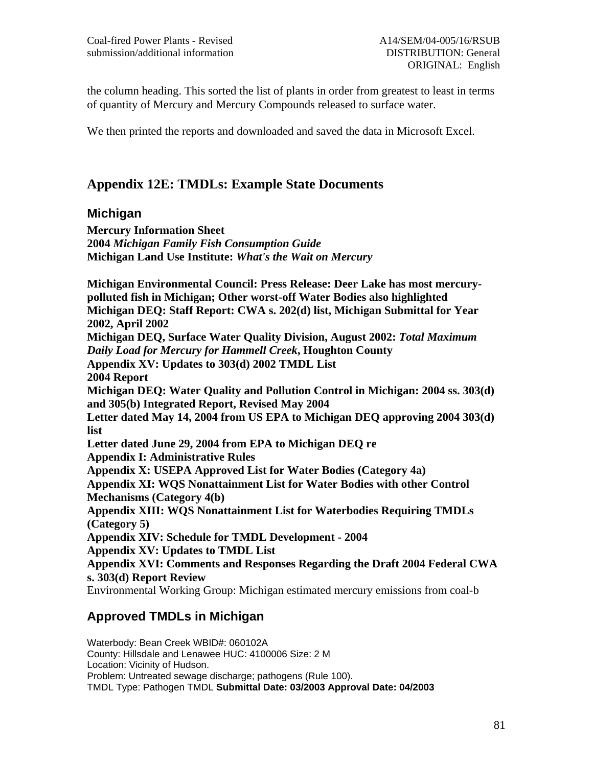the column heading. This sorted the list of plants in order from greatest to least in terms of quantity of Mercury and Mercury Compounds released to surface water.

We then printed the reports and downloaded and saved the data in Microsoft Excel.

## **Appendix 12E: TMDLs: Example State Documents**

## **Michigan**

**Mercury Information Sheet 2004** *Michigan Family Fish Consumption Guide* **Michigan Land Use Institute:** *What's the Wait on Mercury*

**Michigan Environmental Council: Press Release: Deer Lake has most mercurypolluted fish in Michigan; Other worst-off Water Bodies also highlighted Michigan DEQ: Staff Report: CWA s. 202(d) list, Michigan Submittal for Year 2002, April 2002 Michigan DEQ, Surface Water Quality Division, August 2002:** *Total Maximum Daily Load for Mercury for Hammell Creek***, Houghton County Appendix XV: Updates to 303(d) 2002 TMDL List 2004 Report Michigan DEQ: Water Quality and Pollution Control in Michigan: 2004 ss. 303(d) and 305(b) Integrated Report, Revised May 2004 Letter dated May 14, 2004 from US EPA to Michigan DEQ approving 2004 303(d) list Letter dated June 29, 2004 from EPA to Michigan DEQ re Appendix I: Administrative Rules Appendix X: USEPA Approved List for Water Bodies (Category 4a) Appendix XI: WQS Nonattainment List for Water Bodies with other Control Mechanisms (Category 4(b) Appendix XIII: WQS Nonattainment List for Waterbodies Requiring TMDLs (Category 5) Appendix XIV: Schedule for TMDL Development - 2004 Appendix XV: Updates to TMDL List Appendix XVI: Comments and Responses Regarding the Draft 2004 Federal CWA s. 303(d) Report Review**  Environmental Working Group: Michigan estimated mercury emissions from coal-b

## **Approved TMDLs in Michigan**

Waterbody: Bean Creek WBID#: 060102A County: Hillsdale and Lenawee HUC: 4100006 Size: 2 M Location: Vicinity of Hudson. Problem: Untreated sewage discharge; pathogens (Rule 100). TMDL Type: Pathogen TMDL **Submittal Date: 03/2003 Approval Date: 04/2003**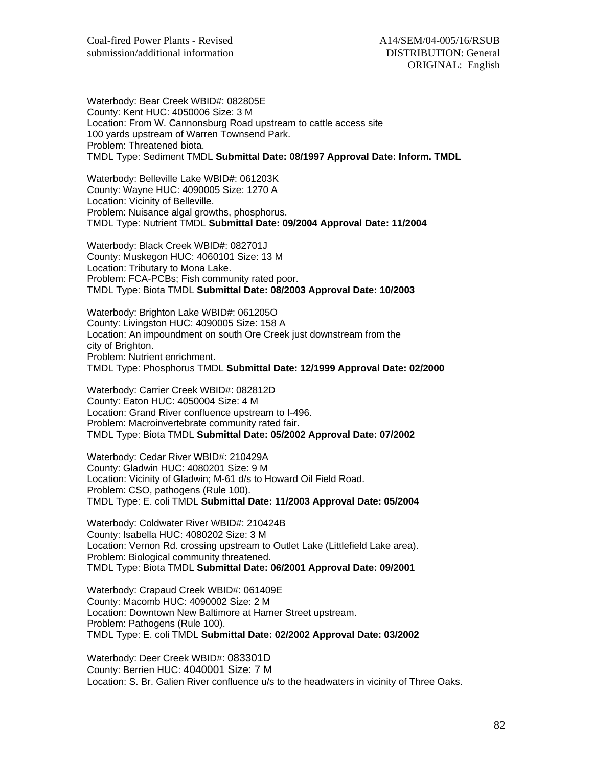Waterbody: Bear Creek WBID#: 082805E County: Kent HUC: 4050006 Size: 3 M Location: From W. Cannonsburg Road upstream to cattle access site 100 yards upstream of Warren Townsend Park. Problem: Threatened biota. TMDL Type: Sediment TMDL **Submittal Date: 08/1997 Approval Date: Inform. TMDL** 

Waterbody: Belleville Lake WBID#: 061203K County: Wayne HUC: 4090005 Size: 1270 A Location: Vicinity of Belleville. Problem: Nuisance algal growths, phosphorus. TMDL Type: Nutrient TMDL **Submittal Date: 09/2004 Approval Date: 11/2004** 

Waterbody: Black Creek WBID#: 082701J County: Muskegon HUC: 4060101 Size: 13 M Location: Tributary to Mona Lake. Problem: FCA-PCBs; Fish community rated poor. TMDL Type: Biota TMDL **Submittal Date: 08/2003 Approval Date: 10/2003** 

Waterbody: Brighton Lake WBID#: 061205O County: Livingston HUC: 4090005 Size: 158 A Location: An impoundment on south Ore Creek just downstream from the city of Brighton. Problem: Nutrient enrichment. TMDL Type: Phosphorus TMDL **Submittal Date: 12/1999 Approval Date: 02/2000** 

Waterbody: Carrier Creek WBID#: 082812D County: Eaton HUC: 4050004 Size: 4 M Location: Grand River confluence upstream to I-496. Problem: Macroinvertebrate community rated fair. TMDL Type: Biota TMDL **Submittal Date: 05/2002 Approval Date: 07/2002** 

Waterbody: Cedar River WBID#: 210429A County: Gladwin HUC: 4080201 Size: 9 M Location: Vicinity of Gladwin; M-61 d/s to Howard Oil Field Road. Problem: CSO, pathogens (Rule 100). TMDL Type: E. coli TMDL **Submittal Date: 11/2003 Approval Date: 05/2004** 

Waterbody: Coldwater River WBID#: 210424B County: Isabella HUC: 4080202 Size: 3 M Location: Vernon Rd. crossing upstream to Outlet Lake (Littlefield Lake area). Problem: Biological community threatened. TMDL Type: Biota TMDL **Submittal Date: 06/2001 Approval Date: 09/2001** 

Waterbody: Crapaud Creek WBID#: 061409E County: Macomb HUC: 4090002 Size: 2 M Location: Downtown New Baltimore at Hamer Street upstream. Problem: Pathogens (Rule 100). TMDL Type: E. coli TMDL **Submittal Date: 02/2002 Approval Date: 03/2002** 

Waterbody: Deer Creek WBID#: 083301D County: Berrien HUC: 4040001 Size: 7 M Location: S. Br. Galien River confluence u/s to the headwaters in vicinity of Three Oaks.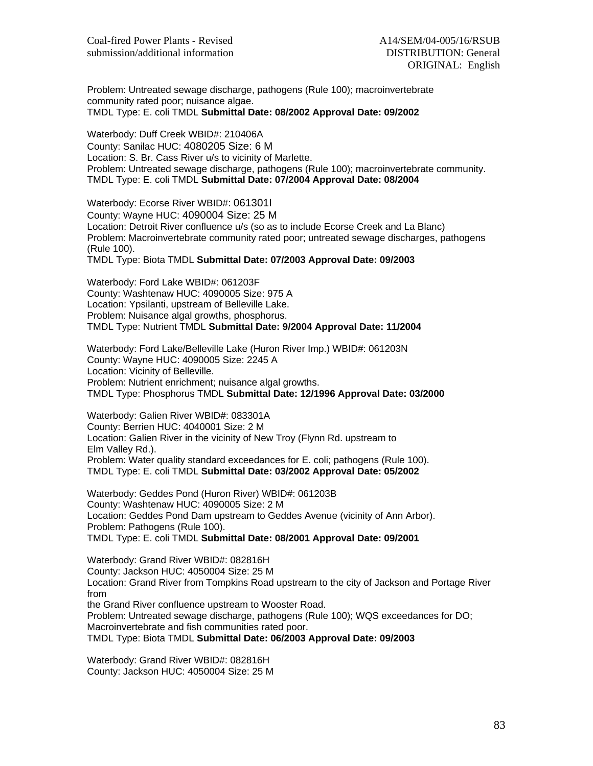Problem: Untreated sewage discharge, pathogens (Rule 100); macroinvertebrate community rated poor; nuisance algae. TMDL Type: E. coli TMDL **Submittal Date: 08/2002 Approval Date: 09/2002** 

Waterbody: Duff Creek WBID#: 210406A County: Sanilac HUC: 4080205 Size: 6 M Location: S. Br. Cass River u/s to vicinity of Marlette. Problem: Untreated sewage discharge, pathogens (Rule 100); macroinvertebrate community. TMDL Type: E. coli TMDL **Submittal Date: 07/2004 Approval Date: 08/2004** 

Waterbody: Ecorse River WBID#: 061301I County: Wayne HUC: 4090004 Size: 25 M Location: Detroit River confluence u/s (so as to include Ecorse Creek and La Blanc) Problem: Macroinvertebrate community rated poor; untreated sewage discharges, pathogens (Rule 100). TMDL Type: Biota TMDL **Submittal Date: 07/2003 Approval Date: 09/2003** 

Waterbody: Ford Lake WBID#: 061203F County: Washtenaw HUC: 4090005 Size: 975 A Location: Ypsilanti, upstream of Belleville Lake. Problem: Nuisance algal growths, phosphorus. TMDL Type: Nutrient TMDL **Submittal Date: 9/2004 Approval Date: 11/2004** 

Waterbody: Ford Lake/Belleville Lake (Huron River Imp.) WBID#: 061203N County: Wayne HUC: 4090005 Size: 2245 A Location: Vicinity of Belleville. Problem: Nutrient enrichment; nuisance algal growths. TMDL Type: Phosphorus TMDL **Submittal Date: 12/1996 Approval Date: 03/2000** 

Waterbody: Galien River WBID#: 083301A County: Berrien HUC: 4040001 Size: 2 M Location: Galien River in the vicinity of New Troy (Flynn Rd. upstream to Elm Valley Rd.). Problem: Water quality standard exceedances for E. coli; pathogens (Rule 100). TMDL Type: E. coli TMDL **Submittal Date: 03/2002 Approval Date: 05/2002** 

Waterbody: Geddes Pond (Huron River) WBID#: 061203B County: Washtenaw HUC: 4090005 Size: 2 M Location: Geddes Pond Dam upstream to Geddes Avenue (vicinity of Ann Arbor). Problem: Pathogens (Rule 100). TMDL Type: E. coli TMDL **Submittal Date: 08/2001 Approval Date: 09/2001** 

Waterbody: Grand River WBID#: 082816H County: Jackson HUC: 4050004 Size: 25 M Location: Grand River from Tompkins Road upstream to the city of Jackson and Portage River from the Grand River confluence upstream to Wooster Road. Problem: Untreated sewage discharge, pathogens (Rule 100); WQS exceedances for DO; Macroinvertebrate and fish communities rated poor. TMDL Type: Biota TMDL **Submittal Date: 06/2003 Approval Date: 09/2003** 

Waterbody: Grand River WBID#: 082816H County: Jackson HUC: 4050004 Size: 25 M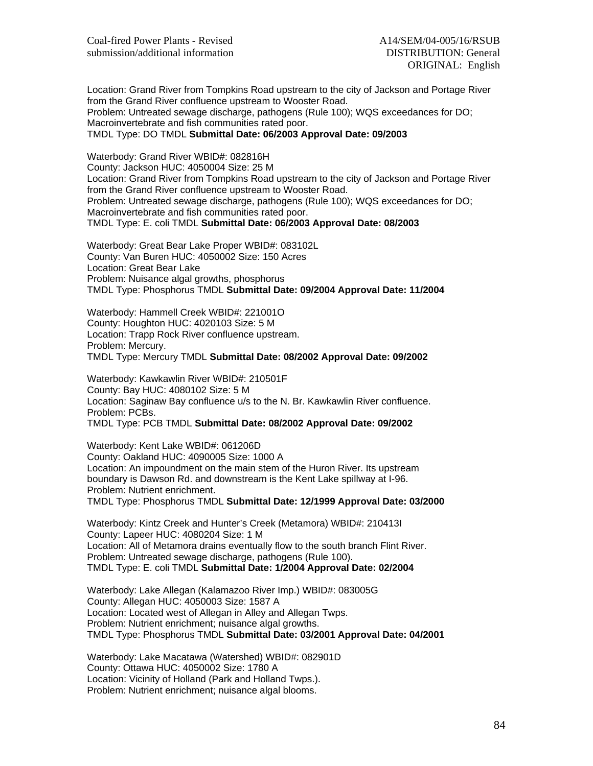Location: Grand River from Tompkins Road upstream to the city of Jackson and Portage River from the Grand River confluence upstream to Wooster Road. Problem: Untreated sewage discharge, pathogens (Rule 100); WQS exceedances for DO; Macroinvertebrate and fish communities rated poor. TMDL Type: DO TMDL **Submittal Date: 06/2003 Approval Date: 09/2003** 

Waterbody: Grand River WBID#: 082816H County: Jackson HUC: 4050004 Size: 25 M Location: Grand River from Tompkins Road upstream to the city of Jackson and Portage River from the Grand River confluence upstream to Wooster Road. Problem: Untreated sewage discharge, pathogens (Rule 100); WQS exceedances for DO; Macroinvertebrate and fish communities rated poor. TMDL Type: E. coli TMDL **Submittal Date: 06/2003 Approval Date: 08/2003** 

Waterbody: Great Bear Lake Proper WBID#: 083102L County: Van Buren HUC: 4050002 Size: 150 Acres Location: Great Bear Lake Problem: Nuisance algal growths, phosphorus TMDL Type: Phosphorus TMDL **Submittal Date: 09/2004 Approval Date: 11/2004** 

Waterbody: Hammell Creek WBID#: 221001O County: Houghton HUC: 4020103 Size: 5 M Location: Trapp Rock River confluence upstream. Problem: Mercury. TMDL Type: Mercury TMDL **Submittal Date: 08/2002 Approval Date: 09/2002** 

Waterbody: Kawkawlin River WBID#: 210501F County: Bay HUC: 4080102 Size: 5 M Location: Saginaw Bay confluence u/s to the N. Br. Kawkawlin River confluence. Problem: PCBs. TMDL Type: PCB TMDL **Submittal Date: 08/2002 Approval Date: 09/2002** 

Waterbody: Kent Lake WBID#: 061206D County: Oakland HUC: 4090005 Size: 1000 A Location: An impoundment on the main stem of the Huron River. Its upstream boundary is Dawson Rd. and downstream is the Kent Lake spillway at I-96. Problem: Nutrient enrichment. TMDL Type: Phosphorus TMDL **Submittal Date: 12/1999 Approval Date: 03/2000** 

Waterbody: Kintz Creek and Hunter's Creek (Metamora) WBID#: 210413I County: Lapeer HUC: 4080204 Size: 1 M Location: All of Metamora drains eventually flow to the south branch Flint River. Problem: Untreated sewage discharge, pathogens (Rule 100). TMDL Type: E. coli TMDL **Submittal Date: 1/2004 Approval Date: 02/2004** 

Waterbody: Lake Allegan (Kalamazoo River Imp.) WBID#: 083005G County: Allegan HUC: 4050003 Size: 1587 A Location: Located west of Allegan in Alley and Allegan Twps. Problem: Nutrient enrichment; nuisance algal growths. TMDL Type: Phosphorus TMDL **Submittal Date: 03/2001 Approval Date: 04/2001** 

Waterbody: Lake Macatawa (Watershed) WBID#: 082901D County: Ottawa HUC: 4050002 Size: 1780 A Location: Vicinity of Holland (Park and Holland Twps.). Problem: Nutrient enrichment; nuisance algal blooms.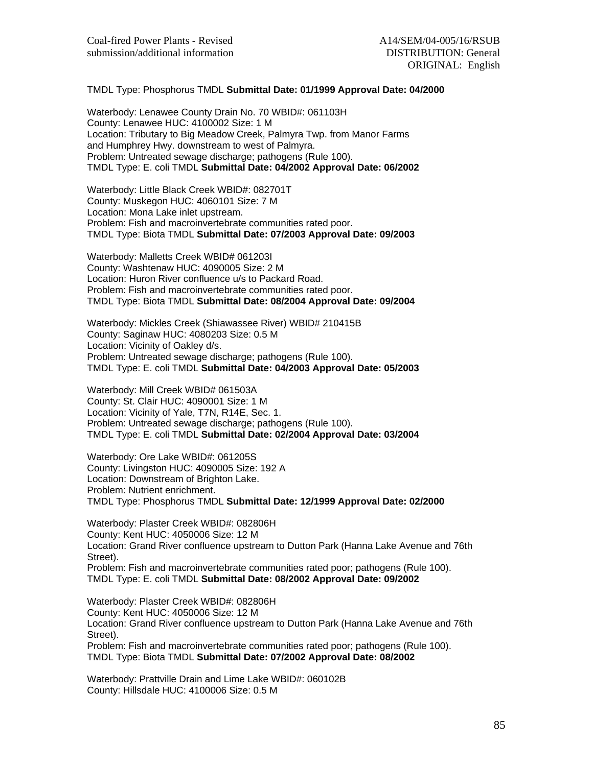#### TMDL Type: Phosphorus TMDL **Submittal Date: 01/1999 Approval Date: 04/2000**

Waterbody: Lenawee County Drain No. 70 WBID#: 061103H County: Lenawee HUC: 4100002 Size: 1 M Location: Tributary to Big Meadow Creek, Palmyra Twp. from Manor Farms and Humphrey Hwy. downstream to west of Palmyra. Problem: Untreated sewage discharge; pathogens (Rule 100). TMDL Type: E. coli TMDL **Submittal Date: 04/2002 Approval Date: 06/2002** 

Waterbody: Little Black Creek WBID#: 082701T County: Muskegon HUC: 4060101 Size: 7 M Location: Mona Lake inlet upstream. Problem: Fish and macroinvertebrate communities rated poor. TMDL Type: Biota TMDL **Submittal Date: 07/2003 Approval Date: 09/2003** 

Waterbody: Malletts Creek WBID# 061203I County: Washtenaw HUC: 4090005 Size: 2 M Location: Huron River confluence u/s to Packard Road. Problem: Fish and macroinvertebrate communities rated poor. TMDL Type: Biota TMDL **Submittal Date: 08/2004 Approval Date: 09/2004** 

Waterbody: Mickles Creek (Shiawassee River) WBID# 210415B County: Saginaw HUC: 4080203 Size: 0.5 M Location: Vicinity of Oakley d/s. Problem: Untreated sewage discharge; pathogens (Rule 100). TMDL Type: E. coli TMDL **Submittal Date: 04/2003 Approval Date: 05/2003** 

Waterbody: Mill Creek WBID# 061503A County: St. Clair HUC: 4090001 Size: 1 M Location: Vicinity of Yale, T7N, R14E, Sec. 1. Problem: Untreated sewage discharge; pathogens (Rule 100). TMDL Type: E. coli TMDL **Submittal Date: 02/2004 Approval Date: 03/2004** 

Waterbody: Ore Lake WBID#: 061205S County: Livingston HUC: 4090005 Size: 192 A Location: Downstream of Brighton Lake. Problem: Nutrient enrichment. TMDL Type: Phosphorus TMDL **Submittal Date: 12/1999 Approval Date: 02/2000** 

Waterbody: Plaster Creek WBID#: 082806H County: Kent HUC: 4050006 Size: 12 M Location: Grand River confluence upstream to Dutton Park (Hanna Lake Avenue and 76th Street). Problem: Fish and macroinvertebrate communities rated poor; pathogens (Rule 100). TMDL Type: E. coli TMDL **Submittal Date: 08/2002 Approval Date: 09/2002** 

Waterbody: Plaster Creek WBID#: 082806H County: Kent HUC: 4050006 Size: 12 M Location: Grand River confluence upstream to Dutton Park (Hanna Lake Avenue and 76th Street). Problem: Fish and macroinvertebrate communities rated poor; pathogens (Rule 100). TMDL Type: Biota TMDL **Submittal Date: 07/2002 Approval Date: 08/2002** 

Waterbody: Prattville Drain and Lime Lake WBID#: 060102B County: Hillsdale HUC: 4100006 Size: 0.5 M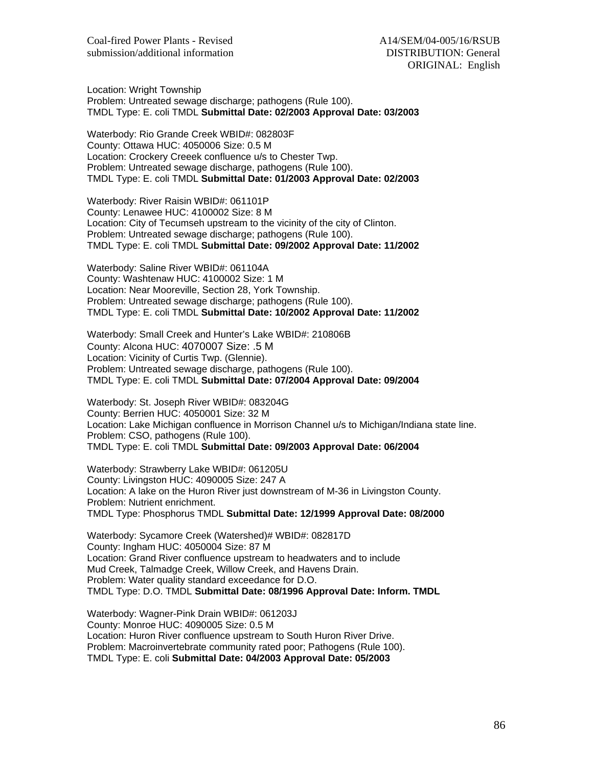Location: Wright Township Problem: Untreated sewage discharge; pathogens (Rule 100). TMDL Type: E. coli TMDL **Submittal Date: 02/2003 Approval Date: 03/2003** 

Waterbody: Rio Grande Creek WBID#: 082803F County: Ottawa HUC: 4050006 Size: 0.5 M Location: Crockery Creeek confluence u/s to Chester Twp. Problem: Untreated sewage discharge, pathogens (Rule 100). TMDL Type: E. coli TMDL **Submittal Date: 01/2003 Approval Date: 02/2003** 

Waterbody: River Raisin WBID#: 061101P County: Lenawee HUC: 4100002 Size: 8 M Location: City of Tecumseh upstream to the vicinity of the city of Clinton. Problem: Untreated sewage discharge; pathogens (Rule 100). TMDL Type: E. coli TMDL **Submittal Date: 09/2002 Approval Date: 11/2002** 

Waterbody: Saline River WBID#: 061104A County: Washtenaw HUC: 4100002 Size: 1 M Location: Near Mooreville, Section 28, York Township. Problem: Untreated sewage discharge; pathogens (Rule 100). TMDL Type: E. coli TMDL **Submittal Date: 10/2002 Approval Date: 11/2002** 

Waterbody: Small Creek and Hunter's Lake WBID#: 210806B County: Alcona HUC: 4070007 Size: .5 M Location: Vicinity of Curtis Twp. (Glennie). Problem: Untreated sewage discharge, pathogens (Rule 100). TMDL Type: E. coli TMDL **Submittal Date: 07/2004 Approval Date: 09/2004** 

Waterbody: St. Joseph River WBID#: 083204G County: Berrien HUC: 4050001 Size: 32 M Location: Lake Michigan confluence in Morrison Channel u/s to Michigan/Indiana state line. Problem: CSO, pathogens (Rule 100). TMDL Type: E. coli TMDL **Submittal Date: 09/2003 Approval Date: 06/2004** 

Waterbody: Strawberry Lake WBID#: 061205U County: Livingston HUC: 4090005 Size: 247 A Location: A lake on the Huron River just downstream of M-36 in Livingston County. Problem: Nutrient enrichment. TMDL Type: Phosphorus TMDL **Submittal Date: 12/1999 Approval Date: 08/2000** 

Waterbody: Sycamore Creek (Watershed)# WBID#: 082817D County: Ingham HUC: 4050004 Size: 87 M Location: Grand River confluence upstream to headwaters and to include Mud Creek, Talmadge Creek, Willow Creek, and Havens Drain. Problem: Water quality standard exceedance for D.O. TMDL Type: D.O. TMDL **Submittal Date: 08/1996 Approval Date: Inform. TMDL** 

Waterbody: Wagner-Pink Drain WBID#: 061203J County: Monroe HUC: 4090005 Size: 0.5 M Location: Huron River confluence upstream to South Huron River Drive. Problem: Macroinvertebrate community rated poor; Pathogens (Rule 100). TMDL Type: E. coli **Submittal Date: 04/2003 Approval Date: 05/2003**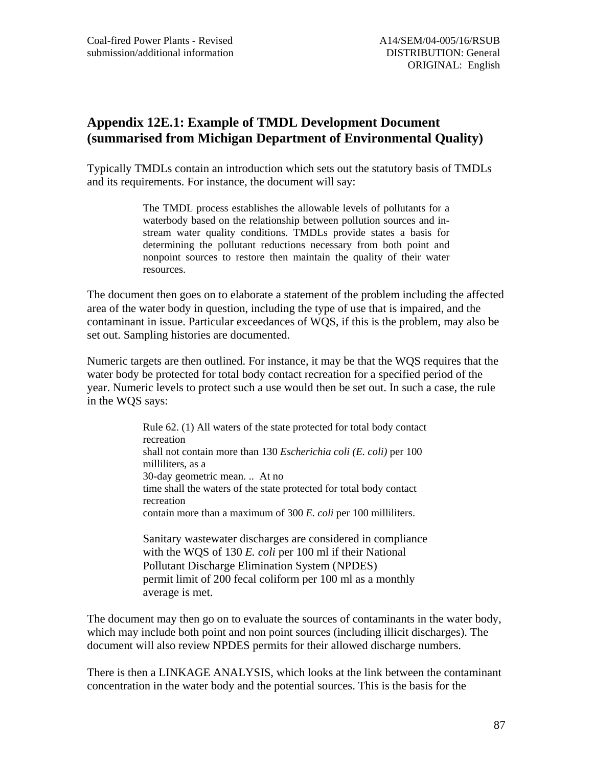## **Appendix 12E.1: Example of TMDL Development Document (summarised from Michigan Department of Environmental Quality)**

Typically TMDLs contain an introduction which sets out the statutory basis of TMDLs and its requirements. For instance, the document will say:

> The TMDL process establishes the allowable levels of pollutants for a waterbody based on the relationship between pollution sources and instream water quality conditions. TMDLs provide states a basis for determining the pollutant reductions necessary from both point and nonpoint sources to restore then maintain the quality of their water resources.

The document then goes on to elaborate a statement of the problem including the affected area of the water body in question, including the type of use that is impaired, and the contaminant in issue. Particular exceedances of WQS, if this is the problem, may also be set out. Sampling histories are documented.

Numeric targets are then outlined. For instance, it may be that the WQS requires that the water body be protected for total body contact recreation for a specified period of the year. Numeric levels to protect such a use would then be set out. In such a case, the rule in the WQS says:

> Rule 62. (1) All waters of the state protected for total body contact recreation shall not contain more than 130 *Escherichia coli (E. coli)* per 100 milliliters, as a 30-day geometric mean. .. At no time shall the waters of the state protected for total body contact recreation contain more than a maximum of 300 *E. coli* per 100 milliliters.

> Sanitary wastewater discharges are considered in compliance with the WQS of 130 *E. coli* per 100 ml if their National Pollutant Discharge Elimination System (NPDES) permit limit of 200 fecal coliform per 100 ml as a monthly average is met.

The document may then go on to evaluate the sources of contaminants in the water body, which may include both point and non point sources (including illicit discharges). The document will also review NPDES permits for their allowed discharge numbers.

There is then a LINKAGE ANALYSIS, which looks at the link between the contaminant concentration in the water body and the potential sources. This is the basis for the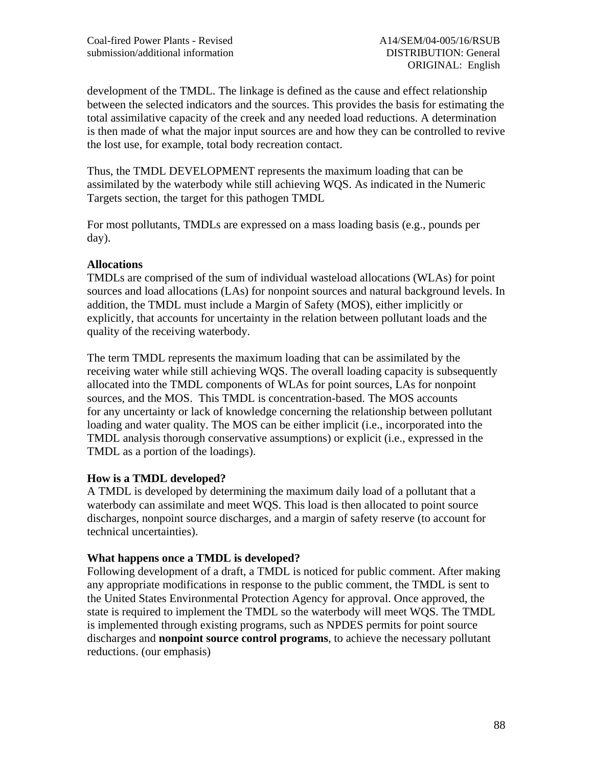development of the TMDL. The linkage is defined as the cause and effect relationship between the selected indicators and the sources. This provides the basis for estimating the total assimilative capacity of the creek and any needed load reductions. A determination is then made of what the major input sources are and how they can be controlled to revive the lost use, for example, total body recreation contact.

Thus, the TMDL DEVELOPMENT represents the maximum loading that can be assimilated by the waterbody while still achieving WQS. As indicated in the Numeric Targets section, the target for this pathogen TMDL

For most pollutants, TMDLs are expressed on a mass loading basis (e.g., pounds per day).

#### **Allocations**

TMDLs are comprised of the sum of individual wasteload allocations (WLAs) for point sources and load allocations (LAs) for nonpoint sources and natural background levels. In addition, the TMDL must include a Margin of Safety (MOS), either implicitly or explicitly, that accounts for uncertainty in the relation between pollutant loads and the quality of the receiving waterbody.

The term TMDL represents the maximum loading that can be assimilated by the receiving water while still achieving WQS. The overall loading capacity is subsequently allocated into the TMDL components of WLAs for point sources, LAs for nonpoint sources, and the MOS. This TMDL is concentration-based. The MOS accounts for any uncertainty or lack of knowledge concerning the relationship between pollutant loading and water quality. The MOS can be either implicit (i.e., incorporated into the TMDL analysis thorough conservative assumptions) or explicit (i.e., expressed in the TMDL as a portion of the loadings).

#### **How is a TMDL developed?**

A TMDL is developed by determining the maximum daily load of a pollutant that a waterbody can assimilate and meet WQS. This load is then allocated to point source discharges, nonpoint source discharges, and a margin of safety reserve (to account for technical uncertainties).

## **What happens once a TMDL is developed?**

Following development of a draft, a TMDL is noticed for public comment. After making any appropriate modifications in response to the public comment, the TMDL is sent to the United States Environmental Protection Agency for approval. Once approved, the state is required to implement the TMDL so the waterbody will meet WQS. The TMDL is implemented through existing programs, such as NPDES permits for point source discharges and **nonpoint source control programs**, to achieve the necessary pollutant reductions. (our emphasis)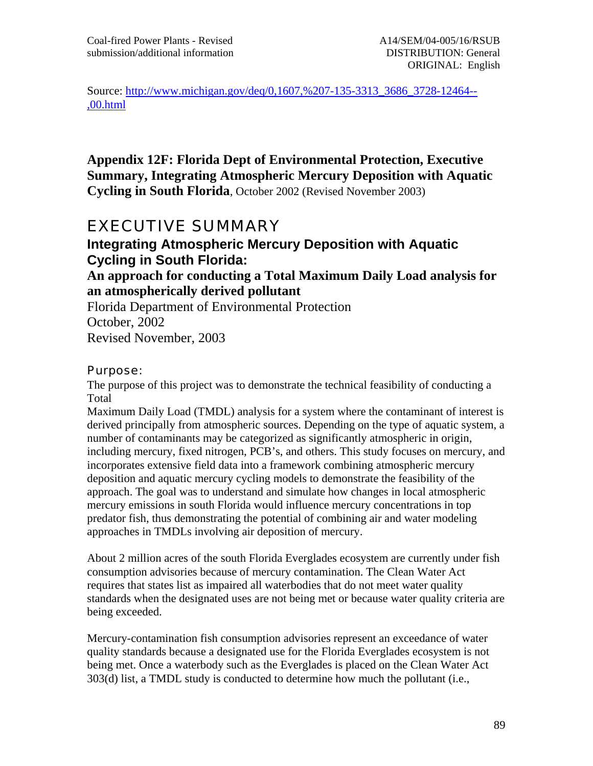Source: http://www.michigan.gov/deq/0,1607,%207-135-3313\_3686\_3728-12464-- ,00.html

## **Appendix 12F: Florida Dept of Environmental Protection, Executive Summary, Integrating Atmospheric Mercury Deposition with Aquatic Cycling in South Florida**, October 2002 (Revised November 2003)

# EXECUTIVE SUMMARY

## **Integrating Atmospheric Mercury Deposition with Aquatic Cycling in South Florida:**

**An approach for conducting a Total Maximum Daily Load analysis for an atmospherically derived pollutant** 

Florida Department of Environmental Protection October, 2002 Revised November, 2003

## Purpose:

The purpose of this project was to demonstrate the technical feasibility of conducting a Total

Maximum Daily Load (TMDL) analysis for a system where the contaminant of interest is derived principally from atmospheric sources. Depending on the type of aquatic system, a number of contaminants may be categorized as significantly atmospheric in origin, including mercury, fixed nitrogen, PCB's, and others. This study focuses on mercury, and incorporates extensive field data into a framework combining atmospheric mercury deposition and aquatic mercury cycling models to demonstrate the feasibility of the approach. The goal was to understand and simulate how changes in local atmospheric mercury emissions in south Florida would influence mercury concentrations in top predator fish, thus demonstrating the potential of combining air and water modeling approaches in TMDLs involving air deposition of mercury.

About 2 million acres of the south Florida Everglades ecosystem are currently under fish consumption advisories because of mercury contamination. The Clean Water Act requires that states list as impaired all waterbodies that do not meet water quality standards when the designated uses are not being met or because water quality criteria are being exceeded.

Mercury-contamination fish consumption advisories represent an exceedance of water quality standards because a designated use for the Florida Everglades ecosystem is not being met. Once a waterbody such as the Everglades is placed on the Clean Water Act 303(d) list, a TMDL study is conducted to determine how much the pollutant (i.e.,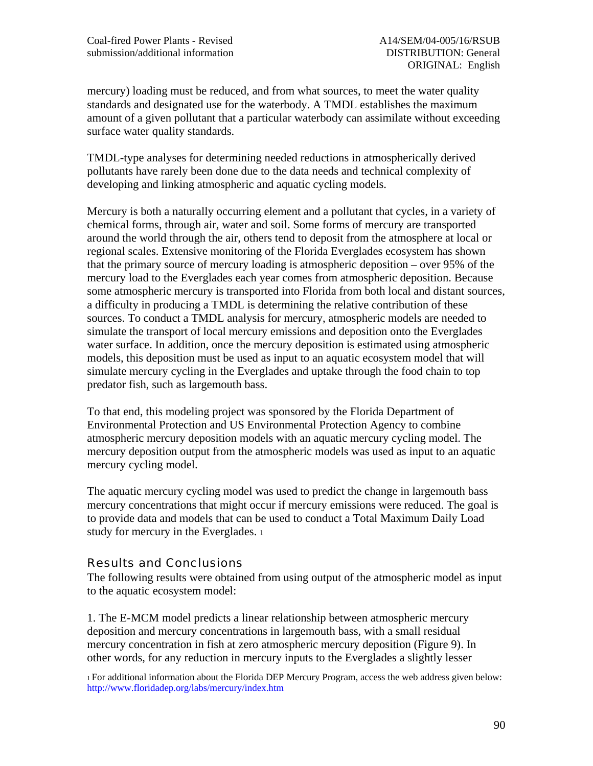mercury) loading must be reduced, and from what sources, to meet the water quality standards and designated use for the waterbody. A TMDL establishes the maximum amount of a given pollutant that a particular waterbody can assimilate without exceeding surface water quality standards.

TMDL-type analyses for determining needed reductions in atmospherically derived pollutants have rarely been done due to the data needs and technical complexity of developing and linking atmospheric and aquatic cycling models.

Mercury is both a naturally occurring element and a pollutant that cycles, in a variety of chemical forms, through air, water and soil. Some forms of mercury are transported around the world through the air, others tend to deposit from the atmosphere at local or regional scales. Extensive monitoring of the Florida Everglades ecosystem has shown that the primary source of mercury loading is atmospheric deposition – over 95% of the mercury load to the Everglades each year comes from atmospheric deposition. Because some atmospheric mercury is transported into Florida from both local and distant sources, a difficulty in producing a TMDL is determining the relative contribution of these sources. To conduct a TMDL analysis for mercury, atmospheric models are needed to simulate the transport of local mercury emissions and deposition onto the Everglades water surface. In addition, once the mercury deposition is estimated using atmospheric models, this deposition must be used as input to an aquatic ecosystem model that will simulate mercury cycling in the Everglades and uptake through the food chain to top predator fish, such as largemouth bass.

To that end, this modeling project was sponsored by the Florida Department of Environmental Protection and US Environmental Protection Agency to combine atmospheric mercury deposition models with an aquatic mercury cycling model. The mercury deposition output from the atmospheric models was used as input to an aquatic mercury cycling model.

The aquatic mercury cycling model was used to predict the change in largemouth bass mercury concentrations that might occur if mercury emissions were reduced. The goal is to provide data and models that can be used to conduct a Total Maximum Daily Load study for mercury in the Everglades. 1

## Results and Conclusions

The following results were obtained from using output of the atmospheric model as input to the aquatic ecosystem model:

1. The E-MCM model predicts a linear relationship between atmospheric mercury deposition and mercury concentrations in largemouth bass, with a small residual mercury concentration in fish at zero atmospheric mercury deposition (Figure 9). In other words, for any reduction in mercury inputs to the Everglades a slightly lesser

1 For additional information about the Florida DEP Mercury Program, access the web address given below: http://www.floridadep.org/labs/mercury/index.htm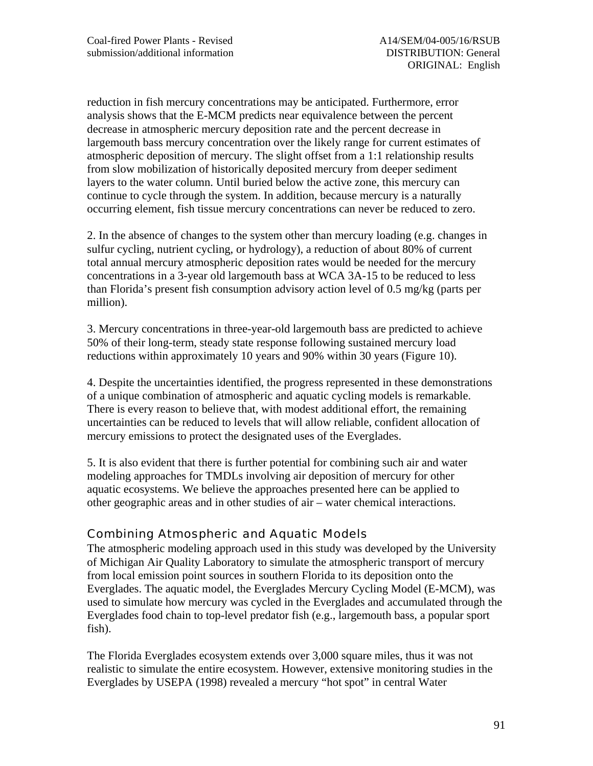reduction in fish mercury concentrations may be anticipated. Furthermore, error analysis shows that the E-MCM predicts near equivalence between the percent decrease in atmospheric mercury deposition rate and the percent decrease in largemouth bass mercury concentration over the likely range for current estimates of atmospheric deposition of mercury. The slight offset from a 1:1 relationship results from slow mobilization of historically deposited mercury from deeper sediment layers to the water column. Until buried below the active zone, this mercury can continue to cycle through the system. In addition, because mercury is a naturally occurring element, fish tissue mercury concentrations can never be reduced to zero.

2. In the absence of changes to the system other than mercury loading (e.g. changes in sulfur cycling, nutrient cycling, or hydrology), a reduction of about 80% of current total annual mercury atmospheric deposition rates would be needed for the mercury concentrations in a 3-year old largemouth bass at WCA 3A-15 to be reduced to less than Florida's present fish consumption advisory action level of 0.5 mg/kg (parts per million).

3. Mercury concentrations in three-year-old largemouth bass are predicted to achieve 50% of their long-term, steady state response following sustained mercury load reductions within approximately 10 years and 90% within 30 years (Figure 10).

4. Despite the uncertainties identified, the progress represented in these demonstrations of a unique combination of atmospheric and aquatic cycling models is remarkable. There is every reason to believe that, with modest additional effort, the remaining uncertainties can be reduced to levels that will allow reliable, confident allocation of mercury emissions to protect the designated uses of the Everglades.

5. It is also evident that there is further potential for combining such air and water modeling approaches for TMDLs involving air deposition of mercury for other aquatic ecosystems. We believe the approaches presented here can be applied to other geographic areas and in other studies of air – water chemical interactions.

## Combining Atmospheric and Aquatic Models

The atmospheric modeling approach used in this study was developed by the University of Michigan Air Quality Laboratory to simulate the atmospheric transport of mercury from local emission point sources in southern Florida to its deposition onto the Everglades. The aquatic model, the Everglades Mercury Cycling Model (E-MCM), was used to simulate how mercury was cycled in the Everglades and accumulated through the Everglades food chain to top-level predator fish (e.g., largemouth bass, a popular sport fish).

The Florida Everglades ecosystem extends over 3,000 square miles, thus it was not realistic to simulate the entire ecosystem. However, extensive monitoring studies in the Everglades by USEPA (1998) revealed a mercury "hot spot" in central Water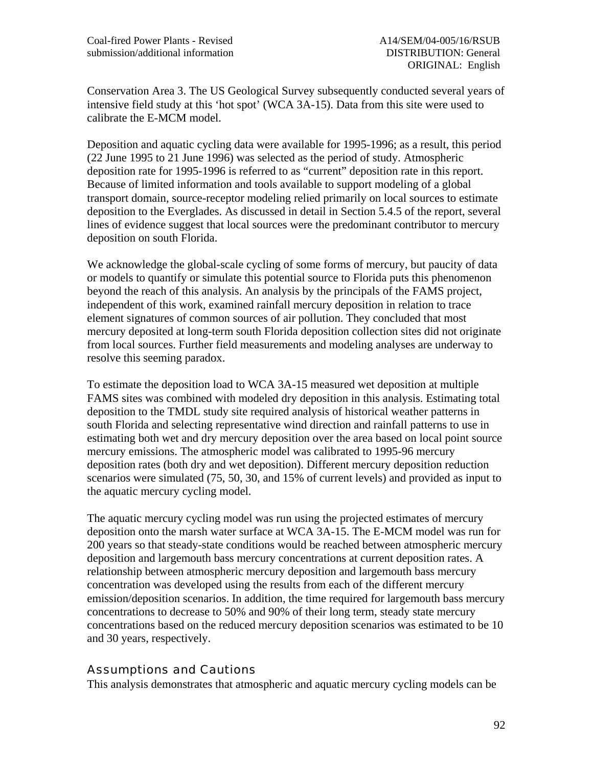Conservation Area 3. The US Geological Survey subsequently conducted several years of intensive field study at this 'hot spot' (WCA 3A-15). Data from this site were used to calibrate the E-MCM model.

Deposition and aquatic cycling data were available for 1995-1996; as a result, this period (22 June 1995 to 21 June 1996) was selected as the period of study. Atmospheric deposition rate for 1995-1996 is referred to as "current" deposition rate in this report. Because of limited information and tools available to support modeling of a global transport domain, source-receptor modeling relied primarily on local sources to estimate deposition to the Everglades. As discussed in detail in Section 5.4.5 of the report, several lines of evidence suggest that local sources were the predominant contributor to mercury deposition on south Florida.

We acknowledge the global-scale cycling of some forms of mercury, but paucity of data or models to quantify or simulate this potential source to Florida puts this phenomenon beyond the reach of this analysis. An analysis by the principals of the FAMS project, independent of this work, examined rainfall mercury deposition in relation to trace element signatures of common sources of air pollution. They concluded that most mercury deposited at long-term south Florida deposition collection sites did not originate from local sources. Further field measurements and modeling analyses are underway to resolve this seeming paradox.

To estimate the deposition load to WCA 3A-15 measured wet deposition at multiple FAMS sites was combined with modeled dry deposition in this analysis. Estimating total deposition to the TMDL study site required analysis of historical weather patterns in south Florida and selecting representative wind direction and rainfall patterns to use in estimating both wet and dry mercury deposition over the area based on local point source mercury emissions. The atmospheric model was calibrated to 1995-96 mercury deposition rates (both dry and wet deposition). Different mercury deposition reduction scenarios were simulated (75, 50, 30, and 15% of current levels) and provided as input to the aquatic mercury cycling model.

The aquatic mercury cycling model was run using the projected estimates of mercury deposition onto the marsh water surface at WCA 3A-15. The E-MCM model was run for 200 years so that steady-state conditions would be reached between atmospheric mercury deposition and largemouth bass mercury concentrations at current deposition rates. A relationship between atmospheric mercury deposition and largemouth bass mercury concentration was developed using the results from each of the different mercury emission/deposition scenarios. In addition, the time required for largemouth bass mercury concentrations to decrease to 50% and 90% of their long term, steady state mercury concentrations based on the reduced mercury deposition scenarios was estimated to be 10 and 30 years, respectively.

## Assumptions and Cautions

This analysis demonstrates that atmospheric and aquatic mercury cycling models can be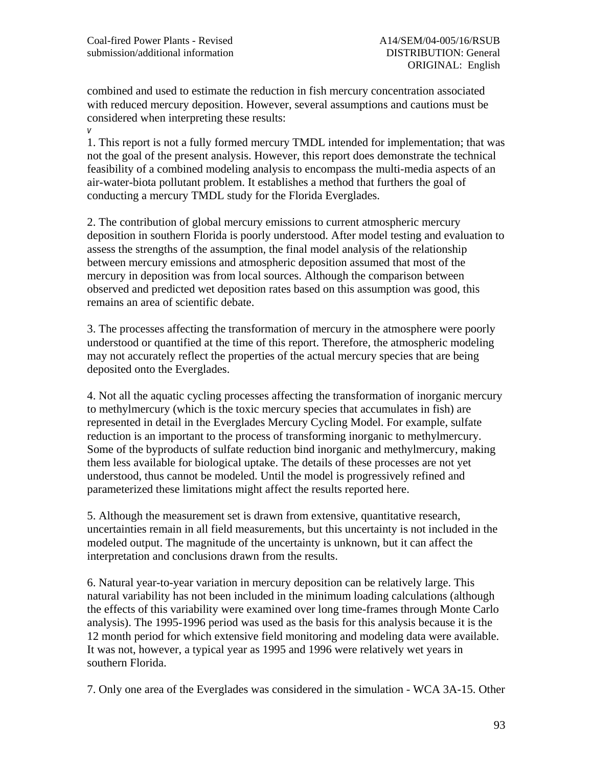combined and used to estimate the reduction in fish mercury concentration associated with reduced mercury deposition. However, several assumptions and cautions must be considered when interpreting these results:

*v*  1. This report is not a fully formed mercury TMDL intended for implementation; that was not the goal of the present analysis. However, this report does demonstrate the technical feasibility of a combined modeling analysis to encompass the multi-media aspects of an air-water-biota pollutant problem. It establishes a method that furthers the goal of conducting a mercury TMDL study for the Florida Everglades.

2. The contribution of global mercury emissions to current atmospheric mercury deposition in southern Florida is poorly understood. After model testing and evaluation to assess the strengths of the assumption, the final model analysis of the relationship between mercury emissions and atmospheric deposition assumed that most of the mercury in deposition was from local sources. Although the comparison between observed and predicted wet deposition rates based on this assumption was good, this remains an area of scientific debate.

3. The processes affecting the transformation of mercury in the atmosphere were poorly understood or quantified at the time of this report. Therefore, the atmospheric modeling may not accurately reflect the properties of the actual mercury species that are being deposited onto the Everglades.

4. Not all the aquatic cycling processes affecting the transformation of inorganic mercury to methylmercury (which is the toxic mercury species that accumulates in fish) are represented in detail in the Everglades Mercury Cycling Model. For example, sulfate reduction is an important to the process of transforming inorganic to methylmercury. Some of the byproducts of sulfate reduction bind inorganic and methylmercury, making them less available for biological uptake. The details of these processes are not yet understood, thus cannot be modeled. Until the model is progressively refined and parameterized these limitations might affect the results reported here.

5. Although the measurement set is drawn from extensive, quantitative research, uncertainties remain in all field measurements, but this uncertainty is not included in the modeled output. The magnitude of the uncertainty is unknown, but it can affect the interpretation and conclusions drawn from the results.

6. Natural year-to-year variation in mercury deposition can be relatively large. This natural variability has not been included in the minimum loading calculations (although the effects of this variability were examined over long time-frames through Monte Carlo analysis). The 1995-1996 period was used as the basis for this analysis because it is the 12 month period for which extensive field monitoring and modeling data were available. It was not, however, a typical year as 1995 and 1996 were relatively wet years in southern Florida.

7. Only one area of the Everglades was considered in the simulation - WCA 3A-15. Other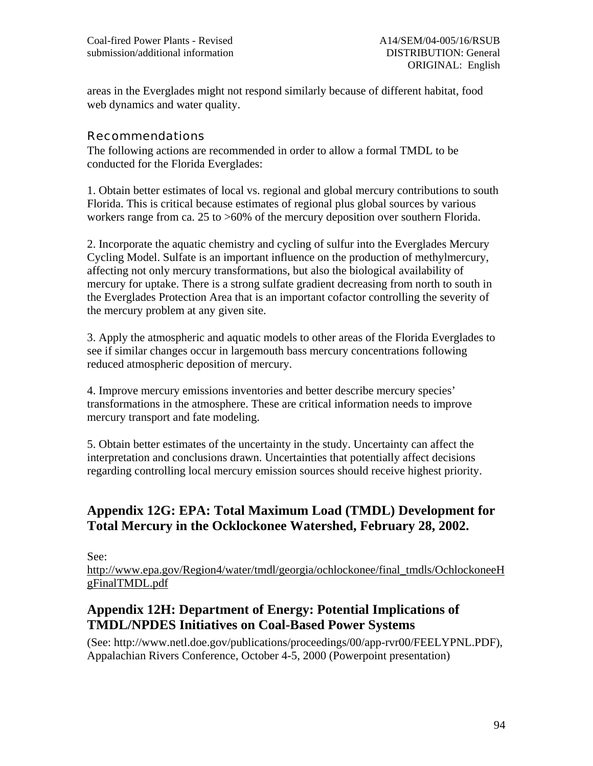areas in the Everglades might not respond similarly because of different habitat, food web dynamics and water quality.

## Recommendations

The following actions are recommended in order to allow a formal TMDL to be conducted for the Florida Everglades:

1. Obtain better estimates of local vs. regional and global mercury contributions to south Florida. This is critical because estimates of regional plus global sources by various workers range from ca. 25 to >60% of the mercury deposition over southern Florida.

2. Incorporate the aquatic chemistry and cycling of sulfur into the Everglades Mercury Cycling Model. Sulfate is an important influence on the production of methylmercury, affecting not only mercury transformations, but also the biological availability of mercury for uptake. There is a strong sulfate gradient decreasing from north to south in the Everglades Protection Area that is an important cofactor controlling the severity of the mercury problem at any given site.

3. Apply the atmospheric and aquatic models to other areas of the Florida Everglades to see if similar changes occur in largemouth bass mercury concentrations following reduced atmospheric deposition of mercury.

4. Improve mercury emissions inventories and better describe mercury species' transformations in the atmosphere. These are critical information needs to improve mercury transport and fate modeling.

5. Obtain better estimates of the uncertainty in the study. Uncertainty can affect the interpretation and conclusions drawn. Uncertainties that potentially affect decisions regarding controlling local mercury emission sources should receive highest priority.

## **Appendix 12G: EPA: Total Maximum Load (TMDL) Development for Total Mercury in the Ocklockonee Watershed, February 28, 2002.**

See:

http://www.epa.gov/Region4/water/tmdl/georgia/ochlockonee/final\_tmdls/OchlockoneeH gFinalTMDL.pdf

## **Appendix 12H: Department of Energy: Potential Implications of TMDL/NPDES Initiatives on Coal-Based Power Systems**

(See: http://www.netl.doe.gov/publications/proceedings/00/app-rvr00/FEELYPNL.PDF), Appalachian Rivers Conference, October 4-5, 2000 (Powerpoint presentation)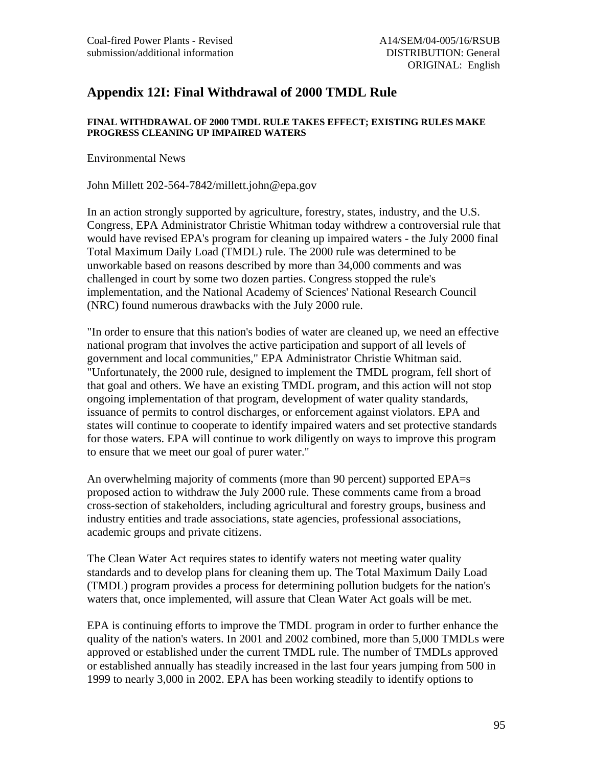## **Appendix 12I: Final Withdrawal of 2000 TMDL Rule**

#### **FINAL WITHDRAWAL OF 2000 TMDL RULE TAKES EFFECT; EXISTING RULES MAKE PROGRESS CLEANING UP IMPAIRED WATERS**

Environmental News

John Millett 202-564-7842/millett.john@epa.gov

In an action strongly supported by agriculture, forestry, states, industry, and the U.S. Congress, EPA Administrator Christie Whitman today withdrew a controversial rule that would have revised EPA's program for cleaning up impaired waters - the July 2000 final Total Maximum Daily Load (TMDL) rule. The 2000 rule was determined to be unworkable based on reasons described by more than 34,000 comments and was challenged in court by some two dozen parties. Congress stopped the rule's implementation, and the National Academy of Sciences' National Research Council (NRC) found numerous drawbacks with the July 2000 rule.

"In order to ensure that this nation's bodies of water are cleaned up, we need an effective national program that involves the active participation and support of all levels of government and local communities," EPA Administrator Christie Whitman said. "Unfortunately, the 2000 rule, designed to implement the TMDL program, fell short of that goal and others. We have an existing TMDL program, and this action will not stop ongoing implementation of that program, development of water quality standards, issuance of permits to control discharges, or enforcement against violators. EPA and states will continue to cooperate to identify impaired waters and set protective standards for those waters. EPA will continue to work diligently on ways to improve this program to ensure that we meet our goal of purer water."

An overwhelming majority of comments (more than 90 percent) supported EPA=s proposed action to withdraw the July 2000 rule. These comments came from a broad cross-section of stakeholders, including agricultural and forestry groups, business and industry entities and trade associations, state agencies, professional associations, academic groups and private citizens.

The Clean Water Act requires states to identify waters not meeting water quality standards and to develop plans for cleaning them up. The Total Maximum Daily Load (TMDL) program provides a process for determining pollution budgets for the nation's waters that, once implemented, will assure that Clean Water Act goals will be met.

EPA is continuing efforts to improve the TMDL program in order to further enhance the quality of the nation's waters. In 2001 and 2002 combined, more than 5,000 TMDLs were approved or established under the current TMDL rule. The number of TMDLs approved or established annually has steadily increased in the last four years jumping from 500 in 1999 to nearly 3,000 in 2002. EPA has been working steadily to identify options to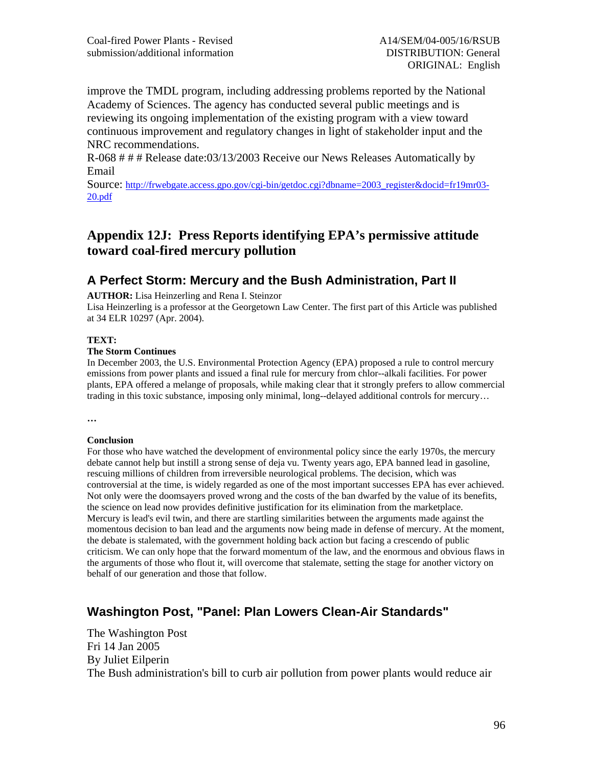improve the TMDL program, including addressing problems reported by the National Academy of Sciences. The agency has conducted several public meetings and is reviewing its ongoing implementation of the existing program with a view toward continuous improvement and regulatory changes in light of stakeholder input and the NRC recommendations.

R-068 # # # Release date:03/13/2003 Receive our News Releases Automatically by Email

Source: http://frwebgate.access.gpo.gov/cgi-bin/getdoc.cgi?dbname=2003\_register&docid=fr19mr03- 20.pdf

## **Appendix 12J: Press Reports identifying EPA's permissive attitude toward coal-fired mercury pollution**

## **A Perfect Storm: Mercury and the Bush Administration, Part II**

#### **AUTHOR:** Lisa Heinzerling and Rena I. Steinzor

Lisa Heinzerling is a professor at the Georgetown Law Center. The first part of this Article was published at 34 ELR 10297 (Apr. 2004).

#### **TEXT:**

#### **The Storm Continues**

In December 2003, the U.S. Environmental Protection Agency (EPA) proposed a rule to control mercury emissions from power plants and issued a final rule for mercury from chlor--alkali facilities. For power plants, EPA offered a melange of proposals, while making clear that it strongly prefers to allow commercial trading in this toxic substance, imposing only minimal, long--delayed additional controls for mercury…

**…** 

#### **Conclusion**

For those who have watched the development of environmental policy since the early 1970s, the mercury debate cannot help but instill a strong sense of deja vu. Twenty years ago, EPA banned lead in gasoline, rescuing millions of children from irreversible neurological problems. The decision, which was controversial at the time, is widely regarded as one of the most important successes EPA has ever achieved. Not only were the doomsayers proved wrong and the costs of the ban dwarfed by the value of its benefits, the science on lead now provides definitive justification for its elimination from the marketplace. Mercury is lead's evil twin, and there are startling similarities between the arguments made against the momentous decision to ban lead and the arguments now being made in defense of mercury. At the moment, the debate is stalemated, with the government holding back action but facing a crescendo of public criticism. We can only hope that the forward momentum of the law, and the enormous and obvious flaws in the arguments of those who flout it, will overcome that stalemate, setting the stage for another victory on behalf of our generation and those that follow.

## **Washington Post, "Panel: Plan Lowers Clean-Air Standards"**

The Washington Post Fri 14 Jan 2005 By Juliet Eilperin The Bush administration's bill to curb air pollution from power plants would reduce air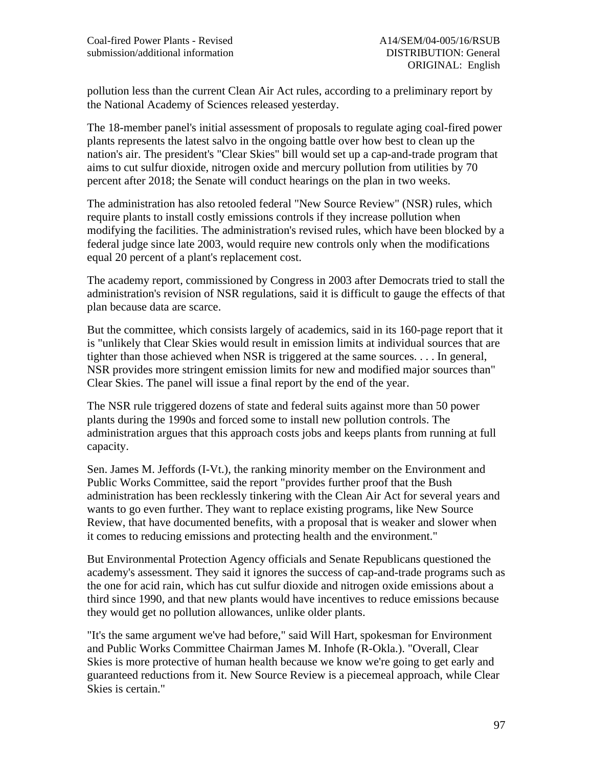pollution less than the current Clean Air Act rules, according to a preliminary report by the National Academy of Sciences released yesterday.

The 18-member panel's initial assessment of proposals to regulate aging coal-fired power plants represents the latest salvo in the ongoing battle over how best to clean up the nation's air. The president's "Clear Skies" bill would set up a cap-and-trade program that aims to cut sulfur dioxide, nitrogen oxide and mercury pollution from utilities by 70 percent after 2018; the Senate will conduct hearings on the plan in two weeks.

The administration has also retooled federal "New Source Review" (NSR) rules, which require plants to install costly emissions controls if they increase pollution when modifying the facilities. The administration's revised rules, which have been blocked by a federal judge since late 2003, would require new controls only when the modifications equal 20 percent of a plant's replacement cost.

The academy report, commissioned by Congress in 2003 after Democrats tried to stall the administration's revision of NSR regulations, said it is difficult to gauge the effects of that plan because data are scarce.

But the committee, which consists largely of academics, said in its 160-page report that it is "unlikely that Clear Skies would result in emission limits at individual sources that are tighter than those achieved when NSR is triggered at the same sources. . . . In general, NSR provides more stringent emission limits for new and modified major sources than" Clear Skies. The panel will issue a final report by the end of the year.

The NSR rule triggered dozens of state and federal suits against more than 50 power plants during the 1990s and forced some to install new pollution controls. The administration argues that this approach costs jobs and keeps plants from running at full capacity.

Sen. James M. Jeffords (I-Vt.), the ranking minority member on the Environment and Public Works Committee, said the report "provides further proof that the Bush administration has been recklessly tinkering with the Clean Air Act for several years and wants to go even further. They want to replace existing programs, like New Source Review, that have documented benefits, with a proposal that is weaker and slower when it comes to reducing emissions and protecting health and the environment."

But Environmental Protection Agency officials and Senate Republicans questioned the academy's assessment. They said it ignores the success of cap-and-trade programs such as the one for acid rain, which has cut sulfur dioxide and nitrogen oxide emissions about a third since 1990, and that new plants would have incentives to reduce emissions because they would get no pollution allowances, unlike older plants.

"It's the same argument we've had before," said Will Hart, spokesman for Environment and Public Works Committee Chairman James M. Inhofe (R-Okla.). "Overall, Clear Skies is more protective of human health because we know we're going to get early and guaranteed reductions from it. New Source Review is a piecemeal approach, while Clear Skies is certain."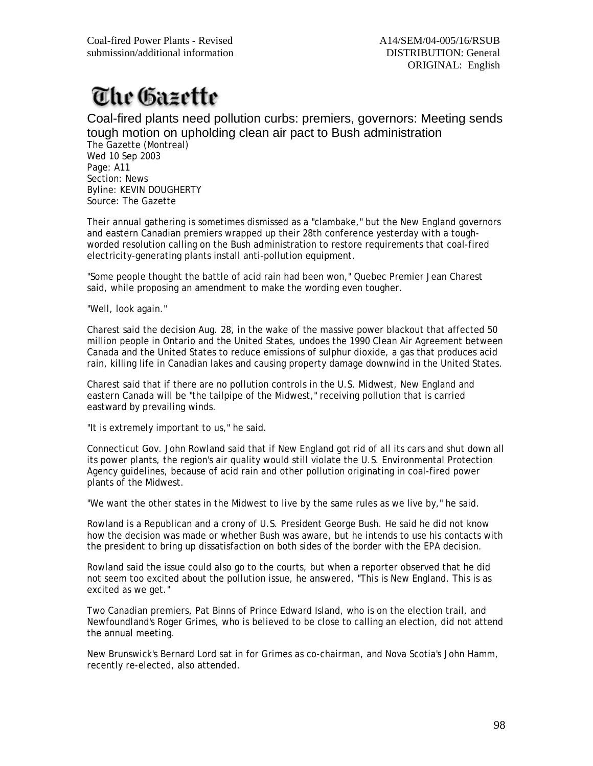# The Gazette

Coal-fired plants need pollution curbs: premiers, governors: Meeting sends tough motion on upholding clean air pact to Bush administration

The Gazette (Montreal) Wed 10 Sep 2003 Page: A11 Section: News Byline: KEVIN DOUGHERTY Source: The Gazette

Their annual gathering is sometimes dismissed as a "clambake," but the New England governors and eastern Canadian premiers wrapped up their 28th conference yesterday with a toughworded resolution calling on the Bush administration to restore requirements that coal-fired electricity-generating plants install anti-pollution equipment.

"Some people thought the battle of acid rain had been won," Quebec Premier Jean Charest said, while proposing an amendment to make the wording even tougher.

"Well, look again."

Charest said the decision Aug. 28, in the wake of the massive power blackout that affected 50 million people in Ontario and the United States, undoes the 1990 Clean Air Agreement between Canada and the United States to reduce emissions of sulphur dioxide, a gas that produces acid rain, killing life in Canadian lakes and causing property damage downwind in the United States.

Charest said that if there are no pollution controls in the U.S. Midwest, New England and eastern Canada will be "the tailpipe of the Midwest," receiving pollution that is carried eastward by prevailing winds.

"It is extremely important to us," he said.

Connecticut Gov. John Rowland said that if New England got rid of all its cars and shut down all its power plants, the region's air quality would still violate the U.S. Environmental Protection Agency guidelines, because of acid rain and other pollution originating in coal-fired power plants of the Midwest.

"We want the other states in the Midwest to live by the same rules as we live by," he said.

Rowland is a Republican and a crony of U.S. President George Bush. He said he did not know how the decision was made or whether Bush was aware, but he intends to use his contacts with the president to bring up dissatisfaction on both sides of the border with the EPA decision.

Rowland said the issue could also go to the courts, but when a reporter observed that he did not seem too excited about the pollution issue, he answered, "This is New England. This is as excited as we get."

Two Canadian premiers, Pat Binns of Prince Edward Island, who is on the election trail, and Newfoundland's Roger Grimes, who is believed to be close to calling an election, did not attend the annual meeting.

New Brunswick's Bernard Lord sat in for Grimes as co-chairman, and Nova Scotia's John Hamm, recently re-elected, also attended.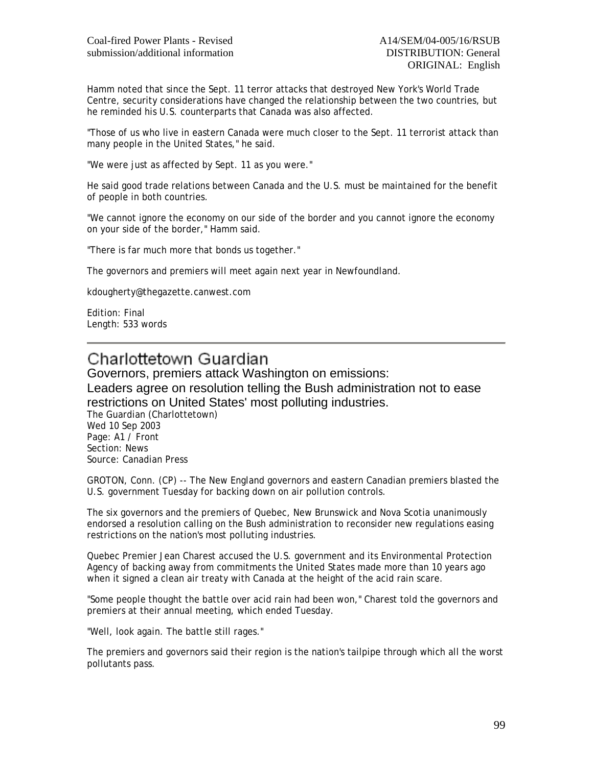Hamm noted that since the Sept. 11 terror attacks that destroyed New York's World Trade Centre, security considerations have changed the relationship between the two countries, but he reminded his U.S. counterparts that Canada was also affected.

"Those of us who live in eastern Canada were much closer to the Sept. 11 terrorist attack than many people in the United States," he said.

"We were just as affected by Sept. 11 as you were."

He said good trade relations between Canada and the U.S. must be maintained for the benefit of people in both countries.

"We cannot ignore the economy on our side of the border and you cannot ignore the economy on your side of the border," Hamm said.

"There is far much more that bonds us together."

The governors and premiers will meet again next year in Newfoundland.

kdougherty@thegazette.canwest.com

Edition: Final Length: 533 words

## Charlottetown Guardian

Governors, premiers attack Washington on emissions: Leaders agree on resolution telling the Bush administration not to ease restrictions on United States' most polluting industries. The Guardian (Charlottetown) Wed 10 Sep 2003 Page: A1 / Front Section: News Source: Canadian Press

GROTON, Conn. (CP) -- The New England governors and eastern Canadian premiers blasted the U.S. government Tuesday for backing down on air pollution controls.

The six governors and the premiers of Quebec, New Brunswick and Nova Scotia unanimously endorsed a resolution calling on the Bush administration to reconsider new regulations easing restrictions on the nation's most polluting industries.

Quebec Premier Jean Charest accused the U.S. government and its Environmental Protection Agency of backing away from commitments the United States made more than 10 years ago when it signed a clean air treaty with Canada at the height of the acid rain scare.

"Some people thought the battle over acid rain had been won," Charest told the governors and premiers at their annual meeting, which ended Tuesday.

"Well, look again. The battle still rages."

The premiers and governors said their region is the nation's tailpipe through which all the worst pollutants pass.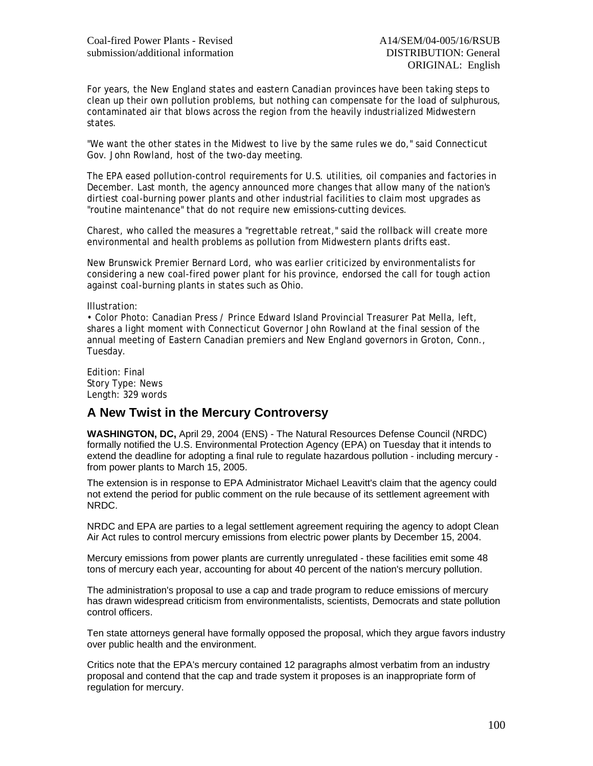For years, the New England states and eastern Canadian provinces have been taking steps to clean up their own pollution problems, but nothing can compensate for the load of sulphurous, contaminated air that blows across the region from the heavily industrialized Midwestern states.

"We want the other states in the Midwest to live by the same rules we do," said Connecticut Gov. John Rowland, host of the two-day meeting.

The EPA eased pollution-control requirements for U.S. utilities, oil companies and factories in December. Last month, the agency announced more changes that allow many of the nation's dirtiest coal-burning power plants and other industrial facilities to claim most upgrades as "routine maintenance" that do not require new emissions-cutting devices.

Charest, who called the measures a "regrettable retreat," said the rollback will create more environmental and health problems as pollution from Midwestern plants drifts east.

New Brunswick Premier Bernard Lord, who was earlier criticized by environmentalists for considering a new coal-fired power plant for his province, endorsed the call for tough action against coal-burning plants in states such as Ohio.

Illustration:

• Color Photo: Canadian Press / Prince Edward Island Provincial Treasurer Pat Mella, left, shares a light moment with Connecticut Governor John Rowland at the final session of the annual meeting of Eastern Canadian premiers and New England governors in Groton, Conn., Tuesday.

Edition: Final Story Type: News Length: 329 words

## **A New Twist in the Mercury Controversy**

**WASHINGTON, DC,** April 29, 2004 (ENS) - The Natural Resources Defense Council (NRDC) formally notified the U.S. Environmental Protection Agency (EPA) on Tuesday that it intends to extend the deadline for adopting a final rule to regulate hazardous pollution - including mercury from power plants to March 15, 2005.

The extension is in response to EPA Administrator Michael Leavitt's claim that the agency could not extend the period for public comment on the rule because of its settlement agreement with NRDC.

NRDC and EPA are parties to a legal settlement agreement requiring the agency to adopt Clean Air Act rules to control mercury emissions from electric power plants by December 15, 2004.

Mercury emissions from power plants are currently unregulated - these facilities emit some 48 tons of mercury each year, accounting for about 40 percent of the nation's mercury pollution.

The administration's proposal to use a cap and trade program to reduce emissions of mercury has drawn widespread criticism from environmentalists, scientists, Democrats and state pollution control officers.

Ten state attorneys general have formally opposed the proposal, which they argue favors industry over public health and the environment.

Critics note that the EPA's mercury contained 12 paragraphs almost verbatim from an industry proposal and contend that the cap and trade system it proposes is an inappropriate form of regulation for mercury.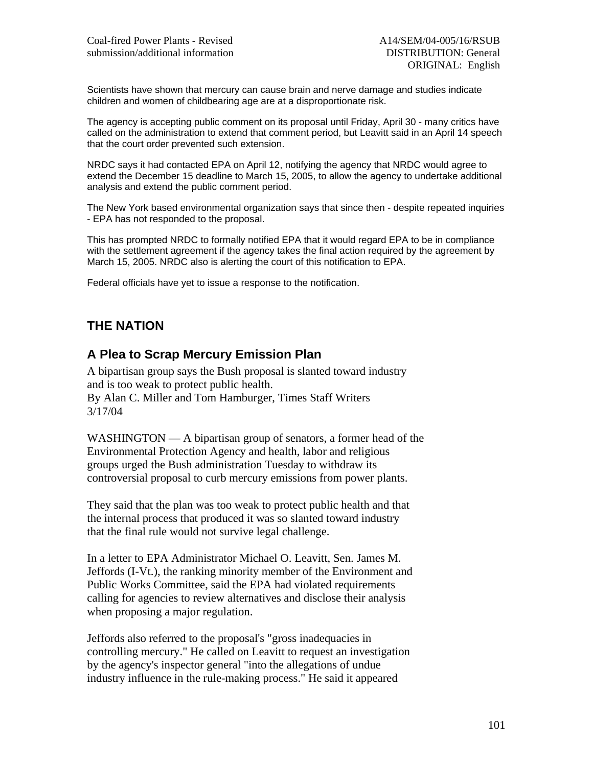Scientists have shown that mercury can cause brain and nerve damage and studies indicate children and women of childbearing age are at a disproportionate risk.

The agency is accepting public comment on its proposal until Friday, April 30 - many critics have called on the administration to extend that comment period, but Leavitt said in an April 14 speech that the court order prevented such extension.

NRDC says it had contacted EPA on April 12, notifying the agency that NRDC would agree to extend the December 15 deadline to March 15, 2005, to allow the agency to undertake additional analysis and extend the public comment period.

The New York based environmental organization says that since then - despite repeated inquiries - EPA has not responded to the proposal.

This has prompted NRDC to formally notified EPA that it would regard EPA to be in compliance with the settlement agreement if the agency takes the final action required by the agreement by March 15, 2005. NRDC also is alerting the court of this notification to EPA.

Federal officials have yet to issue a response to the notification.

## **THE NATION**

## **A Plea to Scrap Mercury Emission Plan**

A bipartisan group says the Bush proposal is slanted toward industry and is too weak to protect public health. By Alan C. Miller and Tom Hamburger, Times Staff Writers 3/17/04

WASHINGTON — A bipartisan group of senators, a former head of the Environmental Protection Agency and health, labor and religious groups urged the Bush administration Tuesday to withdraw its controversial proposal to curb mercury emissions from power plants.

They said that the plan was too weak to protect public health and that the internal process that produced it was so slanted toward industry that the final rule would not survive legal challenge.

In a letter to EPA Administrator Michael O. Leavitt, Sen. James M. Jeffords (I-Vt.), the ranking minority member of the Environment and Public Works Committee, said the EPA had violated requirements calling for agencies to review alternatives and disclose their analysis when proposing a major regulation.

Jeffords also referred to the proposal's "gross inadequacies in controlling mercury." He called on Leavitt to request an investigation by the agency's inspector general "into the allegations of undue industry influence in the rule-making process." He said it appeared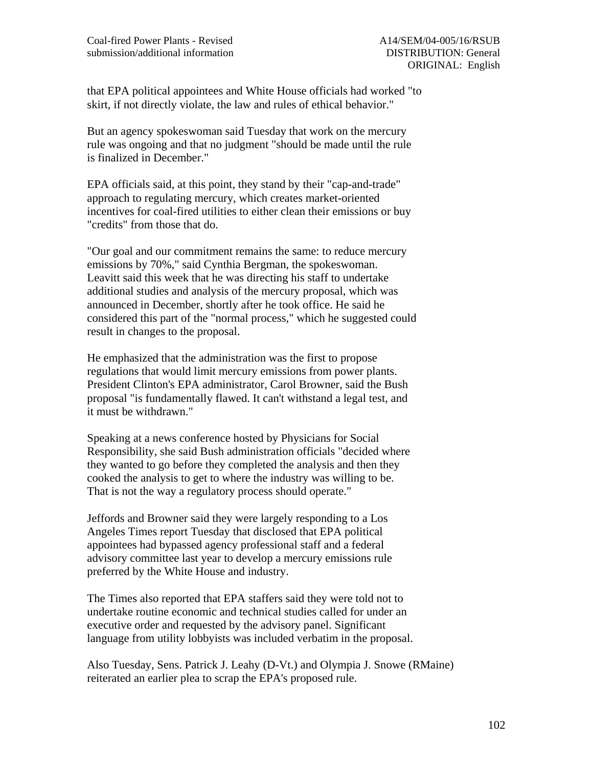that EPA political appointees and White House officials had worked "to skirt, if not directly violate, the law and rules of ethical behavior."

But an agency spokeswoman said Tuesday that work on the mercury rule was ongoing and that no judgment "should be made until the rule is finalized in December."

EPA officials said, at this point, they stand by their "cap-and-trade" approach to regulating mercury, which creates market-oriented incentives for coal-fired utilities to either clean their emissions or buy "credits" from those that do.

"Our goal and our commitment remains the same: to reduce mercury emissions by 70%," said Cynthia Bergman, the spokeswoman. Leavitt said this week that he was directing his staff to undertake additional studies and analysis of the mercury proposal, which was announced in December, shortly after he took office. He said he considered this part of the "normal process," which he suggested could result in changes to the proposal.

He emphasized that the administration was the first to propose regulations that would limit mercury emissions from power plants. President Clinton's EPA administrator, Carol Browner, said the Bush proposal "is fundamentally flawed. It can't withstand a legal test, and it must be withdrawn."

Speaking at a news conference hosted by Physicians for Social Responsibility, she said Bush administration officials "decided where they wanted to go before they completed the analysis and then they cooked the analysis to get to where the industry was willing to be. That is not the way a regulatory process should operate."

Jeffords and Browner said they were largely responding to a Los Angeles Times report Tuesday that disclosed that EPA political appointees had bypassed agency professional staff and a federal advisory committee last year to develop a mercury emissions rule preferred by the White House and industry.

The Times also reported that EPA staffers said they were told not to undertake routine economic and technical studies called for under an executive order and requested by the advisory panel. Significant language from utility lobbyists was included verbatim in the proposal.

Also Tuesday, Sens. Patrick J. Leahy (D-Vt.) and Olympia J. Snowe (RMaine) reiterated an earlier plea to scrap the EPA's proposed rule.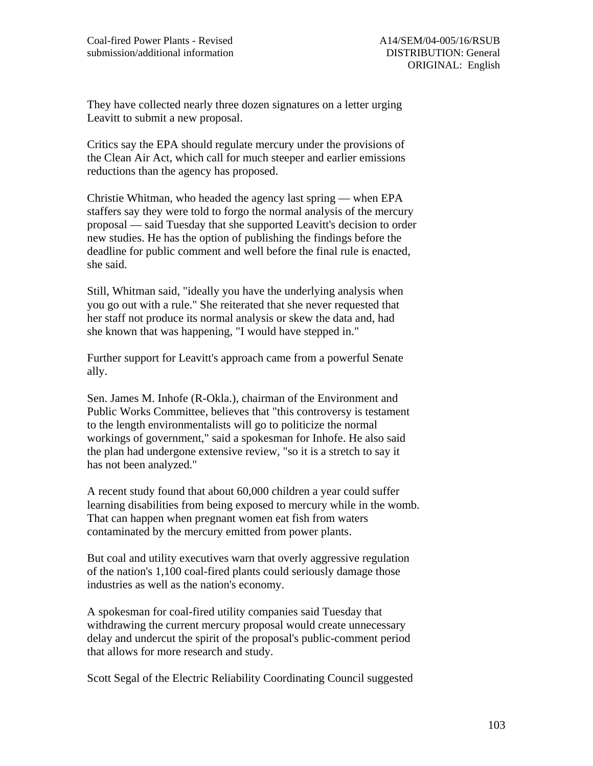They have collected nearly three dozen signatures on a letter urging Leavitt to submit a new proposal.

Critics say the EPA should regulate mercury under the provisions of the Clean Air Act, which call for much steeper and earlier emissions reductions than the agency has proposed.

Christie Whitman, who headed the agency last spring — when EPA staffers say they were told to forgo the normal analysis of the mercury proposal — said Tuesday that she supported Leavitt's decision to order new studies. He has the option of publishing the findings before the deadline for public comment and well before the final rule is enacted, she said.

Still, Whitman said, "ideally you have the underlying analysis when you go out with a rule." She reiterated that she never requested that her staff not produce its normal analysis or skew the data and, had she known that was happening, "I would have stepped in."

Further support for Leavitt's approach came from a powerful Senate ally.

Sen. James M. Inhofe (R-Okla.), chairman of the Environment and Public Works Committee, believes that "this controversy is testament to the length environmentalists will go to politicize the normal workings of government," said a spokesman for Inhofe. He also said the plan had undergone extensive review, "so it is a stretch to say it has not been analyzed."

A recent study found that about 60,000 children a year could suffer learning disabilities from being exposed to mercury while in the womb. That can happen when pregnant women eat fish from waters contaminated by the mercury emitted from power plants.

But coal and utility executives warn that overly aggressive regulation of the nation's 1,100 coal-fired plants could seriously damage those industries as well as the nation's economy.

A spokesman for coal-fired utility companies said Tuesday that withdrawing the current mercury proposal would create unnecessary delay and undercut the spirit of the proposal's public-comment period that allows for more research and study.

Scott Segal of the Electric Reliability Coordinating Council suggested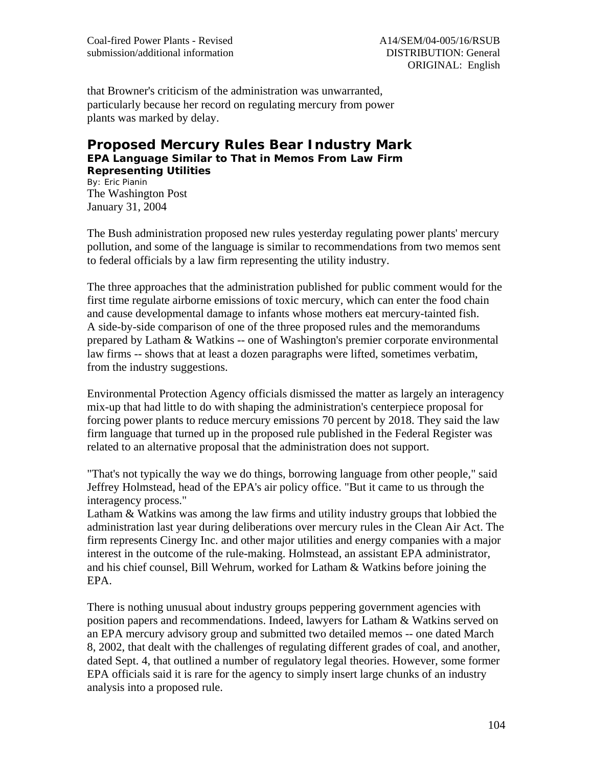that Browner's criticism of the administration was unwarranted, particularly because her record on regulating mercury from power plants was marked by delay.

#### **Proposed Mercury Rules Bear Industry Mark EPA Language Similar to That in Memos From Law Firm Representing Utilities**

By: Eric Pianin The Washington Post January 31, 2004

The Bush administration proposed new rules yesterday regulating power plants' mercury pollution, and some of the language is similar to recommendations from two memos sent to federal officials by a law firm representing the utility industry.

The three approaches that the administration published for public comment would for the first time regulate airborne emissions of toxic mercury, which can enter the food chain and cause developmental damage to infants whose mothers eat mercury-tainted fish. A side-by-side comparison of one of the three proposed rules and the memorandums prepared by Latham & Watkins -- one of Washington's premier corporate environmental law firms -- shows that at least a dozen paragraphs were lifted, sometimes verbatim, from the industry suggestions.

Environmental Protection Agency officials dismissed the matter as largely an interagency mix-up that had little to do with shaping the administration's centerpiece proposal for forcing power plants to reduce mercury emissions 70 percent by 2018. They said the law firm language that turned up in the proposed rule published in the Federal Register was related to an alternative proposal that the administration does not support.

"That's not typically the way we do things, borrowing language from other people," said Jeffrey Holmstead, head of the EPA's air policy office. "But it came to us through the interagency process."

Latham & Watkins was among the law firms and utility industry groups that lobbied the administration last year during deliberations over mercury rules in the Clean Air Act. The firm represents Cinergy Inc. and other major utilities and energy companies with a major interest in the outcome of the rule-making. Holmstead, an assistant EPA administrator, and his chief counsel, Bill Wehrum, worked for Latham & Watkins before joining the EPA.

There is nothing unusual about industry groups peppering government agencies with position papers and recommendations. Indeed, lawyers for Latham & Watkins served on an EPA mercury advisory group and submitted two detailed memos -- one dated March 8, 2002, that dealt with the challenges of regulating different grades of coal, and another, dated Sept. 4, that outlined a number of regulatory legal theories. However, some former EPA officials said it is rare for the agency to simply insert large chunks of an industry analysis into a proposed rule.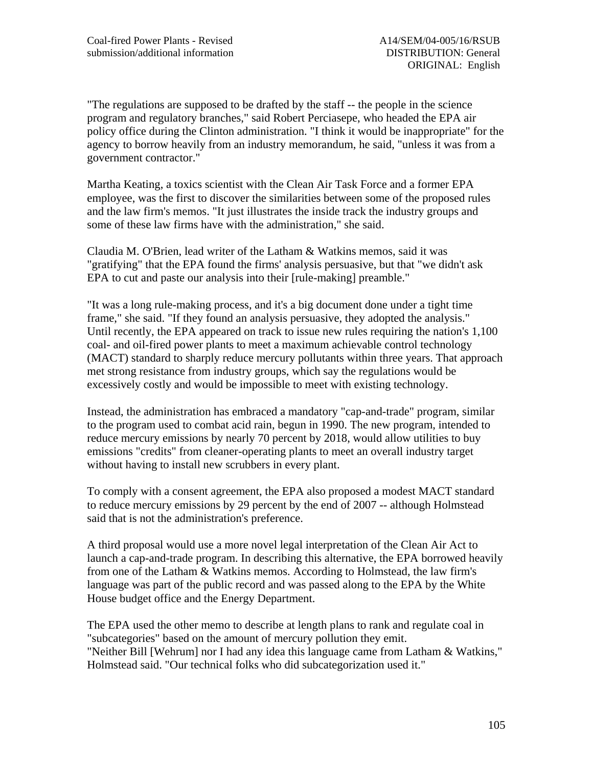"The regulations are supposed to be drafted by the staff -- the people in the science program and regulatory branches," said Robert Perciasepe, who headed the EPA air policy office during the Clinton administration. "I think it would be inappropriate" for the agency to borrow heavily from an industry memorandum, he said, "unless it was from a government contractor."

Martha Keating, a toxics scientist with the Clean Air Task Force and a former EPA employee, was the first to discover the similarities between some of the proposed rules and the law firm's memos. "It just illustrates the inside track the industry groups and some of these law firms have with the administration," she said.

Claudia M. O'Brien, lead writer of the Latham & Watkins memos, said it was "gratifying" that the EPA found the firms' analysis persuasive, but that "we didn't ask EPA to cut and paste our analysis into their [rule-making] preamble."

"It was a long rule-making process, and it's a big document done under a tight time frame," she said. "If they found an analysis persuasive, they adopted the analysis." Until recently, the EPA appeared on track to issue new rules requiring the nation's 1,100 coal- and oil-fired power plants to meet a maximum achievable control technology (MACT) standard to sharply reduce mercury pollutants within three years. That approach met strong resistance from industry groups, which say the regulations would be excessively costly and would be impossible to meet with existing technology.

Instead, the administration has embraced a mandatory "cap-and-trade" program, similar to the program used to combat acid rain, begun in 1990. The new program, intended to reduce mercury emissions by nearly 70 percent by 2018, would allow utilities to buy emissions "credits" from cleaner-operating plants to meet an overall industry target without having to install new scrubbers in every plant.

To comply with a consent agreement, the EPA also proposed a modest MACT standard to reduce mercury emissions by 29 percent by the end of 2007 -- although Holmstead said that is not the administration's preference.

A third proposal would use a more novel legal interpretation of the Clean Air Act to launch a cap-and-trade program. In describing this alternative, the EPA borrowed heavily from one of the Latham & Watkins memos. According to Holmstead, the law firm's language was part of the public record and was passed along to the EPA by the White House budget office and the Energy Department.

The EPA used the other memo to describe at length plans to rank and regulate coal in "subcategories" based on the amount of mercury pollution they emit. "Neither Bill [Wehrum] nor I had any idea this language came from Latham & Watkins," Holmstead said. "Our technical folks who did subcategorization used it."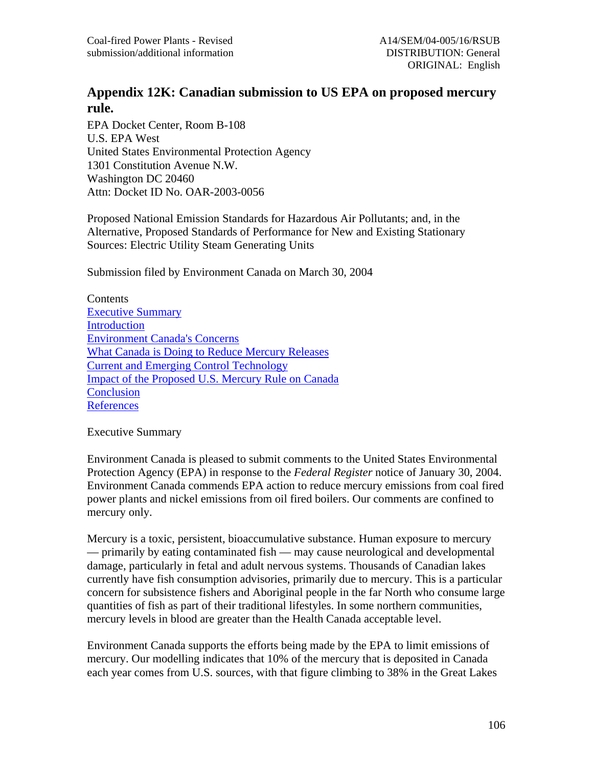## **Appendix 12K: Canadian submission to US EPA on proposed mercury rule.**

EPA Docket Center, Room B-108 U.S. EPA West United States Environmental Protection Agency 1301 Constitution Avenue N.W. Washington DC 20460 Attn: Docket ID No. OAR-2003-0056

Proposed National Emission Standards for Hazardous Air Pollutants; and, in the Alternative, Proposed Standards of Performance for New and Existing Stationary Sources: Electric Utility Steam Generating Units

Submission filed by Environment Canada on March 30, 2004

**Contents** Executive Summary **Introduction** Environment Canada's Concerns What Canada is Doing to Reduce Mercury Releases Current and Emerging Control Technology Impact of the Proposed U.S. Mercury Rule on Canada **Conclusion References** 

Executive Summary

Environment Canada is pleased to submit comments to the United States Environmental Protection Agency (EPA) in response to the *Federal Register* notice of January 30, 2004. Environment Canada commends EPA action to reduce mercury emissions from coal fired power plants and nickel emissions from oil fired boilers. Our comments are confined to mercury only.

Mercury is a toxic, persistent, bioaccumulative substance. Human exposure to mercury — primarily by eating contaminated fish — may cause neurological and developmental damage, particularly in fetal and adult nervous systems. Thousands of Canadian lakes currently have fish consumption advisories, primarily due to mercury. This is a particular concern for subsistence fishers and Aboriginal people in the far North who consume large quantities of fish as part of their traditional lifestyles. In some northern communities, mercury levels in blood are greater than the Health Canada acceptable level.

Environment Canada supports the efforts being made by the EPA to limit emissions of mercury. Our modelling indicates that 10% of the mercury that is deposited in Canada each year comes from U.S. sources, with that figure climbing to 38% in the Great Lakes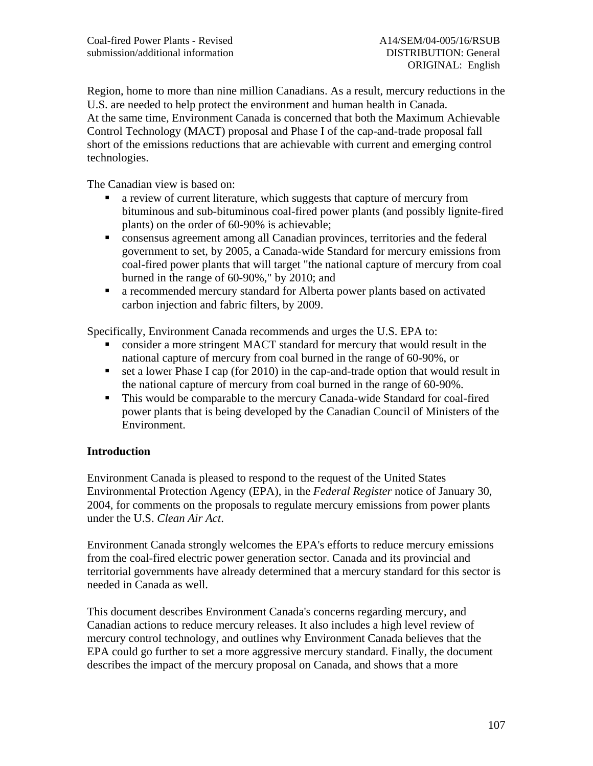Region, home to more than nine million Canadians. As a result, mercury reductions in the U.S. are needed to help protect the environment and human health in Canada. At the same time, Environment Canada is concerned that both the Maximum Achievable Control Technology (MACT) proposal and Phase I of the cap-and-trade proposal fall short of the emissions reductions that are achievable with current and emerging control technologies.

The Canadian view is based on:

- a review of current literature, which suggests that capture of mercury from bituminous and sub-bituminous coal-fired power plants (and possibly lignite-fired plants) on the order of 60-90% is achievable;
- consensus agreement among all Canadian provinces, territories and the federal government to set, by 2005, a Canada-wide Standard for mercury emissions from coal-fired power plants that will target "the national capture of mercury from coal burned in the range of 60-90%," by 2010; and
- a recommended mercury standard for Alberta power plants based on activated carbon injection and fabric filters, by 2009.

Specifically, Environment Canada recommends and urges the U.S. EPA to:

- consider a more stringent MACT standard for mercury that would result in the national capture of mercury from coal burned in the range of 60-90%, or
- $\bullet$  set a lower Phase I cap (for 2010) in the cap-and-trade option that would result in the national capture of mercury from coal burned in the range of 60-90%.
- This would be comparable to the mercury Canada-wide Standard for coal-fired power plants that is being developed by the Canadian Council of Ministers of the Environment.

## **Introduction**

Environment Canada is pleased to respond to the request of the United States Environmental Protection Agency (EPA), in the *Federal Register* notice of January 30, 2004, for comments on the proposals to regulate mercury emissions from power plants under the U.S. *Clean Air Act*.

Environment Canada strongly welcomes the EPA's efforts to reduce mercury emissions from the coal-fired electric power generation sector. Canada and its provincial and territorial governments have already determined that a mercury standard for this sector is needed in Canada as well.

This document describes Environment Canada's concerns regarding mercury, and Canadian actions to reduce mercury releases. It also includes a high level review of mercury control technology, and outlines why Environment Canada believes that the EPA could go further to set a more aggressive mercury standard. Finally, the document describes the impact of the mercury proposal on Canada, and shows that a more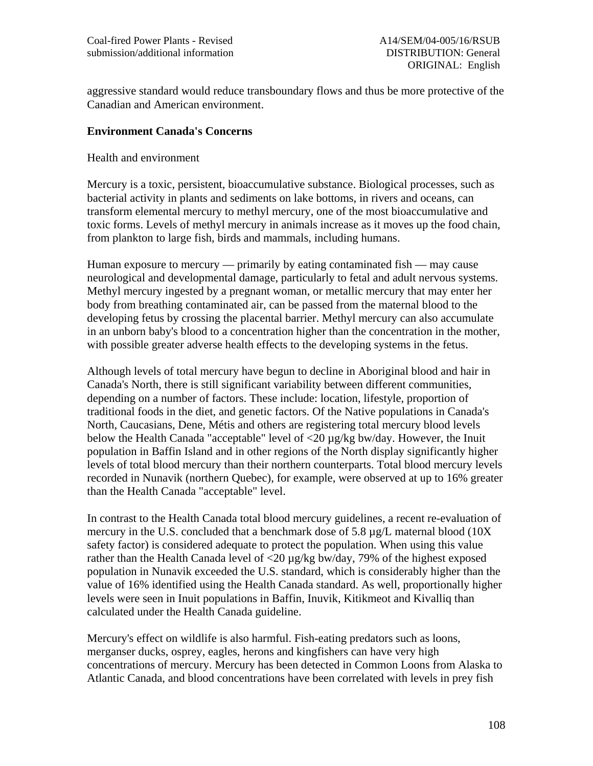aggressive standard would reduce transboundary flows and thus be more protective of the Canadian and American environment.

#### **Environment Canada's Concerns**

#### Health and environment

Mercury is a toxic, persistent, bioaccumulative substance. Biological processes, such as bacterial activity in plants and sediments on lake bottoms, in rivers and oceans, can transform elemental mercury to methyl mercury, one of the most bioaccumulative and toxic forms. Levels of methyl mercury in animals increase as it moves up the food chain, from plankton to large fish, birds and mammals, including humans.

Human exposure to mercury — primarily by eating contaminated fish — may cause neurological and developmental damage, particularly to fetal and adult nervous systems. Methyl mercury ingested by a pregnant woman, or metallic mercury that may enter her body from breathing contaminated air, can be passed from the maternal blood to the developing fetus by crossing the placental barrier. Methyl mercury can also accumulate in an unborn baby's blood to a concentration higher than the concentration in the mother, with possible greater adverse health effects to the developing systems in the fetus.

Although levels of total mercury have begun to decline in Aboriginal blood and hair in Canada's North, there is still significant variability between different communities, depending on a number of factors. These include: location, lifestyle, proportion of traditional foods in the diet, and genetic factors. Of the Native populations in Canada's North, Caucasians, Dene, Métis and others are registering total mercury blood levels below the Health Canada "acceptable" level of <20 µg/kg bw/day. However, the Inuit population in Baffin Island and in other regions of the North display significantly higher levels of total blood mercury than their northern counterparts. Total blood mercury levels recorded in Nunavik (northern Quebec), for example, were observed at up to 16% greater than the Health Canada "acceptable" level.

In contrast to the Health Canada total blood mercury guidelines, a recent re-evaluation of mercury in the U.S. concluded that a benchmark dose of 5.8 µg/L maternal blood (10X) safety factor) is considered adequate to protect the population. When using this value rather than the Health Canada level of <20 µg/kg bw/day, 79% of the highest exposed population in Nunavik exceeded the U.S. standard, which is considerably higher than the value of 16% identified using the Health Canada standard. As well, proportionally higher levels were seen in Inuit populations in Baffin, Inuvik, Kitikmeot and Kivalliq than calculated under the Health Canada guideline.

Mercury's effect on wildlife is also harmful. Fish-eating predators such as loons, merganser ducks, osprey, eagles, herons and kingfishers can have very high concentrations of mercury. Mercury has been detected in Common Loons from Alaska to Atlantic Canada, and blood concentrations have been correlated with levels in prey fish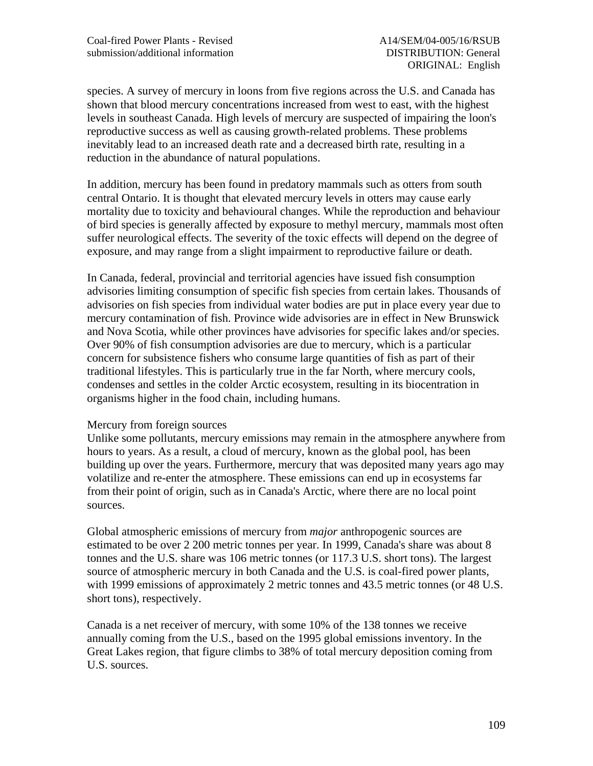species. A survey of mercury in loons from five regions across the U.S. and Canada has shown that blood mercury concentrations increased from west to east, with the highest levels in southeast Canada. High levels of mercury are suspected of impairing the loon's reproductive success as well as causing growth-related problems. These problems inevitably lead to an increased death rate and a decreased birth rate, resulting in a reduction in the abundance of natural populations.

In addition, mercury has been found in predatory mammals such as otters from south central Ontario. It is thought that elevated mercury levels in otters may cause early mortality due to toxicity and behavioural changes. While the reproduction and behaviour of bird species is generally affected by exposure to methyl mercury, mammals most often suffer neurological effects. The severity of the toxic effects will depend on the degree of exposure, and may range from a slight impairment to reproductive failure or death.

In Canada, federal, provincial and territorial agencies have issued fish consumption advisories limiting consumption of specific fish species from certain lakes. Thousands of advisories on fish species from individual water bodies are put in place every year due to mercury contamination of fish. Province wide advisories are in effect in New Brunswick and Nova Scotia, while other provinces have advisories for specific lakes and/or species. Over 90% of fish consumption advisories are due to mercury, which is a particular concern for subsistence fishers who consume large quantities of fish as part of their traditional lifestyles. This is particularly true in the far North, where mercury cools, condenses and settles in the colder Arctic ecosystem, resulting in its biocentration in organisms higher in the food chain, including humans.

#### Mercury from foreign sources

Unlike some pollutants, mercury emissions may remain in the atmosphere anywhere from hours to years. As a result, a cloud of mercury, known as the global pool, has been building up over the years. Furthermore, mercury that was deposited many years ago may volatilize and re-enter the atmosphere. These emissions can end up in ecosystems far from their point of origin, such as in Canada's Arctic, where there are no local point sources.

Global atmospheric emissions of mercury from *major* anthropogenic sources are estimated to be over 2 200 metric tonnes per year. In 1999, Canada's share was about 8 tonnes and the U.S. share was 106 metric tonnes (or 117.3 U.S. short tons). The largest source of atmospheric mercury in both Canada and the U.S. is coal-fired power plants, with 1999 emissions of approximately 2 metric tonnes and 43.5 metric tonnes (or 48 U.S. short tons), respectively.

Canada is a net receiver of mercury, with some 10% of the 138 tonnes we receive annually coming from the U.S., based on the 1995 global emissions inventory. In the Great Lakes region, that figure climbs to 38% of total mercury deposition coming from U.S. sources.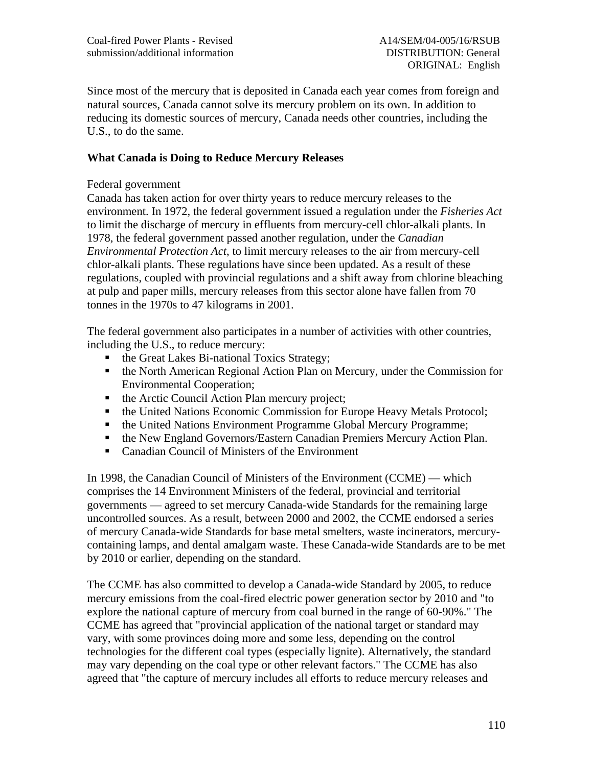Since most of the mercury that is deposited in Canada each year comes from foreign and natural sources, Canada cannot solve its mercury problem on its own. In addition to reducing its domestic sources of mercury, Canada needs other countries, including the U.S., to do the same.

#### **What Canada is Doing to Reduce Mercury Releases**

#### Federal government

Canada has taken action for over thirty years to reduce mercury releases to the environment. In 1972, the federal government issued a regulation under the *Fisheries Act* to limit the discharge of mercury in effluents from mercury-cell chlor-alkali plants. In 1978, the federal government passed another regulation, under the *Canadian Environmental Protection Act*, to limit mercury releases to the air from mercury-cell chlor-alkali plants. These regulations have since been updated. As a result of these regulations, coupled with provincial regulations and a shift away from chlorine bleaching at pulp and paper mills, mercury releases from this sector alone have fallen from 70 tonnes in the 1970s to 47 kilograms in 2001.

The federal government also participates in a number of activities with other countries, including the U.S., to reduce mercury:

- $\blacksquare$  the Great Lakes Bi-national Toxics Strategy;
- the North American Regional Action Plan on Mercury, under the Commission for Environmental Cooperation;
- the Arctic Council Action Plan mercury project;
- the United Nations Economic Commission for Europe Heavy Metals Protocol;
- **the United Nations Environment Programme Global Mercury Programme;**
- the New England Governors/Eastern Canadian Premiers Mercury Action Plan.
- Canadian Council of Ministers of the Environment

In 1998, the Canadian Council of Ministers of the Environment (CCME) — which comprises the 14 Environment Ministers of the federal, provincial and territorial governments — agreed to set mercury Canada-wide Standards for the remaining large uncontrolled sources. As a result, between 2000 and 2002, the CCME endorsed a series of mercury Canada-wide Standards for base metal smelters, waste incinerators, mercurycontaining lamps, and dental amalgam waste. These Canada-wide Standards are to be met by 2010 or earlier, depending on the standard.

The CCME has also committed to develop a Canada-wide Standard by 2005, to reduce mercury emissions from the coal-fired electric power generation sector by 2010 and "to explore the national capture of mercury from coal burned in the range of 60-90%." The CCME has agreed that "provincial application of the national target or standard may vary, with some provinces doing more and some less, depending on the control technologies for the different coal types (especially lignite). Alternatively, the standard may vary depending on the coal type or other relevant factors." The CCME has also agreed that "the capture of mercury includes all efforts to reduce mercury releases and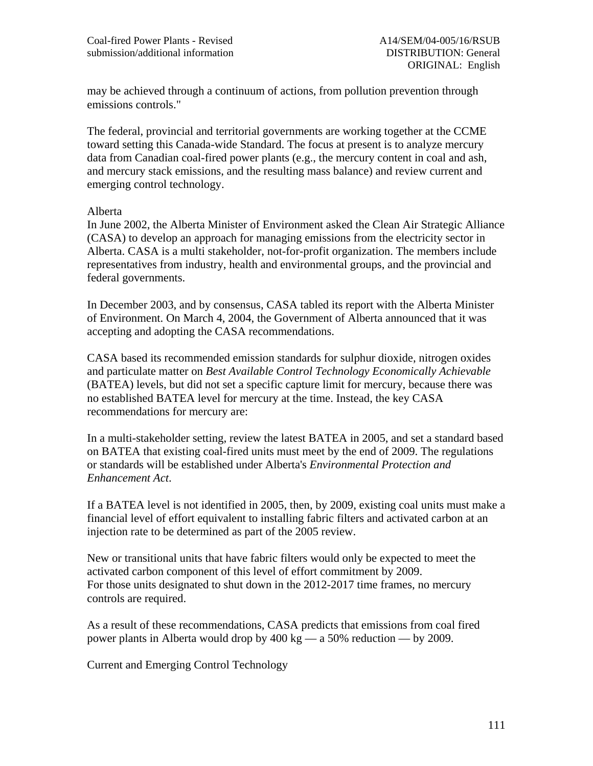may be achieved through a continuum of actions, from pollution prevention through emissions controls."

The federal, provincial and territorial governments are working together at the CCME toward setting this Canada-wide Standard. The focus at present is to analyze mercury data from Canadian coal-fired power plants (e.g., the mercury content in coal and ash, and mercury stack emissions, and the resulting mass balance) and review current and emerging control technology.

#### Alberta

In June 2002, the Alberta Minister of Environment asked the Clean Air Strategic Alliance (CASA) to develop an approach for managing emissions from the electricity sector in Alberta. CASA is a multi stakeholder, not-for-profit organization. The members include representatives from industry, health and environmental groups, and the provincial and federal governments.

In December 2003, and by consensus, CASA tabled its report with the Alberta Minister of Environment. On March 4, 2004, the Government of Alberta announced that it was accepting and adopting the CASA recommendations.

CASA based its recommended emission standards for sulphur dioxide, nitrogen oxides and particulate matter on *Best Available Control Technology Economically Achievable* (BATEA) levels, but did not set a specific capture limit for mercury, because there was no established BATEA level for mercury at the time. Instead, the key CASA recommendations for mercury are:

In a multi-stakeholder setting, review the latest BATEA in 2005, and set a standard based on BATEA that existing coal-fired units must meet by the end of 2009. The regulations or standards will be established under Alberta's *Environmental Protection and Enhancement Act*.

If a BATEA level is not identified in 2005, then, by 2009, existing coal units must make a financial level of effort equivalent to installing fabric filters and activated carbon at an injection rate to be determined as part of the 2005 review.

New or transitional units that have fabric filters would only be expected to meet the activated carbon component of this level of effort commitment by 2009. For those units designated to shut down in the 2012-2017 time frames, no mercury controls are required.

As a result of these recommendations, CASA predicts that emissions from coal fired power plants in Alberta would drop by 400 kg — a 50% reduction — by 2009.

Current and Emerging Control Technology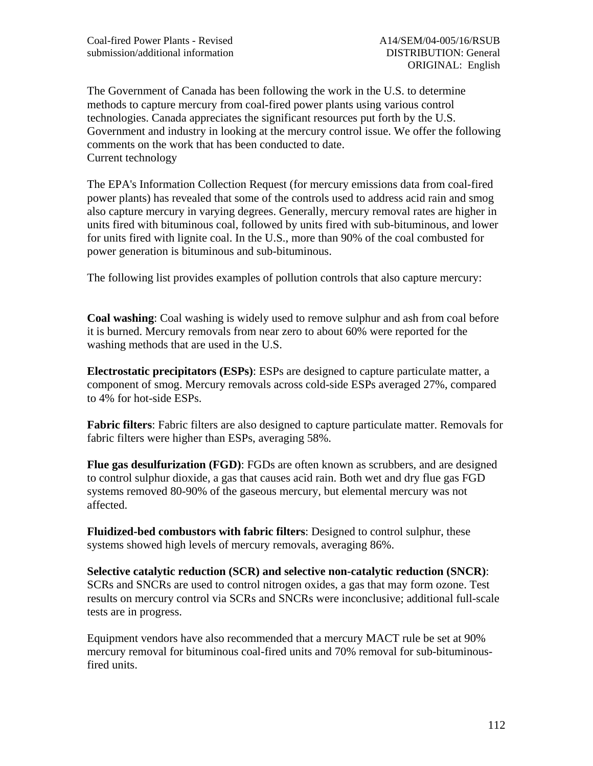The Government of Canada has been following the work in the U.S. to determine methods to capture mercury from coal-fired power plants using various control technologies. Canada appreciates the significant resources put forth by the U.S. Government and industry in looking at the mercury control issue. We offer the following comments on the work that has been conducted to date. Current technology

The EPA's Information Collection Request (for mercury emissions data from coal-fired power plants) has revealed that some of the controls used to address acid rain and smog also capture mercury in varying degrees. Generally, mercury removal rates are higher in units fired with bituminous coal, followed by units fired with sub-bituminous, and lower for units fired with lignite coal. In the U.S., more than 90% of the coal combusted for power generation is bituminous and sub-bituminous.

The following list provides examples of pollution controls that also capture mercury:

**Coal washing**: Coal washing is widely used to remove sulphur and ash from coal before it is burned. Mercury removals from near zero to about 60% were reported for the washing methods that are used in the U.S.

**Electrostatic precipitators (ESPs)**: ESPs are designed to capture particulate matter, a component of smog. Mercury removals across cold-side ESPs averaged 27%, compared to 4% for hot-side ESPs.

**Fabric filters**: Fabric filters are also designed to capture particulate matter. Removals for fabric filters were higher than ESPs, averaging 58%.

**Flue gas desulfurization (FGD)**: FGDs are often known as scrubbers, and are designed to control sulphur dioxide, a gas that causes acid rain. Both wet and dry flue gas FGD systems removed 80-90% of the gaseous mercury, but elemental mercury was not affected.

**Fluidized-bed combustors with fabric filters**: Designed to control sulphur, these systems showed high levels of mercury removals, averaging 86%.

**Selective catalytic reduction (SCR) and selective non-catalytic reduction (SNCR)**: SCRs and SNCRs are used to control nitrogen oxides, a gas that may form ozone. Test results on mercury control via SCRs and SNCRs were inconclusive; additional full-scale tests are in progress.

Equipment vendors have also recommended that a mercury MACT rule be set at 90% mercury removal for bituminous coal-fired units and 70% removal for sub-bituminousfired units.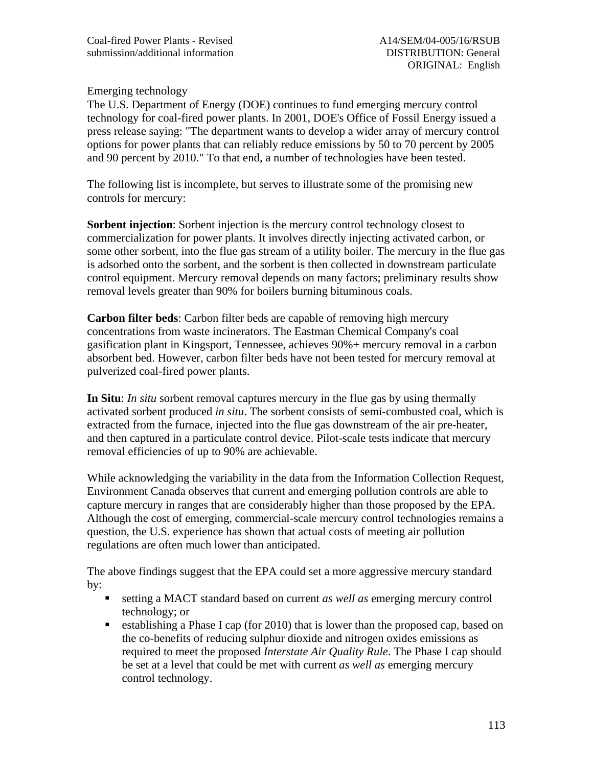#### Emerging technology

The U.S. Department of Energy (DOE) continues to fund emerging mercury control technology for coal-fired power plants. In 2001, DOE's Office of Fossil Energy issued a press release saying: "The department wants to develop a wider array of mercury control options for power plants that can reliably reduce emissions by 50 to 70 percent by 2005 and 90 percent by 2010." To that end, a number of technologies have been tested.

The following list is incomplete, but serves to illustrate some of the promising new controls for mercury:

**Sorbent injection**: Sorbent injection is the mercury control technology closest to commercialization for power plants. It involves directly injecting activated carbon, or some other sorbent, into the flue gas stream of a utility boiler. The mercury in the flue gas is adsorbed onto the sorbent, and the sorbent is then collected in downstream particulate control equipment. Mercury removal depends on many factors; preliminary results show removal levels greater than 90% for boilers burning bituminous coals.

**Carbon filter beds**: Carbon filter beds are capable of removing high mercury concentrations from waste incinerators. The Eastman Chemical Company's coal gasification plant in Kingsport, Tennessee, achieves 90%+ mercury removal in a carbon absorbent bed. However, carbon filter beds have not been tested for mercury removal at pulverized coal-fired power plants.

**In Situ**: *In situ* sorbent removal captures mercury in the flue gas by using thermally activated sorbent produced *in situ*. The sorbent consists of semi-combusted coal, which is extracted from the furnace, injected into the flue gas downstream of the air pre-heater, and then captured in a particulate control device. Pilot-scale tests indicate that mercury removal efficiencies of up to 90% are achievable.

While acknowledging the variability in the data from the Information Collection Request, Environment Canada observes that current and emerging pollution controls are able to capture mercury in ranges that are considerably higher than those proposed by the EPA. Although the cost of emerging, commercial-scale mercury control technologies remains a question, the U.S. experience has shown that actual costs of meeting air pollution regulations are often much lower than anticipated.

The above findings suggest that the EPA could set a more aggressive mercury standard by:

- setting a MACT standard based on current *as well as* emerging mercury control technology; or
- Example 1 establishing a Phase I cap (for 2010) that is lower than the proposed cap, based on the co-benefits of reducing sulphur dioxide and nitrogen oxides emissions as required to meet the proposed *Interstate Air Quality Rule*. The Phase I cap should be set at a level that could be met with current *as well as* emerging mercury control technology.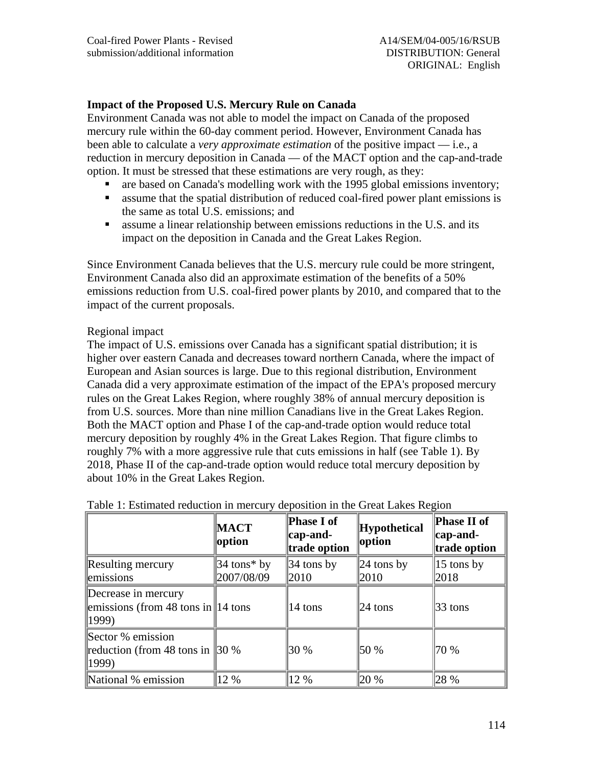#### **Impact of the Proposed U.S. Mercury Rule on Canada**

Environment Canada was not able to model the impact on Canada of the proposed mercury rule within the 60-day comment period. However, Environment Canada has been able to calculate a *very approximate estimation* of the positive impact — i.e., a reduction in mercury deposition in Canada — of the MACT option and the cap-and-trade option. It must be stressed that these estimations are very rough, as they:

- are based on Canada's modelling work with the 1995 global emissions inventory;
- assume that the spatial distribution of reduced coal-fired power plant emissions is the same as total U.S. emissions; and
- assume a linear relationship between emissions reductions in the U.S. and its impact on the deposition in Canada and the Great Lakes Region.

Since Environment Canada believes that the U.S. mercury rule could be more stringent, Environment Canada also did an approximate estimation of the benefits of a 50% emissions reduction from U.S. coal-fired power plants by 2010, and compared that to the impact of the current proposals.

#### Regional impact

The impact of U.S. emissions over Canada has a significant spatial distribution; it is higher over eastern Canada and decreases toward northern Canada, where the impact of European and Asian sources is large. Due to this regional distribution, Environment Canada did a very approximate estimation of the impact of the EPA's proposed mercury rules on the Great Lakes Region, where roughly 38% of annual mercury deposition is from U.S. sources. More than nine million Canadians live in the Great Lakes Region. Both the MACT option and Phase I of the cap-and-trade option would reduce total mercury deposition by roughly 4% in the Great Lakes Region. That figure climbs to roughly 7% with a more aggressive rule that cuts emissions in half (see Table 1). By 2018, Phase II of the cap-and-trade option would reduce total mercury deposition by about 10% in the Great Lakes Region.

|                                                                                  | MACT<br>option              | <b>Phase I of</b><br> cap-and-<br>trade option | Hypothetical<br>option         | <b>Phase II of</b><br> cap-and-<br>trade option |
|----------------------------------------------------------------------------------|-----------------------------|------------------------------------------------|--------------------------------|-------------------------------------------------|
| Resulting mercury<br>$\mathbf{lem}$ issions                                      | $34$ tons* by<br>2007/08/09 | $34$ tons by<br>  2010                         | $\ 24 \text{ tons by}$<br>2010 | $\parallel$ 15 tons by<br> 2018                 |
| Decrease in mercury<br>emissions (from 48 tons in $\parallel$ 14 tons<br>  1999) |                             | 14 tons                                        | $24 \text{ tons}$              | $ 33 \text{ tons} $                             |
| Sector % emission<br>reduction (from 48 tons in $\parallel 30\%$<br>  1999)      |                             | 30 %                                           | 50 %                           | 70 %                                            |
| National % emission                                                              | 12 %                        | 12 %                                           | 20 %                           | 28 %                                            |

|  | Table 1: Estimated reduction in mercury deposition in the Great Lakes Region |  |  |  |  |  |
|--|------------------------------------------------------------------------------|--|--|--|--|--|
|  |                                                                              |  |  |  |  |  |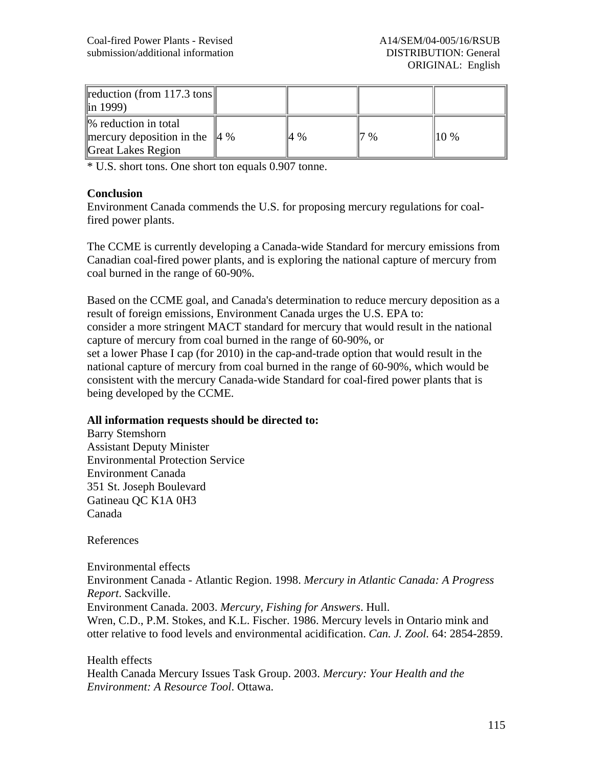| $\ $ reduction (from 117.3 tons $\ $<br>$\ln 1999$ |      |               |      |
|----------------------------------------------------|------|---------------|------|
| $\frac{1}{2}$ reduction in total                   |      |               |      |
| mercury deposition in the $\ 4\%$                  | $\%$ | $\frac{1}{6}$ | 10 % |
| Great Lakes Region                                 |      |               |      |

\* U.S. short tons. One short ton equals 0.907 tonne.

#### **Conclusion**

Environment Canada commends the U.S. for proposing mercury regulations for coalfired power plants.

The CCME is currently developing a Canada-wide Standard for mercury emissions from Canadian coal-fired power plants, and is exploring the national capture of mercury from coal burned in the range of 60-90%.

Based on the CCME goal, and Canada's determination to reduce mercury deposition as a result of foreign emissions, Environment Canada urges the U.S. EPA to: consider a more stringent MACT standard for mercury that would result in the national capture of mercury from coal burned in the range of 60-90%, or set a lower Phase I cap (for 2010) in the cap-and-trade option that would result in the national capture of mercury from coal burned in the range of 60-90%, which would be consistent with the mercury Canada-wide Standard for coal-fired power plants that is being developed by the CCME.

#### **All information requests should be directed to:**

Barry Stemshorn Assistant Deputy Minister Environmental Protection Service Environment Canada 351 St. Joseph Boulevard Gatineau QC K1A 0H3 Canada

References

Environmental effects Environment Canada - Atlantic Region. 1998. *Mercury in Atlantic Canada: A Progress Report*. Sackville. Environment Canada. 2003. *Mercury, Fishing for Answers*. Hull. Wren, C.D., P.M. Stokes, and K.L. Fischer. 1986. Mercury levels in Ontario mink and otter relative to food levels and environmental acidification. *Can. J. Zool.* 64: 2854-2859.

Health effects Health Canada Mercury Issues Task Group. 2003. *Mercury: Your Health and the Environment: A Resource Tool*. Ottawa.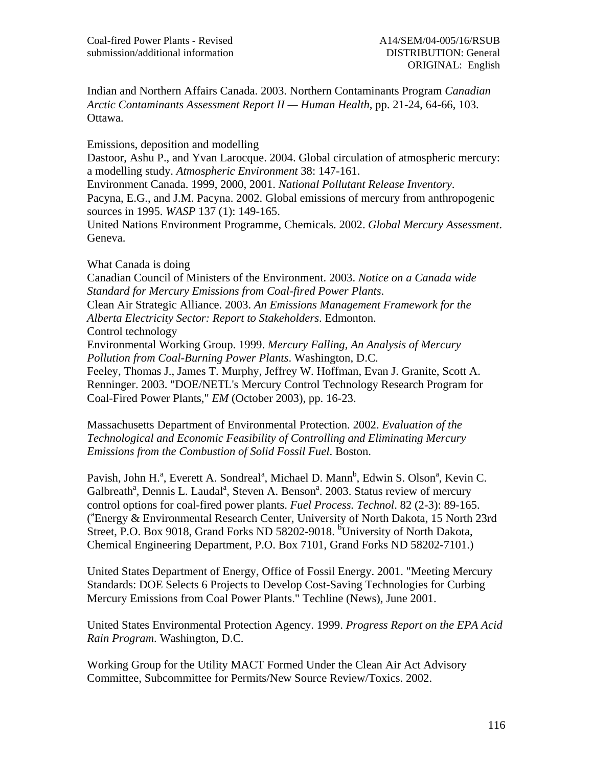Indian and Northern Affairs Canada. 2003. Northern Contaminants Program *Canadian Arctic Contaminants Assessment Report II — Human Health*, pp. 21-24, 64-66, 103. Ottawa.

Emissions, deposition and modelling

Dastoor, Ashu P., and Yvan Larocque. 2004. Global circulation of atmospheric mercury: a modelling study. *Atmospheric Environment* 38: 147-161.

Environment Canada. 1999, 2000, 2001. *National Pollutant Release Inventory*.

Pacyna, E.G., and J.M. Pacyna. 2002. Global emissions of mercury from anthropogenic sources in 1995. *WASP* 137 (1): 149-165.

United Nations Environment Programme, Chemicals. 2002. *Global Mercury Assessment*. Geneva.

#### What Canada is doing

Canadian Council of Ministers of the Environment. 2003. *Notice on a Canada wide Standard for Mercury Emissions from Coal-fired Power Plants*. Clean Air Strategic Alliance. 2003. *An Emissions Management Framework for the Alberta Electricity Sector: Report to Stakeholders*. Edmonton.

Control technology

Environmental Working Group. 1999. *Mercury Falling, An Analysis of Mercury Pollution from Coal-Burning Power Plants*. Washington, D.C.

Feeley, Thomas J., James T. Murphy, Jeffrey W. Hoffman, Evan J. Granite, Scott A. Renninger. 2003. "DOE/NETL's Mercury Control Technology Research Program for Coal-Fired Power Plants," *EM* (October 2003), pp. 16-23.

Massachusetts Department of Environmental Protection. 2002. *Evaluation of the Technological and Economic Feasibility of Controlling and Eliminating Mercury Emissions from the Combustion of Solid Fossil Fuel*. Boston.

Pavish, John H.<sup>a</sup>, Everett A. Sondreal<sup>a</sup>, Michael D. Mann<sup>b</sup>, Edwin S. Olson<sup>a</sup>, Kevin C. Galbreath<sup>a</sup>, Dennis L. Laudal<sup>a</sup>, Steven A. Benson<sup>a</sup>. 2003. Status review of mercury control options for coal-fired power plants. *Fuel Process. Technol*. 82 (2-3): 89-165. ( a Energy & Environmental Research Center, University of North Dakota, 15 North 23rd Street, P.O. Box 9018, Grand Forks ND 58202-9018. <sup>b</sup>University of North Dakota, Chemical Engineering Department, P.O. Box 7101, Grand Forks ND 58202-7101.)

United States Department of Energy, Office of Fossil Energy. 2001. "Meeting Mercury Standards: DOE Selects 6 Projects to Develop Cost-Saving Technologies for Curbing Mercury Emissions from Coal Power Plants." Techline (News), June 2001.

United States Environmental Protection Agency. 1999. *Progress Report on the EPA Acid Rain Program*. Washington, D.C.

Working Group for the Utility MACT Formed Under the Clean Air Act Advisory Committee, Subcommittee for Permits/New Source Review/Toxics. 2002.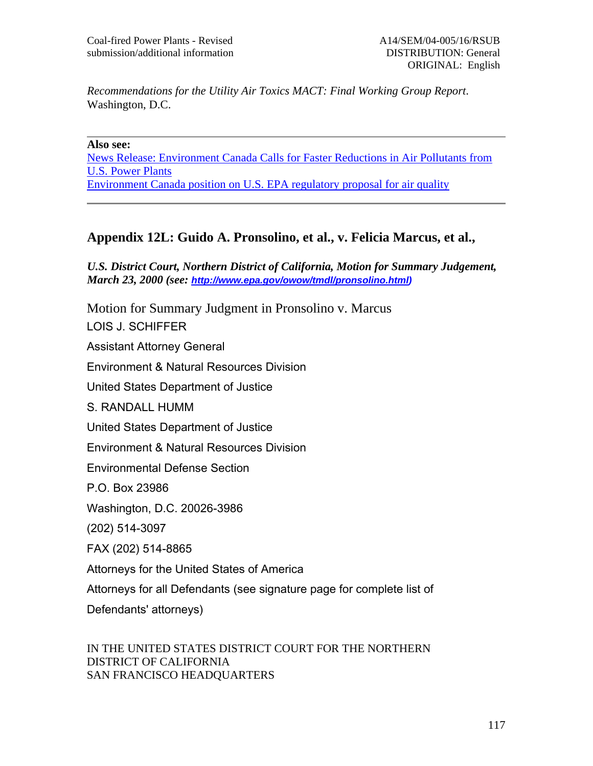*Recommendations for the Utility Air Toxics MACT: Final Working Group Report*. Washington, D.C.

**Also see:** 

News Release: Environment Canada Calls for Faster Reductions in Air Pollutants from U.S. Power Plants Environment Canada position on U.S. EPA regulatory proposal for air quality

## **Appendix 12L: Guido A. Pronsolino, et al., v. Felicia Marcus, et al.,**

*U.S. District Court, Northern District of California, Motion for Summary Judgement, March 23, 2000 (see: http://www.epa.gov/owow/tmdl/pronsolino.html)*

Motion for Summary Judgment in Pronsolino v. Marcus LOIS J. SCHIFFER Assistant Attorney General Environment & Natural Resources Division United States Department of Justice S. RANDALL HUMM United States Department of Justice Environment & Natural Resources Division Environmental Defense Section P.O. Box 23986 Washington, D.C. 20026-3986 (202) 514-3097 FAX (202) 514-8865 Attorneys for the United States of America Attorneys for all Defendants (see signature page for complete list of

Defendants' attorneys)

IN THE UNITED STATES DISTRICT COURT FOR THE NORTHERN DISTRICT OF CALIFORNIA SAN FRANCISCO HEADQUARTERS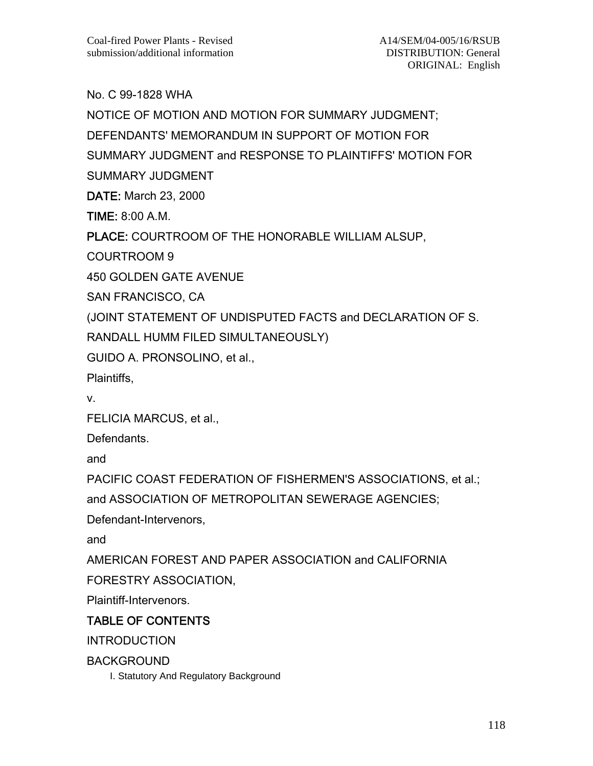No. C 99-1828 WHA

NOTICE OF MOTION AND MOTION FOR SUMMARY JUDGMENT; DEFENDANTS' MEMORANDUM IN SUPPORT OF MOTION FOR SUMMARY JUDGMENT and RESPONSE TO PLAINTIFFS' MOTION FOR SUMMARY JUDGMENT DATE: March 23, 2000 TIME: 8:00 A.M. PLACE: COURTROOM OF THE HONORABLE WILLIAM ALSUP, COURTROOM 9 450 GOLDEN GATE AVENUE SAN FRANCISCO, CA (JOINT STATEMENT OF UNDISPUTED FACTS and DECLARATION OF S. RANDALL HUMM FILED SIMULTANEOUSLY) GUIDO A. PRONSOLINO, et al., Plaintiffs, v. FELICIA MARCUS, et al., Defendants. and PACIFIC COAST FEDERATION OF FISHERMEN'S ASSOCIATIONS, et al.;

and ASSOCIATION OF METROPOLITAN SEWERAGE AGENCIES;

Defendant-Intervenors,

and

AMERICAN FOREST AND PAPER ASSOCIATION and CALIFORNIA

FORESTRY ASSOCIATION,

Plaintiff-Intervenors.

## TABLE OF CONTENTS

INTRODUCTION

**BACKGROUND** 

I. Statutory And Regulatory Background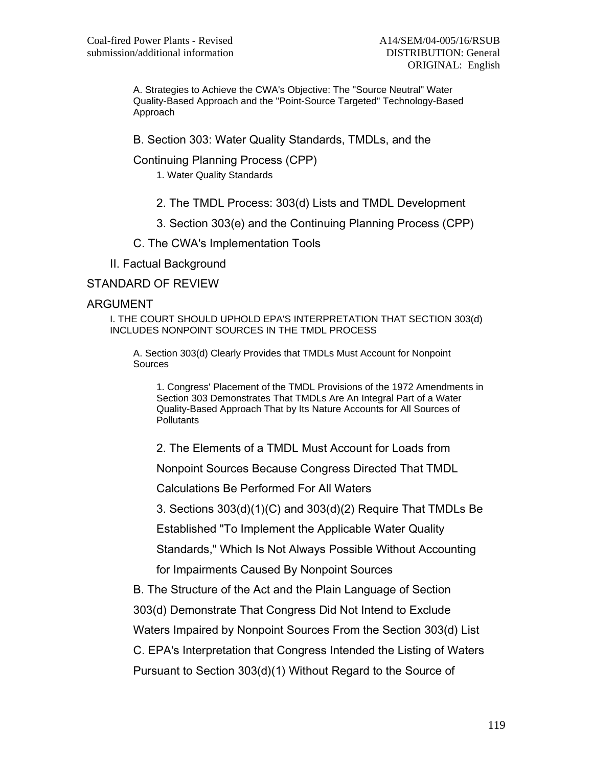A. Strategies to Achieve the CWA's Objective: The "Source Neutral" Water Quality-Based Approach and the "Point-Source Targeted" Technology-Based Approach

B. Section 303: Water Quality Standards, TMDLs, and the

Continuing Planning Process (CPP)

1. Water Quality Standards

- 2. The TMDL Process: 303(d) Lists and TMDL Development
- 3. Section 303(e) and the Continuing Planning Process (CPP)

C. The CWA's Implementation Tools

II. Factual Background

#### STANDARD OF REVIEW

#### ARGUMENT

I. THE COURT SHOULD UPHOLD EPA'S INTERPRETATION THAT SECTION 303(d) INCLUDES NONPOINT SOURCES IN THE TMDL PROCESS

A. Section 303(d) Clearly Provides that TMDLs Must Account for Nonpoint **Sources** 

1. Congress' Placement of the TMDL Provisions of the 1972 Amendments in Section 303 Demonstrates That TMDLs Are An Integral Part of a Water Quality-Based Approach That by Its Nature Accounts for All Sources of **Pollutants** 

2. The Elements of a TMDL Must Account for Loads from

Nonpoint Sources Because Congress Directed That TMDL

Calculations Be Performed For All Waters

3. Sections 303(d)(1)(C) and 303(d)(2) Require That TMDLs Be

Established "To Implement the Applicable Water Quality

Standards," Which Is Not Always Possible Without Accounting

for Impairments Caused By Nonpoint Sources

B. The Structure of the Act and the Plain Language of Section

303(d) Demonstrate That Congress Did Not Intend to Exclude

Waters Impaired by Nonpoint Sources From the Section 303(d) List

C. EPA's Interpretation that Congress Intended the Listing of Waters

Pursuant to Section 303(d)(1) Without Regard to the Source of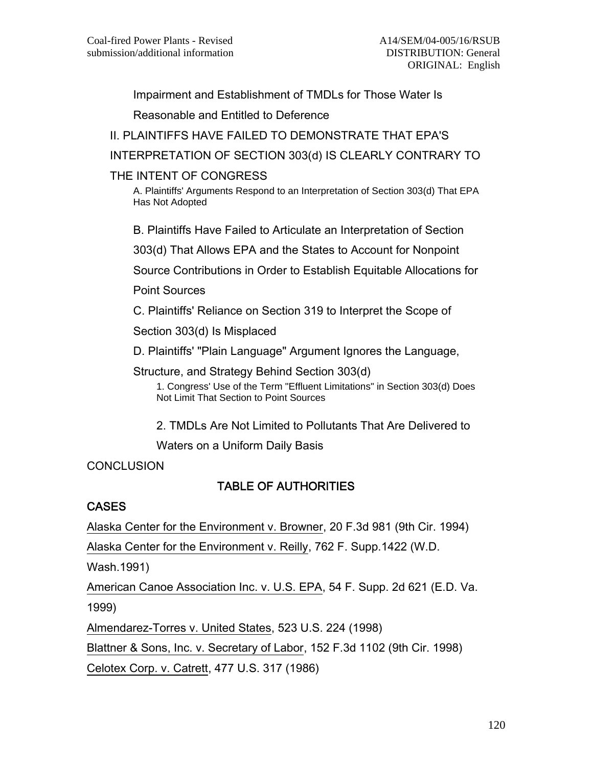Impairment and Establishment of TMDLs for Those Water Is

Reasonable and Entitled to Deference

II. PLAINTIFFS HAVE FAILED TO DEMONSTRATE THAT EPA'S

INTERPRETATION OF SECTION 303(d) IS CLEARLY CONTRARY TO

### THE INTENT OF CONGRESS

A. Plaintiffs' Arguments Respond to an Interpretation of Section 303(d) That EPA Has Not Adopted

B. Plaintiffs Have Failed to Articulate an Interpretation of Section

303(d) That Allows EPA and the States to Account for Nonpoint

Source Contributions in Order to Establish Equitable Allocations for

Point Sources

C. Plaintiffs' Reliance on Section 319 to Interpret the Scope of

Section 303(d) Is Misplaced

D. Plaintiffs' "Plain Language" Argument Ignores the Language,

Structure, and Strategy Behind Section 303(d)

1. Congress' Use of the Term "Effluent Limitations" in Section 303(d) Does Not Limit That Section to Point Sources

2. TMDLs Are Not Limited to Pollutants That Are Delivered to

Waters on a Uniform Daily Basis

**CONCLUSION** 

## TABLE OF AUTHORITIES

## CASES

Alaska Center for the Environment v. Browner, 20 F.3d 981 (9th Cir. 1994)

Alaska Center for the Environment v. Reilly, 762 F. Supp.1422 (W.D.

Wash.1991)

American Canoe Association Inc. v. U.S. EPA, 54 F. Supp. 2d 621 (E.D. Va.

1999)

Almendarez-Torres v. United States, 523 U.S. 224 (1998)

Blattner & Sons, Inc. v. Secretary of Labor, 152 F.3d 1102 (9th Cir. 1998)

Celotex Corp. v. Catrett, 477 U.S. 317 (1986)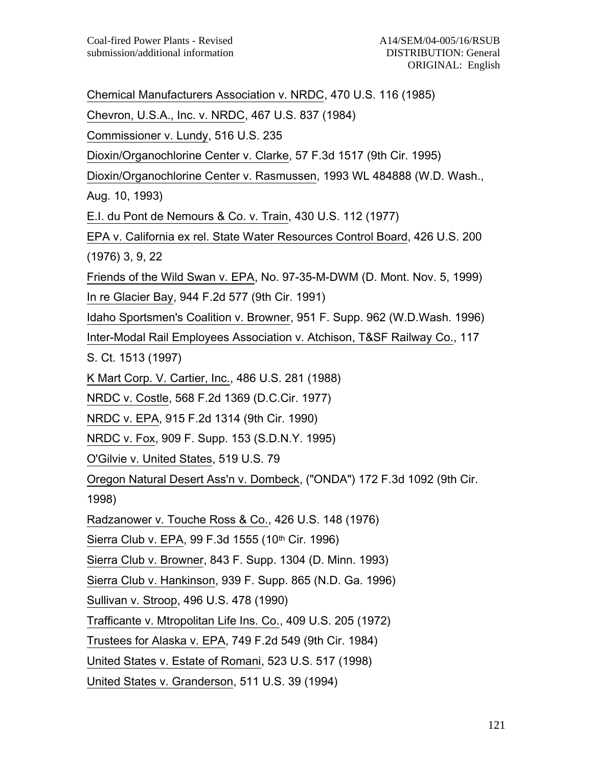Chemical Manufacturers Association v. NRDC, 470 U.S. 116 (1985)

Chevron, U.S.A., Inc. v. NRDC, 467 U.S. 837 (1984)

Commissioner v. Lundy, 516 U.S. 235

Dioxin/Organochlorine Center v. Clarke, 57 F.3d 1517 (9th Cir. 1995)

Dioxin/Organochlorine Center v. Rasmussen, 1993 WL 484888 (W.D. Wash.,

Aug. 10, 1993)

E.I. du Pont de Nemours & Co. v. Train, 430 U.S. 112 (1977)

EPA v. California ex rel. State Water Resources Control Board, 426 U.S. 200 (1976) 3, 9, 22

Friends of the Wild Swan v. EPA, No. 97-35-M-DWM (D. Mont. Nov. 5, 1999)

In re Glacier Bay, 944 F.2d 577 (9th Cir. 1991)

Idaho Sportsmen's Coalition v. Browner, 951 F. Supp. 962 (W.D.Wash. 1996)

Inter-Modal Rail Employees Association v. Atchison, T&SF Railway Co., 117

S. Ct. 1513 (1997)

K Mart Corp. V. Cartier, Inc., 486 U.S. 281 (1988)

NRDC v. Costle, 568 F.2d 1369 (D.C.Cir. 1977)

NRDC v. EPA, 915 F.2d 1314 (9th Cir. 1990)

NRDC v. Fox, 909 F. Supp. 153 (S.D.N.Y. 1995)

O'Gilvie v. United States, 519 U.S. 79

Oregon Natural Desert Ass'n v. Dombeck, ("ONDA") 172 F.3d 1092 (9th Cir.

1998)

Radzanower v. Touche Ross & Co., 426 U.S. 148 (1976)

Sierra Club v. EPA, 99 F.3d 1555 (10<sup>th</sup> Cir. 1996)

Sierra Club v. Browner, 843 F. Supp. 1304 (D. Minn. 1993)

Sierra Club v. Hankinson, 939 F. Supp. 865 (N.D. Ga. 1996)

Sullivan v. Stroop, 496 U.S. 478 (1990)

Trafficante v. Mtropolitan Life Ins. Co., 409 U.S. 205 (1972)

Trustees for Alaska v. EPA, 749 F.2d 549 (9th Cir. 1984)

United States v. Estate of Romani, 523 U.S. 517 (1998)

United States v. Granderson, 511 U.S. 39 (1994)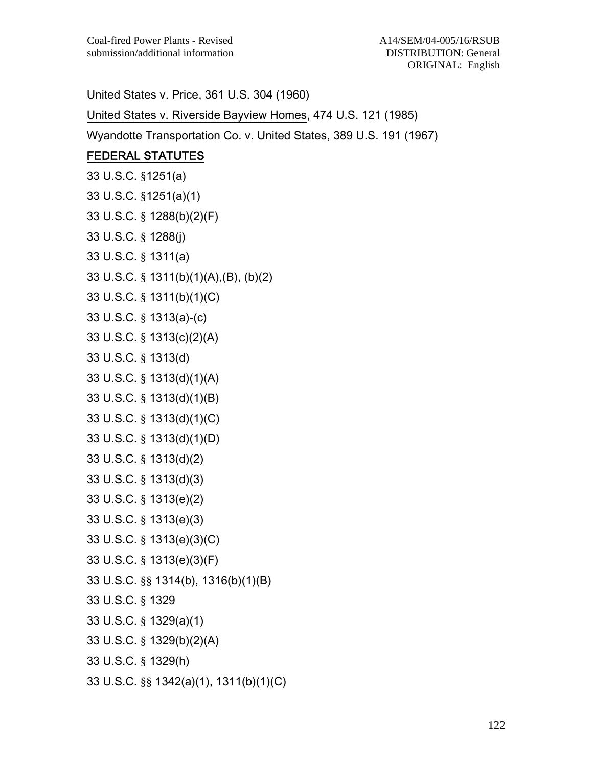United States v. Price, 361 U.S. 304 (1960)

United States v. Riverside Bayview Homes, 474 U.S. 121 (1985)

Wyandotte Transportation Co. v. United States, 389 U.S. 191 (1967)

## FEDERAL STATUTES

```
33 U.S.C. §1251(a) 
33 U.S.C. §1251(a)(1) 
33 U.S.C. § 1288(b)(2)(F) 
33 U.S.C. § 1288(j) 
33 U.S.C. § 1311(a) 
33 U.S.C. § 1311(b)(1)(A),(B), (b)(2) 
33 U.S.C. § 1311(b)(1)(C) 
33 U.S.C. § 1313(a)-(c) 
33 U.S.C. § 1313(c)(2)(A) 
33 U.S.C. § 1313(d) 
33 U.S.C. § 1313(d)(1)(A) 
33 U.S.C. § 1313(d)(1)(B) 
33 U.S.C. § 1313(d)(1)(C) 
33 U.S.C. § 1313(d)(1)(D) 
33 U.S.C. § 1313(d)(2) 
33 U.S.C. § 1313(d)(3) 
33 U.S.C. § 1313(e)(2) 
33 U.S.C. § 1313(e)(3) 
33 U.S.C. § 1313(e)(3)(C) 
33 U.S.C. § 1313(e)(3)(F) 
33 U.S.C. §§ 1314(b), 1316(b)(1)(B) 
33 U.S.C. § 1329 
33 U.S.C. § 1329(a)(1) 
33 U.S.C. § 1329(b)(2)(A) 
33 U.S.C. § 1329(h) 
33 U.S.C. §§ 1342(a)(1), 1311(b)(1)(C)
```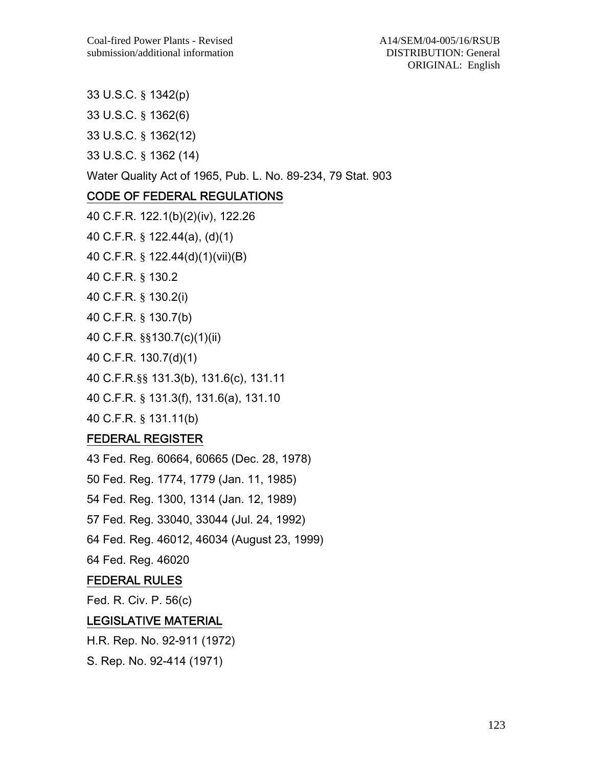- 33 U.S.C. § 1342(p)
- 33 U.S.C. § 1362(6)
- 33 U.S.C. § 1362(12)
- 33 U.S.C. § 1362 (14)

Water Quality Act of 1965, Pub. L. No. 89-234, 79 Stat. 903

### CODE OF FEDERAL REGULATIONS

- 40 C.F.R. 122.1(b)(2)(iv), 122.26
- 40 C.F.R. § 122.44(a), (d)(1)
- 40 C.F.R. § 122.44(d)(1)(vii)(B)
- 40 C.F.R. § 130.2
- 40 C.F.R. § 130.2(i)
- 40 C.F.R. § 130.7(b)
- 40 C.F.R. §§130.7(c)(1)(ii)
- 40 C.F.R. 130.7(d)(1)
- 40 C.F.R.§§ 131.3(b), 131.6(c), 131.11
- 40 C.F.R. § 131.3(f), 131.6(a), 131.10
- 40 C.F.R. § 131.11(b)

## FEDERAL REGISTER

43 Fed. Reg. 60664, 60665 (Dec. 28, 1978) 50 Fed. Reg. 1774, 1779 (Jan. 11, 1985) 54 Fed. Reg. 1300, 1314 (Jan. 12, 1989) 57 Fed. Reg. 33040, 33044 (Jul. 24, 1992) 64 Fed. Reg. 46012, 46034 (August 23, 1999) 64 Fed. Reg. 46020

## FEDERAL RULES

Fed. R. Civ. P. 56(c)

## LEGISLATIVE MATERIAL

H.R. Rep. No. 92-911 (1972)

S. Rep. No. 92-414 (1971)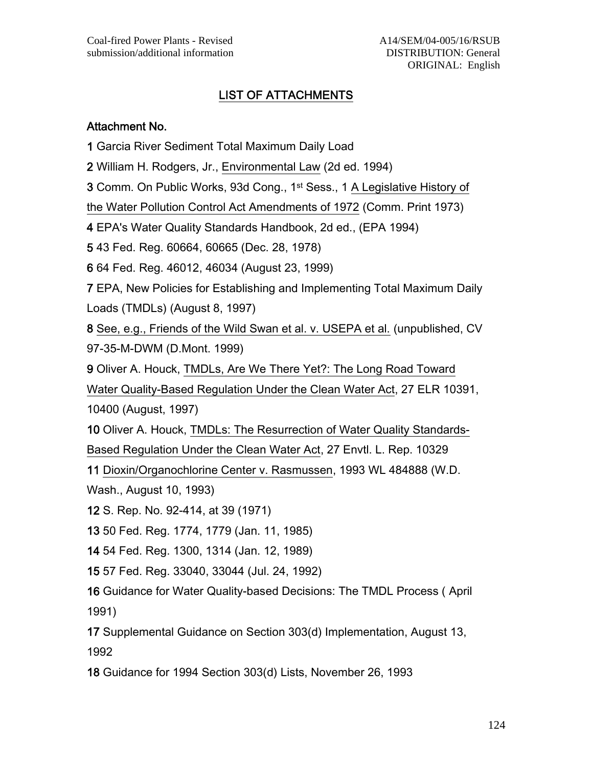## LIST OF ATTACHMENTS

#### Attachment No.

1 Garcia River Sediment Total Maximum Daily Load

2 William H. Rodgers, Jr., Environmental Law (2d ed. 1994)

3 Comm. On Public Works, 93d Cong., 1<sup>st</sup> Sess., 1 A Legislative History of

the Water Pollution Control Act Amendments of 1972 (Comm. Print 1973)

4 EPA's Water Quality Standards Handbook, 2d ed., (EPA 1994)

5 43 Fed. Reg. 60664, 60665 (Dec. 28, 1978)

6 64 Fed. Reg. 46012, 46034 (August 23, 1999)

7 EPA, New Policies for Establishing and Implementing Total Maximum Daily Loads (TMDLs) (August 8, 1997)

8 See, e.g., Friends of the Wild Swan et al. v. USEPA et al. (unpublished, CV 97-35-M-DWM (D.Mont. 1999)

9 Oliver A. Houck, TMDLs, Are We There Yet?: The Long Road Toward

Water Quality-Based Regulation Under the Clean Water Act, 27 ELR 10391,

10400 (August, 1997)

10 Oliver A. Houck, TMDLs: The Resurrection of Water Quality Standards-Based Regulation Under the Clean Water Act, 27 Envtl. L. Rep. 10329

11 Dioxin/Organochlorine Center v. Rasmussen, 1993 WL 484888 (W.D.

Wash., August 10, 1993)

12 S. Rep. No. 92-414, at 39 (1971)

13 50 Fed. Reg. 1774, 1779 (Jan. 11, 1985)

14 54 Fed. Reg. 1300, 1314 (Jan. 12, 1989)

15 57 Fed. Reg. 33040, 33044 (Jul. 24, 1992)

16 Guidance for Water Quality-based Decisions: The TMDL Process ( April 1991)

17 Supplemental Guidance on Section 303(d) Implementation, August 13,

1992

18 Guidance for 1994 Section 303(d) Lists, November 26, 1993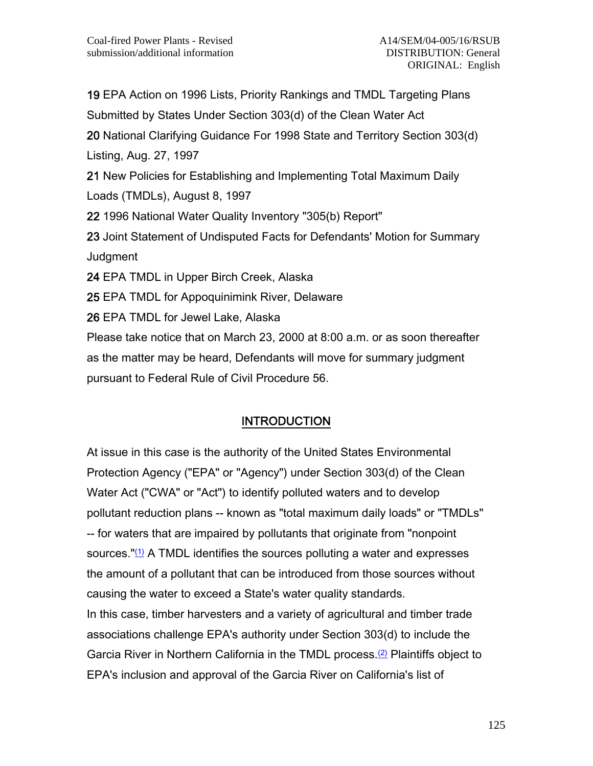19 EPA Action on 1996 Lists, Priority Rankings and TMDL Targeting Plans Submitted by States Under Section 303(d) of the Clean Water Act 20 National Clarifying Guidance For 1998 State and Territory Section 303(d) Listing, Aug. 27, 1997 21 New Policies for Establishing and Implementing Total Maximum Daily Loads (TMDLs), August 8, 1997 22 1996 National Water Quality Inventory "305(b) Report" 23 Joint Statement of Undisputed Facts for Defendants' Motion for Summary **Judgment** 24 EPA TMDL in Upper Birch Creek, Alaska 25 EPA TMDL for Appoquinimink River, Delaware 26 EPA TMDL for Jewel Lake, Alaska Please take notice that on March 23, 2000 at 8:00 a.m. or as soon thereafter as the matter may be heard, Defendants will move for summary judgment pursuant to Federal Rule of Civil Procedure 56.

## **INTRODUCTION**

At issue in this case is the authority of the United States Environmental Protection Agency ("EPA" or "Agency") under Section 303(d) of the Clean Water Act ("CWA" or "Act") to identify polluted waters and to develop pollutant reduction plans -- known as "total maximum daily loads" or "TMDLs" -- for waters that are impaired by pollutants that originate from "nonpoint sources." $(1)$  A TMDL identifies the sources polluting a water and expresses the amount of a pollutant that can be introduced from those sources without causing the water to exceed a State's water quality standards. In this case, timber harvesters and a variety of agricultural and timber trade associations challenge EPA's authority under Section 303(d) to include the Garcia River in Northern California in the TMDL process.<sup>(2)</sup> Plaintiffs object to EPA's inclusion and approval of the Garcia River on California's list of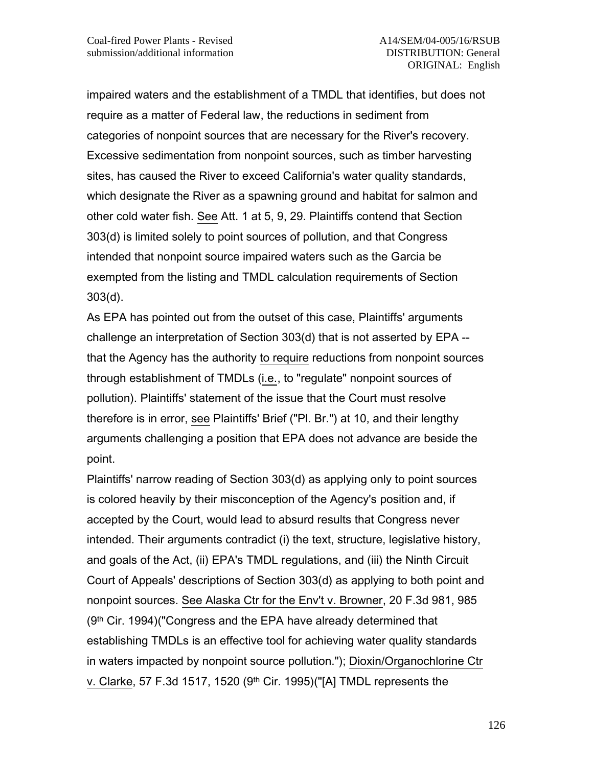impaired waters and the establishment of a TMDL that identifies, but does not require as a matter of Federal law, the reductions in sediment from categories of nonpoint sources that are necessary for the River's recovery. Excessive sedimentation from nonpoint sources, such as timber harvesting sites, has caused the River to exceed California's water quality standards, which designate the River as a spawning ground and habitat for salmon and other cold water fish. See Att. 1 at 5, 9, 29. Plaintiffs contend that Section 303(d) is limited solely to point sources of pollution, and that Congress intended that nonpoint source impaired waters such as the Garcia be exempted from the listing and TMDL calculation requirements of Section 303(d).

As EPA has pointed out from the outset of this case, Plaintiffs' arguments challenge an interpretation of Section 303(d) that is not asserted by EPA - that the Agency has the authority to require reductions from nonpoint sources through establishment of TMDLs (i.e., to "regulate" nonpoint sources of pollution). Plaintiffs' statement of the issue that the Court must resolve therefore is in error, see Plaintiffs' Brief ("Pl. Br.") at 10, and their lengthy arguments challenging a position that EPA does not advance are beside the point.

Plaintiffs' narrow reading of Section 303(d) as applying only to point sources is colored heavily by their misconception of the Agency's position and, if accepted by the Court, would lead to absurd results that Congress never intended. Their arguments contradict (i) the text, structure, legislative history, and goals of the Act, (ii) EPA's TMDL regulations, and (iii) the Ninth Circuit Court of Appeals' descriptions of Section 303(d) as applying to both point and nonpoint sources. See Alaska Ctr for the Env't v. Browner, 20 F.3d 981, 985 (9th Cir. 1994)("Congress and the EPA have already determined that establishing TMDLs is an effective tool for achieving water quality standards in waters impacted by nonpoint source pollution."); Dioxin/Organochlorine Ctr v. Clarke, 57 F.3d 1517, 1520 (9th Cir. 1995)("[A] TMDL represents the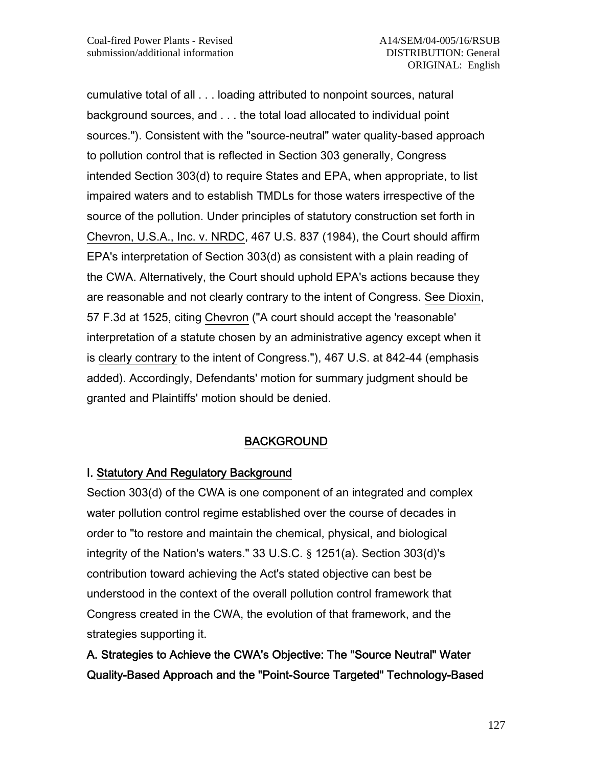cumulative total of all . . . loading attributed to nonpoint sources, natural background sources, and . . . the total load allocated to individual point sources."). Consistent with the "source-neutral" water quality-based approach to pollution control that is reflected in Section 303 generally, Congress intended Section 303(d) to require States and EPA, when appropriate, to list impaired waters and to establish TMDLs for those waters irrespective of the source of the pollution. Under principles of statutory construction set forth in Chevron, U.S.A., Inc. v. NRDC, 467 U.S. 837 (1984), the Court should affirm EPA's interpretation of Section 303(d) as consistent with a plain reading of the CWA. Alternatively, the Court should uphold EPA's actions because they are reasonable and not clearly contrary to the intent of Congress. See Dioxin, 57 F.3d at 1525, citing Chevron ("A court should accept the 'reasonable' interpretation of a statute chosen by an administrative agency except when it is clearly contrary to the intent of Congress."), 467 U.S. at 842-44 (emphasis added). Accordingly, Defendants' motion for summary judgment should be granted and Plaintiffs' motion should be denied.

## BACKGROUND

## I. Statutory And Regulatory Background

Section 303(d) of the CWA is one component of an integrated and complex water pollution control regime established over the course of decades in order to "to restore and maintain the chemical, physical, and biological integrity of the Nation's waters." 33 U.S.C. § 1251(a). Section 303(d)'s contribution toward achieving the Act's stated objective can best be understood in the context of the overall pollution control framework that Congress created in the CWA, the evolution of that framework, and the strategies supporting it.

A. Strategies to Achieve the CWA's Objective: The "Source Neutral" Water Quality-Based Approach and the "Point-Source Targeted" Technology-Based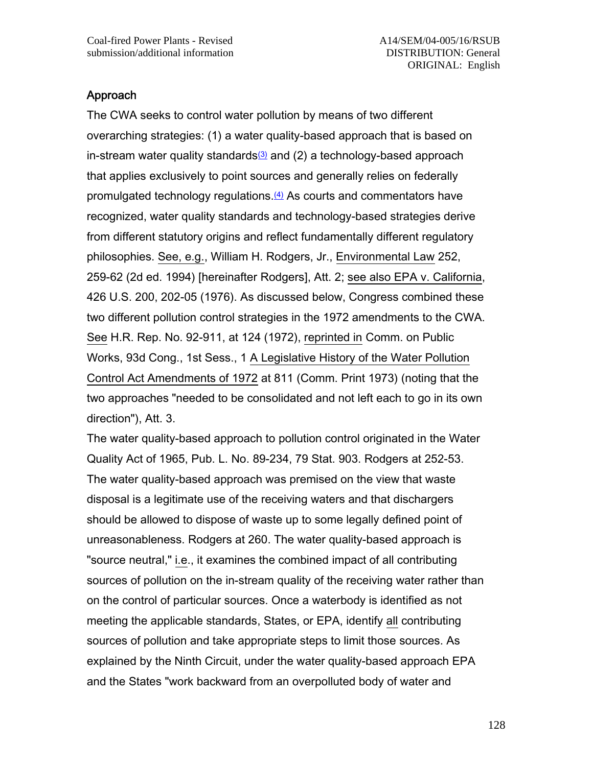## Approach

The CWA seeks to control water pollution by means of two different overarching strategies: (1) a water quality-based approach that is based on in-stream water quality standards $(3)$  and  $(2)$  a technology-based approach that applies exclusively to point sources and generally relies on federally promulgated technology regulations. $(4)$  As courts and commentators have recognized, water quality standards and technology-based strategies derive from different statutory origins and reflect fundamentally different regulatory philosophies. See, e.g., William H. Rodgers, Jr., Environmental Law 252, 259-62 (2d ed. 1994) [hereinafter Rodgers], Att. 2; see also EPA v. California, 426 U.S. 200, 202-05 (1976). As discussed below, Congress combined these two different pollution control strategies in the 1972 amendments to the CWA. See H.R. Rep. No. 92-911, at 124 (1972), reprinted in Comm. on Public Works, 93d Cong., 1st Sess., 1 A Legislative History of the Water Pollution Control Act Amendments of 1972 at 811 (Comm. Print 1973) (noting that the two approaches "needed to be consolidated and not left each to go in its own direction"), Att. 3.

The water quality-based approach to pollution control originated in the Water Quality Act of 1965, Pub. L. No. 89-234, 79 Stat. 903. Rodgers at 252-53. The water quality-based approach was premised on the view that waste disposal is a legitimate use of the receiving waters and that dischargers should be allowed to dispose of waste up to some legally defined point of unreasonableness. Rodgers at 260. The water quality-based approach is "source neutral," i.e., it examines the combined impact of all contributing sources of pollution on the in-stream quality of the receiving water rather than on the control of particular sources. Once a waterbody is identified as not meeting the applicable standards, States, or EPA, identify all contributing sources of pollution and take appropriate steps to limit those sources. As explained by the Ninth Circuit, under the water quality-based approach EPA and the States "work backward from an overpolluted body of water and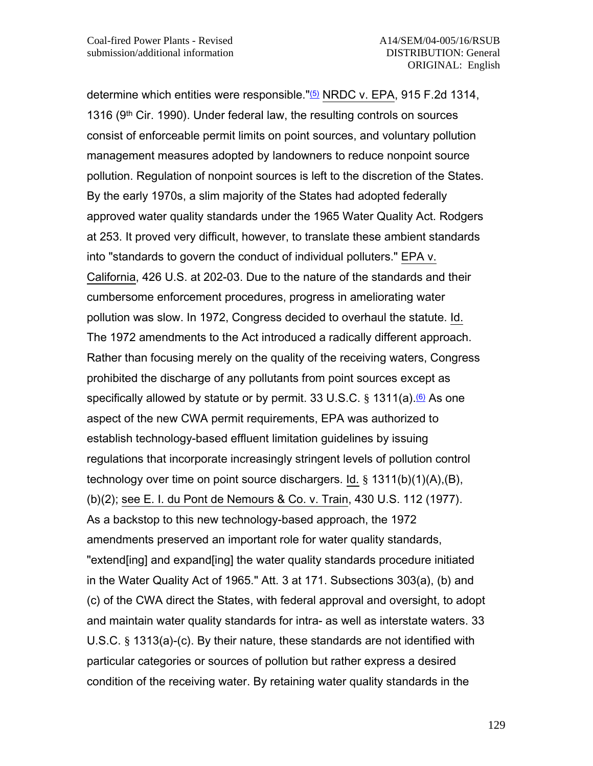determine which entities were responsible."<sup>(5)</sup> NRDC v. EPA, 915 F.2d 1314, 1316 (9th Cir. 1990). Under federal law, the resulting controls on sources consist of enforceable permit limits on point sources, and voluntary pollution management measures adopted by landowners to reduce nonpoint source pollution. Regulation of nonpoint sources is left to the discretion of the States. By the early 1970s, a slim majority of the States had adopted federally approved water quality standards under the 1965 Water Quality Act. Rodgers at 253. It proved very difficult, however, to translate these ambient standards into "standards to govern the conduct of individual polluters." EPA v. California, 426 U.S. at 202-03. Due to the nature of the standards and their cumbersome enforcement procedures, progress in ameliorating water pollution was slow. In 1972, Congress decided to overhaul the statute. Id. The 1972 amendments to the Act introduced a radically different approach. Rather than focusing merely on the quality of the receiving waters, Congress prohibited the discharge of any pollutants from point sources except as specifically allowed by statute or by permit. 33 U.S.C. § 1311(a).<sup>(6)</sup> As one aspect of the new CWA permit requirements, EPA was authorized to establish technology-based effluent limitation guidelines by issuing regulations that incorporate increasingly stringent levels of pollution control technology over time on point source dischargers. Id. § 1311(b)(1)(A),(B), (b)(2); see E. I. du Pont de Nemours & Co. v. Train, 430 U.S. 112 (1977). As a backstop to this new technology-based approach, the 1972 amendments preserved an important role for water quality standards, "extend[ing] and expand[ing] the water quality standards procedure initiated in the Water Quality Act of 1965." Att. 3 at 171. Subsections 303(a), (b) and (c) of the CWA direct the States, with federal approval and oversight, to adopt and maintain water quality standards for intra- as well as interstate waters. 33 U.S.C. § 1313(a)-(c). By their nature, these standards are not identified with particular categories or sources of pollution but rather express a desired condition of the receiving water. By retaining water quality standards in the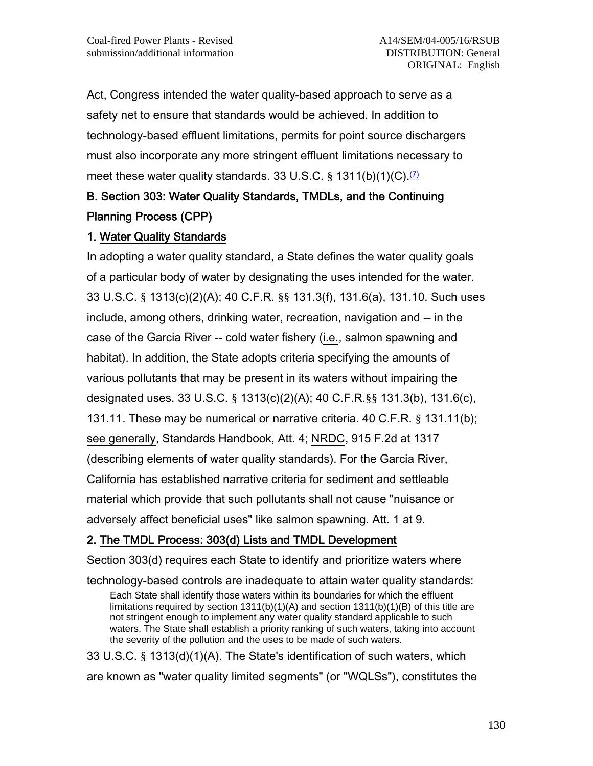Act, Congress intended the water quality-based approach to serve as a safety net to ensure that standards would be achieved. In addition to technology-based effluent limitations, permits for point source dischargers must also incorporate any more stringent effluent limitations necessary to meet these water quality standards. 33 U.S.C. § 1311(b)(1)(C). $\frac{7}{2}$ 

## B. Section 303: Water Quality Standards, TMDLs, and the Continuing Planning Process (CPP)

## 1. Water Quality Standards

In adopting a water quality standard, a State defines the water quality goals of a particular body of water by designating the uses intended for the water. 33 U.S.C. § 1313(c)(2)(A); 40 C.F.R. §§ 131.3(f), 131.6(a), 131.10. Such uses include, among others, drinking water, recreation, navigation and -- in the case of the Garcia River -- cold water fishery (i.e., salmon spawning and habitat). In addition, the State adopts criteria specifying the amounts of various pollutants that may be present in its waters without impairing the designated uses. 33 U.S.C. § 1313(c)(2)(A); 40 C.F.R.§§ 131.3(b), 131.6(c), 131.11. These may be numerical or narrative criteria. 40 C.F.R. § 131.11(b); see generally, Standards Handbook, Att. 4; NRDC, 915 F.2d at 1317 (describing elements of water quality standards). For the Garcia River, California has established narrative criteria for sediment and settleable material which provide that such pollutants shall not cause "nuisance or adversely affect beneficial uses" like salmon spawning. Att. 1 at 9.

## 2. The TMDL Process: 303(d) Lists and TMDL Development

Section 303(d) requires each State to identify and prioritize waters where

technology-based controls are inadequate to attain water quality standards:

Each State shall identify those waters within its boundaries for which the effluent limitations required by section  $1311(b)(1)(A)$  and section  $1311(b)(1)(B)$  of this title are not stringent enough to implement any water quality standard applicable to such waters. The State shall establish a priority ranking of such waters, taking into account the severity of the pollution and the uses to be made of such waters.

33 U.S.C. § 1313(d)(1)(A). The State's identification of such waters, which are known as "water quality limited segments" (or "WQLSs"), constitutes the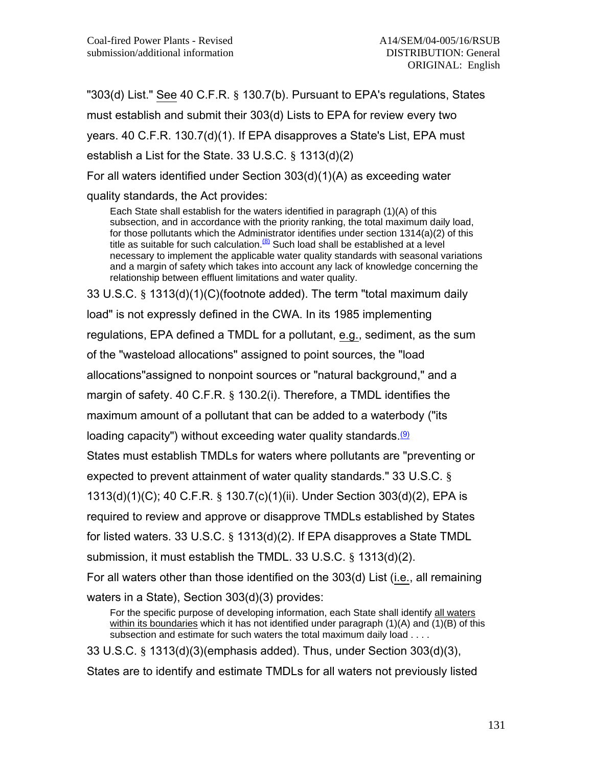"303(d) List." See 40 C.F.R. § 130.7(b). Pursuant to EPA's regulations, States must establish and submit their 303(d) Lists to EPA for review every two years. 40 C.F.R. 130.7(d)(1). If EPA disapproves a State's List, EPA must establish a List for the State. 33 U.S.C. § 1313(d)(2) For all waters identified under Section 303(d)(1)(A) as exceeding water

quality standards, the Act provides:

Each State shall establish for the waters identified in paragraph (1)(A) of this subsection, and in accordance with the priority ranking, the total maximum daily load, for those pollutants which the Administrator identifies under section  $1314(a)(2)$  of this title as suitable for such calculation. $\frac{(8)}{8}$  Such load shall be established at a level necessary to implement the applicable water quality standards with seasonal variations and a margin of safety which takes into account any lack of knowledge concerning the relationship between effluent limitations and water quality.

33 U.S.C. § 1313(d)(1)(C)(footnote added). The term "total maximum daily load" is not expressly defined in the CWA. In its 1985 implementing regulations, EPA defined a TMDL for a pollutant, e.g., sediment, as the sum of the "wasteload allocations" assigned to point sources, the "load allocations"assigned to nonpoint sources or "natural background," and a margin of safety. 40 C.F.R. § 130.2(i). Therefore, a TMDL identifies the maximum amount of a pollutant that can be added to a waterbody ("its loading capacity") without exceeding water quality standards.<sup>(9)</sup> States must establish TMDLs for waters where pollutants are "preventing or expected to prevent attainment of water quality standards." 33 U.S.C. § 1313(d)(1)(C); 40 C.F.R. § 130.7(c)(1)(ii). Under Section 303(d)(2), EPA is required to review and approve or disapprove TMDLs established by States for listed waters. 33 U.S.C. § 1313(d)(2). If EPA disapproves a State TMDL submission, it must establish the TMDL. 33 U.S.C. § 1313(d)(2). For all waters other than those identified on the 303(d) List (i.e., all remaining waters in a State), Section 303(d)(3) provides:

For the specific purpose of developing information, each State shall identify all waters within its boundaries which it has not identified under paragraph (1)(A) and (1)(B) of this subsection and estimate for such waters the total maximum daily load . . . .

33 U.S.C. § 1313(d)(3)(emphasis added). Thus, under Section 303(d)(3),

States are to identify and estimate TMDLs for all waters not previously listed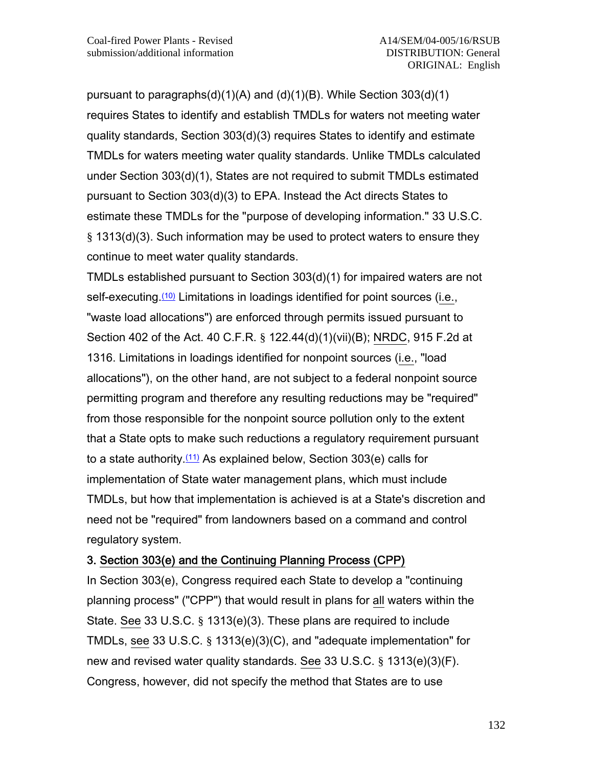pursuant to paragraphs(d)(1)(A) and (d)(1)(B). While Section 303(d)(1) requires States to identify and establish TMDLs for waters not meeting water quality standards, Section 303(d)(3) requires States to identify and estimate TMDLs for waters meeting water quality standards. Unlike TMDLs calculated under Section 303(d)(1), States are not required to submit TMDLs estimated pursuant to Section 303(d)(3) to EPA. Instead the Act directs States to estimate these TMDLs for the "purpose of developing information." 33 U.S.C. § 1313(d)(3). Such information may be used to protect waters to ensure they continue to meet water quality standards.

TMDLs established pursuant to Section 303(d)(1) for impaired waters are not self-executing.<sup>(10)</sup> Limitations in loadings identified for point sources (i.e., "waste load allocations") are enforced through permits issued pursuant to Section 402 of the Act. 40 C.F.R. § 122.44(d)(1)(vii)(B); NRDC, 915 F.2d at 1316. Limitations in loadings identified for nonpoint sources (i.e., "load allocations"), on the other hand, are not subject to a federal nonpoint source permitting program and therefore any resulting reductions may be "required" from those responsible for the nonpoint source pollution only to the extent that a State opts to make such reductions a regulatory requirement pursuant to a state authority.<sup> $(11)$ </sup> As explained below, Section 303(e) calls for implementation of State water management plans, which must include TMDLs, but how that implementation is achieved is at a State's discretion and need not be "required" from landowners based on a command and control regulatory system.

## 3. Section 303(e) and the Continuing Planning Process (CPP)

In Section 303(e), Congress required each State to develop a "continuing planning process" ("CPP") that would result in plans for all waters within the State. See 33 U.S.C. § 1313(e)(3). These plans are required to include TMDLs, see 33 U.S.C. § 1313(e)(3)(C), and "adequate implementation" for new and revised water quality standards. See 33 U.S.C. § 1313(e)(3)(F). Congress, however, did not specify the method that States are to use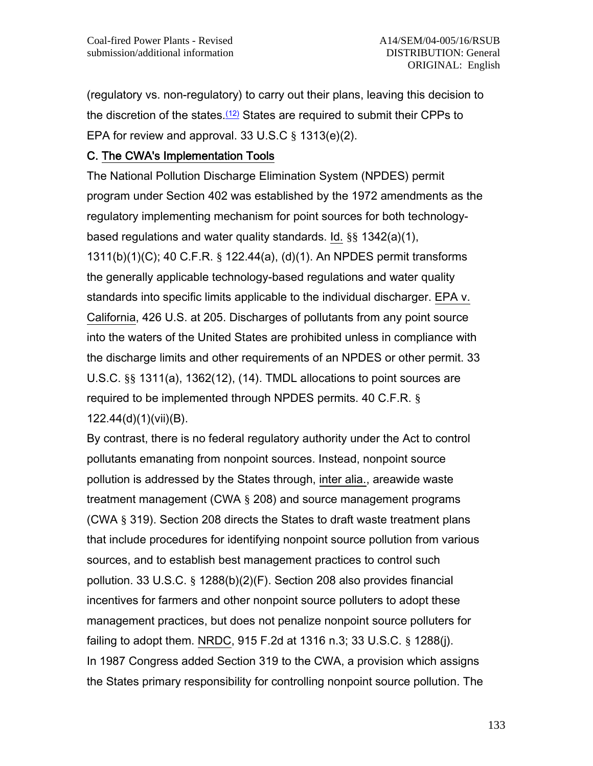(regulatory vs. non-regulatory) to carry out their plans, leaving this decision to the discretion of the states. $(12)$  States are required to submit their CPPs to EPA for review and approval. 33 U.S.C  $\S$  1313(e)(2).

## C. The CWA's Implementation Tools

The National Pollution Discharge Elimination System (NPDES) permit program under Section 402 was established by the 1972 amendments as the regulatory implementing mechanism for point sources for both technologybased regulations and water quality standards. Id. §§ 1342(a)(1), 1311(b)(1)(C); 40 C.F.R. § 122.44(a), (d)(1). An NPDES permit transforms the generally applicable technology-based regulations and water quality standards into specific limits applicable to the individual discharger. EPA v. California, 426 U.S. at 205. Discharges of pollutants from any point source into the waters of the United States are prohibited unless in compliance with the discharge limits and other requirements of an NPDES or other permit. 33 U.S.C. §§ 1311(a), 1362(12), (14). TMDL allocations to point sources are required to be implemented through NPDES permits. 40 C.F.R. § 122.44(d)(1)(vii)(B).

By contrast, there is no federal regulatory authority under the Act to control pollutants emanating from nonpoint sources. Instead, nonpoint source pollution is addressed by the States through, inter alia., areawide waste treatment management (CWA § 208) and source management programs (CWA § 319). Section 208 directs the States to draft waste treatment plans that include procedures for identifying nonpoint source pollution from various sources, and to establish best management practices to control such pollution. 33 U.S.C. § 1288(b)(2)(F). Section 208 also provides financial incentives for farmers and other nonpoint source polluters to adopt these management practices, but does not penalize nonpoint source polluters for failing to adopt them. NRDC, 915 F.2d at 1316 n.3; 33 U.S.C. § 1288(j). In 1987 Congress added Section 319 to the CWA, a provision which assigns the States primary responsibility for controlling nonpoint source pollution. The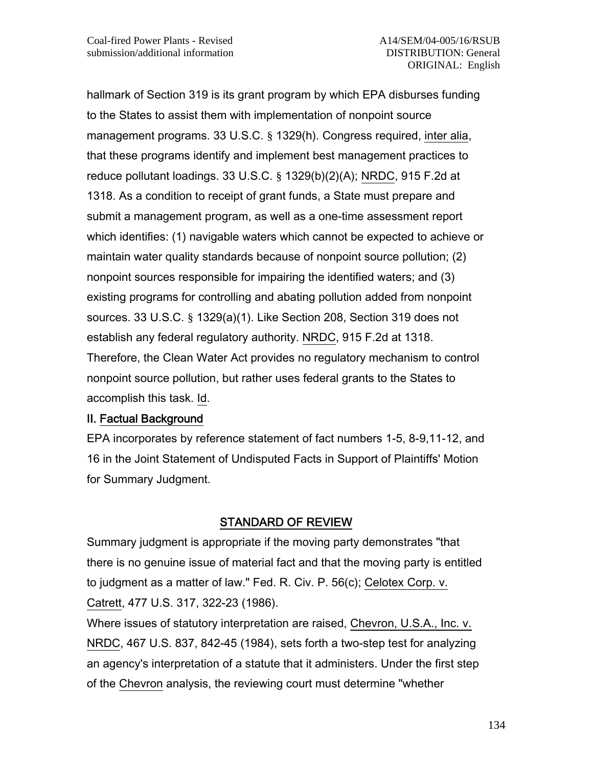hallmark of Section 319 is its grant program by which EPA disburses funding to the States to assist them with implementation of nonpoint source management programs. 33 U.S.C. § 1329(h). Congress required, inter alia, that these programs identify and implement best management practices to reduce pollutant loadings. 33 U.S.C. § 1329(b)(2)(A); NRDC, 915 F.2d at 1318. As a condition to receipt of grant funds, a State must prepare and submit a management program, as well as a one-time assessment report which identifies: (1) navigable waters which cannot be expected to achieve or maintain water quality standards because of nonpoint source pollution; (2) nonpoint sources responsible for impairing the identified waters; and (3) existing programs for controlling and abating pollution added from nonpoint sources. 33 U.S.C. § 1329(a)(1). Like Section 208, Section 319 does not establish any federal regulatory authority. NRDC, 915 F.2d at 1318. Therefore, the Clean Water Act provides no regulatory mechanism to control nonpoint source pollution, but rather uses federal grants to the States to accomplish this task. Id.

## II. Factual Background

EPA incorporates by reference statement of fact numbers 1-5, 8-9,11-12, and 16 in the Joint Statement of Undisputed Facts in Support of Plaintiffs' Motion for Summary Judgment.

## STANDARD OF REVIEW

Summary judgment is appropriate if the moving party demonstrates "that there is no genuine issue of material fact and that the moving party is entitled to judgment as a matter of law." Fed. R. Civ. P. 56(c); Celotex Corp. v. Catrett, 477 U.S. 317, 322-23 (1986).

Where issues of statutory interpretation are raised, Chevron, U.S.A., Inc. v. NRDC, 467 U.S. 837, 842-45 (1984), sets forth a two-step test for analyzing an agency's interpretation of a statute that it administers. Under the first step of the Chevron analysis, the reviewing court must determine "whether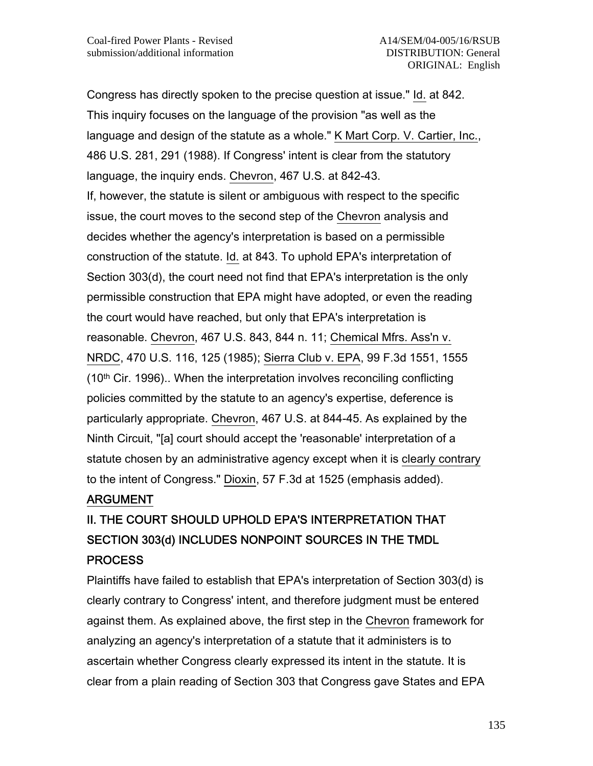Congress has directly spoken to the precise question at issue." Id. at 842. This inquiry focuses on the language of the provision "as well as the language and design of the statute as a whole." K Mart Corp. V. Cartier, Inc., 486 U.S. 281, 291 (1988). If Congress' intent is clear from the statutory language, the inquiry ends. Chevron, 467 U.S. at 842-43. If, however, the statute is silent or ambiguous with respect to the specific issue, the court moves to the second step of the Chevron analysis and decides whether the agency's interpretation is based on a permissible construction of the statute. Id. at 843. To uphold EPA's interpretation of Section 303(d), the court need not find that EPA's interpretation is the only permissible construction that EPA might have adopted, or even the reading the court would have reached, but only that EPA's interpretation is reasonable. Chevron, 467 U.S. 843, 844 n. 11; Chemical Mfrs. Ass'n v. NRDC, 470 U.S. 116, 125 (1985); Sierra Club v. EPA, 99 F.3d 1551, 1555  $(10<sup>th</sup>$  Cir. 1996).. When the interpretation involves reconciling conflicting policies committed by the statute to an agency's expertise, deference is particularly appropriate. Chevron, 467 U.S. at 844-45. As explained by the Ninth Circuit, "[a] court should accept the 'reasonable' interpretation of a statute chosen by an administrative agency except when it is clearly contrary to the intent of Congress." Dioxin, 57 F.3d at 1525 (emphasis added).

## ARGUMENT

# II. THE COURT SHOULD UPHOLD EPA'S INTERPRETATION THAT SECTION 303(d) INCLUDES NONPOINT SOURCES IN THE TMDL PROCESS

Plaintiffs have failed to establish that EPA's interpretation of Section 303(d) is clearly contrary to Congress' intent, and therefore judgment must be entered against them. As explained above, the first step in the Chevron framework for analyzing an agency's interpretation of a statute that it administers is to ascertain whether Congress clearly expressed its intent in the statute. It is clear from a plain reading of Section 303 that Congress gave States and EPA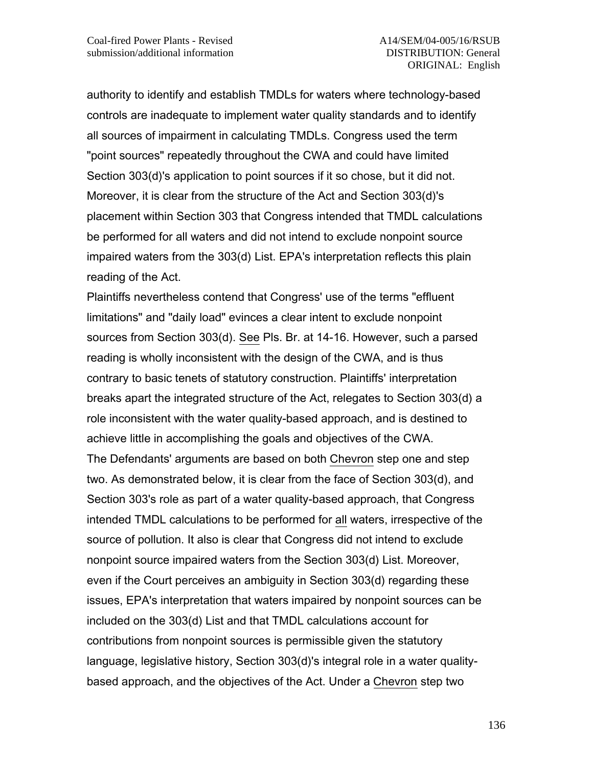authority to identify and establish TMDLs for waters where technology-based controls are inadequate to implement water quality standards and to identify all sources of impairment in calculating TMDLs. Congress used the term "point sources" repeatedly throughout the CWA and could have limited Section 303(d)'s application to point sources if it so chose, but it did not. Moreover, it is clear from the structure of the Act and Section 303(d)'s placement within Section 303 that Congress intended that TMDL calculations be performed for all waters and did not intend to exclude nonpoint source impaired waters from the 303(d) List. EPA's interpretation reflects this plain reading of the Act.

Plaintiffs nevertheless contend that Congress' use of the terms "effluent limitations" and "daily load" evinces a clear intent to exclude nonpoint sources from Section 303(d). See Pls. Br. at 14-16. However, such a parsed reading is wholly inconsistent with the design of the CWA, and is thus contrary to basic tenets of statutory construction. Plaintiffs' interpretation breaks apart the integrated structure of the Act, relegates to Section 303(d) a role inconsistent with the water quality-based approach, and is destined to achieve little in accomplishing the goals and objectives of the CWA. The Defendants' arguments are based on both Chevron step one and step two. As demonstrated below, it is clear from the face of Section 303(d), and Section 303's role as part of a water quality-based approach, that Congress intended TMDL calculations to be performed for all waters, irrespective of the source of pollution. It also is clear that Congress did not intend to exclude nonpoint source impaired waters from the Section 303(d) List. Moreover, even if the Court perceives an ambiguity in Section 303(d) regarding these issues, EPA's interpretation that waters impaired by nonpoint sources can be included on the 303(d) List and that TMDL calculations account for contributions from nonpoint sources is permissible given the statutory language, legislative history, Section 303(d)'s integral role in a water qualitybased approach, and the objectives of the Act. Under a Chevron step two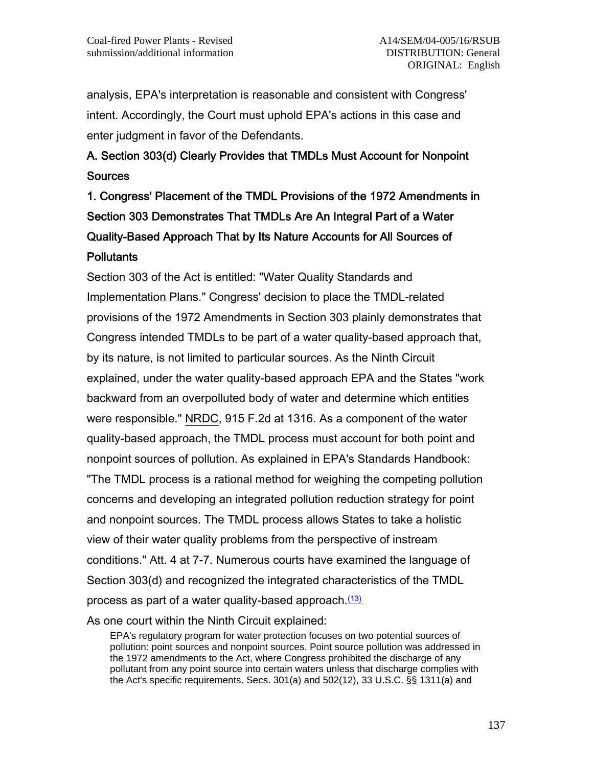analysis, EPA's interpretation is reasonable and consistent with Congress' intent. Accordingly, the Court must uphold EPA's actions in this case and enter judgment in favor of the Defendants.

## A. Section 303(d) Clearly Provides that TMDLs Must Account for Nonpoint **Sources**

1. Congress' Placement of the TMDL Provisions of the 1972 Amendments in Section 303 Demonstrates That TMDLs Are An Integral Part of a Water Quality-Based Approach That by Its Nature Accounts for All Sources of **Pollutants** 

Section 303 of the Act is entitled: "Water Quality Standards and Implementation Plans." Congress' decision to place the TMDL-related provisions of the 1972 Amendments in Section 303 plainly demonstrates that Congress intended TMDLs to be part of a water quality-based approach that, by its nature, is not limited to particular sources. As the Ninth Circuit explained, under the water quality-based approach EPA and the States "work backward from an overpolluted body of water and determine which entities were responsible." NRDC, 915 F.2d at 1316. As a component of the water quality-based approach, the TMDL process must account for both point and nonpoint sources of pollution. As explained in EPA's Standards Handbook: "The TMDL process is a rational method for weighing the competing pollution concerns and developing an integrated pollution reduction strategy for point and nonpoint sources. The TMDL process allows States to take a holistic view of their water quality problems from the perspective of instream conditions." Att. 4 at 7-7. Numerous courts have examined the language of Section 303(d) and recognized the integrated characteristics of the TMDL process as part of a water quality-based approach.<sup>(13)</sup>

As one court within the Ninth Circuit explained:

EPA's regulatory program for water protection focuses on two potential sources of pollution: point sources and nonpoint sources. Point source pollution was addressed in the 1972 amendments to the Act, where Congress prohibited the discharge of any pollutant from any point source into certain waters unless that discharge complies with the Act's specific requirements. Secs. 301(a) and 502(12), 33 U.S.C. §§ 1311(a) and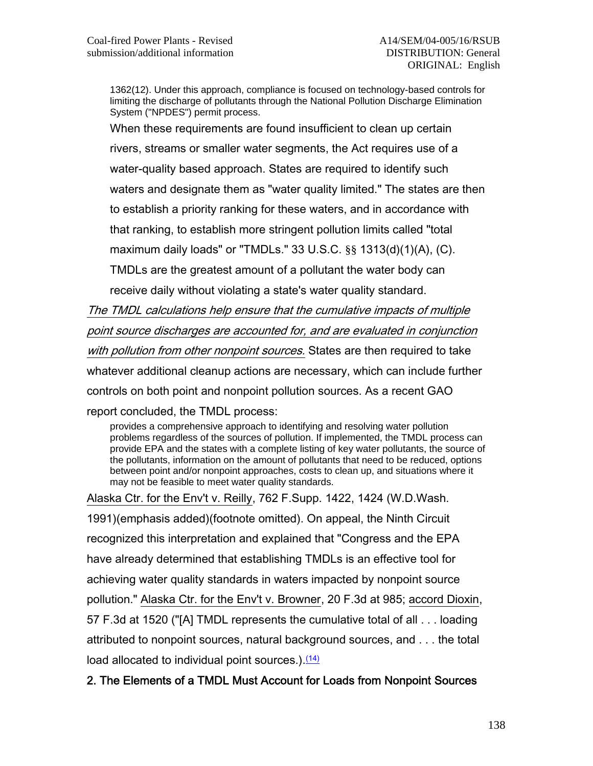1362(12). Under this approach, compliance is focused on technology-based controls for limiting the discharge of pollutants through the National Pollution Discharge Elimination System ("NPDES") permit process.

When these requirements are found insufficient to clean up certain

rivers, streams or smaller water segments, the Act requires use of a

water-quality based approach. States are required to identify such

waters and designate them as "water quality limited." The states are then

to establish a priority ranking for these waters, and in accordance with

that ranking, to establish more stringent pollution limits called "total

maximum daily loads" or "TMDLs." 33 U.S.C. §§ 1313(d)(1)(A), (C).

TMDLs are the greatest amount of a pollutant the water body can

receive daily without violating a state's water quality standard.

The TMDL calculations help ensure that the cumulative impacts of multiple point source discharges are accounted for, and are evaluated in conjunction with pollution from other nonpoint sources. States are then required to take whatever additional cleanup actions are necessary, which can include further controls on both point and nonpoint pollution sources. As a recent GAO report concluded, the TMDL process:

provides a comprehensive approach to identifying and resolving water pollution problems regardless of the sources of pollution. If implemented, the TMDL process can provide EPA and the states with a complete listing of key water pollutants, the source of the pollutants, information on the amount of pollutants that need to be reduced, options between point and/or nonpoint approaches, costs to clean up, and situations where it may not be feasible to meet water quality standards.

Alaska Ctr. for the Env't v. Reilly, 762 F.Supp. 1422, 1424 (W.D.Wash. 1991)(emphasis added)(footnote omitted). On appeal, the Ninth Circuit recognized this interpretation and explained that "Congress and the EPA have already determined that establishing TMDLs is an effective tool for achieving water quality standards in waters impacted by nonpoint source pollution." Alaska Ctr. for the Env't v. Browner, 20 F.3d at 985; accord Dioxin, 57 F.3d at 1520 ("[A] TMDL represents the cumulative total of all . . . loading attributed to nonpoint sources, natural background sources, and . . . the total load allocated to individual point sources.). $(14)$ 

## 2. The Elements of a TMDL Must Account for Loads from Nonpoint Sources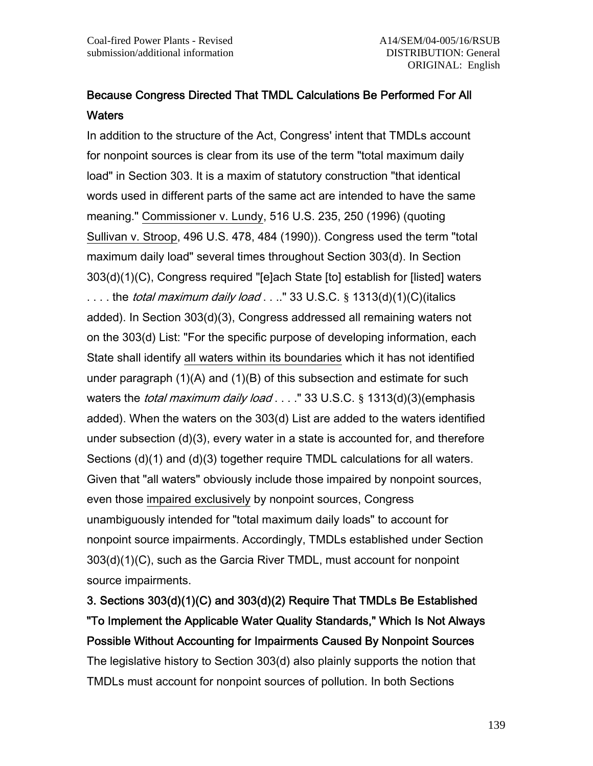## Because Congress Directed That TMDL Calculations Be Performed For All **Waters**

In addition to the structure of the Act, Congress' intent that TMDLs account for nonpoint sources is clear from its use of the term "total maximum daily load" in Section 303. It is a maxim of statutory construction "that identical words used in different parts of the same act are intended to have the same meaning." Commissioner v. Lundy, 516 U.S. 235, 250 (1996) (quoting Sullivan v. Stroop, 496 U.S. 478, 484 (1990)). Congress used the term "total maximum daily load" several times throughout Section 303(d). In Section 303(d)(1)(C), Congress required "[e]ach State [to] establish for [listed] waters .... the *total maximum daily load* ...." 33 U.S.C.  $\S$  1313(d)(1)(C)(italics added). In Section 303(d)(3), Congress addressed all remaining waters not on the 303(d) List: "For the specific purpose of developing information, each State shall identify all waters within its boundaries which it has not identified under paragraph (1)(A) and (1)(B) of this subsection and estimate for such waters the *total maximum daily load* . . . . " 33 U.S.C. § 1313(d)(3)(emphasis added). When the waters on the 303(d) List are added to the waters identified under subsection (d)(3), every water in a state is accounted for, and therefore Sections (d)(1) and (d)(3) together require TMDL calculations for all waters. Given that "all waters" obviously include those impaired by nonpoint sources, even those impaired exclusively by nonpoint sources, Congress unambiguously intended for "total maximum daily loads" to account for nonpoint source impairments. Accordingly, TMDLs established under Section 303(d)(1)(C), such as the Garcia River TMDL, must account for nonpoint source impairments.

3. Sections 303(d)(1)(C) and 303(d)(2) Require That TMDLs Be Established "To Implement the Applicable Water Quality Standards," Which Is Not Always Possible Without Accounting for Impairments Caused By Nonpoint Sources The legislative history to Section 303(d) also plainly supports the notion that TMDLs must account for nonpoint sources of pollution. In both Sections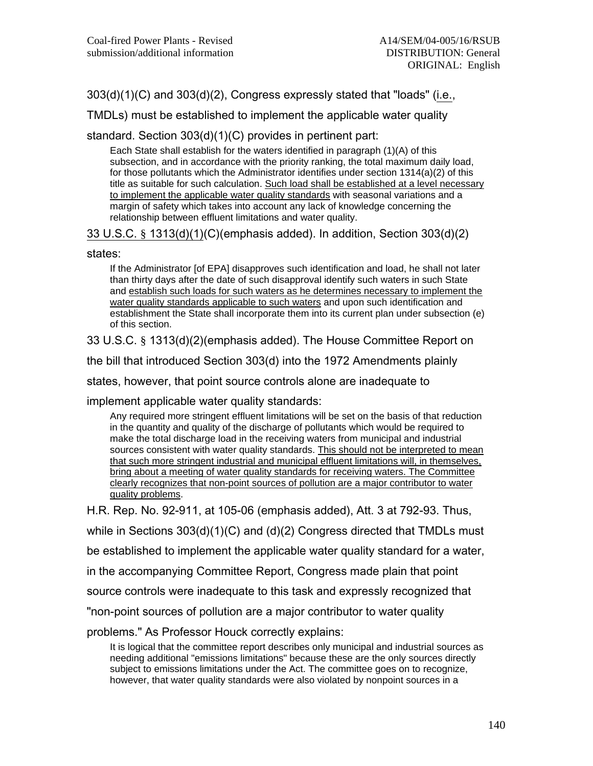303(d)(1)(C) and 303(d)(2), Congress expressly stated that "loads" (i.e.,

TMDLs) must be established to implement the applicable water quality

standard. Section 303(d)(1)(C) provides in pertinent part:

Each State shall establish for the waters identified in paragraph (1)(A) of this subsection, and in accordance with the priority ranking, the total maximum daily load, for those pollutants which the Administrator identifies under section 1314(a)(2) of this title as suitable for such calculation. Such load shall be established at a level necessary to implement the applicable water quality standards with seasonal variations and a margin of safety which takes into account any lack of knowledge concerning the relationship between effluent limitations and water quality.

33 U.S.C. § 1313(d)(1)(C)(emphasis added). In addition, Section 303(d)(2)

states:

If the Administrator [of EPA] disapproves such identification and load, he shall not later than thirty days after the date of such disapproval identify such waters in such State and establish such loads for such waters as he determines necessary to implement the water quality standards applicable to such waters and upon such identification and establishment the State shall incorporate them into its current plan under subsection (e) of this section.

33 U.S.C. § 1313(d)(2)(emphasis added). The House Committee Report on

the bill that introduced Section 303(d) into the 1972 Amendments plainly

states, however, that point source controls alone are inadequate to

implement applicable water quality standards:

Any required more stringent effluent limitations will be set on the basis of that reduction in the quantity and quality of the discharge of pollutants which would be required to make the total discharge load in the receiving waters from municipal and industrial sources consistent with water quality standards. This should not be interpreted to mean that such more stringent industrial and municipal effluent limitations will, in themselves, bring about a meeting of water quality standards for receiving waters. The Committee clearly recognizes that non-point sources of pollution are a major contributor to water quality problems.

H.R. Rep. No. 92-911, at 105-06 (emphasis added), Att. 3 at 792-93. Thus,

while in Sections 303(d)(1)(C) and (d)(2) Congress directed that TMDLs must

be established to implement the applicable water quality standard for a water,

in the accompanying Committee Report, Congress made plain that point

source controls were inadequate to this task and expressly recognized that

"non-point sources of pollution are a major contributor to water quality

problems." As Professor Houck correctly explains:

It is logical that the committee report describes only municipal and industrial sources as needing additional "emissions limitations" because these are the only sources directly subject to emissions limitations under the Act. The committee goes on to recognize, however, that water quality standards were also violated by nonpoint sources in a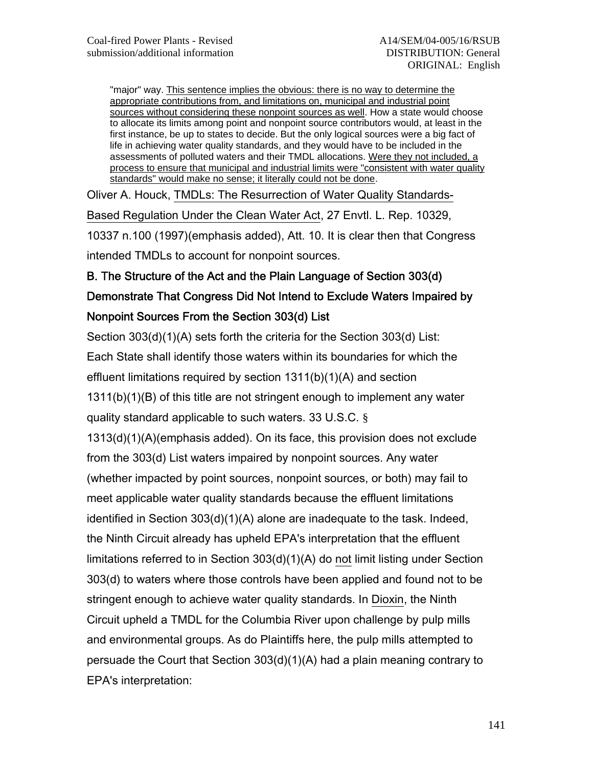"major" way. This sentence implies the obvious: there is no way to determine the appropriate contributions from, and limitations on, municipal and industrial point sources without considering these nonpoint sources as well. How a state would choose to allocate its limits among point and nonpoint source contributors would, at least in the first instance, be up to states to decide. But the only logical sources were a big fact of life in achieving water quality standards, and they would have to be included in the assessments of polluted waters and their TMDL allocations. Were they not included, a process to ensure that municipal and industrial limits were "consistent with water quality standards" would make no sense; it literally could not be done.

Oliver A. Houck, TMDLs: The Resurrection of Water Quality Standards-

Based Regulation Under the Clean Water Act, 27 Envtl. L. Rep. 10329,

10337 n.100 (1997)(emphasis added), Att. 10. It is clear then that Congress intended TMDLs to account for nonpoint sources.

## B. The Structure of the Act and the Plain Language of Section 303(d) Demonstrate That Congress Did Not Intend to Exclude Waters Impaired by Nonpoint Sources From the Section 303(d) List

Section 303(d)(1)(A) sets forth the criteria for the Section 303(d) List: Each State shall identify those waters within its boundaries for which the effluent limitations required by section 1311(b)(1)(A) and section 1311(b)(1)(B) of this title are not stringent enough to implement any water quality standard applicable to such waters. 33 U.S.C. § 1313(d)(1)(A)(emphasis added). On its face, this provision does not exclude from the 303(d) List waters impaired by nonpoint sources. Any water (whether impacted by point sources, nonpoint sources, or both) may fail to meet applicable water quality standards because the effluent limitations identified in Section  $303(d)(1)(A)$  alone are inadequate to the task. Indeed, the Ninth Circuit already has upheld EPA's interpretation that the effluent limitations referred to in Section 303(d)(1)(A) do not limit listing under Section 303(d) to waters where those controls have been applied and found not to be stringent enough to achieve water quality standards. In Dioxin, the Ninth Circuit upheld a TMDL for the Columbia River upon challenge by pulp mills and environmental groups. As do Plaintiffs here, the pulp mills attempted to persuade the Court that Section 303(d)(1)(A) had a plain meaning contrary to EPA's interpretation: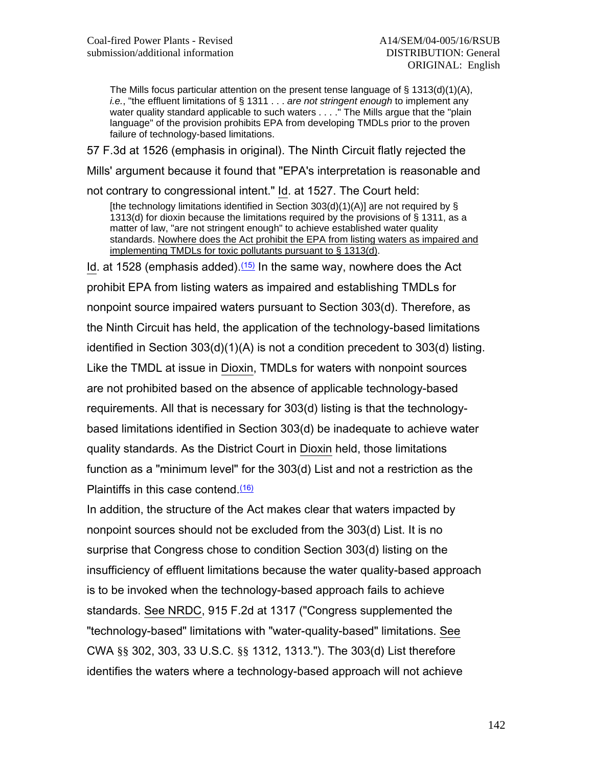The Mills focus particular attention on the present tense language of  $\S$  1313(d)(1)(A), *i.e.*, "the effluent limitations of § 1311 . . . *are not stringent enough* to implement any water quality standard applicable to such waters . . . . " The Mills argue that the "plain language" of the provision prohibits EPA from developing TMDLs prior to the proven failure of technology-based limitations.

57 F.3d at 1526 (emphasis in original). The Ninth Circuit flatly rejected the Mills' argument because it found that "EPA's interpretation is reasonable and

not contrary to congressional intent." Id. at 1527. The Court held:

[the technology limitations identified in Section  $303(d)(1)(A)$ ] are not required by § 1313(d) for dioxin because the limitations required by the provisions of § 1311, as a matter of law, "are not stringent enough" to achieve established water quality standards. Nowhere does the Act prohibit the EPA from listing waters as impaired and implementing TMDLs for toxic pollutants pursuant to § 1313(d).

Id. at 1528 (emphasis added). $(15)$  In the same way, nowhere does the Act prohibit EPA from listing waters as impaired and establishing TMDLs for nonpoint source impaired waters pursuant to Section 303(d). Therefore, as the Ninth Circuit has held, the application of the technology-based limitations identified in Section 303(d)(1)(A) is not a condition precedent to 303(d) listing. Like the TMDL at issue in Dioxin, TMDLs for waters with nonpoint sources are not prohibited based on the absence of applicable technology-based requirements. All that is necessary for 303(d) listing is that the technologybased limitations identified in Section 303(d) be inadequate to achieve water quality standards. As the District Court in Dioxin held, those limitations function as a "minimum level" for the 303(d) List and not a restriction as the Plaintiffs in this case contend.<sup>(16)</sup>

In addition, the structure of the Act makes clear that waters impacted by nonpoint sources should not be excluded from the 303(d) List. It is no surprise that Congress chose to condition Section 303(d) listing on the insufficiency of effluent limitations because the water quality-based approach is to be invoked when the technology-based approach fails to achieve standards. See NRDC, 915 F.2d at 1317 ("Congress supplemented the "technology-based" limitations with "water-quality-based" limitations. See CWA §§ 302, 303, 33 U.S.C. §§ 1312, 1313."). The 303(d) List therefore identifies the waters where a technology-based approach will not achieve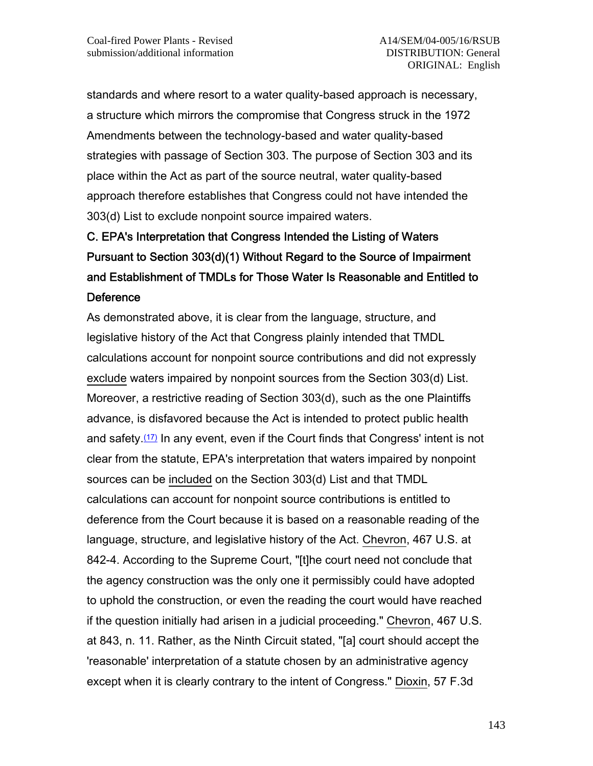standards and where resort to a water quality-based approach is necessary, a structure which mirrors the compromise that Congress struck in the 1972 Amendments between the technology-based and water quality-based strategies with passage of Section 303. The purpose of Section 303 and its place within the Act as part of the source neutral, water quality-based approach therefore establishes that Congress could not have intended the 303(d) List to exclude nonpoint source impaired waters.

# C. EPA's Interpretation that Congress Intended the Listing of Waters Pursuant to Section 303(d)(1) Without Regard to the Source of Impairment and Establishment of TMDLs for Those Water Is Reasonable and Entitled to **Deference**

As demonstrated above, it is clear from the language, structure, and legislative history of the Act that Congress plainly intended that TMDL calculations account for nonpoint source contributions and did not expressly exclude waters impaired by nonpoint sources from the Section 303(d) List. Moreover, a restrictive reading of Section 303(d), such as the one Plaintiffs advance, is disfavored because the Act is intended to protect public health and safety.<sup>(17)</sup> In any event, even if the Court finds that Congress' intent is not clear from the statute, EPA's interpretation that waters impaired by nonpoint sources can be included on the Section 303(d) List and that TMDL calculations can account for nonpoint source contributions is entitled to deference from the Court because it is based on a reasonable reading of the language, structure, and legislative history of the Act. Chevron, 467 U.S. at 842-4. According to the Supreme Court, "[t]he court need not conclude that the agency construction was the only one it permissibly could have adopted to uphold the construction, or even the reading the court would have reached if the question initially had arisen in a judicial proceeding." Chevron, 467 U.S. at 843, n. 11. Rather, as the Ninth Circuit stated, "[a] court should accept the 'reasonable' interpretation of a statute chosen by an administrative agency except when it is clearly contrary to the intent of Congress." Dioxin, 57 F.3d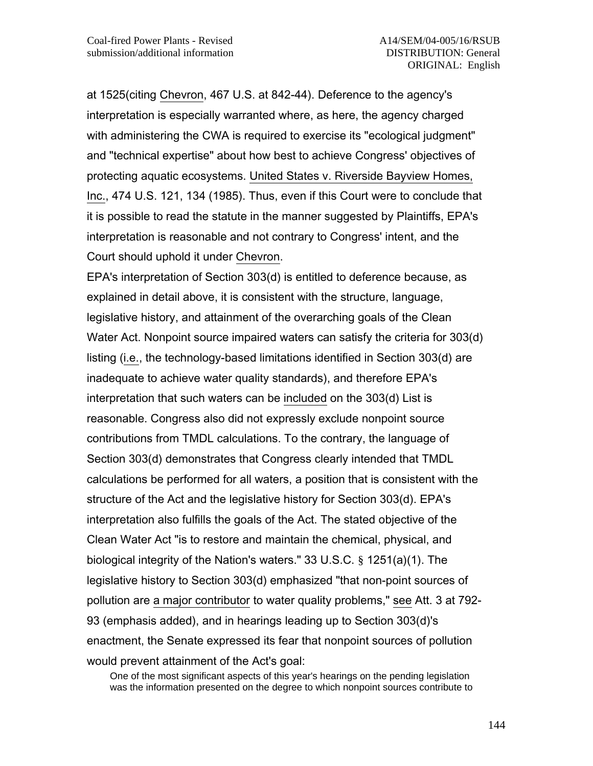at 1525(citing Chevron, 467 U.S. at 842-44). Deference to the agency's interpretation is especially warranted where, as here, the agency charged with administering the CWA is required to exercise its "ecological judgment" and "technical expertise" about how best to achieve Congress' objectives of protecting aquatic ecosystems. United States v. Riverside Bayview Homes, Inc., 474 U.S. 121, 134 (1985). Thus, even if this Court were to conclude that it is possible to read the statute in the manner suggested by Plaintiffs, EPA's interpretation is reasonable and not contrary to Congress' intent, and the Court should uphold it under Chevron.

EPA's interpretation of Section 303(d) is entitled to deference because, as explained in detail above, it is consistent with the structure, language, legislative history, and attainment of the overarching goals of the Clean Water Act. Nonpoint source impaired waters can satisfy the criteria for 303(d) listing (i.e., the technology-based limitations identified in Section 303(d) are inadequate to achieve water quality standards), and therefore EPA's interpretation that such waters can be included on the 303(d) List is reasonable. Congress also did not expressly exclude nonpoint source contributions from TMDL calculations. To the contrary, the language of Section 303(d) demonstrates that Congress clearly intended that TMDL calculations be performed for all waters, a position that is consistent with the structure of the Act and the legislative history for Section 303(d). EPA's interpretation also fulfills the goals of the Act. The stated objective of the Clean Water Act "is to restore and maintain the chemical, physical, and biological integrity of the Nation's waters." 33 U.S.C. § 1251(a)(1). The legislative history to Section 303(d) emphasized "that non-point sources of pollution are a major contributor to water quality problems," see Att. 3 at 792- 93 (emphasis added), and in hearings leading up to Section 303(d)'s enactment, the Senate expressed its fear that nonpoint sources of pollution would prevent attainment of the Act's goal:

One of the most significant aspects of this year's hearings on the pending legislation was the information presented on the degree to which nonpoint sources contribute to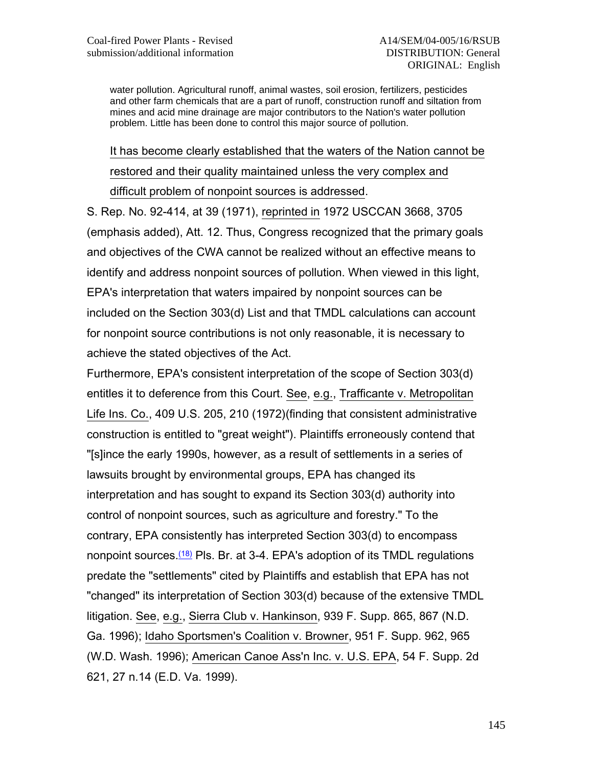water pollution. Agricultural runoff, animal wastes, soil erosion, fertilizers, pesticides and other farm chemicals that are a part of runoff, construction runoff and siltation from mines and acid mine drainage are major contributors to the Nation's water pollution problem. Little has been done to control this major source of pollution.

It has become clearly established that the waters of the Nation cannot be restored and their quality maintained unless the very complex and difficult problem of nonpoint sources is addressed.

S. Rep. No. 92-414, at 39 (1971), reprinted in 1972 USCCAN 3668, 3705 (emphasis added), Att. 12. Thus, Congress recognized that the primary goals and objectives of the CWA cannot be realized without an effective means to identify and address nonpoint sources of pollution. When viewed in this light, EPA's interpretation that waters impaired by nonpoint sources can be included on the Section 303(d) List and that TMDL calculations can account for nonpoint source contributions is not only reasonable, it is necessary to achieve the stated objectives of the Act.

Furthermore, EPA's consistent interpretation of the scope of Section 303(d) entitles it to deference from this Court. See, e.g., Trafficante v. Metropolitan Life Ins. Co., 409 U.S. 205, 210 (1972)(finding that consistent administrative construction is entitled to "great weight"). Plaintiffs erroneously contend that "[s]ince the early 1990s, however, as a result of settlements in a series of lawsuits brought by environmental groups, EPA has changed its interpretation and has sought to expand its Section 303(d) authority into control of nonpoint sources, such as agriculture and forestry." To the contrary, EPA consistently has interpreted Section 303(d) to encompass nonpoint sources.<sup>(18)</sup> Pls. Br. at 3-4. EPA's adoption of its TMDL regulations predate the "settlements" cited by Plaintiffs and establish that EPA has not "changed" its interpretation of Section 303(d) because of the extensive TMDL litigation. See, e.g., Sierra Club v. Hankinson, 939 F. Supp. 865, 867 (N.D. Ga. 1996); Idaho Sportsmen's Coalition v. Browner, 951 F. Supp. 962, 965 (W.D. Wash. 1996); American Canoe Ass'n Inc. v. U.S. EPA, 54 F. Supp. 2d 621, 27 n.14 (E.D. Va. 1999).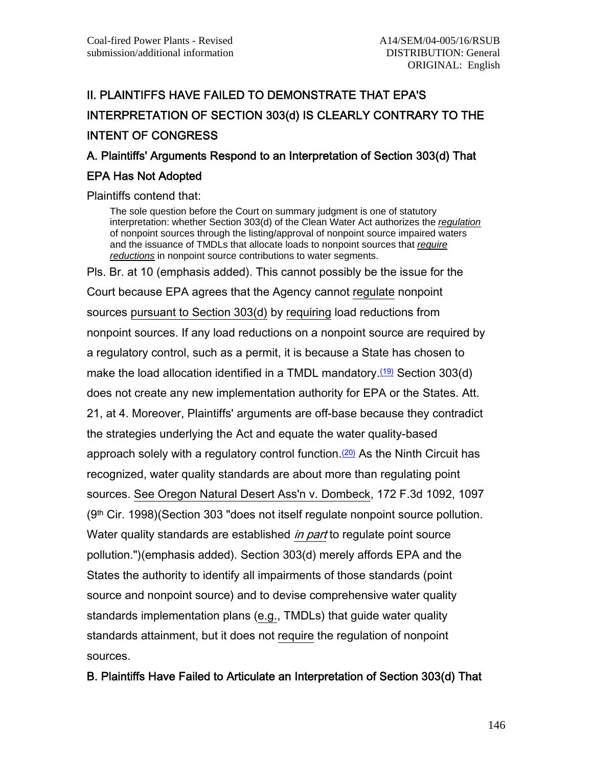# II. PLAINTIFFS HAVE FAILED TO DEMONSTRATE THAT EPA'S INTERPRETATION OF SECTION 303(d) IS CLEARLY CONTRARY TO THE INTENT OF CONGRESS

### A. Plaintiffs' Arguments Respond to an Interpretation of Section 303(d) That

#### EPA Has Not Adopted

#### Plaintiffs contend that:

The sole question before the Court on summary judgment is one of statutory interpretation: whether Section 303(d) of the Clean Water Act authorizes the *regulation* of nonpoint sources through the listing/approval of nonpoint source impaired waters and the issuance of TMDLs that allocate loads to nonpoint sources that *require reductions* in nonpoint source contributions to water segments.

Pls. Br. at 10 (emphasis added). This cannot possibly be the issue for the Court because EPA agrees that the Agency cannot regulate nonpoint sources pursuant to Section 303(d) by requiring load reductions from nonpoint sources. If any load reductions on a nonpoint source are required by a regulatory control, such as a permit, it is because a State has chosen to make the load allocation identified in a TMDL mandatory.  $(19)$  Section 303(d) does not create any new implementation authority for EPA or the States. Att. 21, at 4. Moreover, Plaintiffs' arguments are off-base because they contradict the strategies underlying the Act and equate the water quality-based approach solely with a regulatory control function.<sup>(20)</sup> As the Ninth Circuit has recognized, water quality standards are about more than regulating point sources. See Oregon Natural Desert Ass'n v. Dombeck, 172 F.3d 1092, 1097 (9th Cir. 1998)(Section 303 "does not itself regulate nonpoint source pollution. Water quality standards are established *in part* to regulate point source pollution.")(emphasis added). Section 303(d) merely affords EPA and the States the authority to identify all impairments of those standards (point source and nonpoint source) and to devise comprehensive water quality standards implementation plans (e.g., TMDLs) that guide water quality standards attainment, but it does not require the regulation of nonpoint sources.

#### B. Plaintiffs Have Failed to Articulate an Interpretation of Section 303(d) That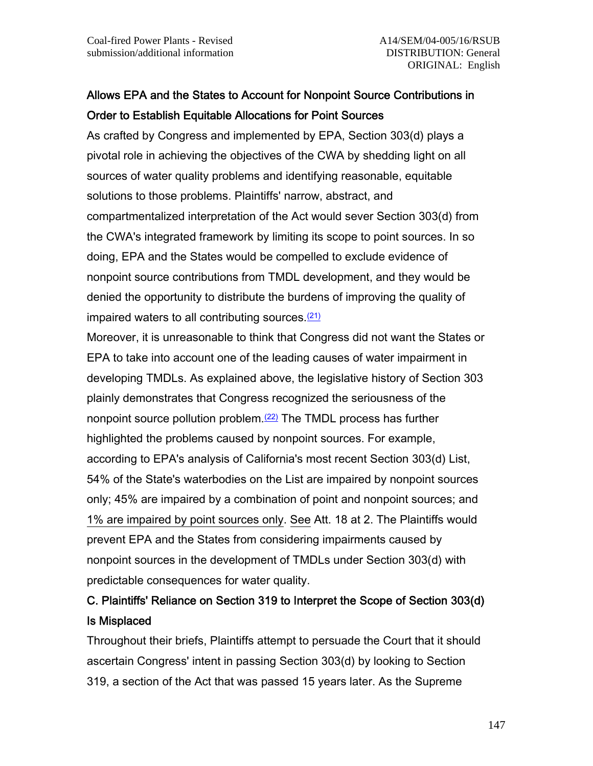### Allows EPA and the States to Account for Nonpoint Source Contributions in Order to Establish Equitable Allocations for Point Sources

As crafted by Congress and implemented by EPA, Section 303(d) plays a pivotal role in achieving the objectives of the CWA by shedding light on all sources of water quality problems and identifying reasonable, equitable solutions to those problems. Plaintiffs' narrow, abstract, and compartmentalized interpretation of the Act would sever Section 303(d) from the CWA's integrated framework by limiting its scope to point sources. In so doing, EPA and the States would be compelled to exclude evidence of nonpoint source contributions from TMDL development, and they would be denied the opportunity to distribute the burdens of improving the quality of impaired waters to all contributing sources. $(21)$ 

Moreover, it is unreasonable to think that Congress did not want the States or EPA to take into account one of the leading causes of water impairment in developing TMDLs. As explained above, the legislative history of Section 303 plainly demonstrates that Congress recognized the seriousness of the nonpoint source pollution problem.<sup>(22)</sup> The TMDL process has further highlighted the problems caused by nonpoint sources. For example, according to EPA's analysis of California's most recent Section 303(d) List, 54% of the State's waterbodies on the List are impaired by nonpoint sources only; 45% are impaired by a combination of point and nonpoint sources; and 1% are impaired by point sources only. See Att. 18 at 2. The Plaintiffs would prevent EPA and the States from considering impairments caused by nonpoint sources in the development of TMDLs under Section 303(d) with predictable consequences for water quality.

## C. Plaintiffs' Reliance on Section 319 to Interpret the Scope of Section 303(d) Is Misplaced

Throughout their briefs, Plaintiffs attempt to persuade the Court that it should ascertain Congress' intent in passing Section 303(d) by looking to Section 319, a section of the Act that was passed 15 years later. As the Supreme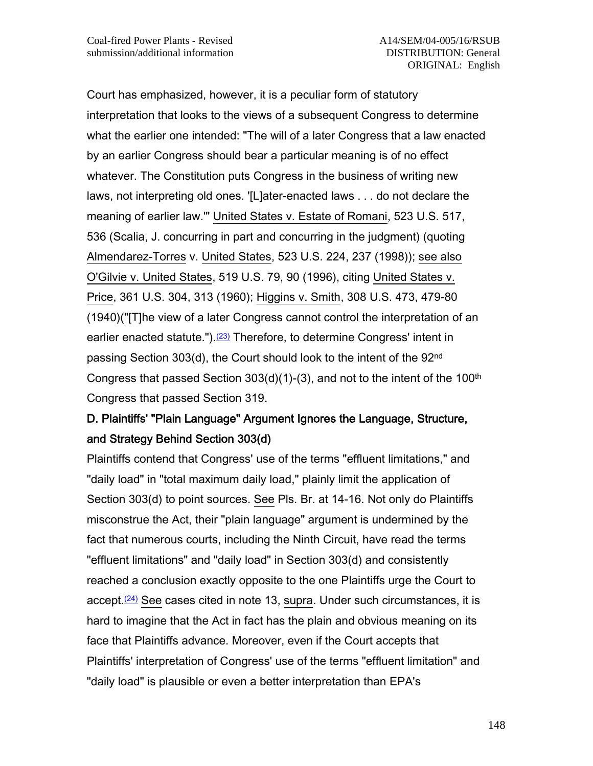Court has emphasized, however, it is a peculiar form of statutory interpretation that looks to the views of a subsequent Congress to determine what the earlier one intended: "The will of a later Congress that a law enacted by an earlier Congress should bear a particular meaning is of no effect whatever. The Constitution puts Congress in the business of writing new laws, not interpreting old ones. '[L]ater-enacted laws . . . do not declare the meaning of earlier law.'" United States v. Estate of Romani, 523 U.S. 517, 536 (Scalia, J. concurring in part and concurring in the judgment) (quoting Almendarez-Torres v. United States, 523 U.S. 224, 237 (1998)); see also O'Gilvie v. United States, 519 U.S. 79, 90 (1996), citing United States v. Price, 361 U.S. 304, 313 (1960); Higgins v. Smith, 308 U.S. 473, 479-80 (1940)("[T]he view of a later Congress cannot control the interpretation of an earlier enacted statute.").<sup>(23)</sup> Therefore, to determine Congress' intent in passing Section 303(d), the Court should look to the intent of the 92nd Congress that passed Section  $303(d)(1)-(3)$ , and not to the intent of the 100<sup>th</sup> Congress that passed Section 319.

## D. Plaintiffs' "Plain Language" Argument Ignores the Language, Structure, and Strategy Behind Section 303(d)

Plaintiffs contend that Congress' use of the terms "effluent limitations," and "daily load" in "total maximum daily load," plainly limit the application of Section 303(d) to point sources. See Pls. Br. at 14-16. Not only do Plaintiffs misconstrue the Act, their "plain language" argument is undermined by the fact that numerous courts, including the Ninth Circuit, have read the terms "effluent limitations" and "daily load" in Section 303(d) and consistently reached a conclusion exactly opposite to the one Plaintiffs urge the Court to  $accept.$  ( $24$ ) See cases cited in note 13, supra. Under such circumstances, it is hard to imagine that the Act in fact has the plain and obvious meaning on its face that Plaintiffs advance. Moreover, even if the Court accepts that Plaintiffs' interpretation of Congress' use of the terms "effluent limitation" and "daily load" is plausible or even a better interpretation than EPA's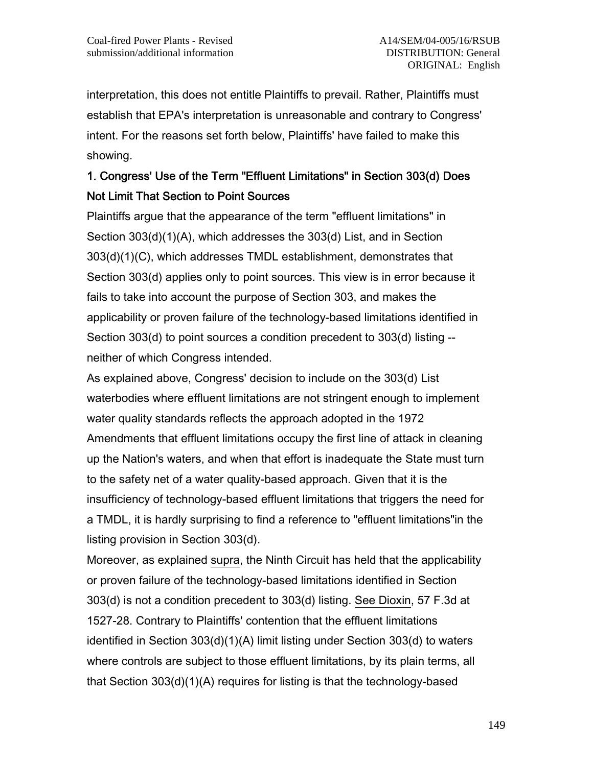interpretation, this does not entitle Plaintiffs to prevail. Rather, Plaintiffs must establish that EPA's interpretation is unreasonable and contrary to Congress' intent. For the reasons set forth below, Plaintiffs' have failed to make this showing.

## 1. Congress' Use of the Term "Effluent Limitations" in Section 303(d) Does Not Limit That Section to Point Sources

Plaintiffs argue that the appearance of the term "effluent limitations" in Section 303(d)(1)(A), which addresses the 303(d) List, and in Section 303(d)(1)(C), which addresses TMDL establishment, demonstrates that Section 303(d) applies only to point sources. This view is in error because it fails to take into account the purpose of Section 303, and makes the applicability or proven failure of the technology-based limitations identified in Section 303(d) to point sources a condition precedent to 303(d) listing -neither of which Congress intended.

As explained above, Congress' decision to include on the 303(d) List waterbodies where effluent limitations are not stringent enough to implement water quality standards reflects the approach adopted in the 1972 Amendments that effluent limitations occupy the first line of attack in cleaning up the Nation's waters, and when that effort is inadequate the State must turn to the safety net of a water quality-based approach. Given that it is the insufficiency of technology-based effluent limitations that triggers the need for a TMDL, it is hardly surprising to find a reference to "effluent limitations"in the listing provision in Section 303(d).

Moreover, as explained supra, the Ninth Circuit has held that the applicability or proven failure of the technology-based limitations identified in Section 303(d) is not a condition precedent to 303(d) listing. See Dioxin, 57 F.3d at 1527-28. Contrary to Plaintiffs' contention that the effluent limitations identified in Section 303(d)(1)(A) limit listing under Section 303(d) to waters where controls are subject to those effluent limitations, by its plain terms, all that Section 303(d)(1)(A) requires for listing is that the technology-based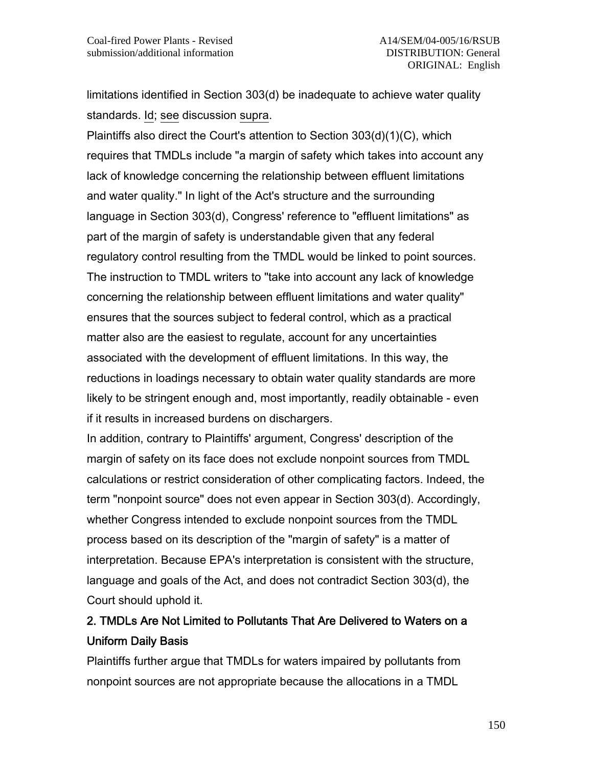limitations identified in Section 303(d) be inadequate to achieve water quality standards. Id; see discussion supra.

Plaintiffs also direct the Court's attention to Section 303(d)(1)(C), which requires that TMDLs include "a margin of safety which takes into account any lack of knowledge concerning the relationship between effluent limitations and water quality." In light of the Act's structure and the surrounding language in Section 303(d), Congress' reference to "effluent limitations" as part of the margin of safety is understandable given that any federal regulatory control resulting from the TMDL would be linked to point sources. The instruction to TMDL writers to "take into account any lack of knowledge concerning the relationship between effluent limitations and water quality" ensures that the sources subject to federal control, which as a practical matter also are the easiest to regulate, account for any uncertainties associated with the development of effluent limitations. In this way, the reductions in loadings necessary to obtain water quality standards are more likely to be stringent enough and, most importantly, readily obtainable - even if it results in increased burdens on dischargers.

In addition, contrary to Plaintiffs' argument, Congress' description of the margin of safety on its face does not exclude nonpoint sources from TMDL calculations or restrict consideration of other complicating factors. Indeed, the term "nonpoint source" does not even appear in Section 303(d). Accordingly, whether Congress intended to exclude nonpoint sources from the TMDL process based on its description of the "margin of safety" is a matter of interpretation. Because EPA's interpretation is consistent with the structure, language and goals of the Act, and does not contradict Section 303(d), the Court should uphold it.

## 2. TMDLs Are Not Limited to Pollutants That Are Delivered to Waters on a Uniform Daily Basis

Plaintiffs further argue that TMDLs for waters impaired by pollutants from nonpoint sources are not appropriate because the allocations in a TMDL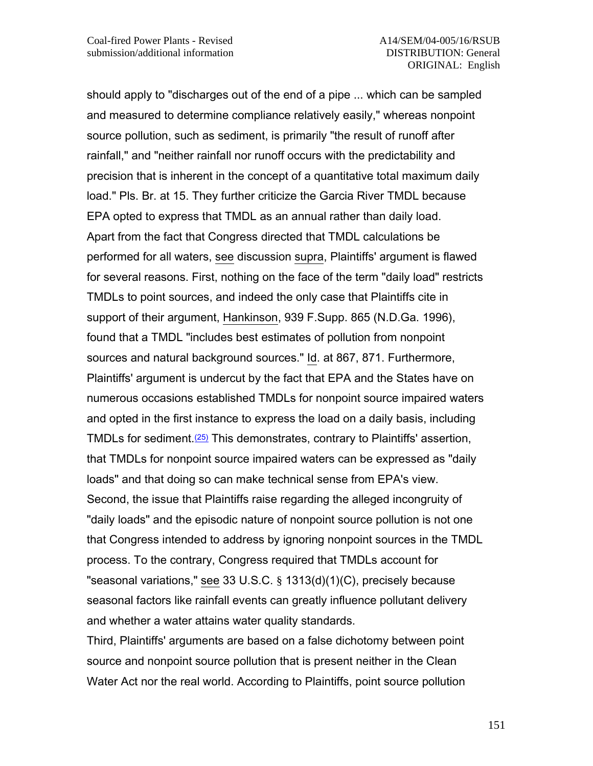should apply to "discharges out of the end of a pipe ... which can be sampled and measured to determine compliance relatively easily," whereas nonpoint source pollution, such as sediment, is primarily "the result of runoff after rainfall," and "neither rainfall nor runoff occurs with the predictability and precision that is inherent in the concept of a quantitative total maximum daily load." Pls. Br. at 15. They further criticize the Garcia River TMDL because EPA opted to express that TMDL as an annual rather than daily load. Apart from the fact that Congress directed that TMDL calculations be performed for all waters, see discussion supra, Plaintiffs' argument is flawed for several reasons. First, nothing on the face of the term "daily load" restricts TMDLs to point sources, and indeed the only case that Plaintiffs cite in support of their argument, Hankinson, 939 F.Supp. 865 (N.D.Ga. 1996), found that a TMDL "includes best estimates of pollution from nonpoint sources and natural background sources." Id. at 867, 871. Furthermore, Plaintiffs' argument is undercut by the fact that EPA and the States have on numerous occasions established TMDLs for nonpoint source impaired waters and opted in the first instance to express the load on a daily basis, including TMDLs for sediment.<sup>(25)</sup> This demonstrates, contrary to Plaintiffs' assertion, that TMDLs for nonpoint source impaired waters can be expressed as "daily loads" and that doing so can make technical sense from EPA's view. Second, the issue that Plaintiffs raise regarding the alleged incongruity of "daily loads" and the episodic nature of nonpoint source pollution is not one that Congress intended to address by ignoring nonpoint sources in the TMDL process. To the contrary, Congress required that TMDLs account for "seasonal variations," see 33 U.S.C. § 1313(d)(1)(C), precisely because seasonal factors like rainfall events can greatly influence pollutant delivery and whether a water attains water quality standards.

Third, Plaintiffs' arguments are based on a false dichotomy between point source and nonpoint source pollution that is present neither in the Clean Water Act nor the real world. According to Plaintiffs, point source pollution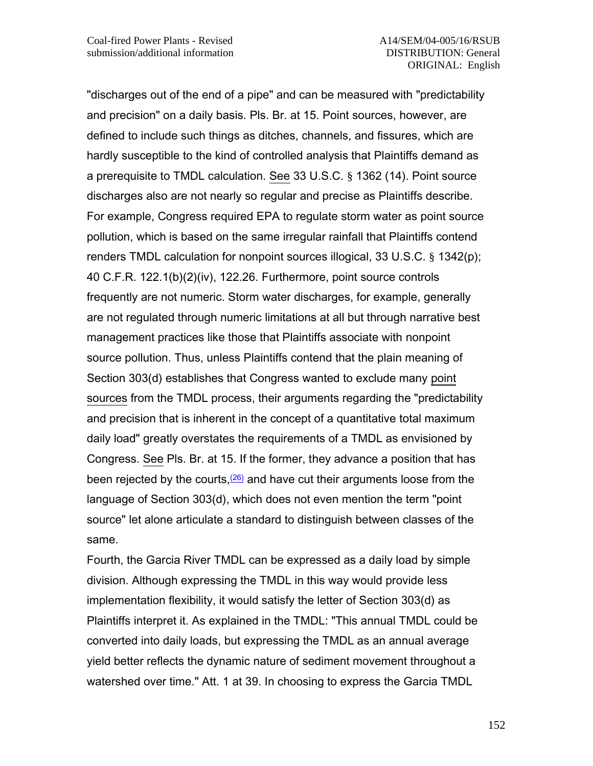"discharges out of the end of a pipe" and can be measured with "predictability and precision" on a daily basis. Pls. Br. at 15. Point sources, however, are defined to include such things as ditches, channels, and fissures, which are hardly susceptible to the kind of controlled analysis that Plaintiffs demand as a prerequisite to TMDL calculation. See 33 U.S.C. § 1362 (14). Point source discharges also are not nearly so regular and precise as Plaintiffs describe. For example, Congress required EPA to regulate storm water as point source pollution, which is based on the same irregular rainfall that Plaintiffs contend renders TMDL calculation for nonpoint sources illogical, 33 U.S.C. § 1342(p); 40 C.F.R. 122.1(b)(2)(iv), 122.26. Furthermore, point source controls frequently are not numeric. Storm water discharges, for example, generally are not regulated through numeric limitations at all but through narrative best management practices like those that Plaintiffs associate with nonpoint source pollution. Thus, unless Plaintiffs contend that the plain meaning of Section 303(d) establishes that Congress wanted to exclude many point sources from the TMDL process, their arguments regarding the "predictability and precision that is inherent in the concept of a quantitative total maximum daily load" greatly overstates the requirements of a TMDL as envisioned by Congress. See Pls. Br. at 15. If the former, they advance a position that has been rejected by the courts,<sup>(26)</sup> and have cut their arguments loose from the language of Section 303(d), which does not even mention the term "point source" let alone articulate a standard to distinguish between classes of the same.

Fourth, the Garcia River TMDL can be expressed as a daily load by simple division. Although expressing the TMDL in this way would provide less implementation flexibility, it would satisfy the letter of Section 303(d) as Plaintiffs interpret it. As explained in the TMDL: "This annual TMDL could be converted into daily loads, but expressing the TMDL as an annual average yield better reflects the dynamic nature of sediment movement throughout a watershed over time." Att. 1 at 39. In choosing to express the Garcia TMDL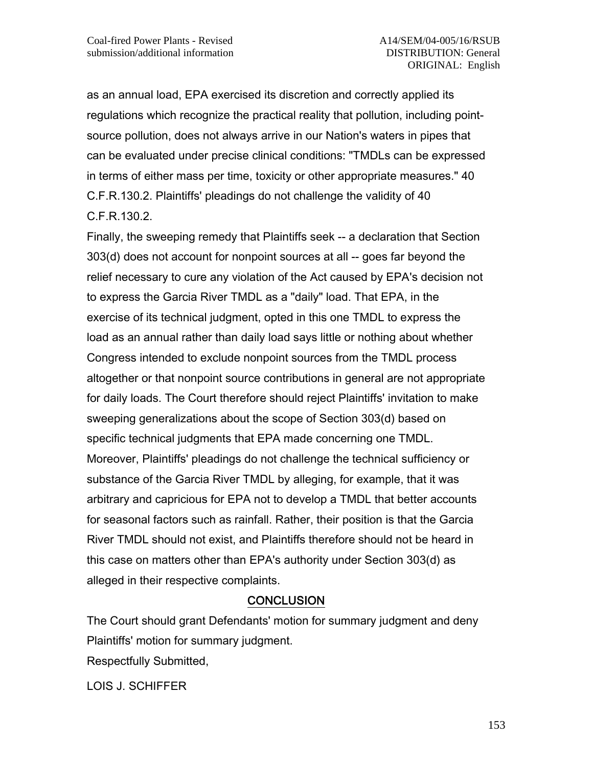as an annual load, EPA exercised its discretion and correctly applied its regulations which recognize the practical reality that pollution, including pointsource pollution, does not always arrive in our Nation's waters in pipes that can be evaluated under precise clinical conditions: "TMDLs can be expressed in terms of either mass per time, toxicity or other appropriate measures." 40 C.F.R.130.2. Plaintiffs' pleadings do not challenge the validity of 40 C.F.R.130.2.

Finally, the sweeping remedy that Plaintiffs seek -- a declaration that Section 303(d) does not account for nonpoint sources at all -- goes far beyond the relief necessary to cure any violation of the Act caused by EPA's decision not to express the Garcia River TMDL as a "daily" load. That EPA, in the exercise of its technical judgment, opted in this one TMDL to express the load as an annual rather than daily load says little or nothing about whether Congress intended to exclude nonpoint sources from the TMDL process altogether or that nonpoint source contributions in general are not appropriate for daily loads. The Court therefore should reject Plaintiffs' invitation to make sweeping generalizations about the scope of Section 303(d) based on specific technical judgments that EPA made concerning one TMDL. Moreover, Plaintiffs' pleadings do not challenge the technical sufficiency or substance of the Garcia River TMDL by alleging, for example, that it was arbitrary and capricious for EPA not to develop a TMDL that better accounts for seasonal factors such as rainfall. Rather, their position is that the Garcia River TMDL should not exist, and Plaintiffs therefore should not be heard in this case on matters other than EPA's authority under Section 303(d) as alleged in their respective complaints.

### **CONCLUSION**

The Court should grant Defendants' motion for summary judgment and deny Plaintiffs' motion for summary judgment.

Respectfully Submitted,

LOIS J. SCHIFFER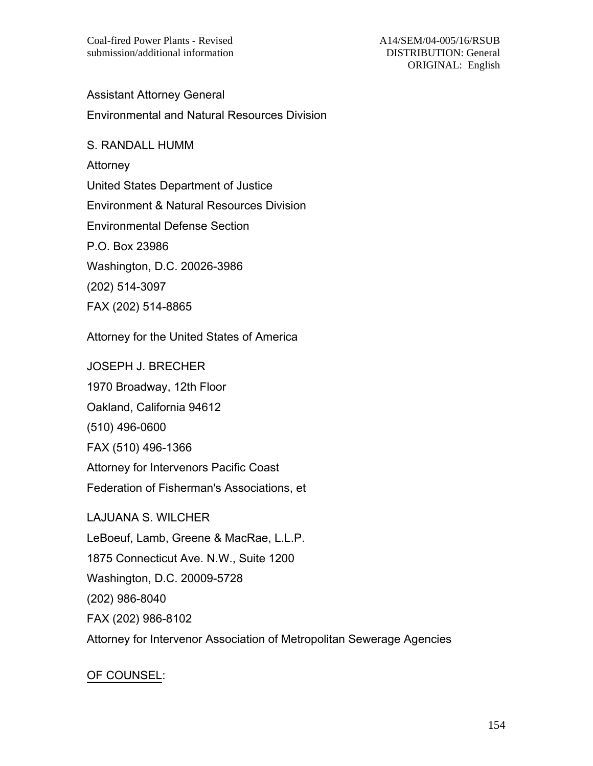Coal-fired Power Plants - Revised submission/additional information

#### Assistant Attorney General

Environmental and Natural Resources Division

### S. RANDALL HUMM

Attorney

United States Department of Justice

Environment & Natural Resources Division

Environmental Defense Section

P.O. Box 23986

Washington, D.C. 20026-3986

(202) 514-3097

FAX (202) 514-8865

Attorney for the United States of America

JOSEPH J. BRECHER 1970 Broadway, 12th Floor Oakland, California 94612 (510) 496-0600 FAX (510) 496-1366 Attorney for Intervenors Pacific Coast Federation of Fisherman's Associations, et

LAJUANA S. WILCHER LeBoeuf, Lamb, Greene & MacRae, L.L.P. 1875 Connecticut Ave. N.W., Suite 1200 Washington, D.C. 20009-5728 (202) 986-8040 FAX (202) 986-8102 Attorney for Intervenor Association of Metropolitan Sewerage Agencies

### OF COUNSEL: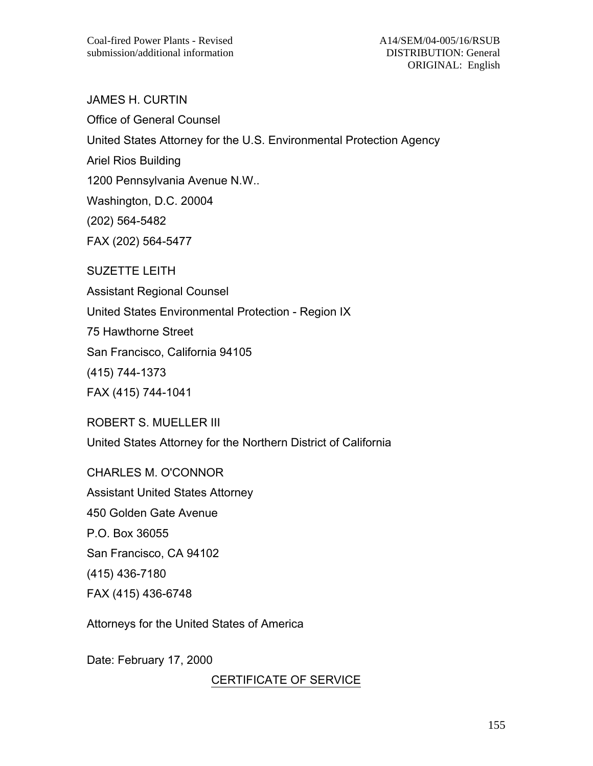JAMES H. CURTIN

Office of General Counsel

United States Attorney for the U.S. Environmental Protection Agency

Ariel Rios Building

1200 Pennsylvania Avenue N.W..

Washington, D.C. 20004

(202) 564-5482

FAX (202) 564-5477

SUZETTE LEITH

Assistant Regional Counsel

United States Environmental Protection - Region IX

75 Hawthorne Street

San Francisco, California 94105

(415) 744-1373

FAX (415) 744-1041

ROBERT S. MUELLER III United States Attorney for the Northern District of California

CHARLES M. O'CONNOR Assistant United States Attorney 450 Golden Gate Avenue P.O. Box 36055 San Francisco, CA 94102 (415) 436-7180 FAX (415) 436-6748

Attorneys for the United States of America

Date: February 17, 2000

CERTIFICATE OF SERVICE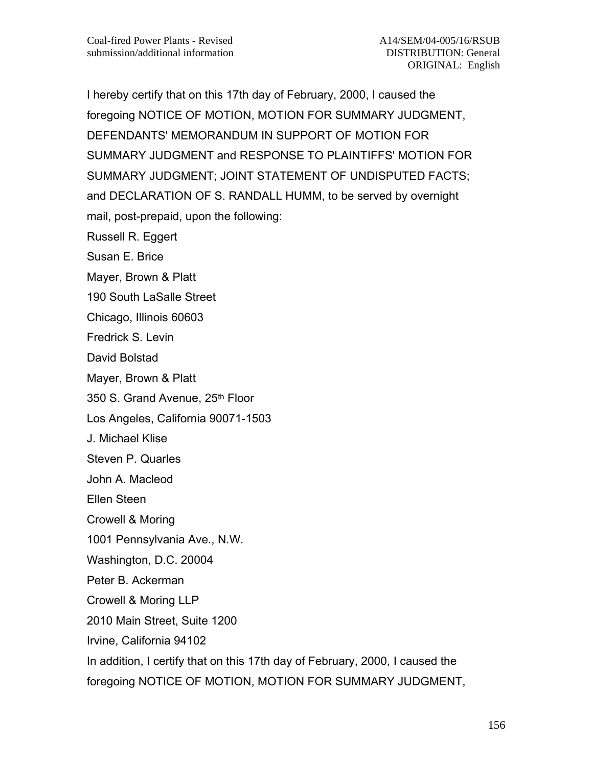I hereby certify that on this 17th day of February, 2000, I caused the foregoing NOTICE OF MOTION, MOTION FOR SUMMARY JUDGMENT, DEFENDANTS' MEMORANDUM IN SUPPORT OF MOTION FOR SUMMARY JUDGMENT and RESPONSE TO PLAINTIFFS' MOTION FOR SUMMARY JUDGMENT; JOINT STATEMENT OF UNDISPUTED FACTS; and DECLARATION OF S. RANDALL HUMM, to be served by overnight mail, post-prepaid, upon the following: Russell R. Eggert Susan E. Brice Mayer, Brown & Platt 190 South LaSalle Street Chicago, Illinois 60603 Fredrick S. Levin David Bolstad Mayer, Brown & Platt 350 S. Grand Avenue, 25th Floor Los Angeles, California 90071-1503 J. Michael Klise Steven P. Quarles John A. Macleod Ellen Steen Crowell & Moring 1001 Pennsylvania Ave., N.W. Washington, D.C. 20004 Peter B. Ackerman Crowell & Moring LLP 2010 Main Street, Suite 1200 Irvine, California 94102 In addition, I certify that on this 17th day of February, 2000, I caused the

foregoing NOTICE OF MOTION, MOTION FOR SUMMARY JUDGMENT,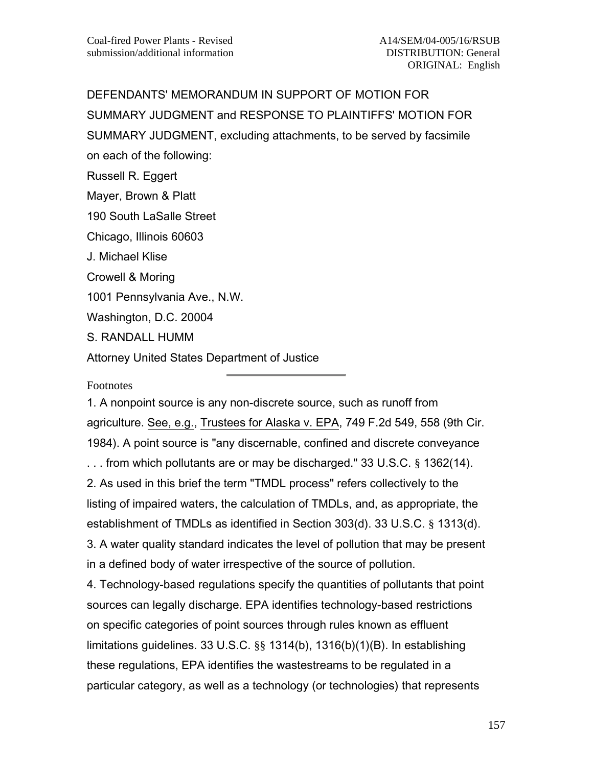DEFENDANTS' MEMORANDUM IN SUPPORT OF MOTION FOR SUMMARY JUDGMENT and RESPONSE TO PLAINTIFFS' MOTION FOR SUMMARY JUDGMENT, excluding attachments, to be served by facsimile on each of the following: Russell R. Eggert Mayer, Brown & Platt 190 South LaSalle Street Chicago, Illinois 60603 J. Michael Klise Crowell & Moring 1001 Pennsylvania Ave., N.W. Washington, D.C. 20004 S. RANDALL HUMM Attorney United States Department of Justice

#### **Footnotes**

1. A nonpoint source is any non-discrete source, such as runoff from agriculture. See, e.g., Trustees for Alaska v. EPA, 749 F.2d 549, 558 (9th Cir. 1984). A point source is "any discernable, confined and discrete conveyance . . . from which pollutants are or may be discharged." 33 U.S.C. § 1362(14). 2. As used in this brief the term "TMDL process" refers collectively to the listing of impaired waters, the calculation of TMDLs, and, as appropriate, the establishment of TMDLs as identified in Section 303(d). 33 U.S.C. § 1313(d). 3. A water quality standard indicates the level of pollution that may be present in a defined body of water irrespective of the source of pollution.

4. Technology-based regulations specify the quantities of pollutants that point sources can legally discharge. EPA identifies technology-based restrictions on specific categories of point sources through rules known as effluent limitations guidelines. 33 U.S.C. §§ 1314(b), 1316(b)(1)(B). In establishing these regulations, EPA identifies the wastestreams to be regulated in a particular category, as well as a technology (or technologies) that represents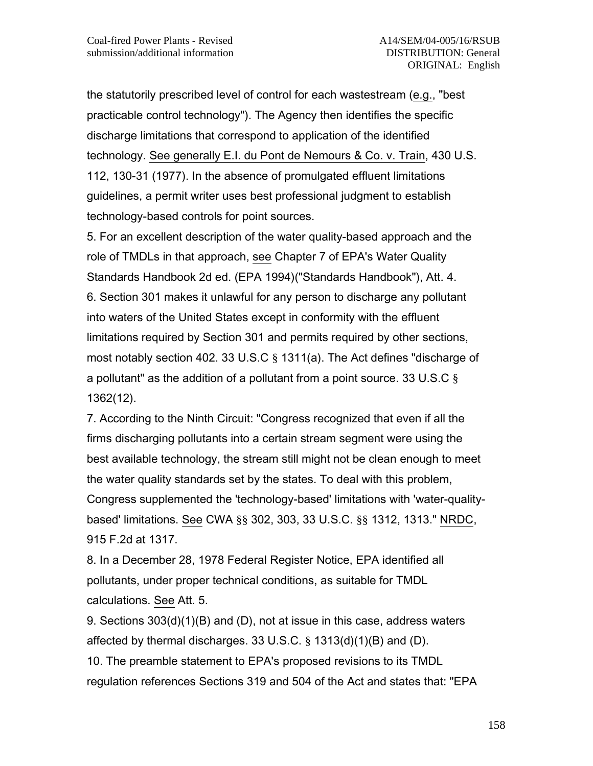the statutorily prescribed level of control for each wastestream (e.g., "best practicable control technology"). The Agency then identifies the specific discharge limitations that correspond to application of the identified technology. See generally E.I. du Pont de Nemours & Co. v. Train, 430 U.S. 112, 130-31 (1977). In the absence of promulgated effluent limitations guidelines, a permit writer uses best professional judgment to establish technology-based controls for point sources.

5. For an excellent description of the water quality-based approach and the role of TMDLs in that approach, see Chapter 7 of EPA's Water Quality Standards Handbook 2d ed. (EPA 1994)("Standards Handbook"), Att. 4. 6. Section 301 makes it unlawful for any person to discharge any pollutant into waters of the United States except in conformity with the effluent limitations required by Section 301 and permits required by other sections, most notably section 402. 33 U.S.C § 1311(a). The Act defines "discharge of a pollutant" as the addition of a pollutant from a point source. 33 U.S.C § 1362(12).

7. According to the Ninth Circuit: "Congress recognized that even if all the firms discharging pollutants into a certain stream segment were using the best available technology, the stream still might not be clean enough to meet the water quality standards set by the states. To deal with this problem, Congress supplemented the 'technology-based' limitations with 'water-qualitybased' limitations. See CWA §§ 302, 303, 33 U.S.C. §§ 1312, 1313." NRDC, 915 F.2d at 1317.

8. In a December 28, 1978 Federal Register Notice, EPA identified all pollutants, under proper technical conditions, as suitable for TMDL calculations. See Att. 5.

9. Sections 303(d)(1)(B) and (D), not at issue in this case, address waters affected by thermal discharges. 33 U.S.C. § 1313(d)(1)(B) and (D).

10. The preamble statement to EPA's proposed revisions to its TMDL regulation references Sections 319 and 504 of the Act and states that: "EPA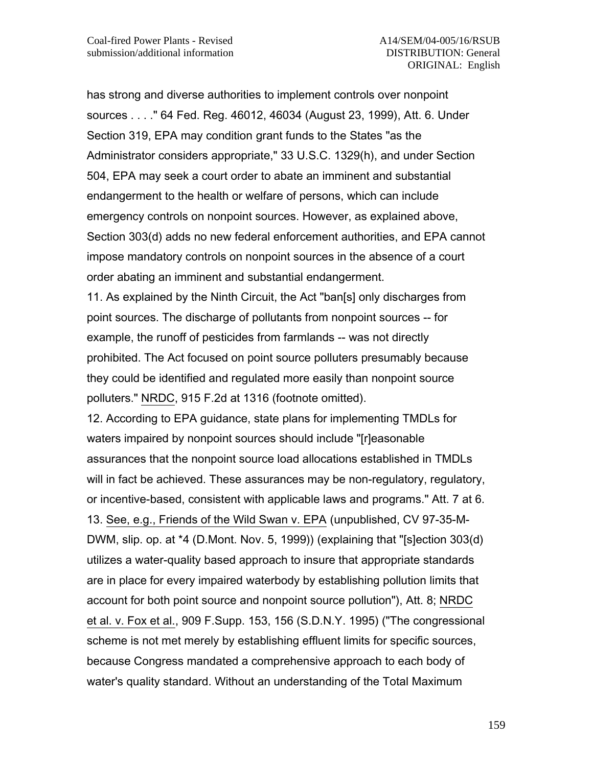has strong and diverse authorities to implement controls over nonpoint sources . . . ." 64 Fed. Reg. 46012, 46034 (August 23, 1999), Att. 6. Under Section 319, EPA may condition grant funds to the States "as the Administrator considers appropriate," 33 U.S.C. 1329(h), and under Section 504, EPA may seek a court order to abate an imminent and substantial endangerment to the health or welfare of persons, which can include emergency controls on nonpoint sources. However, as explained above, Section 303(d) adds no new federal enforcement authorities, and EPA cannot impose mandatory controls on nonpoint sources in the absence of a court order abating an imminent and substantial endangerment.

11. As explained by the Ninth Circuit, the Act "ban[s] only discharges from point sources. The discharge of pollutants from nonpoint sources -- for example, the runoff of pesticides from farmlands -- was not directly prohibited. The Act focused on point source polluters presumably because they could be identified and regulated more easily than nonpoint source polluters." NRDC, 915 F.2d at 1316 (footnote omitted).

12. According to EPA guidance, state plans for implementing TMDLs for waters impaired by nonpoint sources should include "[r]easonable assurances that the nonpoint source load allocations established in TMDLs will in fact be achieved. These assurances may be non-regulatory, regulatory, or incentive-based, consistent with applicable laws and programs." Att. 7 at 6. 13. See, e.g., Friends of the Wild Swan v. EPA (unpublished, CV 97-35-M-DWM, slip. op. at \*4 (D.Mont. Nov. 5, 1999)) (explaining that "[s]ection 303(d) utilizes a water-quality based approach to insure that appropriate standards are in place for every impaired waterbody by establishing pollution limits that account for both point source and nonpoint source pollution"), Att. 8; NRDC et al. v. Fox et al., 909 F.Supp. 153, 156 (S.D.N.Y. 1995) ("The congressional scheme is not met merely by establishing effluent limits for specific sources, because Congress mandated a comprehensive approach to each body of water's quality standard. Without an understanding of the Total Maximum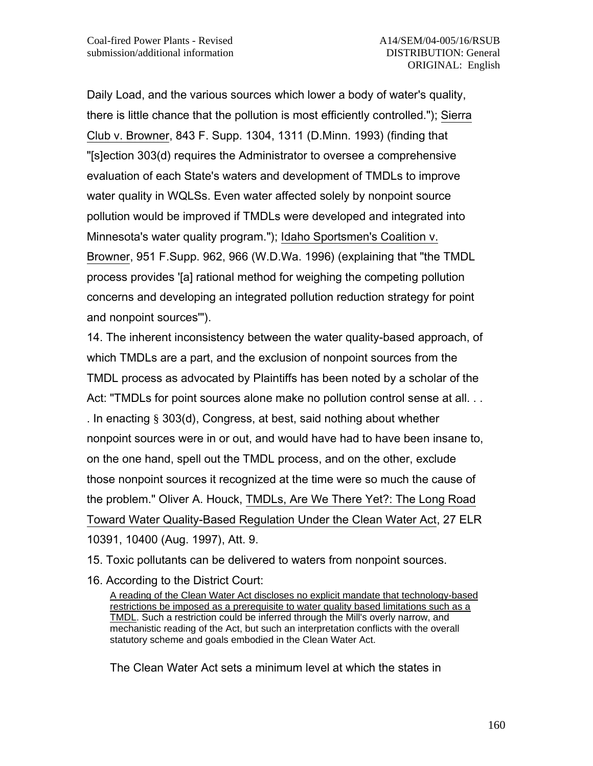Daily Load, and the various sources which lower a body of water's quality, there is little chance that the pollution is most efficiently controlled."); Sierra Club v. Browner, 843 F. Supp. 1304, 1311 (D.Minn. 1993) (finding that "[s]ection 303(d) requires the Administrator to oversee a comprehensive evaluation of each State's waters and development of TMDLs to improve water quality in WQLSs. Even water affected solely by nonpoint source pollution would be improved if TMDLs were developed and integrated into Minnesota's water quality program."); Idaho Sportsmen's Coalition v. Browner, 951 F.Supp. 962, 966 (W.D.Wa. 1996) (explaining that "the TMDL process provides '[a] rational method for weighing the competing pollution concerns and developing an integrated pollution reduction strategy for point and nonpoint sources'").

14. The inherent inconsistency between the water quality-based approach, of which TMDLs are a part, and the exclusion of nonpoint sources from the TMDL process as advocated by Plaintiffs has been noted by a scholar of the Act: "TMDLs for point sources alone make no pollution control sense at all. . . . In enacting § 303(d), Congress, at best, said nothing about whether nonpoint sources were in or out, and would have had to have been insane to, on the one hand, spell out the TMDL process, and on the other, exclude those nonpoint sources it recognized at the time were so much the cause of the problem." Oliver A. Houck, TMDLs, Are We There Yet?: The Long Road Toward Water Quality-Based Regulation Under the Clean Water Act, 27 ELR 10391, 10400 (Aug. 1997), Att. 9.

15. Toxic pollutants can be delivered to waters from nonpoint sources.

16. According to the District Court:

A reading of the Clean Water Act discloses no explicit mandate that technology-based restrictions be imposed as a prerequisite to water quality based limitations such as a TMDL. Such a restriction could be inferred through the Mill's overly narrow, and mechanistic reading of the Act, but such an interpretation conflicts with the overall statutory scheme and goals embodied in the Clean Water Act.

The Clean Water Act sets a minimum level at which the states in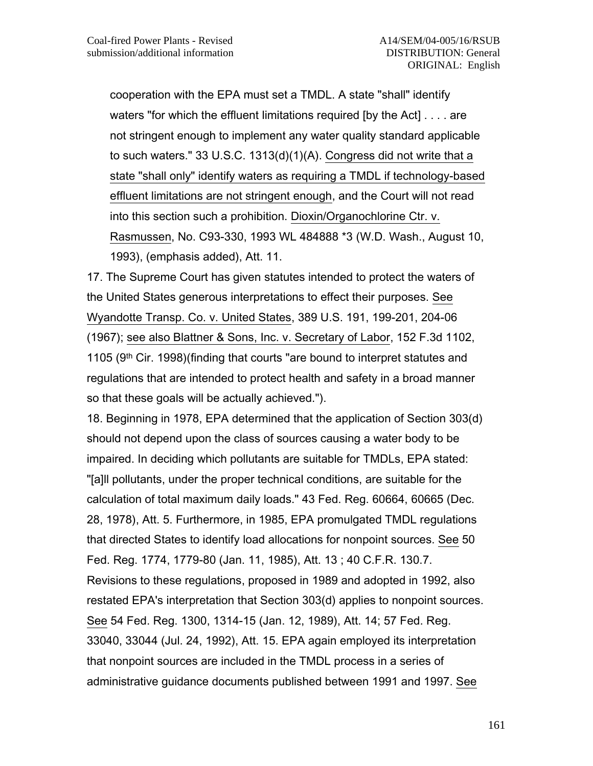cooperation with the EPA must set a TMDL. A state "shall" identify waters "for which the effluent limitations required [by the Act] . . . . are not stringent enough to implement any water quality standard applicable to such waters." 33 U.S.C. 1313(d)(1)(A). Congress did not write that a state "shall only" identify waters as requiring a TMDL if technology-based effluent limitations are not stringent enough, and the Court will not read into this section such a prohibition. Dioxin/Organochlorine Ctr. v. Rasmussen, No. C93-330, 1993 WL 484888 \*3 (W.D. Wash., August 10, 1993), (emphasis added), Att. 11.

17. The Supreme Court has given statutes intended to protect the waters of the United States generous interpretations to effect their purposes. See Wyandotte Transp. Co. v. United States, 389 U.S. 191, 199-201, 204-06 (1967); see also Blattner & Sons, Inc. v. Secretary of Labor, 152 F.3d 1102, 1105 (9th Cir. 1998)(finding that courts "are bound to interpret statutes and regulations that are intended to protect health and safety in a broad manner so that these goals will be actually achieved.").

18. Beginning in 1978, EPA determined that the application of Section 303(d) should not depend upon the class of sources causing a water body to be impaired. In deciding which pollutants are suitable for TMDLs, EPA stated: "[a]ll pollutants, under the proper technical conditions, are suitable for the calculation of total maximum daily loads." 43 Fed. Reg. 60664, 60665 (Dec. 28, 1978), Att. 5. Furthermore, in 1985, EPA promulgated TMDL regulations that directed States to identify load allocations for nonpoint sources. See 50 Fed. Reg. 1774, 1779-80 (Jan. 11, 1985), Att. 13 ; 40 C.F.R. 130.7. Revisions to these regulations, proposed in 1989 and adopted in 1992, also restated EPA's interpretation that Section 303(d) applies to nonpoint sources. See 54 Fed. Reg. 1300, 1314-15 (Jan. 12, 1989), Att. 14; 57 Fed. Reg. 33040, 33044 (Jul. 24, 1992), Att. 15. EPA again employed its interpretation that nonpoint sources are included in the TMDL process in a series of administrative guidance documents published between 1991 and 1997. See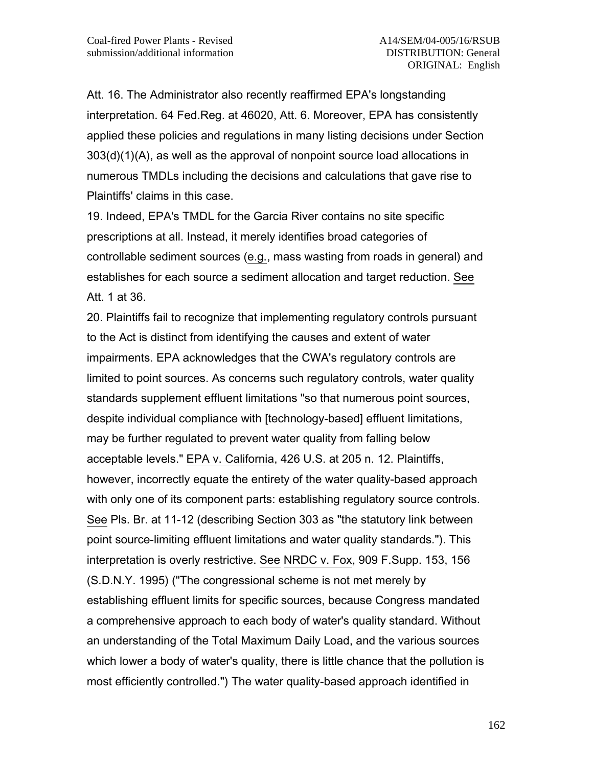Att. 16. The Administrator also recently reaffirmed EPA's longstanding interpretation. 64 Fed.Reg. at 46020, Att. 6. Moreover, EPA has consistently applied these policies and regulations in many listing decisions under Section 303(d)(1)(A), as well as the approval of nonpoint source load allocations in numerous TMDLs including the decisions and calculations that gave rise to Plaintiffs' claims in this case.

19. Indeed, EPA's TMDL for the Garcia River contains no site specific prescriptions at all. Instead, it merely identifies broad categories of controllable sediment sources (e.g., mass wasting from roads in general) and establishes for each source a sediment allocation and target reduction. See Att. 1 at 36.

20. Plaintiffs fail to recognize that implementing regulatory controls pursuant to the Act is distinct from identifying the causes and extent of water impairments. EPA acknowledges that the CWA's regulatory controls are limited to point sources. As concerns such regulatory controls, water quality standards supplement effluent limitations "so that numerous point sources, despite individual compliance with [technology-based] effluent limitations, may be further regulated to prevent water quality from falling below acceptable levels." EPA v. California, 426 U.S. at 205 n. 12. Plaintiffs, however, incorrectly equate the entirety of the water quality-based approach with only one of its component parts: establishing regulatory source controls. See Pls. Br. at 11-12 (describing Section 303 as "the statutory link between point source-limiting effluent limitations and water quality standards."). This interpretation is overly restrictive. See NRDC v. Fox, 909 F.Supp. 153, 156 (S.D.N.Y. 1995) ("The congressional scheme is not met merely by establishing effluent limits for specific sources, because Congress mandated a comprehensive approach to each body of water's quality standard. Without an understanding of the Total Maximum Daily Load, and the various sources which lower a body of water's quality, there is little chance that the pollution is most efficiently controlled.") The water quality-based approach identified in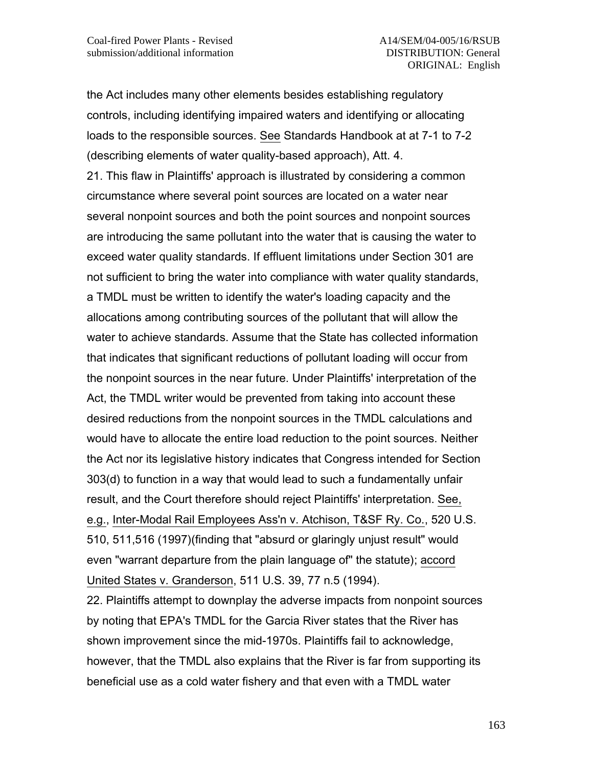the Act includes many other elements besides establishing regulatory controls, including identifying impaired waters and identifying or allocating loads to the responsible sources. See Standards Handbook at at 7-1 to 7-2 (describing elements of water quality-based approach), Att. 4. 21. This flaw in Plaintiffs' approach is illustrated by considering a common circumstance where several point sources are located on a water near several nonpoint sources and both the point sources and nonpoint sources are introducing the same pollutant into the water that is causing the water to exceed water quality standards. If effluent limitations under Section 301 are not sufficient to bring the water into compliance with water quality standards, a TMDL must be written to identify the water's loading capacity and the allocations among contributing sources of the pollutant that will allow the water to achieve standards. Assume that the State has collected information that indicates that significant reductions of pollutant loading will occur from the nonpoint sources in the near future. Under Plaintiffs' interpretation of the Act, the TMDL writer would be prevented from taking into account these desired reductions from the nonpoint sources in the TMDL calculations and would have to allocate the entire load reduction to the point sources. Neither the Act nor its legislative history indicates that Congress intended for Section 303(d) to function in a way that would lead to such a fundamentally unfair result, and the Court therefore should reject Plaintiffs' interpretation. See, e.g., Inter-Modal Rail Employees Ass'n v. Atchison, T&SF Ry. Co., 520 U.S. 510, 511,516 (1997)(finding that "absurd or glaringly unjust result" would even "warrant departure from the plain language of" the statute); accord United States v. Granderson, 511 U.S. 39, 77 n.5 (1994).

22. Plaintiffs attempt to downplay the adverse impacts from nonpoint sources by noting that EPA's TMDL for the Garcia River states that the River has shown improvement since the mid-1970s. Plaintiffs fail to acknowledge, however, that the TMDL also explains that the River is far from supporting its beneficial use as a cold water fishery and that even with a TMDL water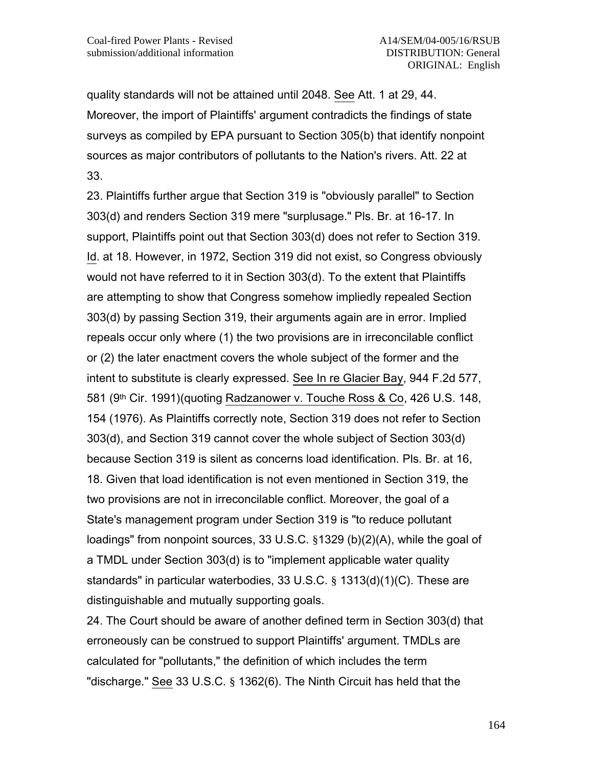quality standards will not be attained until 2048. See Att. 1 at 29, 44. Moreover, the import of Plaintiffs' argument contradicts the findings of state surveys as compiled by EPA pursuant to Section 305(b) that identify nonpoint sources as major contributors of pollutants to the Nation's rivers. Att. 22 at 33.

23. Plaintiffs further argue that Section 319 is "obviously parallel" to Section 303(d) and renders Section 319 mere "surplusage." Pls. Br. at 16-17. In support, Plaintiffs point out that Section 303(d) does not refer to Section 319. Id. at 18. However, in 1972, Section 319 did not exist, so Congress obviously would not have referred to it in Section 303(d). To the extent that Plaintiffs are attempting to show that Congress somehow impliedly repealed Section 303(d) by passing Section 319, their arguments again are in error. Implied repeals occur only where (1) the two provisions are in irreconcilable conflict or (2) the later enactment covers the whole subject of the former and the intent to substitute is clearly expressed. See In re Glacier Bay, 944 F.2d 577, 581 (9<sup>th</sup> Cir. 1991)(quoting Radzanower v. Touche Ross & Co, 426 U.S. 148, 154 (1976). As Plaintiffs correctly note, Section 319 does not refer to Section 303(d), and Section 319 cannot cover the whole subject of Section 303(d) because Section 319 is silent as concerns load identification. Pls. Br. at 16, 18. Given that load identification is not even mentioned in Section 319, the two provisions are not in irreconcilable conflict. Moreover, the goal of a State's management program under Section 319 is "to reduce pollutant loadings" from nonpoint sources, 33 U.S.C. §1329 (b)(2)(A), while the goal of a TMDL under Section 303(d) is to "implement applicable water quality standards" in particular waterbodies, 33 U.S.C. § 1313(d)(1)(C). These are distinguishable and mutually supporting goals.

24. The Court should be aware of another defined term in Section 303(d) that erroneously can be construed to support Plaintiffs' argument. TMDLs are calculated for "pollutants," the definition of which includes the term "discharge." See 33 U.S.C. § 1362(6). The Ninth Circuit has held that the